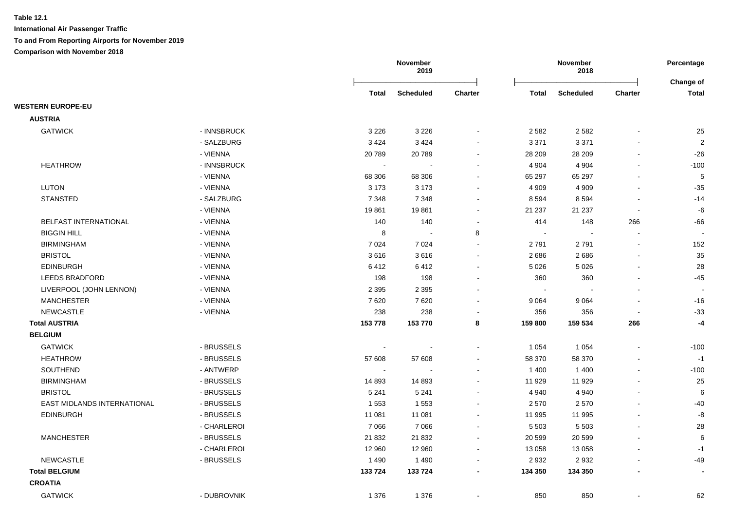|                             |             |                | November<br>2019         |         |                | November<br>2018 |                          | Percentage                |
|-----------------------------|-------------|----------------|--------------------------|---------|----------------|------------------|--------------------------|---------------------------|
|                             |             | <b>Total</b>   | <b>Scheduled</b>         | Charter | <b>Total</b>   | <b>Scheduled</b> | Charter                  | Change of<br><b>Total</b> |
| <b>WESTERN EUROPE-EU</b>    |             |                |                          |         |                |                  |                          |                           |
| <b>AUSTRIA</b>              |             |                |                          |         |                |                  |                          |                           |
| <b>GATWICK</b>              | - INNSBRUCK | 3 2 2 6        | 3 2 2 6                  |         | 2 5 8 2        | 2 5 8 2          |                          | 25                        |
|                             | - SALZBURG  | 3424           | 3 4 2 4                  |         | 3 3 7 1        | 3 3 7 1          |                          | $\sqrt{2}$                |
|                             | - VIENNA    | 20789          | 20789                    |         | 28 209         | 28 209           |                          | $-26$                     |
| <b>HEATHROW</b>             | - INNSBRUCK | $\blacksquare$ |                          |         | 4 9 0 4        | 4 9 0 4          | $\blacksquare$           | $-100$                    |
|                             | - VIENNA    | 68 306         | 68 30 6                  |         | 65 297         | 65 297           | $\blacksquare$           | $\sqrt{5}$                |
| <b>LUTON</b>                | - VIENNA    | 3 1 7 3        | 3 1 7 3                  |         | 4 9 0 9        | 4 9 0 9          | $\blacksquare$           | $-35$                     |
| <b>STANSTED</b>             | - SALZBURG  | 7 3 4 8        | 7 3 4 8                  |         | 8 5 9 4        | 8594             | $\overline{\phantom{a}}$ | $-14$                     |
|                             | - VIENNA    | 19861          | 19861                    |         | 21 237         | 21 237           | $\overline{\phantom{a}}$ | -6                        |
| BELFAST INTERNATIONAL       | - VIENNA    | 140            | 140                      |         | 414            | 148              | 266                      | $-66$                     |
| <b>BIGGIN HILL</b>          | - VIENNA    | 8              | $\overline{\phantom{a}}$ | 8       | $\blacksquare$ |                  | $\sim$                   | $\overline{\phantom{a}}$  |
| <b>BIRMINGHAM</b>           | - VIENNA    | 7024           | 7 0 2 4                  |         | 2 7 9 1        | 2791             |                          | 152                       |
| <b>BRISTOL</b>              | - VIENNA    | 3616           | 3616                     |         | 2686           | 2686             |                          | 35                        |
| <b>EDINBURGH</b>            | - VIENNA    | 6412           | 6412                     |         | 5 0 26         | 5 0 26           |                          | 28                        |
| <b>LEEDS BRADFORD</b>       | - VIENNA    | 198            | 198                      |         | 360            | 360              |                          | $-45$                     |
| LIVERPOOL (JOHN LENNON)     | - VIENNA    | 2 3 9 5        | 2 3 9 5                  |         |                |                  |                          |                           |
| <b>MANCHESTER</b>           | - VIENNA    | 7620           | 7620                     |         | 9 0 64         | 9 0 6 4          |                          | $-16$                     |
| <b>NEWCASTLE</b>            | - VIENNA    | 238            | 238                      |         | 356            | 356              | $\sim$                   | $-33$                     |
| <b>Total AUSTRIA</b>        |             | 153 778        | 153 770                  | 8       | 159 800        | 159 534          | 266                      | -4                        |
| <b>BELGIUM</b>              |             |                |                          |         |                |                  |                          |                           |
| <b>GATWICK</b>              | - BRUSSELS  |                |                          |         | 1 0 5 4        | 1 0 5 4          | $\blacksquare$           | $-100$                    |
| <b>HEATHROW</b>             | - BRUSSELS  | 57 608         | 57 608                   |         | 58 370         | 58 370           |                          | $-1$                      |
| SOUTHEND                    | - ANTWERP   | $\sim$         |                          |         | 1 400          | 1 4 0 0          | $\blacksquare$           | $-100$                    |
| <b>BIRMINGHAM</b>           | - BRUSSELS  | 14 893         | 14 893                   |         | 11 929         | 11 929           | $\overline{a}$           | 25                        |
| <b>BRISTOL</b>              | - BRUSSELS  | 5 2 4 1        | 5 2 4 1                  |         | 4 9 4 0        | 4 9 4 0          |                          | 6                         |
| EAST MIDLANDS INTERNATIONAL | - BRUSSELS  | 1 5 5 3        | 1553                     |         | 2 5 7 0        | 2570             |                          | -40                       |
| <b>EDINBURGH</b>            | - BRUSSELS  | 11 081         | 11 081                   |         | 11 995         | 11 995           |                          | $\mbox{-}8$               |
|                             | - CHARLEROI | 7 0 6 6        | 7066                     |         | 5 5 0 3        | 5 5 0 3          | $\blacksquare$           | 28                        |
| <b>MANCHESTER</b>           | - BRUSSELS  | 21 832         | 21 832                   |         | 20 599         | 20 599           |                          | 6                         |
|                             | - CHARLEROI | 12 960         | 12 960                   |         | 13 0 58        | 13 0 58          |                          | $-1$                      |
| <b>NEWCASTLE</b>            | - BRUSSELS  | 1490           | 1490                     |         | 2932           | 2932             |                          | -49                       |
| <b>Total BELGIUM</b>        |             | 133 724        | 133 724                  |         | 134 350        | 134 350          |                          |                           |
| <b>CROATIA</b>              |             |                |                          |         |                |                  |                          |                           |
| <b>GATWICK</b>              | - DUBROVNIK | 1 3 7 6        | 1 3 7 6                  |         | 850            | 850              | $\sim$                   | 62                        |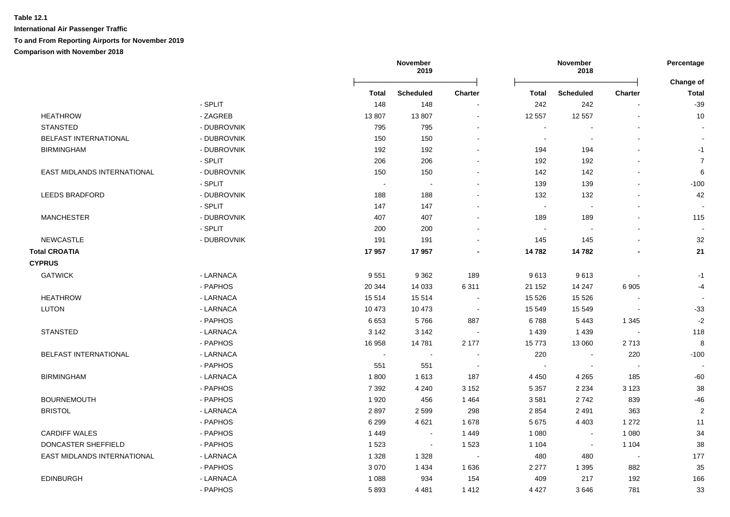|                              |             |              | November<br>2019 |                          | November<br>2018         |                  |                          | Percentage<br>Change of |
|------------------------------|-------------|--------------|------------------|--------------------------|--------------------------|------------------|--------------------------|-------------------------|
|                              |             | <b>Total</b> | Scheduled        | <b>Charter</b>           | <b>Total</b>             | <b>Scheduled</b> | <b>Charter</b>           | <b>Total</b>            |
|                              | - SPLIT     | 148          | 148              |                          | 242                      | 242              |                          | $-39$                   |
| <b>HEATHROW</b>              | - ZAGREB    | 13807        | 13807            | $\sim$                   | 12 557                   | 12 5 57          | $\blacksquare$           | 10                      |
| <b>STANSTED</b>              | - DUBROVNIK | 795          | 795              |                          | $\overline{\phantom{a}}$ |                  |                          |                         |
| <b>BELFAST INTERNATIONAL</b> | - DUBROVNIK | 150          | 150              |                          | $\sim$                   |                  |                          | $\sim$                  |
| <b>BIRMINGHAM</b>            | - DUBROVNIK | 192          | 192              |                          | 194                      | 194              |                          | $-1$                    |
|                              | - SPLIT     | 206          | 206              |                          | 192                      | 192              | $\blacksquare$           | $\overline{7}$          |
| EAST MIDLANDS INTERNATIONAL  | - DUBROVNIK | 150          | 150              |                          | 142                      | 142              | $\overline{a}$           | 6                       |
|                              | - SPLIT     | $\sim$       | $\sim$           |                          | 139                      | 139              | $\blacksquare$           | $-100$                  |
| <b>LEEDS BRADFORD</b>        | - DUBROVNIK | 188          | 188              |                          | 132                      | 132              | $\sim$                   | 42                      |
|                              | - SPLIT     | 147          | 147              |                          | $\overline{\phantom{a}}$ |                  |                          |                         |
| <b>MANCHESTER</b>            | - DUBROVNIK | 407          | 407              |                          | 189                      | 189              |                          | 115                     |
|                              | - SPLIT     | 200          | 200              |                          | $\sim$                   |                  | $\blacksquare$           |                         |
| <b>NEWCASTLE</b>             | - DUBROVNIK | 191          | 191              |                          | 145                      | 145              |                          | 32                      |
| <b>Total CROATIA</b>         |             | 17957        | 17957            |                          | 14782                    | 14782            |                          | 21                      |
| <b>CYPRUS</b>                |             |              |                  |                          |                          |                  |                          |                         |
| <b>GATWICK</b>               | - LARNACA   | 9551         | 9 3 6 2          | 189                      | 9613                     | 9613             |                          | $-1$                    |
|                              | - PAPHOS    | 20 344       | 14 033           | 6 3 1 1                  | 21 152                   | 14 247           | 6905                     | $-4$                    |
| <b>HEATHROW</b>              | - LARNACA   | 15 5 14      | 15 5 14          | $\sim$                   | 15 5 26                  | 15 5 26          |                          |                         |
| <b>LUTON</b>                 | - LARNACA   | 10 473       | 10 473           | $\blacksquare$           | 15 549                   | 15 5 49          | $\sim$                   | $-33$                   |
|                              | - PAPHOS    | 6653         | 5766             | 887                      | 6788                     | 5443             | 1 3 4 5                  | $-2$                    |
| <b>STANSTED</b>              | - LARNACA   | 3 1 4 2      | 3 1 4 2          | $\sim$                   | 1 4 3 9                  | 1 4 3 9          | $\sim$                   | 118                     |
|                              | - PAPHOS    | 16 958       | 14781            | 2 177                    | 15773                    | 13 060           | 2713                     | 8                       |
| BELFAST INTERNATIONAL        | - LARNACA   | $\sim$       |                  |                          | 220                      |                  | 220                      | $-100$                  |
|                              | - PAPHOS    | 551          | 551              | $\overline{\phantom{a}}$ | $\sim$                   |                  | $\overline{\phantom{a}}$ |                         |
| <b>BIRMINGHAM</b>            | - LARNACA   | 1800         | 1613             | 187                      | 4 4 5 0                  | 4 2 6 5          | 185                      | $-60$                   |
|                              | - PAPHOS    | 7 3 9 2      | 4 2 4 0          | 3 1 5 2                  | 5 3 5 7                  | 2 2 3 4          | 3 1 2 3                  | 38                      |
| <b>BOURNEMOUTH</b>           | - PAPHOS    | 1920         | 456              | 1 4 6 4                  | 3581                     | 2742             | 839                      | $-46$                   |
| <b>BRISTOL</b>               | - LARNACA   | 2897         | 2599             | 298                      | 2 8 5 4                  | 2491             | 363                      | $\overline{\mathbf{c}}$ |
|                              | - PAPHOS    | 6 2 9 9      | 4621             | 1678                     | 5 6 7 5                  | 4 4 0 3          | 1 2 7 2                  | 11                      |
| <b>CARDIFF WALES</b>         | - PAPHOS    | 1 4 4 9      | $\sim$           | 1449                     | 1 0 8 0                  | $\mathbf{r}$     | 1 0 8 0                  | 34                      |
| DONCASTER SHEFFIELD          | - PAPHOS    | 1523         | $\sim$           | 1 5 2 3                  | 1 1 0 4                  | $\sim$           | 1 1 0 4                  | 38                      |
| EAST MIDLANDS INTERNATIONAL  | - LARNACA   | 1 3 2 8      | 1 3 2 8          | $\sim$                   | 480                      | 480              | $\overline{\phantom{a}}$ | 177                     |
|                              | - PAPHOS    | 3 0 7 0      | 1 4 3 4          | 1 6 3 6                  | 2 2 7 7                  | 1 3 9 5          | 882                      | 35                      |
| <b>EDINBURGH</b>             | - LARNACA   | 1 0 8 8      | 934              | 154                      | 409                      | 217              | 192                      | 166                     |
|                              | - PAPHOS    | 5893         | 4 4 8 1          | 1412                     | 4 4 2 7                  | 3646             | 781                      | 33                      |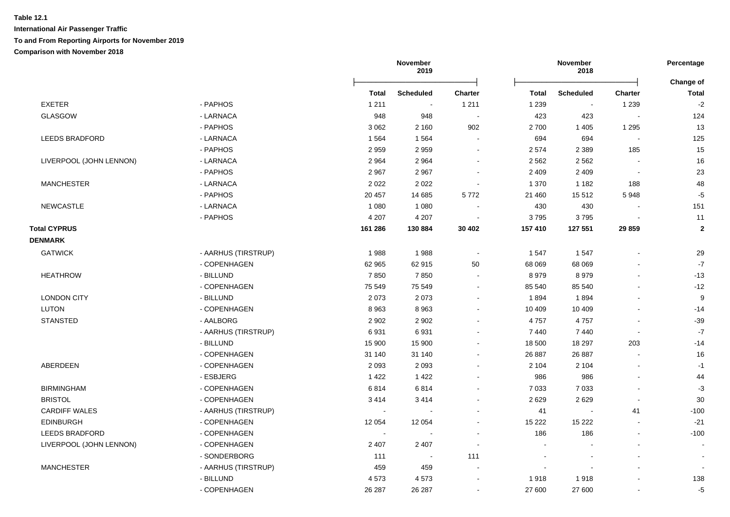|                         |                     |              | November<br>2019 |                          | November<br>2018         |                  |                          | Percentage                |  |
|-------------------------|---------------------|--------------|------------------|--------------------------|--------------------------|------------------|--------------------------|---------------------------|--|
|                         |                     | <b>Total</b> | <b>Scheduled</b> | <b>Charter</b>           | <b>Total</b>             | <b>Scheduled</b> | <b>Charter</b>           | Change of<br><b>Total</b> |  |
| <b>EXETER</b>           | - PAPHOS            | 1 2 1 1      |                  | 1 2 1 1                  | 1 2 3 9                  |                  | 1 2 3 9                  | $-2$                      |  |
| <b>GLASGOW</b>          | - LARNACA           | 948          | 948              | $\overline{\phantom{a}}$ | 423                      | 423              |                          | 124                       |  |
|                         | - PAPHOS            | 3 0 6 2      | 2 1 6 0          | 902                      | 2700                     | 1 4 0 5          | 1 2 9 5                  | 13                        |  |
| <b>LEEDS BRADFORD</b>   | - LARNACA           | 1564         | 1564             |                          | 694                      | 694              | $\sim$                   | 125                       |  |
|                         | - PAPHOS            | 2959         | 2959             | $\sim$                   | 2 5 7 4                  | 2 3 8 9          | 185                      | 15                        |  |
| LIVERPOOL (JOHN LENNON) | - LARNACA           | 2964         | 2964             | $\blacksquare$           | 2 5 6 2                  | 2 5 6 2          | $\sim$                   | 16                        |  |
|                         | - PAPHOS            | 2967         | 2967             | $\blacksquare$           | 2 4 0 9                  | 2 4 0 9          | $\overline{\phantom{a}}$ | 23                        |  |
| <b>MANCHESTER</b>       | - LARNACA           | 2022         | 2022             | $\sim$                   | 1 3 7 0                  | 1 1 8 2          | 188                      | 48                        |  |
|                         | - PAPHOS            | 20 457       | 14 685           | 5772                     | 21 460                   | 15 512           | 5948                     | $-5$                      |  |
| <b>NEWCASTLE</b>        | - LARNACA           | 1 0 8 0      | 1 0 8 0          |                          | 430                      | 430              |                          | 151                       |  |
|                         | - PAPHOS            | 4 207        | 4 2 0 7          |                          | 3795                     | 3795             |                          | 11                        |  |
| <b>Total CYPRUS</b>     |                     | 161 286      | 130 884          | 30 402                   | 157 410                  | 127 551          | 29 859                   | $\overline{2}$            |  |
| <b>DENMARK</b>          |                     |              |                  |                          |                          |                  |                          |                           |  |
| <b>GATWICK</b>          | - AARHUS (TIRSTRUP) | 1988         | 1988             | $\blacksquare$           | 1547                     | 1547             |                          | 29                        |  |
|                         | - COPENHAGEN        | 62 965       | 62 915           | 50                       | 68 069                   | 68 069           |                          | $-7$                      |  |
| <b>HEATHROW</b>         | - BILLUND           | 7850         | 7850             |                          | 8979                     | 8979             | $\sim$                   | $-13$                     |  |
|                         | - COPENHAGEN        | 75 549       | 75 549           | $\sim$                   | 85 540                   | 85 540           |                          | $-12$                     |  |
| <b>LONDON CITY</b>      | - BILLUND           | 2073         | 2073             |                          | 1894                     | 1894             |                          | 9                         |  |
| <b>LUTON</b>            | - COPENHAGEN        | 8963         | 8963             | $\sim$                   | 10 409                   | 10 409           |                          | $-14$                     |  |
| <b>STANSTED</b>         | - AALBORG           | 2 9 0 2      | 2 9 0 2          |                          | 4757                     | 4757             |                          | $-39$                     |  |
|                         | - AARHUS (TIRSTRUP) | 6931         | 6931             |                          | 7440                     | 7440             |                          | $-7$                      |  |
|                         | - BILLUND           | 15 900       | 15 900           |                          | 18 500                   | 18 297           | 203                      | $-14$                     |  |
|                         | - COPENHAGEN        | 31 140       | 31 140           |                          | 26 887                   | 26 887           |                          | 16                        |  |
| ABERDEEN                | - COPENHAGEN        | 2 0 9 3      | 2 0 9 3          |                          | 2 1 0 4                  | 2 1 0 4          |                          | $-1$                      |  |
|                         | - ESBJERG           | 1 4 2 2      | 1 4 2 2          |                          | 986                      | 986              |                          | 44                        |  |
| <b>BIRMINGHAM</b>       | - COPENHAGEN        | 6814         | 6814             | $\blacksquare$           | 7 0 3 3                  | 7 0 3 3          |                          | $-3$                      |  |
| <b>BRISTOL</b>          | - COPENHAGEN        | 3414         | 3414             |                          | 2629                     | 2629             |                          | 30                        |  |
| <b>CARDIFF WALES</b>    | - AARHUS (TIRSTRUP) | $\sim$       |                  |                          | 41                       |                  | 41                       | $-100$                    |  |
| <b>EDINBURGH</b>        | - COPENHAGEN        | 12 0 54      | 12 0 54          |                          | 15 222                   | 15 2 22          |                          | $-21$                     |  |
| <b>LEEDS BRADFORD</b>   | - COPENHAGEN        |              |                  |                          | 186                      | 186              | $\sim$                   | $-100$                    |  |
| LIVERPOOL (JOHN LENNON) | - COPENHAGEN        | 2 4 0 7      | 2 4 0 7          |                          | $\overline{\phantom{a}}$ |                  |                          |                           |  |
|                         | - SONDERBORG        | 111          | $\sim$           | 111                      |                          |                  |                          | $\overline{\phantom{a}}$  |  |
| <b>MANCHESTER</b>       | - AARHUS (TIRSTRUP) | 459          | 459              |                          |                          |                  |                          |                           |  |
|                         | - BILLUND           | 4573         | 4573             |                          | 1918                     | 1918             |                          | 138                       |  |
|                         | - COPENHAGEN        | 26 287       | 26 287           |                          | 27 600                   | 27 600           |                          | $-5$                      |  |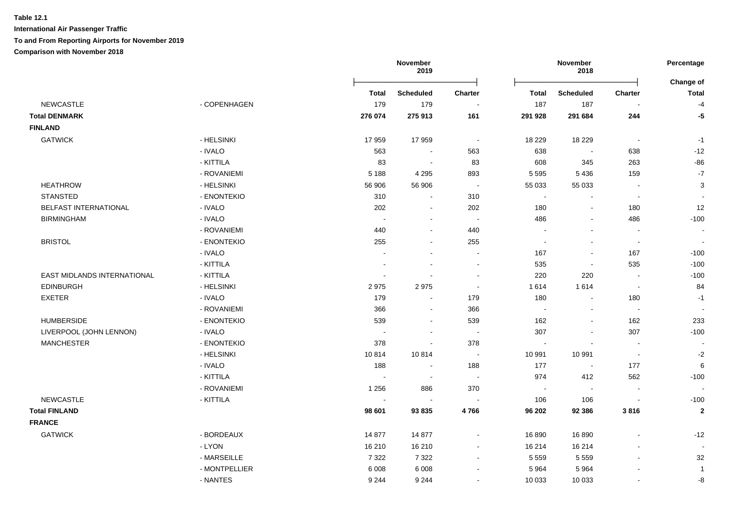**International Air Passenger Traffic**

#### **To and From Reporting Airports for November 2019**

|                              |               |                | November<br>2019         |                |              | November<br>2018         |                          | Percentage<br>Change of |
|------------------------------|---------------|----------------|--------------------------|----------------|--------------|--------------------------|--------------------------|-------------------------|
|                              |               | <b>Total</b>   | <b>Scheduled</b>         | <b>Charter</b> | <b>Total</b> | <b>Scheduled</b>         | <b>Charter</b>           | <b>Total</b>            |
| <b>NEWCASTLE</b>             | - COPENHAGEN  | 179            | 179                      |                | 187          | 187                      |                          | $-4$                    |
| <b>Total DENMARK</b>         |               | 276 074        | 275 913                  | 161            | 291 928      | 291 684                  | 244                      | $-5$                    |
| <b>FINLAND</b>               |               |                |                          |                |              |                          |                          |                         |
| <b>GATWICK</b>               | - HELSINKI    | 17959          | 17959                    | $\blacksquare$ | 18 229       | 18 2 29                  | $\overline{\phantom{a}}$ | $-1$                    |
|                              | - IVALO       | 563            | $\blacksquare$           | 563            | 638          | $\overline{\phantom{a}}$ | 638                      | $-12$                   |
|                              | - KITTILA     | 83             | $\blacksquare$           | 83             | 608          | 345                      | 263                      | $-86$                   |
|                              | - ROVANIEMI   | 5 1 8 8        | 4 2 9 5                  | 893            | 5 5 9 5      | 5 4 3 6                  | 159                      | $\mathbf{-7}$           |
| <b>HEATHROW</b>              | - HELSINKI    | 56 906         | 56 906                   | $\sim$         | 55 033       | 55 033                   | $\blacksquare$           | $\mathbf{3}$            |
| <b>STANSTED</b>              | - ENONTEKIO   | 310            | $\sim$                   | 310            | $\sim$       | $\blacksquare$           | $\sim$                   |                         |
| <b>BELFAST INTERNATIONAL</b> | - IVALO       | 202            | $\sim$                   | 202            | 180          | $\blacksquare$           | 180                      | 12                      |
| <b>BIRMINGHAM</b>            | - IVALO       |                | $\overline{\phantom{a}}$ | $\sim$         | 486          | $\sim$                   | 486                      | $-100$                  |
|                              | - ROVANIEMI   | 440            | $\sim$                   | 440            |              | $\blacksquare$           | $\sim$                   | $\blacksquare$          |
| <b>BRISTOL</b>               | - ENONTEKIO   | 255            | $\sim$                   | 255            | $\sim$       | $\sim$                   | $\sim$                   |                         |
|                              | - IVALO       |                | $\sim$                   | $\sim$         | 167          | $\blacksquare$           | 167                      | $-100$                  |
|                              | - KITTILA     | $\blacksquare$ | $\blacksquare$           | $\sim$         | 535          | $\blacksquare$           | 535                      | $-100$                  |
| EAST MIDLANDS INTERNATIONAL  | - KITTILA     | $\blacksquare$ | $\sim$                   | $\sim$         | 220          | 220                      | $\blacksquare$           | $-100$                  |
| <b>EDINBURGH</b>             | - HELSINKI    | 2975           | 2975                     | $\blacksquare$ | 1 6 1 4      | 1614                     | $\sim$                   | 84                      |
| <b>EXETER</b>                | - IVALO       | 179            | $\sim$                   | 179            | 180          | $\blacksquare$           | 180                      | $-1$                    |
|                              | - ROVANIEMI   | 366            | $\sim$                   | 366            | $\sim$       | $\blacksquare$           | $\sim$                   |                         |
| <b>HUMBERSIDE</b>            | - ENONTEKIO   | 539            | $\sim$                   | 539            | 162          | $\blacksquare$           | 162                      | 233                     |
| LIVERPOOL (JOHN LENNON)      | - IVALO       | $\sim$         | $\sim$                   | $\sim$         | 307          | $\sim$                   | 307                      | $-100$                  |
| <b>MANCHESTER</b>            | - ENONTEKIO   | 378            | $\sim$                   | 378            | $\sim$       | $\sim$                   | $\sim$                   |                         |
|                              | - HELSINKI    | 10814          | 10814                    | $\blacksquare$ | 10 991       | 10 991                   | $\overline{\phantom{a}}$ | $-2$                    |
|                              | - IVALO       | 188            | $\blacksquare$           | 188            | 177          | $\sim$                   | 177                      | $\,6\,$                 |
|                              | - KITTILA     | $\blacksquare$ | $\blacksquare$           | $\sim$         | 974          | 412                      | 562                      | $-100$                  |
|                              | - ROVANIEMI   | 1 2 5 6        | 886                      | 370            | $\sim$       | $\blacksquare$           | $\blacksquare$           |                         |
| <b>NEWCASTLE</b>             | - KITTILA     |                | $\blacksquare$           |                | 106          | 106                      | $\blacksquare$           | $-100$                  |
| <b>Total FINLAND</b>         |               | 98 601         | 93835                    | 4766           | 96 202       | 92 386                   | 3816                     | $\bf 2$                 |
| <b>FRANCE</b>                |               |                |                          |                |              |                          |                          |                         |
| <b>GATWICK</b>               | - BORDEAUX    | 14 877         | 14 877                   | $\sim$         | 16 890       | 16 890                   |                          | $-12$                   |
|                              | - LYON        | 16 210         | 16 210                   | $\sim$         | 16 214       | 16 214                   |                          |                         |
|                              | - MARSEILLE   | 7 3 2 2        | 7 3 2 2                  | $\sim$         | 5 5 5 9      | 5 5 5 9                  | $\overline{a}$           | 32                      |
|                              | - MONTPELLIER | 6 0 0 8        | 6 0 0 8                  |                | 5 9 6 4      | 5964                     |                          | $\mathbf{1}$            |
|                              | - NANTES      | 9 2 4 4        | 9 2 4 4                  |                | 10 033       | 10 033                   |                          | -8                      |
|                              |               |                |                          |                |              |                          |                          |                         |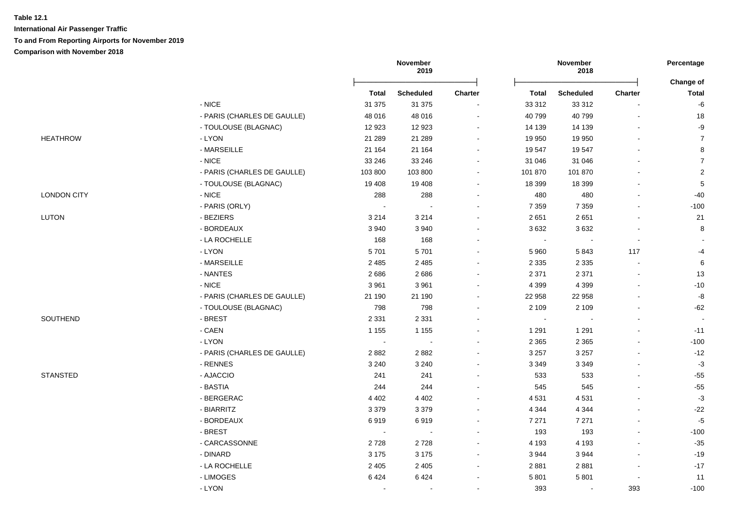|                    |                             | November<br>2019 |                  |                          | November<br>2018 |                          | Percentage<br>Change of  |                |
|--------------------|-----------------------------|------------------|------------------|--------------------------|------------------|--------------------------|--------------------------|----------------|
|                    |                             | <b>Total</b>     | <b>Scheduled</b> | <b>Charter</b>           | Total            | <b>Scheduled</b>         | <b>Charter</b>           | Total          |
|                    | $-$ NICE                    | 31 375           | 31 375           |                          | 33 31 2          | 33 31 2                  |                          | -6             |
|                    | - PARIS (CHARLES DE GAULLE) | 48 016           | 48 016           | $\overline{\phantom{a}}$ | 40 799           | 40799                    | $\blacksquare$           | 18             |
|                    | - TOULOUSE (BLAGNAC)        | 12 923           | 12 9 23          |                          | 14 139           | 14 139                   | $\blacksquare$           | -9             |
| <b>HEATHROW</b>    | - LYON                      | 21 289           | 21 289           | $\blacksquare$           | 19 950           | 19 950                   | $\blacksquare$           | $\overline{7}$ |
|                    | - MARSEILLE                 | 21 164           | 21 164           | $\ddot{\phantom{a}}$     | 19 547           | 19547                    | $\overline{a}$           | $\bf 8$        |
|                    | - NICE                      | 33 246           | 33 246           | $\ddot{\phantom{a}}$     | 31 046           | 31 046                   |                          | $\overline{7}$ |
|                    | - PARIS (CHARLES DE GAULLE) | 103 800          | 103 800          | $\blacksquare$           | 101 870          | 101 870                  |                          | $\mathbf 2$    |
|                    | - TOULOUSE (BLAGNAC)        | 19 408           | 19 408           | $\blacksquare$           | 18 399           | 18 399                   |                          | $\,$ 5 $\,$    |
| <b>LONDON CITY</b> | $-NICE$                     | 288              | 288              |                          | 480              | 480                      |                          | $-40$          |
|                    | - PARIS (ORLY)              | $\sim$           | ÷                | ÷                        | 7 3 5 9          | 7 3 5 9                  | $\overline{a}$           | $-100$         |
| <b>LUTON</b>       | - BEZIERS                   | 3 2 1 4          | 3 2 1 4          |                          | 2651             | 2651                     | $\blacksquare$           | 21             |
|                    | - BORDEAUX                  | 3 9 4 0          | 3940             |                          | 3632             | 3632                     | L.                       | 8              |
|                    | - LA ROCHELLE               | 168              | 168              | $\blacksquare$           | $\blacksquare$   | $\overline{\phantom{a}}$ | $\blacksquare$           |                |
|                    | - LYON                      | 5701             | 5701             | $\overline{\phantom{a}}$ | 5 9 6 0          | 5843                     | 117                      | -4             |
|                    | - MARSEILLE                 | 2 4 8 5          | 2 4 8 5          | $\sim$                   | 2 3 3 5          | 2 3 3 5                  | $\blacksquare$           | 6              |
|                    | - NANTES                    | 2686             | 2686             | $\overline{\phantom{a}}$ | 2 3 7 1          | 2 3 7 1                  |                          | 13             |
|                    | - NICE                      | 3 9 6 1          | 3 9 6 1          |                          | 4 3 9 9          | 4 3 9 9                  |                          | $-10$          |
|                    | - PARIS (CHARLES DE GAULLE) | 21 190           | 21 190           | $\overline{\phantom{a}}$ | 22 958           | 22 958                   | $\blacksquare$           | -8             |
|                    | - TOULOUSE (BLAGNAC)        | 798              | 798              | ÷                        | 2 1 0 9          | 2 1 0 9                  | L,                       | $-62$          |
| SOUTHEND           | - BREST                     | 2 3 3 1          | 2 3 3 1          | $\overline{\phantom{a}}$ | $\sim$           |                          | $\blacksquare$           | $\sim$         |
|                    | - CAEN                      | 1 1 5 5          | 1 1 5 5          | $\blacksquare$           | 1 2 9 1          | 1 2 9 1                  | $\blacksquare$           | $-11$          |
|                    | - LYON                      | $\sim$           | $\blacksquare$   | $\overline{a}$           | 2 3 6 5          | 2 3 6 5                  | $\blacksquare$           | $-100$         |
|                    | - PARIS (CHARLES DE GAULLE) | 2882             | 2882             | $\overline{\phantom{a}}$ | 3 2 5 7          | 3 2 5 7                  |                          | $-12$          |
|                    | - RENNES                    | 3 2 4 0          | 3 2 4 0          |                          | 3 3 4 9          | 3 3 4 9                  |                          | $-3$           |
| <b>STANSTED</b>    | - AJACCIO                   | 241              | 241              |                          | 533              | 533                      | L,                       | $-55$          |
|                    | - BASTIA                    | 244              | 244              |                          | 545              | 545                      | $\blacksquare$           | $-55$          |
|                    | - BERGERAC                  | 4 4 0 2          | 4 4 0 2          | $\sim$                   | 4 5 31           | 4531                     | $\blacksquare$           | $-3$           |
|                    | - BIARRITZ                  | 3 3 7 9          | 3 3 7 9          | $\overline{a}$           | 4 3 4 4          | 4 3 4 4                  | $\sim$                   | $-22$          |
|                    | - BORDEAUX                  | 6919             | 6919             | $\blacksquare$           | 7 2 7 1          | 7 2 7 1                  | $\blacksquare$           | $-5$           |
|                    | - BREST                     | $\sim$           | $\blacksquare$   | $\blacksquare$           | 193              | 193                      | $\blacksquare$           | $-100$         |
|                    | - CARCASSONNE               | 2728             | 2728             | $\overline{\phantom{a}}$ | 4 1 9 3          | 4 1 9 3                  | $\blacksquare$           | $-35$          |
|                    | - DINARD                    | 3 1 7 5          | 3 1 7 5          | $\blacksquare$           | 3 9 4 4          | 3 9 4 4                  | $\overline{a}$           | $-19$          |
|                    | - LA ROCHELLE               | 2 4 0 5          | 2 4 0 5          |                          | 2 8 8 1          | 2881                     | $\overline{a}$           | $-17$          |
|                    | - LIMOGES                   | 6424             | 6424             |                          | 5 8 0 1          | 5801                     | $\overline{\phantom{a}}$ | 11             |
|                    | - LYON                      | $\overline{a}$   | ÷,               | ÷                        | 393              | $\sim$                   | 393                      | $-100$         |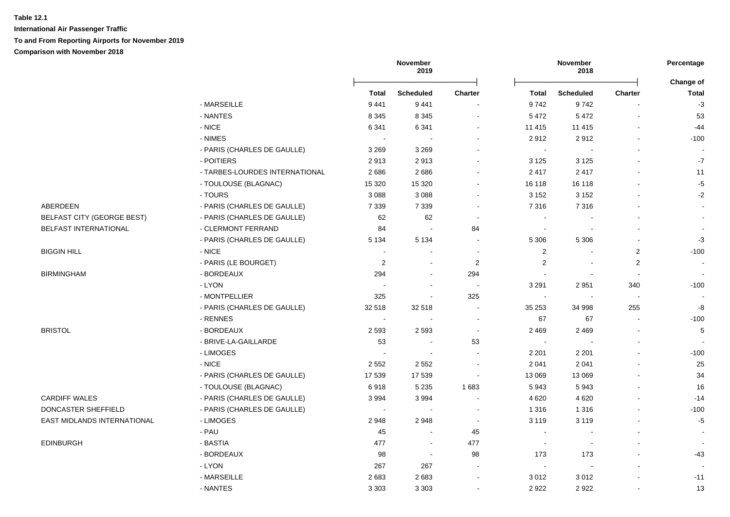**International Air Passenger Traffic To and From Reporting Airports for November 2019**

|                                   |                                |              | November<br>2019         |                | November<br>2018         |                  | Percentage     |                    |
|-----------------------------------|--------------------------------|--------------|--------------------------|----------------|--------------------------|------------------|----------------|--------------------|
|                                   |                                | <b>Total</b> | <b>Scheduled</b>         | <b>Charter</b> | Total                    | <b>Scheduled</b> | <b>Charter</b> | Change of<br>Total |
|                                   | - MARSEILLE                    | 9 4 4 1      | 9 4 4 1                  |                | 9742                     | 9742             |                | $-3$               |
|                                   | - NANTES                       | 8 3 4 5      | 8 3 4 5                  |                | 5 4 7 2                  | 5 4 7 2          |                | 53                 |
|                                   | - NICE                         | 6 3 4 1      | 6 3 4 1                  |                | 11 415                   | 11 4 15          |                | $-44$              |
|                                   | - NIMES                        | $\sim$       | $\sim$                   |                | 2912                     | 2912             |                | $-100$             |
|                                   | - PARIS (CHARLES DE GAULLE)    | 3 2 6 9      | 3 2 6 9                  |                | $\sim$                   |                  |                |                    |
|                                   | - POITIERS                     | 2913         | 2913                     |                | 3 1 2 5                  | 3 1 2 5          |                | $-7$               |
|                                   | - TARBES-LOURDES INTERNATIONAL | 2686         | 2686                     |                | 2417                     | 2417             |                | 11                 |
|                                   | - TOULOUSE (BLAGNAC)           | 15 3 20      | 15 3 20                  |                | 16 118                   | 16 118           |                | $-5$               |
|                                   | - TOURS                        | 3 0 8 8      | 3 0 8 8                  |                | 3 1 5 2                  | 3 1 5 2          |                | $-2$               |
| ABERDEEN                          | - PARIS (CHARLES DE GAULLE)    | 7 3 3 9      | 7 3 3 9                  |                | 7 3 1 6                  | 7316             |                | $\blacksquare$     |
| <b>BELFAST CITY (GEORGE BEST)</b> | - PARIS (CHARLES DE GAULLE)    | 62           | 62                       | $\sim$         | $\blacksquare$           |                  |                | $\blacksquare$     |
| BELFAST INTERNATIONAL             | - CLERMONT FERRAND             | 84           | $\sim$                   | 84             | $\sim$                   |                  |                | $\sim$             |
|                                   | - PARIS (CHARLES DE GAULLE)    | 5 1 3 4      | 5 1 3 4                  |                | 5 3 0 6                  | 5 3 0 6          |                | $-3$               |
| <b>BIGGIN HILL</b>                | - NICE                         |              |                          |                | $\overline{2}$           |                  | $\overline{2}$ | $-100$             |
|                                   | - PARIS (LE BOURGET)           | 2            |                          | 2              | $\overline{2}$           |                  | $\overline{2}$ | $\sim$             |
| <b>BIRMINGHAM</b>                 | - BORDEAUX                     | 294          | $\sim$                   | 294            | $\sim$                   |                  |                | $\sim$             |
|                                   | - LYON                         | <b>.</b>     | $\sim$                   | $\sim$         | 3 2 9 1                  | 2951             | 340            | $-100$             |
|                                   | - MONTPELLIER                  | 325          | $\overline{\phantom{a}}$ | 325            | $\blacksquare$           |                  |                |                    |
|                                   | - PARIS (CHARLES DE GAULLE)    | 32 518       | 32 518                   | $\sim$         | 35 253                   | 34 998           | 255            | $\textbf{-8}$      |
|                                   | - RENNES                       | $\sim$       | $\sim$                   |                | 67                       | 67               | $\sim$         | $-100$             |
| <b>BRISTOL</b>                    | - BORDEAUX                     | 2 5 9 3      | 2593                     | $\sim$         | 2 4 6 9                  | 2 4 6 9          |                | 5                  |
|                                   | - BRIVE-LA-GAILLARDE           | 53           | $\sim$                   | 53             | $\blacksquare$           |                  |                |                    |
|                                   | - LIMOGES                      |              |                          |                | 2 2 0 1                  | 2 2 0 1          |                | $-100$             |
|                                   | $-$ NICE                       | 2 5 5 2      | 2 5 5 2                  |                | 2 0 4 1                  | 2 0 4 1          |                | 25                 |
|                                   | - PARIS (CHARLES DE GAULLE)    | 17 539       | 17 539                   |                | 13 069                   | 13 069           |                | 34                 |
|                                   | - TOULOUSE (BLAGNAC)           | 6918         | 5 2 3 5                  | 1683           | 5943                     | 5943             |                | 16                 |
| <b>CARDIFF WALES</b>              | - PARIS (CHARLES DE GAULLE)    | 3994         | 3994                     |                | 4 6 20                   | 4 6 20           |                | $-14$              |
| DONCASTER SHEFFIELD               | - PARIS (CHARLES DE GAULLE)    | $\sim$       | $\sim$                   | $\sim$         | 1 3 1 6                  | 1 3 1 6          |                | $-100$             |
| EAST MIDLANDS INTERNATIONAL       | - LIMOGES                      | 2948         | 2948                     | $\sim$         | 3 1 1 9                  | 3 1 1 9          |                | $-5$               |
|                                   | - PAU                          | 45           | $\sim$                   | 45             | $\sim$                   |                  |                | $\sim$             |
| <b>EDINBURGH</b>                  | - BASTIA                       | 477          | $\sim$                   | 477            | $\sim$                   |                  |                | $\sim$             |
|                                   | - BORDEAUX                     | 98           | $\sim$                   | 98             | 173                      | 173              |                | $-43$              |
|                                   | - LYON                         | 267          | 267                      |                | $\overline{\phantom{a}}$ |                  |                |                    |
|                                   | - MARSEILLE                    | 2683         | 2683                     | $\sim$         | 3 0 1 2                  | 3012             |                | $-11$              |
|                                   | - NANTES                       | 3 3 0 3      | 3 3 0 3                  |                | 2922                     | 2922             |                | 13                 |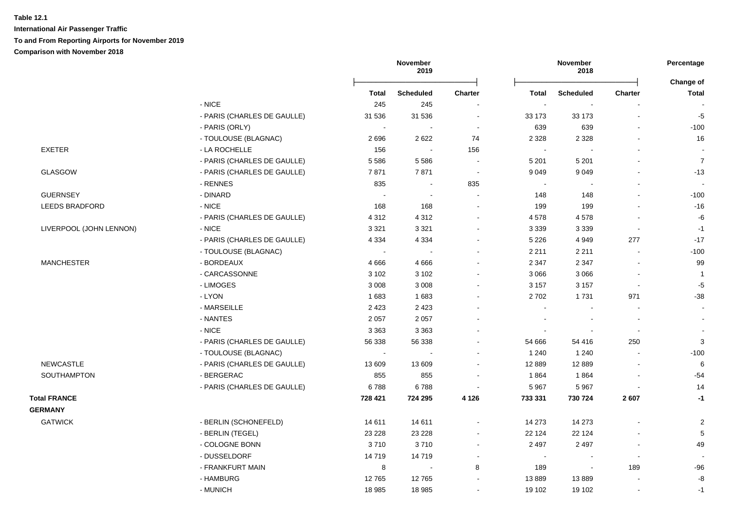|                             | 2019                                                                            |                                 |                                                 | 2018           |                          | Percentage                    |                           |
|-----------------------------|---------------------------------------------------------------------------------|---------------------------------|-------------------------------------------------|----------------|--------------------------|-------------------------------|---------------------------|
|                             | Total                                                                           | <b>Scheduled</b>                | <b>Charter</b>                                  | Total          | <b>Scheduled</b>         | <b>Charter</b>                | Change of<br><b>Total</b> |
| $-$ NICE                    | 245                                                                             | 245                             | $\sim$                                          |                |                          |                               |                           |
| - PARIS (CHARLES DE GAULLE) | 31 536                                                                          | 31 536                          | $\sim$                                          | 33 173         | 33 173                   | $\sim$                        | $-5$                      |
| - PARIS (ORLY)              | $\sim$                                                                          |                                 | $\sim$                                          | 639            | 639                      |                               | $-100$                    |
| - TOULOUSE (BLAGNAC)        | 2696                                                                            | 2622                            | 74                                              | 2 3 2 8        | 2 3 2 8                  | $\blacksquare$                | 16                        |
| - LA ROCHELLE               | 156                                                                             | $\sim$                          | 156                                             | $\sim$         |                          |                               |                           |
| - PARIS (CHARLES DE GAULLE) | 5586                                                                            | 5586                            | $\blacksquare$                                  | 5 2 0 1        | 5 2 0 1                  |                               | $\overline{7}$            |
| - PARIS (CHARLES DE GAULLE) | 7871                                                                            | 7871                            | $\sim$                                          | 9 0 4 9        | 9 0 4 9                  |                               | $-13$                     |
| - RENNES                    | 835                                                                             | $\blacksquare$                  | 835                                             | $\sim$         |                          |                               |                           |
| - DINARD                    | $\sim$                                                                          | $\sim$                          | $\sim$                                          | 148            | 148                      | $\sim$                        | $-100$                    |
| - NICE                      | 168                                                                             | 168                             | $\overline{a}$                                  | 199            | 199                      |                               | $-16$                     |
| - PARIS (CHARLES DE GAULLE) | 4 3 1 2                                                                         | 4 3 1 2                         | $\sim$                                          | 4578           | 4578                     |                               | -6                        |
| $-$ NICE                    | 3 3 2 1                                                                         | 3 3 2 1                         | $\blacksquare$                                  | 3 3 3 9        | 3 3 3 9                  | $\sim$                        | $-1$                      |
| - PARIS (CHARLES DE GAULLE) | 4 3 3 4                                                                         | 4 3 3 4                         | $\blacksquare$                                  | 5 2 2 6        | 4 9 4 9                  | 277                           | $-17$                     |
| - TOULOUSE (BLAGNAC)        | $\blacksquare$                                                                  | $\sim$                          | $\sim$                                          | 2 2 1 1        | 2 2 1 1                  | $\blacksquare$                | $-100$                    |
| - BORDEAUX                  | 4666                                                                            | 4666                            | $\blacksquare$                                  | 2 3 4 7        | 2 3 4 7                  |                               | 99                        |
| - CARCASSONNE               | 3 1 0 2                                                                         | 3 1 0 2                         | $\blacksquare$                                  | 3 0 6 6        | 3 0 6 6                  |                               | $\mathbf{1}$              |
| - LIMOGES                   | 3 0 0 8                                                                         | 3 0 0 8                         | $\blacksquare$                                  | 3 1 5 7        | 3 1 5 7                  | $\sim$                        | $-5$                      |
| - LYON                      | 1683                                                                            | 1683                            | $\blacksquare$                                  | 2702           | 1731                     | 971                           | $-38$                     |
| - MARSEILLE                 | 2 4 2 3                                                                         | 2 4 2 3                         | $\blacksquare$                                  | $\blacksquare$ |                          | $\blacksquare$                | $\sim$                    |
| - NANTES                    | 2 0 5 7                                                                         | 2 0 5 7                         | $\blacksquare$                                  |                |                          | $\blacksquare$                |                           |
| - NICE                      | 3 3 6 3                                                                         | 3 3 6 3                         |                                                 |                |                          | $\blacksquare$                |                           |
| - PARIS (CHARLES DE GAULLE) | 56 338                                                                          | 56 338                          | $\blacksquare$                                  | 54 666         | 54 416                   | 250                           | 3                         |
| - TOULOUSE (BLAGNAC)        | $\blacksquare$                                                                  |                                 |                                                 | 1 2 4 0        | 1 2 4 0                  |                               | $-100$                    |
| - PARIS (CHARLES DE GAULLE) | 13 609                                                                          | 13 609                          | $\sim$                                          | 12 8 89        | 12 8 8 9                 |                               | $\,6$                     |
| - BERGERAC                  | 855                                                                             | 855                             | $\blacksquare$                                  | 1864           | 1864                     |                               | $-54$                     |
| - PARIS (CHARLES DE GAULLE) | 6788                                                                            | 6788                            | $\sim$                                          | 5 9 6 7        | 5 9 6 7                  | $\sim$                        | 14                        |
|                             | 728 421                                                                         | 724 295                         | 4 1 2 6                                         | 733 331        | 730 724                  | 2607                          | $-1$                      |
|                             |                                                                                 |                                 |                                                 |                |                          |                               |                           |
|                             |                                                                                 |                                 | $\blacksquare$                                  | 14 273         |                          |                               | $\overline{2}$            |
|                             |                                                                                 |                                 | $\blacksquare$                                  |                |                          |                               | $\,$ 5 $\,$               |
|                             | 3710                                                                            | 3710                            | $\sim$                                          | 2 4 9 7        | 2 4 9 7                  | $\sim$                        | 49                        |
| - DUSSELDORF                |                                                                                 |                                 | $\blacksquare$                                  | $\blacksquare$ | $\overline{\phantom{a}}$ | $\blacksquare$                |                           |
|                             |                                                                                 | $\sim$                          |                                                 |                | $\tilde{\phantom{a}}$    |                               | $-96$                     |
| - HAMBURG                   | 12765                                                                           |                                 | $\blacksquare$                                  | 13889          | 13889                    |                               | -8                        |
|                             |                                                                                 |                                 |                                                 |                |                          |                               |                           |
|                             | - BERLIN (SCHONEFELD)<br>- BERLIN (TEGEL)<br>- COLOGNE BONN<br>- FRANKFURT MAIN | 14 611<br>23 2 28<br>14719<br>8 | November<br>14 611<br>23 2 28<br>14719<br>12765 | 8              | 22 1 24<br>189           | November<br>14 273<br>22 1 24 | 189<br>$\blacksquare$     |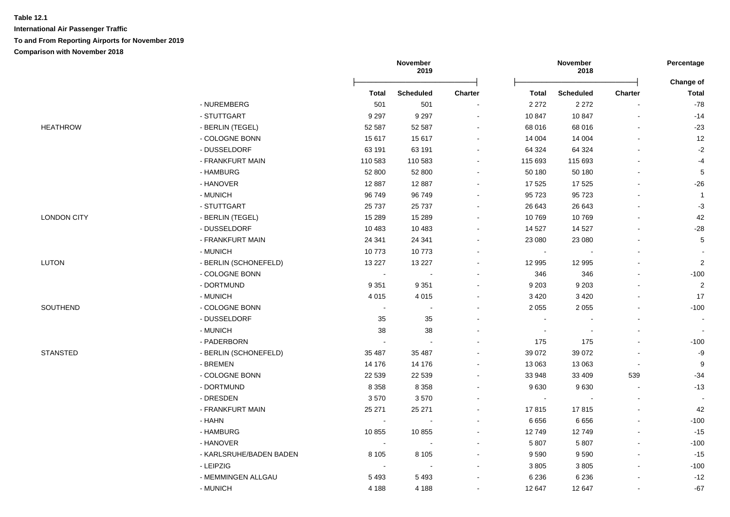|                    |                         |                | November<br>2019         |                          |                | November<br>2018         |                          | Percentage                |
|--------------------|-------------------------|----------------|--------------------------|--------------------------|----------------|--------------------------|--------------------------|---------------------------|
|                    |                         | <b>Total</b>   | <b>Scheduled</b>         | <b>Charter</b>           | Total          | <b>Scheduled</b>         | <b>Charter</b>           | Change of<br><b>Total</b> |
|                    | - NUREMBERG             | 501            | 501                      |                          | 2 2 7 2        | 2 2 7 2                  |                          | $-78$                     |
|                    | - STUTTGART             | 9 2 9 7        | 9 2 9 7                  | $\overline{\phantom{a}}$ | 10 847         | 10 847                   | $\overline{\phantom{a}}$ | $-14$                     |
| <b>HEATHROW</b>    | - BERLIN (TEGEL)        | 52 587         | 52 587                   |                          | 68 016         | 68 016                   |                          | $-23$                     |
|                    | - COLOGNE BONN          | 15 617         | 15 617                   | $\overline{\phantom{a}}$ | 14 004         | 14 004                   | $\overline{a}$           | 12                        |
|                    | - DUSSELDORF            | 63 191         | 63 191                   | $\ddot{\phantom{a}}$     | 64 324         | 64 324                   | $\overline{a}$           | $-2$                      |
|                    | - FRANKFURT MAIN        | 110 583        | 110 583                  | $\blacksquare$           | 115 693        | 115 693                  |                          | -4                        |
|                    | - HAMBURG               | 52 800         | 52 800                   |                          | 50 180         | 50 180                   |                          | $\,$ 5 $\,$               |
|                    | - HANOVER               | 12 8 87        | 12 8 87                  |                          | 17 525         | 17 525                   |                          | $-26$                     |
|                    | - MUNICH                | 96 749         | 96 749                   |                          | 95 723         | 95 723                   |                          | $\overline{1}$            |
|                    | - STUTTGART             | 25 7 37        | 25 7 37                  |                          | 26 643         | 26 643                   |                          | $-3$                      |
| <b>LONDON CITY</b> | - BERLIN (TEGEL)        | 15 2 8 9       | 15 289                   |                          | 10769          | 10769                    |                          | 42                        |
|                    | - DUSSELDORF            | 10 483         | 10 483                   |                          | 14 527         | 14 5 27                  | ÷.                       | $-28$                     |
|                    | - FRANKFURT MAIN        | 24 341         | 24 341                   |                          | 23 080         | 23 080                   |                          | $5\phantom{.0}$           |
|                    | - MUNICH                | 10773          | 10773                    |                          | $\blacksquare$ | $\overline{\phantom{a}}$ |                          |                           |
| <b>LUTON</b>       | - BERLIN (SCHONEFELD)   | 13 2 27        | 13 2 27                  | $\overline{a}$           | 12 995         | 12 995                   |                          | $\mathbf{2}$              |
|                    | - COLOGNE BONN          | $\blacksquare$ |                          |                          | 346            | 346                      |                          | $-100$                    |
|                    | - DORTMUND              | 9 3 5 1        | 9 3 5 1                  |                          | 9 2 0 3        | 9 2 0 3                  |                          | 2                         |
|                    | - MUNICH                | 4 0 1 5        | 4 0 1 5                  |                          | 3 4 2 0        | 3 4 2 0                  |                          | 17                        |
| SOUTHEND           | - COLOGNE BONN          | $\sim$         | $\sim$                   |                          | 2 0 5 5        | 2 0 5 5                  | $\blacksquare$           | $-100$                    |
|                    | - DUSSELDORF            | 35             | 35                       |                          | $\sim$         |                          | $\blacksquare$           |                           |
|                    | - MUNICH                | 38             | 38                       |                          | $\blacksquare$ | $\overline{\phantom{a}}$ | $\blacksquare$           | $\blacksquare$            |
|                    | - PADERBORN             | $\sim$         | $\overline{\phantom{a}}$ |                          | 175            | 175                      |                          | $-100$                    |
| <b>STANSTED</b>    | - BERLIN (SCHONEFELD)   | 35 487         | 35 487                   |                          | 39 072         | 39 072                   |                          | -9                        |
|                    | - BREMEN                | 14 176         | 14 176                   |                          | 13 063         | 13 063                   |                          | 9                         |
|                    | - COLOGNE BONN          | 22 539         | 22 539                   |                          | 33 948         | 33 409                   | 539                      | $-34$                     |
|                    | - DORTMUND              | 8 3 5 8        | 8 3 5 8                  |                          | 9630           | 9630                     | $\blacksquare$           | $-13$                     |
|                    | - DRESDEN               | 3570           | 3570                     |                          | $\sim$         | $\overline{\phantom{a}}$ | $\blacksquare$           | $\blacksquare$            |
|                    | - FRANKFURT MAIN        | 25 271         | 25 271                   |                          | 17815          | 17815                    | $\blacksquare$           | 42                        |
|                    | - HAHN                  | $\sim$         | $\blacksquare$           | $\blacksquare$           | 6 6 5 6        | 6656                     | $\overline{\phantom{a}}$ | $-100$                    |
|                    | - HAMBURG               | 10855          | 10855                    |                          | 12749          | 12749                    | $\overline{a}$           | $-15$                     |
|                    | - HANOVER               | $\blacksquare$ | $\overline{\phantom{a}}$ |                          | 5 8 0 7        | 5 8 0 7                  | $\overline{a}$           | $-100$                    |
|                    | - KARLSRUHE/BADEN BADEN | 8 1 0 5        | 8 1 0 5                  |                          | 9590           | 9590                     |                          | $-15$                     |
|                    | - LEIPZIG               |                |                          |                          | 3 8 0 5        | 3805                     |                          | $-100$                    |
|                    | - MEMMINGEN ALLGAU      | 5493           | 5 4 9 3                  |                          | 6 2 3 6        | 6 2 3 6                  |                          | $-12$                     |
|                    | - MUNICH                | 4 1 8 8        | 4 1 8 8                  | ÷                        | 12 647         | 12 647                   |                          | $-67$                     |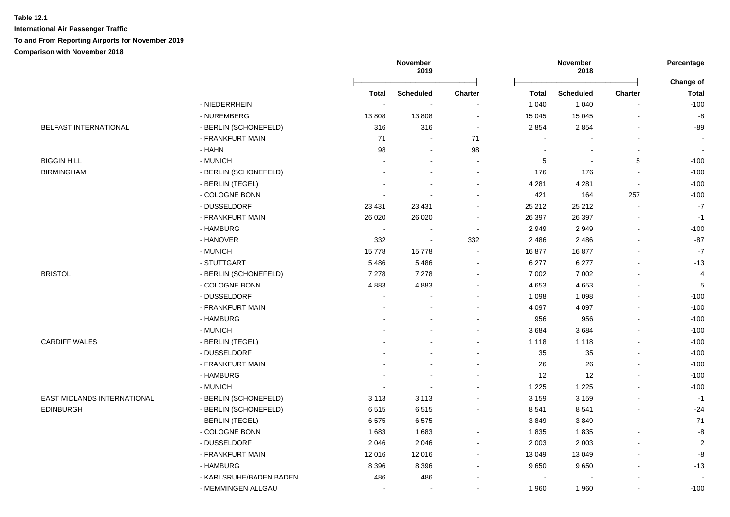|                                    |                         |                          | November<br>2019         |                          |                | November<br>2018 |                          | Percentage                |
|------------------------------------|-------------------------|--------------------------|--------------------------|--------------------------|----------------|------------------|--------------------------|---------------------------|
|                                    |                         | <b>Total</b>             | <b>Scheduled</b>         | <b>Charter</b>           | <b>Total</b>   | <b>Scheduled</b> | <b>Charter</b>           | Change of<br><b>Total</b> |
|                                    | - NIEDERRHEIN           |                          |                          |                          | 1 0 4 0        | 1 0 4 0          |                          | $-100$                    |
|                                    | - NUREMBERG             | 13808                    | 13808                    | $\overline{\phantom{a}}$ | 15 045         | 15 0 45          |                          | $-8$                      |
| <b>BELFAST INTERNATIONAL</b>       | - BERLIN (SCHONEFELD)   | 316                      | 316                      | $\sim$                   | 2 8 5 4        | 2854             |                          | $-89$                     |
|                                    | - FRANKFURT MAIN        | 71                       | $\sim$                   | 71                       |                |                  |                          |                           |
|                                    | - HAHN                  | 98                       | $\blacksquare$           | 98                       | ÷,             |                  |                          | $\blacksquare$            |
| <b>BIGGIN HILL</b>                 | - MUNICH                |                          | $\blacksquare$           | $\blacksquare$           | 5              |                  | 5                        | $-100$                    |
| <b>BIRMINGHAM</b>                  | - BERLIN (SCHONEFELD)   |                          |                          |                          | 176            | 176              |                          | $-100$                    |
|                                    | - BERLIN (TEGEL)        |                          |                          |                          | 4 2 8 1        | 4 2 8 1          | $\overline{\phantom{a}}$ | $-100$                    |
|                                    | - COLOGNE BONN          |                          |                          |                          | 421            | 164              | 257                      | $-100$                    |
|                                    | - DUSSELDORF            | 23 4 31                  | 23 4 31                  |                          | 25 212         | 25 212           |                          | $\cdot 7$                 |
|                                    | - FRANKFURT MAIN        | 26 0 20                  | 26 0 20                  | $\overline{\phantom{a}}$ | 26 397         | 26 397           |                          | $-1$                      |
|                                    | - HAMBURG               | $\sim$                   | $\sim$                   | $\sim$                   | 2949           | 2949             |                          | $-100$                    |
|                                    | - HANOVER               | 332                      | $\sim$                   | 332                      | 2 4 8 6        | 2 4 8 6          |                          | $-87$                     |
|                                    | - MUNICH                | 15778                    | 15778                    |                          | 16877          | 16877            |                          | $-7$                      |
|                                    | - STUTTGART             | 5486                     | 5486                     | $\sim$                   | 6 277          | 6 277            |                          | $-13$                     |
| <b>BRISTOL</b>                     | - BERLIN (SCHONEFELD)   | 7 2 7 8                  | 7 2 7 8                  |                          | 7 0 0 2        | 7 0 0 2          |                          | $\overline{4}$            |
|                                    | - COLOGNE BONN          | 4883                     | 4883                     |                          | 4 6 5 3        | 4 6 5 3          |                          | 5                         |
|                                    | - DUSSELDORF            | $\sim$                   |                          |                          | 1 0 9 8        | 1 0 9 8          |                          | $-100$                    |
|                                    | - FRANKFURT MAIN        |                          |                          |                          | 4 0 9 7        | 4 0 9 7          |                          | $-100$                    |
|                                    | - HAMBURG               |                          |                          |                          | 956            | 956              |                          | $-100$                    |
|                                    | - MUNICH                |                          |                          |                          | 3684           | 3684             |                          | $-100$                    |
| <b>CARDIFF WALES</b>               | - BERLIN (TEGEL)        |                          |                          |                          | 1 1 1 8        | 1 1 1 8          |                          | $-100$                    |
|                                    | - DUSSELDORF            |                          |                          |                          | 35             | 35               |                          | $-100$                    |
|                                    | - FRANKFURT MAIN        |                          |                          |                          | 26             | 26               |                          | $-100$                    |
|                                    | - HAMBURG               |                          | $\sim$                   | ÷                        | 12             | 12               |                          | $-100$                    |
|                                    | - MUNICH                | $\overline{\phantom{a}}$ | $\sim$                   | $\overline{\phantom{a}}$ | 1 2 2 5        | 1 2 2 5          |                          | $-100$                    |
| <b>EAST MIDLANDS INTERNATIONAL</b> | - BERLIN (SCHONEFELD)   | 3 1 1 3                  | 3 1 1 3                  | $\blacksquare$           | 3 1 5 9        | 3 1 5 9          |                          | $-1$                      |
| <b>EDINBURGH</b>                   | - BERLIN (SCHONEFELD)   | 6515                     | 6515                     | $\blacksquare$           | 8 5 4 1        | 8541             | $\sim$                   | $-24$                     |
|                                    | - BERLIN (TEGEL)        | 6575                     | 6575                     | $\sim$                   | 3849           | 3849             | $\sim$                   | $71$                      |
|                                    | - COLOGNE BONN          | 1683                     | 1683                     |                          | 1835           | 1835             | $\blacksquare$           | $\mbox{-}8$               |
|                                    | - DUSSELDORF            | 2 0 4 6                  | 2046                     |                          | 2 0 0 3        | 2 0 0 3          |                          | $\sqrt{2}$                |
|                                    | - FRANKFURT MAIN        | 12 016                   | 12 016                   | $\blacksquare$           | 13 049         | 13 049           |                          | -8                        |
|                                    | - HAMBURG               | 8 3 9 6                  | 8 3 9 6                  | $\blacksquare$           | 9650           | 9650             |                          | $-13$                     |
|                                    | - KARLSRUHE/BADEN BADEN | 486                      | 486                      |                          | $\blacksquare$ |                  |                          |                           |
|                                    | - MEMMINGEN ALLGAU      | $\overline{\phantom{a}}$ | $\overline{\phantom{a}}$ |                          | 1 960          | 1960             |                          | $-100$                    |
|                                    |                         |                          |                          |                          |                |                  |                          |                           |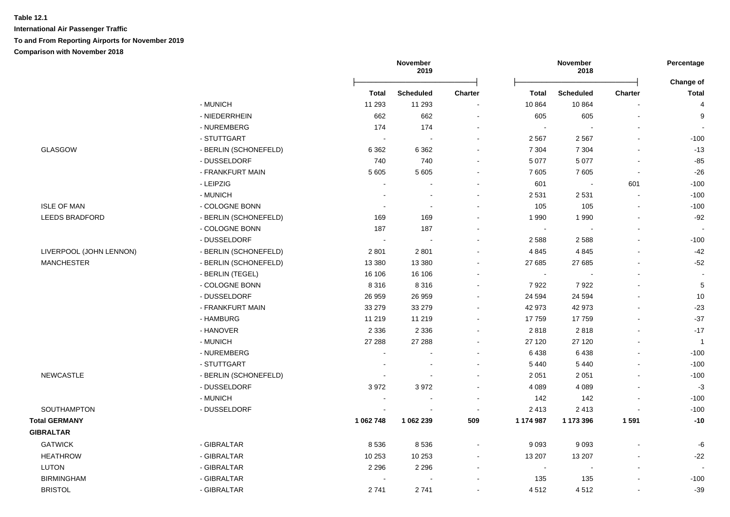|                         |                       | November<br>2019      |                          |                          | November<br>2018 |                          |                |                           |
|-------------------------|-----------------------|-----------------------|--------------------------|--------------------------|------------------|--------------------------|----------------|---------------------------|
|                         |                       | <b>Total</b>          | <b>Scheduled</b>         | <b>Charter</b>           | <b>Total</b>     | <b>Scheduled</b>         | <b>Charter</b> | Change of<br><b>Total</b> |
|                         | - MUNICH              | 11 293                | 11 293                   |                          | 10 864           | 10864                    |                | 4                         |
|                         | - NIEDERRHEIN         | 662                   | 662                      |                          | 605              | 605                      | $\mathbf{r}$   | 9                         |
|                         | - NUREMBERG           | 174                   | 174                      |                          | $\sim$           |                          |                |                           |
|                         | - STUTTGART           |                       |                          |                          | 2 5 6 7          | 2 5 6 7                  |                | $-100$                    |
| <b>GLASGOW</b>          | - BERLIN (SCHONEFELD) | 6 3 6 2               | 6 3 6 2                  |                          | 7 3 0 4          | 7 3 0 4                  |                | $-13$                     |
|                         | - DUSSELDORF          | 740                   | 740                      |                          | 5 0 7 7          | 5 0 7 7                  |                | $-85$                     |
|                         | - FRANKFURT MAIN      | 5 6 0 5               | 5 6 0 5                  | $\overline{\phantom{a}}$ | 7605             | 7605                     | $\sim$         | $-26$                     |
|                         | - LEIPZIG             |                       |                          |                          | 601              | $\overline{\phantom{a}}$ | 601            | $-100$                    |
|                         | - MUNICH              |                       |                          |                          | 2 5 3 1          | 2531                     | $\overline{a}$ | $-100$                    |
| <b>ISLE OF MAN</b>      | - COLOGNE BONN        |                       | $\overline{\phantom{a}}$ |                          | 105              | 105                      | $\mathbf{r}$   | $-100$                    |
| <b>LEEDS BRADFORD</b>   | - BERLIN (SCHONEFELD) | 169                   | 169                      |                          | 1 9 9 0          | 1990                     | $\sim$         | $-92$                     |
|                         | - COLOGNE BONN        | 187                   | 187                      |                          | $\sim$           |                          |                |                           |
|                         | - DUSSELDORF          | $\tilde{\phantom{a}}$ |                          |                          | 2588             | 2588                     |                | $-100$                    |
| LIVERPOOL (JOHN LENNON) | - BERLIN (SCHONEFELD) | 2 8 0 1               | 2 8 0 1                  |                          | 4 8 4 5          | 4 8 4 5                  |                | $-42$                     |
| <b>MANCHESTER</b>       | - BERLIN (SCHONEFELD) | 13 3 8 0              | 13 3 8 0                 |                          | 27 685           | 27 685                   |                | $-52$                     |
|                         | - BERLIN (TEGEL)      | 16 106                | 16 106                   |                          | $\sim$           |                          |                |                           |
|                         | - COLOGNE BONN        | 8 3 1 6               | 8 3 1 6                  |                          | 7922             | 7922                     |                | 5                         |
|                         | - DUSSELDORF          | 26 959                | 26 959                   |                          | 24 5 94          | 24 5 94                  |                | 10                        |
|                         | - FRANKFURT MAIN      | 33 279                | 33 279                   |                          | 42 973           | 42 973                   |                | $-23$                     |
|                         | - HAMBURG             | 11 219                | 11 219                   |                          | 17759            | 17759                    |                | $-37$                     |
|                         | - HANOVER             | 2 3 3 6               | 2 3 3 6                  |                          | 2818             | 2818                     |                | $-17$                     |
|                         | - MUNICH              | 27 288                | 27 288                   |                          | 27 120           | 27 120                   |                | $\mathbf{1}$              |
|                         | - NUREMBERG           |                       |                          |                          | 6438             | 6438                     |                | $-100$                    |
|                         | - STUTTGART           |                       |                          |                          | 5 4 4 0          | 5 4 4 0                  |                | $-100$                    |
| <b>NEWCASTLE</b>        | - BERLIN (SCHONEFELD) |                       |                          |                          | 2 0 5 1          | 2 0 5 1                  |                | $-100$                    |
|                         | - DUSSELDORF          | 3972                  | 3972                     |                          | 4 0 8 9          | 4 0 8 9                  |                | $-3$                      |
|                         | - MUNICH              |                       |                          |                          | 142              | 142                      |                | $-100$                    |
| SOUTHAMPTON             | - DUSSELDORF          |                       |                          |                          | 2 4 1 3          | 2 4 1 3                  |                | $-100$                    |
| <b>Total GERMANY</b>    |                       | 1 062 748             | 1 062 239                | 509                      | 1 174 987        | 1 173 396                | 1 5 9 1        | $-10$                     |
| <b>GIBRALTAR</b>        |                       |                       |                          |                          |                  |                          |                |                           |
| <b>GATWICK</b>          | - GIBRALTAR           | 8536                  | 8536                     | $\blacksquare$           | 9 0 9 3          | 9093                     |                | -6                        |
| <b>HEATHROW</b>         | - GIBRALTAR           | 10 253                | 10 253                   |                          | 13 207           | 13 207                   |                | $-22$                     |
| <b>LUTON</b>            | - GIBRALTAR           | 2 2 9 6               | 2 2 9 6                  |                          | $\sim$           |                          |                |                           |
| <b>BIRMINGHAM</b>       | - GIBRALTAR           |                       |                          |                          | 135              | 135                      |                | $-100$                    |
| <b>BRISTOL</b>          | - GIBRALTAR           | 2741                  | 2741                     |                          | 4512             | 4512                     |                | $-39$                     |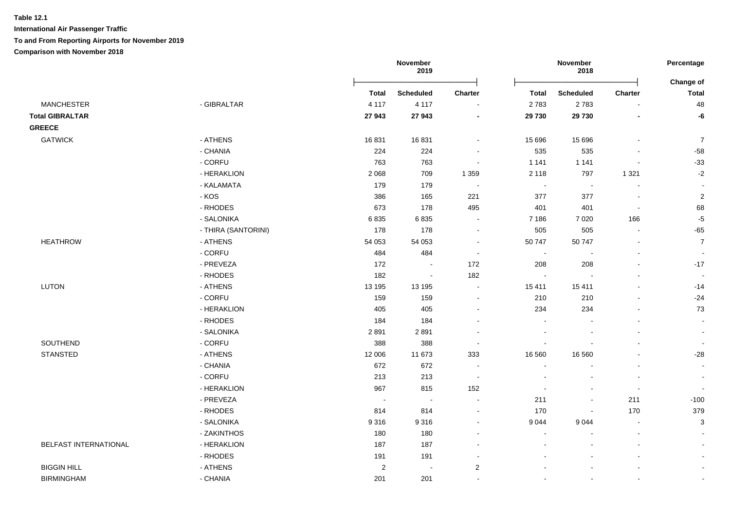**International Air Passenger Traffic To and From Reporting Airports for November 2019**

|                        |                     |            | November<br>2019 |                          |                          | November<br>2018         |                          | Percentage                |
|------------------------|---------------------|------------|------------------|--------------------------|--------------------------|--------------------------|--------------------------|---------------------------|
|                        |                     | Total      | <b>Scheduled</b> | Charter                  | <b>Total</b>             | Scheduled                | Charter                  | Change of<br><b>Total</b> |
| <b>MANCHESTER</b>      | - GIBRALTAR         | 4 1 1 7    | 4 1 1 7          | $\blacksquare$           | 2783                     | 2783                     | $\overline{\phantom{a}}$ | 48                        |
| <b>Total GIBRALTAR</b> |                     | 27 943     | 27 943           | $\overline{\phantom{a}}$ | 29 730                   | 29 730                   | $\overline{\phantom{a}}$ | -6                        |
| <b>GREECE</b>          |                     |            |                  |                          |                          |                          |                          |                           |
| <b>GATWICK</b>         | - ATHENS            | 16831      | 16831            |                          | 15 696                   | 15 6 96                  |                          | $\overline{7}$            |
|                        | - CHANIA            | 224        | 224              |                          | 535                      | 535                      | $\overline{a}$           | $-58$                     |
|                        | - CORFU             | 763        | 763              | $\sim$                   | 1 1 4 1                  | 1 1 4 1                  | $\blacksquare$           | $-33$                     |
|                        | - HERAKLION         | 2 0 6 8    | 709              | 1 3 5 9                  | 2 1 1 8                  | 797                      | 1 3 2 1                  | $-2$                      |
|                        | - KALAMATA          | 179        | 179              | $\overline{\phantom{a}}$ | $\overline{\phantom{a}}$ | $\blacksquare$           | $\overline{\phantom{a}}$ | $\overline{\phantom{a}}$  |
|                        | $-KOS$              | 386        | 165              | 221                      | 377                      | 377                      | $\overline{a}$           | $\overline{2}$            |
|                        | - RHODES            | 673        | 178              | 495                      | 401                      | 401                      | $\blacksquare$           | 68                        |
|                        | - SALONIKA          | 6835       | 6835             | $\overline{\phantom{a}}$ | 7 1 8 6                  | 7 0 20                   | 166                      | $-5$                      |
|                        | - THIRA (SANTORINI) | 178        | 178              | $\sim$                   | 505                      | 505                      | $\mathbf{r}$             | $-65$                     |
| <b>HEATHROW</b>        | - ATHENS            | 54 053     | 54 053           | $\overline{\phantom{a}}$ | 50 747                   | 50 747                   | $\overline{a}$           | $\overline{7}$            |
|                        | - CORFU             | 484        | 484              | $\overline{\phantom{a}}$ | $\blacksquare$           | $\overline{\phantom{a}}$ | $\blacksquare$           | $\sim$                    |
|                        | - PREVEZA           | 172        | $\sim$           | 172                      | 208                      | 208                      | $\blacksquare$           | $-17$                     |
|                        | - RHODES            | 182        | $\blacksquare$   | 182                      | $\sim$                   |                          | ÷.                       | $\overline{\phantom{a}}$  |
| <b>LUTON</b>           | - ATHENS            | 13 195     | 13 195           | $\blacksquare$           | 15 411                   | 15 411                   | $\blacksquare$           | $-14$                     |
|                        | - CORFU             | 159        | 159              | $\overline{\phantom{a}}$ | 210                      | 210                      | $\overline{a}$           | $-24$                     |
|                        | - HERAKLION         | 405        | 405              | $\overline{\phantom{a}}$ | 234                      | 234                      | $\blacksquare$           | 73                        |
|                        | - RHODES            | 184        | 184              |                          | $\sim$                   |                          | $\blacksquare$           | $\sim$                    |
|                        | - SALONIKA          | 2891       | 2891             |                          | $\sim$                   |                          |                          | $\sim$                    |
| SOUTHEND               | - CORFU             | 388        | 388              | $\overline{\phantom{a}}$ | $\sim$                   |                          | $\blacksquare$           | $\sim$                    |
| <b>STANSTED</b>        | - ATHENS            | 12 006     | 11 673           | 333                      | 16 560                   | 16 560                   | L,                       | $-28$                     |
|                        | - CHANIA            | 672        | 672              | $\overline{\phantom{a}}$ | $\overline{\phantom{a}}$ |                          | $\blacksquare$           | $\sim$                    |
|                        | - CORFU             | 213        | 213              | $\sim$                   | $\overline{\phantom{a}}$ | $\overline{\phantom{a}}$ | $\blacksquare$           | $\sim$                    |
|                        | - HERAKLION         | 967        | 815              | 152                      | $\sim$                   | $\sim$                   | $\sim$                   | $\overline{\phantom{a}}$  |
|                        | - PREVEZA           | $\sim$     | $\sim$           | $\sim$                   | 211                      | $\blacksquare$           | 211                      | $-100$                    |
|                        | - RHODES            | 814        | 814              | $\blacksquare$           | 170                      | $\sim$                   | 170                      | 379                       |
|                        | - SALONIKA          | 9316       | 9316             | $\sim$                   | 9 0 4 4                  | 9044                     | $\sim$                   | $\ensuremath{\mathsf{3}}$ |
|                        | - ZAKINTHOS         | 180        | 180              |                          | $\overline{\phantom{a}}$ |                          | $\blacksquare$           |                           |
| BELFAST INTERNATIONAL  | - HERAKLION         | 187        | 187              |                          |                          |                          | $\blacksquare$           |                           |
|                        | - RHODES            | 191        | 191              |                          |                          |                          |                          | $\sim$                    |
| <b>BIGGIN HILL</b>     | - ATHENS            | $\sqrt{2}$ | $\sim$           | $\sqrt{2}$               |                          |                          |                          | $\blacksquare$            |
| <b>BIRMINGHAM</b>      | - CHANIA            | 201        | 201              | $\sim$                   | $\sim$                   |                          | $\mathbf{r}$             | $\overline{\phantom{a}}$  |
|                        |                     |            |                  |                          |                          |                          |                          |                           |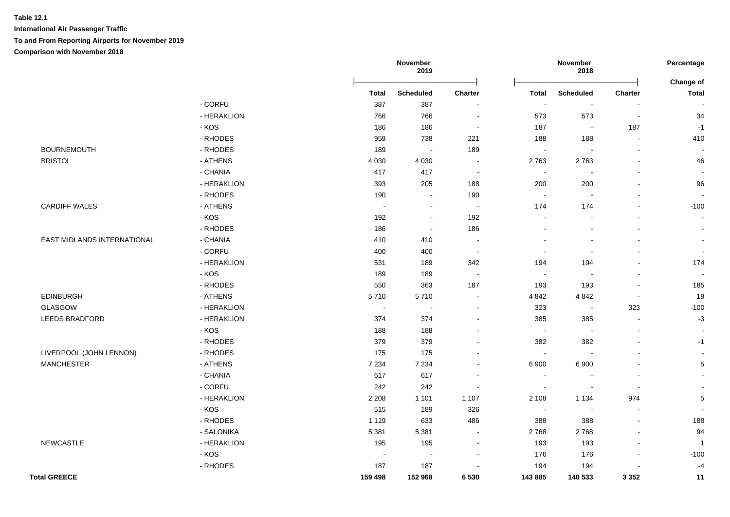|                             |             |              | November<br>2019            |                          |                | November<br>2018         |                          | Percentage                |
|-----------------------------|-------------|--------------|-----------------------------|--------------------------|----------------|--------------------------|--------------------------|---------------------------|
|                             |             | <b>Total</b> | <b>Scheduled</b>            | Charter                  | Total          | <b>Scheduled</b>         | Charter                  | Change of<br><b>Total</b> |
|                             | - CORFU     | 387          | 387                         | $\overline{\phantom{a}}$ | $\blacksquare$ | $\sim$                   | $\overline{\phantom{a}}$ |                           |
|                             | - HERAKLION | 766          | 766                         | $\blacksquare$           | 573            | 573                      | $\overline{\phantom{a}}$ | 34                        |
|                             | - KOS       | 186          | 186                         | $\sim$                   | 187            | $\sim$                   | 187                      | $-1$                      |
|                             | - RHODES    | 959          | 738                         | 221                      | 188            | 188                      | $\sim$                   | 410                       |
| <b>BOURNEMOUTH</b>          | - RHODES    | 189          | $\sim$                      | 189                      | $\sim$         | $\sim$                   | $\sim$                   | $\overline{\phantom{a}}$  |
| <b>BRISTOL</b>              | - ATHENS    | 4 0 3 0      | 4 0 3 0                     | $\sim$                   | 2763           | 2763                     | $\sim$                   | 46                        |
|                             | - CHANIA    | 417          | 417                         | $\sim$                   | $\sim$         | $\sim$                   | $\sim$                   | $\overline{a}$            |
|                             | - HERAKLION | 393          | 205                         | 188                      | 200            | 200                      | $\sim$                   | 96                        |
|                             | - RHODES    | 190          | $\sim$                      | 190                      | $\sim$         | $\sim$                   | $\blacksquare$           | $\overline{\phantom{a}}$  |
| <b>CARDIFF WALES</b>        | - ATHENS    | $\sim$       | $\blacksquare$              | $\blacksquare$           | 174            | 174                      | ä,                       | $-100$                    |
|                             | - KOS       | 192          | $\sim$                      | 192                      | $\sim$         | $\sim$                   | $\overline{a}$           | $\sim$                    |
|                             | - RHODES    | 186          | $\mathcal{L}_{\mathcal{A}}$ | 186                      | $\sim$         | $\sim$                   | $\sim$                   | $\sim$                    |
| EAST MIDLANDS INTERNATIONAL | - CHANIA    | 410          | 410                         | $\sim$                   | $\blacksquare$ | $\sim$                   | L.                       | $\sim$                    |
|                             | - CORFU     | 400          | 400                         | $\blacksquare$           | $\sim$         | $\overline{\phantom{a}}$ | $\blacksquare$           | $\sim$                    |
|                             | - HERAKLION | 531          | 189                         | 342                      | 194            | 194                      | $\blacksquare$           | 174                       |
|                             | - KOS       | 189          | 189                         | $\sim$                   | $\sim$         | $\sim$                   | $\blacksquare$           | $\sim$                    |
|                             | - RHODES    | 550          | 363                         | 187                      | 193            | 193                      | $\sim$                   | 185                       |
| <b>EDINBURGH</b>            | - ATHENS    | 5710         | 5710                        | $\sim$                   | 4 8 4 2        | 4 8 4 2                  | $\sim$                   | 18                        |
| GLASGOW                     | - HERAKLION | $\sim$       | $\sim$                      | $\sim$                   | 323            | $\sim$                   | 323                      | $-100$                    |
| <b>LEEDS BRADFORD</b>       | - HERAKLION | 374          | 374                         | $\blacksquare$           | 385            | 385                      | $\blacksquare$           | $-3$                      |
|                             | - KOS       | 188          | 188                         | $\blacksquare$           | $\sim$         | $\sim$                   | $\blacksquare$           |                           |
|                             | - RHODES    | 379          | 379                         | $\blacksquare$           | 382            | 382                      | ä,                       | $-1$                      |
| LIVERPOOL (JOHN LENNON)     | - RHODES    | 175          | 175                         | $\overline{\phantom{a}}$ | $\sim$         | $\sim$                   | $\blacksquare$           | $\sim$                    |
| <b>MANCHESTER</b>           | - ATHENS    | 7 2 3 4      | 7 2 3 4                     | $\blacksquare$           | 6 900          | 6 900                    |                          | $\,$ 5 $\,$               |
|                             | - CHANIA    | 617          | 617                         | $\blacksquare$           | $\sim$         |                          | $\blacksquare$           |                           |
|                             | - CORFU     | 242          | 242                         | $\sim$                   | $\sim$         | $\overline{\phantom{a}}$ | $\blacksquare$           |                           |
|                             | - HERAKLION | 2 2 0 8      | 1 1 0 1                     | 1 1 0 7                  | 2 1 0 8        | 1 1 3 4                  | 974                      | $\,$ 5 $\,$               |
|                             | - KOS       | 515          | 189                         | 326                      | $\sim$         | $\overline{\phantom{a}}$ | $\overline{\phantom{a}}$ |                           |
|                             | - RHODES    | 1 1 1 9      | 633                         | 486                      | 388            | 388                      | $\blacksquare$           | 188                       |
|                             | - SALONIKA  | 5 3 8 1      | 5 3 8 1                     | $\blacksquare$           | 2768           | 2768                     | $\blacksquare$           | 94                        |
| <b>NEWCASTLE</b>            | - HERAKLION | 195          | 195                         | $\blacksquare$           | 193            | 193                      | $\blacksquare$           | $\overline{1}$            |
|                             | - KOS       | $\sim$       | $\blacksquare$              | $\sim$                   | 176            | 176                      | $\blacksquare$           | $-100$                    |
|                             | - RHODES    | 187          | 187                         | $\overline{\phantom{a}}$ | 194            | 194                      | $\blacksquare$           | $-4$                      |
| <b>Total GREECE</b>         |             | 159 498      | 152 968                     | 6 5 3 0                  | 143 885        | 140 533                  | 3 3 5 2                  | 11                        |
|                             |             |              |                             |                          |                |                          |                          |                           |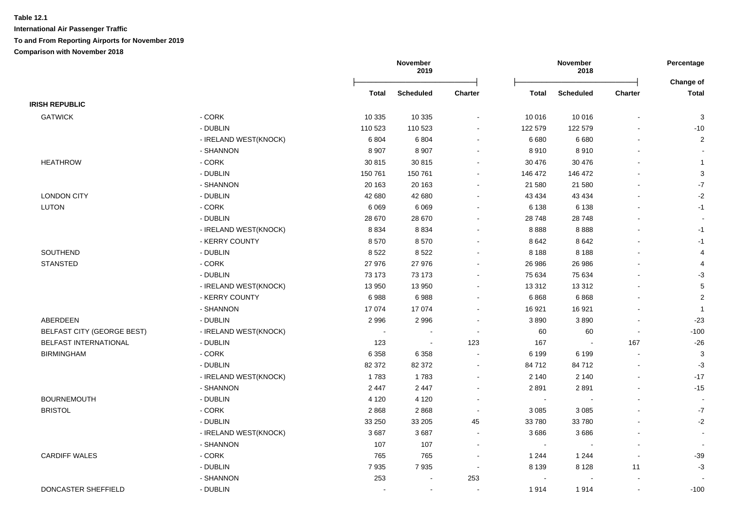|                                   |                       | November<br>2019 |                  |                          |              | November<br>2018 |                          |                           |
|-----------------------------------|-----------------------|------------------|------------------|--------------------------|--------------|------------------|--------------------------|---------------------------|
|                                   |                       | <b>Total</b>     | <b>Scheduled</b> | <b>Charter</b>           | <b>Total</b> | <b>Scheduled</b> | Charter                  | Change of<br><b>Total</b> |
| <b>IRISH REPUBLIC</b>             |                       |                  |                  |                          |              |                  |                          |                           |
| <b>GATWICK</b>                    | - CORK                | 10 335           | 10 335           |                          | 10 016       | 10 016           |                          | 3                         |
|                                   | - DUBLIN              | 110 523          | 110 523          | $\blacksquare$           | 122 579      | 122 579          |                          | $-10$                     |
|                                   | - IRELAND WEST(KNOCK) | 6804             | 6804             | $\sim$                   | 6680         | 6680             |                          | $\overline{2}$            |
|                                   | - SHANNON             | 8 9 0 7          | 8 9 0 7          |                          | 8910         | 8910             |                          | $\blacksquare$            |
| <b>HEATHROW</b>                   | - CORK                | 30 815           | 30 815           | $\blacksquare$           | 30 476       | 30 476           |                          | $\mathbf{1}$              |
|                                   | - DUBLIN              | 150 761          | 150 761          | $\blacksquare$           | 146 472      | 146 472          |                          | $\sqrt{3}$                |
|                                   | - SHANNON             | 20 163           | 20 163           | $\blacksquare$           | 21 580       | 21 580           | $\blacksquare$           | $\text{-}7$               |
| <b>LONDON CITY</b>                | - DUBLIN              | 42 680           | 42 680           |                          | 43 4 34      | 43 4 34          |                          | $-2$                      |
| <b>LUTON</b>                      | - CORK                | 6 0 6 9          | 6069             | $\blacksquare$           | 6 1 3 8      | 6 1 3 8          |                          | $-1$                      |
|                                   | - DUBLIN              | 28 670           | 28 670           |                          | 28 748       | 28748            |                          |                           |
|                                   | - IRELAND WEST(KNOCK) | 8834             | 8834             |                          | 8888         | 8888             |                          | $-1$                      |
|                                   | - KERRY COUNTY        | 8570             | 8570             |                          | 8642         | 8642             |                          | $-1$                      |
| SOUTHEND                          | - DUBLIN              | 8522             | 8522             |                          | 8 1 8 8      | 8 1 8 8          |                          | $\overline{4}$            |
| <b>STANSTED</b>                   | $-CORK$               | 27 976           | 27 976           | $\blacksquare$           | 26 986       | 26 986           |                          | $\overline{4}$            |
|                                   | - DUBLIN              | 73 173           | 73 173           | $\blacksquare$           | 75 634       | 75 634           |                          | $-3$                      |
|                                   | - IRELAND WEST(KNOCK) | 13 950           | 13 950           | $\blacksquare$           | 13 3 12      | 13312            |                          | $\,$ 5 $\,$               |
|                                   | - KERRY COUNTY        | 6988             | 6988             | $\blacksquare$           | 6868         | 6868             |                          | $\sqrt{2}$                |
|                                   | - SHANNON             | 17 074           | 17 074           | $\blacksquare$           | 16 921       | 16 9 21          |                          | $\overline{1}$            |
| <b>ABERDEEN</b>                   | - DUBLIN              | 2996             | 2996             |                          | 3890         | 3890             |                          | $-23$                     |
| <b>BELFAST CITY (GEORGE BEST)</b> | - IRELAND WEST(KNOCK) | $\sim$           |                  | $\sim$                   | 60           | 60               | $\overline{\phantom{a}}$ | $-100$                    |
| BELFAST INTERNATIONAL             | - DUBLIN              | 123              | $\sim$           | 123                      | 167          | $\sim$           | 167                      | $-26$                     |
| <b>BIRMINGHAM</b>                 | $-CORK$               | 6 3 5 8          | 6 3 5 8          | $\sim$                   | 6 1 9 9      | 6 1 9 9          |                          | $\sqrt{3}$                |
|                                   | - DUBLIN              | 82 372           | 82 372           | $\blacksquare$           | 84 712       | 84712            |                          | $-3$                      |
|                                   | - IRELAND WEST(KNOCK) | 1783             | 1783             | $\overline{\phantom{a}}$ | 2 140        | 2 1 4 0          |                          | $-17$                     |
|                                   | - SHANNON             | 2 4 4 7          | 2 4 4 7          |                          | 2891         | 2891             |                          | $-15$                     |
| <b>BOURNEMOUTH</b>                | - DUBLIN              | 4 1 2 0          | 4 1 2 0          |                          | $\sim$       |                  |                          |                           |
| <b>BRISTOL</b>                    | $-CORK$               | 2868             | 2868             | $\sim$                   | 3 0 8 5      | 3 0 8 5          | $\overline{a}$           | $-7$                      |
|                                   | - DUBLIN              | 33 250           | 33 205           | 45                       | 33 780       | 33780            |                          | $-2$                      |
|                                   | - IRELAND WEST(KNOCK) | 3687             | 3687             | $\sim$                   | 3686         | 3686             |                          | $\sim$                    |
|                                   | - SHANNON             | 107              | 107              | $\blacksquare$           | $\sim$       | $\blacksquare$   |                          | $\blacksquare$            |
| <b>CARDIFF WALES</b>              | - CORK                | 765              | 765              | $\sim$                   | 1 2 4 4      | 1 2 4 4          | $\overline{\phantom{a}}$ | $-39$                     |
|                                   | - DUBLIN              | 7935             | 7935             | $\sim$                   | 8 1 3 9      | 8 1 2 8          | 11                       | $-3$                      |
|                                   | - SHANNON             | 253              |                  | 253                      | $\sim$       |                  |                          |                           |
| DONCASTER SHEFFIELD               | - DUBLIN              |                  | $\sim$           | $\sim$                   | 1914         | 1914             | $\overline{\phantom{a}}$ | $-100$                    |
|                                   |                       |                  |                  |                          |              |                  |                          |                           |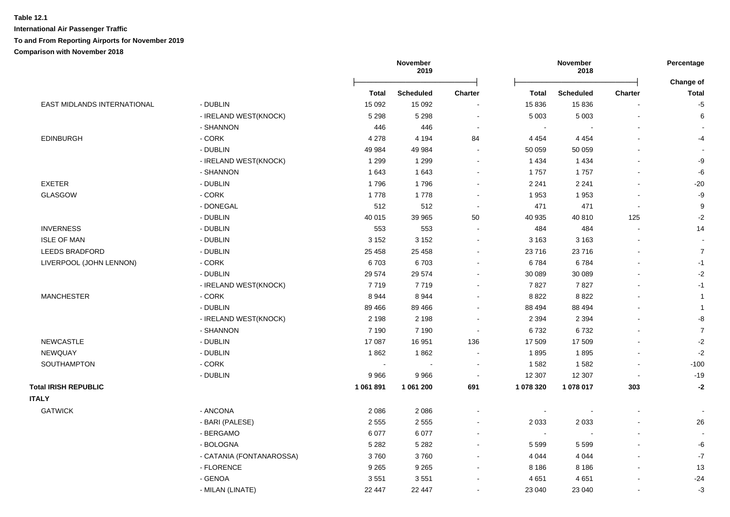|                             |                          | November<br>2019 |                  |                          | November<br>2018 |                  |                          |                           |
|-----------------------------|--------------------------|------------------|------------------|--------------------------|------------------|------------------|--------------------------|---------------------------|
|                             |                          | <b>Total</b>     | <b>Scheduled</b> | <b>Charter</b>           | <b>Total</b>     | <b>Scheduled</b> | <b>Charter</b>           | Change of<br><b>Total</b> |
| EAST MIDLANDS INTERNATIONAL | - DUBLIN                 | 15 092           | 15 0 9 2         |                          | 15 836           | 15836            |                          | $-5$                      |
|                             | - IRELAND WEST(KNOCK)    | 5 2 9 8          | 5 2 9 8          | $\blacksquare$           | 5 0 0 3          | 5 0 0 3          | $\overline{\phantom{a}}$ | 6                         |
|                             | - SHANNON                | 446              | 446              | $\sim$                   | $\sim$           |                  |                          |                           |
| <b>EDINBURGH</b>            | - CORK                   | 4 2 7 8          | 4 1 9 4          | 84                       | 4 4 5 4          | 4 4 5 4          |                          | $-4$                      |
|                             | - DUBLIN                 | 49 984           | 49 984           | $\blacksquare$           | 50 059           | 50 059           |                          |                           |
|                             | - IRELAND WEST(KNOCK)    | 1 2 9 9          | 1 2 9 9          | $\blacksquare$           | 1 4 3 4          | 1 4 3 4          |                          | -9                        |
|                             | - SHANNON                | 1643             | 1643             |                          | 1757             | 1757             |                          | -6                        |
| EXETER                      | - DUBLIN                 | 1796             | 1796             | $\sim$                   | 2 2 4 1          | 2 2 4 1          |                          | $-20$                     |
| <b>GLASGOW</b>              | - CORK                   | 1778             | 1778             | $\blacksquare$           | 1953             | 1953             |                          | $\textnormal{-}9$         |
|                             | - DONEGAL                | 512              | 512              | $\blacksquare$           | 471              | 471              | $\overline{\phantom{a}}$ | 9                         |
|                             | - DUBLIN                 | 40 015           | 39 965           | 50                       | 40 935           | 40810            | 125                      | $-2$                      |
| <b>INVERNESS</b>            | - DUBLIN                 | 553              | 553              | $\blacksquare$           | 484              | 484              | L,                       | 14                        |
| <b>ISLE OF MAN</b>          | - DUBLIN                 | 3 1 5 2          | 3 1 5 2          | $\sim$                   | 3 1 6 3          | 3 1 6 3          |                          |                           |
| LEEDS BRADFORD              | - DUBLIN                 | 25 4 58          | 25 4 58          | $\blacksquare$           | 23716            | 23716            |                          | $\overline{7}$            |
| LIVERPOOL (JOHN LENNON)     | - CORK                   | 6703             | 6703             |                          | 6784             | 6784             |                          | $-1$                      |
|                             | - DUBLIN                 | 29 574           | 29 574           |                          | 30 089           | 30 089           |                          | $-2$                      |
|                             | - IRELAND WEST(KNOCK)    | 7719             | 7719             | $\overline{\phantom{a}}$ | 7827             | 7827             |                          | $-1$                      |
| <b>MANCHESTER</b>           | $-CORK$                  | 8944             | 8944             |                          | 8822             | 8822             |                          | $\mathbf{1}$              |
|                             | - DUBLIN                 | 89 4 66          | 89 466           |                          | 88 494           | 88 494           |                          | $\mathbf{1}$              |
|                             | - IRELAND WEST(KNOCK)    | 2 1 9 8          | 2 1 9 8          |                          | 2 3 9 4          | 2 3 9 4          |                          | $\mbox{-}8$               |
|                             | - SHANNON                | 7 1 9 0          | 7 1 9 0          | $\sim$                   | 6732             | 6732             |                          | $\overline{7}$            |
| <b>NEWCASTLE</b>            | - DUBLIN                 | 17 087           | 16 951           | 136                      | 17 509           | 17 509           |                          | $-2$                      |
| NEWQUAY                     | - DUBLIN                 | 1862             | 1862             | $\overline{\phantom{a}}$ | 1895             | 1895             | $\overline{a}$           | $-2$                      |
| SOUTHAMPTON                 | - CORK                   | $\sim$           | $\sim$           | $\sim$                   | 1582             | 1582             | $\overline{\phantom{a}}$ | $-100$                    |
|                             | - DUBLIN                 | 9 9 6 6          | 9966             | $\sim$                   | 12 307           | 12 307           | $\blacksquare$           | $-19$                     |
| <b>Total IRISH REPUBLIC</b> |                          | 1 061 891        | 1 061 200        | 691                      | 1 078 320        | 1 078 017        | 303                      | $-2$                      |
| <b>ITALY</b>                |                          |                  |                  |                          |                  |                  |                          |                           |
| <b>GATWICK</b>              | - ANCONA                 | 2 0 8 6          | 2 0 8 6          | $\overline{\phantom{a}}$ | $\blacksquare$   |                  |                          |                           |
|                             | - BARI (PALESE)          | 2 5 5 5          | 2 5 5 5          | $\blacksquare$           | 2 0 3 3          | 2 0 3 3          |                          | 26                        |
|                             | - BERGAMO                | 6 0 7 7          | 6 0 7 7          | $\overline{\phantom{a}}$ | $\sim$           |                  |                          |                           |
|                             | - BOLOGNA                | 5 2 8 2          | 5 2 8 2          | $\overline{\phantom{a}}$ | 5 5 9 9          | 5 5 9 9          |                          | -6                        |
|                             | - CATANIA (FONTANAROSSA) | 3760             | 3760             | $\overline{\phantom{a}}$ | 4 0 4 4          | 4 0 4 4          |                          | $-7$                      |
|                             | - FLORENCE               | 9 2 6 5          | 9 2 6 5          |                          | 8 1 8 6          | 8 1 8 6          |                          | 13                        |
|                             | - GENOA                  | 3551             | 3551             |                          | 4 6 5 1          | 4651             |                          | $-24$                     |
|                             | - MILAN (LINATE)         | 22 447           | 22 447           | $\blacksquare$           | 23 040           | 23 040           |                          | $-3$                      |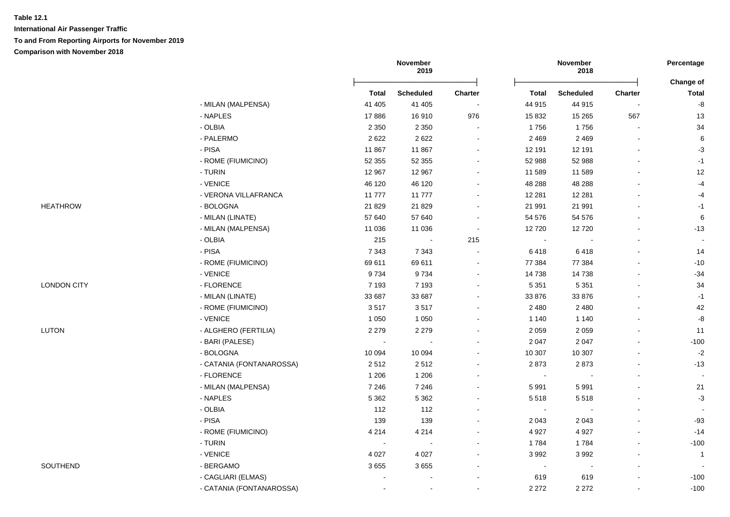|                    |                          | November<br>2019 |                  |                          | November<br>2018 |                          | Percentage     |                           |
|--------------------|--------------------------|------------------|------------------|--------------------------|------------------|--------------------------|----------------|---------------------------|
|                    |                          | <b>Total</b>     | <b>Scheduled</b> | Charter                  | <b>Total</b>     | <b>Scheduled</b>         | <b>Charter</b> | Change of<br><b>Total</b> |
|                    | - MILAN (MALPENSA)       | 41 40 5          | 41 405           | $\sim$                   | 44 915           | 44 915                   |                | $\mbox{-}8$               |
|                    | - NAPLES                 | 17886            | 16910            | 976                      | 15 832           | 15 265                   | 567            | 13                        |
|                    | - OLBIA                  | 2 3 5 0          | 2 3 5 0          | $\blacksquare$           | 1756             | 1756                     |                | 34                        |
|                    | - PALERMO                | 2622             | 2622             | $\blacksquare$           | 2 4 6 9          | 2 4 6 9                  |                | $\,6$                     |
|                    | - PISA                   | 11 867           | 11867            |                          | 12 191           | 12 191                   |                | $-3$                      |
|                    | - ROME (FIUMICINO)       | 52 355           | 52 355           |                          | 52 988           | 52 988                   |                | $-1$                      |
|                    | - TURIN                  | 12 967           | 12 967           |                          | 11 589           | 11 589                   |                | $12$                      |
|                    | - VENICE                 | 46 120           | 46 120           |                          | 48 288           | 48 288                   |                | $-4$                      |
|                    | - VERONA VILLAFRANCA     | 11777            | 11777            | $\sim$                   | 12 281           | 12 281                   |                | $-4$                      |
| <b>HEATHROW</b>    | - BOLOGNA                | 21 8 29          | 21 8 29          | $\overline{\phantom{a}}$ | 21 991           | 21 991                   |                | $-1$                      |
|                    | - MILAN (LINATE)         | 57 640           | 57 640           |                          | 54 576           | 54 576                   |                | 6                         |
|                    | - MILAN (MALPENSA)       | 11 0 36          | 11 0 36          | $\sim$                   | 12720            | 12720                    |                | $-13$                     |
|                    | $-$ OLBIA                | 215              |                  | 215                      | $\sim$           |                          |                |                           |
|                    | - PISA                   | 7 3 4 3          | 7 3 4 3          |                          | 6418             | 6418                     |                | 14                        |
|                    | - ROME (FIUMICINO)       | 69 611           | 69 611           |                          | 77 384           | 77 384                   |                | $-10$                     |
|                    | - VENICE                 | 9734             | 9734             | ÷                        | 14 738           | 14738                    |                | $-34$                     |
| <b>LONDON CITY</b> | - FLORENCE               | 7 1 9 3          | 7 1 9 3          | $\sim$                   | 5 3 5 1          | 5 3 5 1                  |                | 34                        |
|                    | - MILAN (LINATE)         | 33 687           | 33 687           | $\overline{\phantom{a}}$ | 33 876           | 33 876                   |                | $-1$                      |
|                    | - ROME (FIUMICINO)       | 3517             | 3517             | $\sim$                   | 2 4 8 0          | 2 4 8 0                  |                | 42                        |
|                    | - VENICE                 | 1 0 5 0          | 1 0 5 0          |                          | 1 1 4 0          | 1 1 4 0                  |                | $\textnormal{-}8$         |
| LUTON              | - ALGHERO (FERTILIA)     | 2 2 7 9          | 2 2 7 9          |                          | 2 0 5 9          | 2 0 5 9                  |                | 11                        |
|                    | - BARI (PALESE)          | $\sim$           |                  |                          | 2 0 4 7          | 2 0 4 7                  |                | $-100$                    |
|                    | - BOLOGNA                | 10 094           | 10 094           |                          | 10 307           | 10 307                   |                | $-2$                      |
|                    | - CATANIA (FONTANAROSSA) | 2512             | 2512             |                          | 2873             | 2873                     |                | $-13$                     |
|                    | - FLORENCE               | 1 2 0 6          | 1 2 0 6          |                          | $\sim$           |                          |                | $\overline{\phantom{a}}$  |
|                    | - MILAN (MALPENSA)       | 7 2 4 6          | 7 2 4 6          |                          | 5 9 9 1          | 5 9 9 1                  |                | 21                        |
|                    | - NAPLES                 | 5 3 6 2          | 5 3 6 2          |                          | 5518             | 5518                     |                | $-3$                      |
|                    | $-$ OLBIA                | 112              | 112              |                          | $\blacksquare$   |                          |                |                           |
|                    | - PISA                   | 139              | 139              |                          | 2 0 4 3          | 2 0 4 3                  |                | $-93$                     |
|                    | - ROME (FIUMICINO)       | 4 2 1 4          | 4 2 1 4          |                          | 4 9 27           | 4 9 27                   |                | $-14$                     |
|                    | - TURIN                  | $\sim$           | $\sim$           | $\overline{\phantom{a}}$ | 1784             | 1784                     |                | $-100$                    |
|                    | - VENICE                 | 4 0 27           | 4 0 2 7          | $\sim$                   | 3 9 9 2          | 3 9 9 2                  |                | $\overline{1}$            |
| SOUTHEND           | - BERGAMO                | 3655             | 3655             | $\blacksquare$           | $\blacksquare$   | $\overline{\phantom{a}}$ |                |                           |
|                    | - CAGLIARI (ELMAS)       |                  |                  |                          | 619              | 619                      |                | $-100$                    |
|                    | - CATANIA (FONTANAROSSA) | $\blacksquare$   | $\blacksquare$   |                          | 2 2 7 2          | 2 2 7 2                  |                | $-100$                    |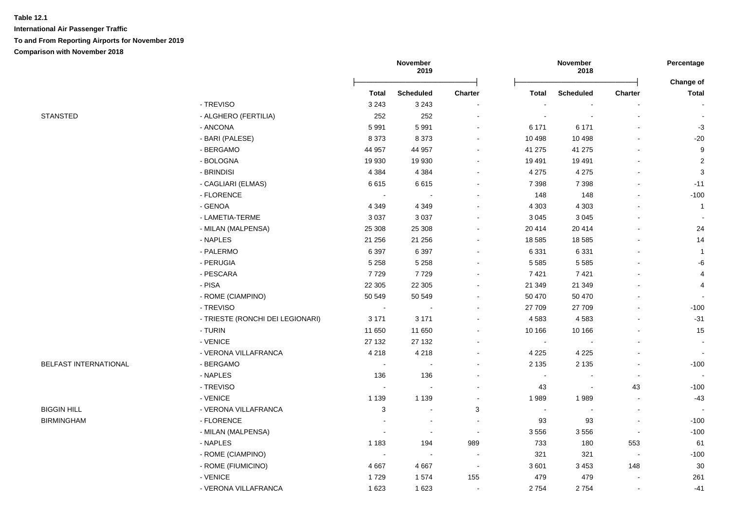|                       |                                  | November<br>2019 |                          |                              | November<br>2018 |                  | Percentage     |                          |
|-----------------------|----------------------------------|------------------|--------------------------|------------------------------|------------------|------------------|----------------|--------------------------|
|                       |                                  | <b>Total</b>     | <b>Scheduled</b>         | <b>Charter</b>               | Total            | <b>Scheduled</b> | <b>Charter</b> | Change of<br>Total       |
|                       | - TREVISO                        | 3 2 4 3          | 3 2 4 3                  |                              |                  |                  |                |                          |
| <b>STANSTED</b>       | - ALGHERO (FERTILIA)             | 252              | 252                      |                              |                  |                  |                |                          |
|                       | - ANCONA                         | 5991             | 5991                     |                              | 6 171            | 6 1 7 1          |                | $-3$                     |
|                       | - BARI (PALESE)                  | 8 3 7 3          | 8 3 7 3                  | ۰                            | 10 498           | 10 4 98          |                | $-20$                    |
|                       | - BERGAMO                        | 44 957           | 44 957                   | $\qquad \qquad \blacksquare$ | 41 275           | 41 275           |                | 9                        |
|                       | - BOLOGNA                        | 19 930           | 19 9 30                  | $\blacksquare$               | 19 4 91          | 19 4 91          |                | $\overline{2}$           |
|                       | - BRINDISI                       | 4 3 8 4          | 4 3 8 4                  |                              | 4 2 7 5          | 4 2 7 5          |                | 3                        |
|                       | - CAGLIARI (ELMAS)               | 6615             | 6615                     |                              | 7 3 9 8          | 7 3 9 8          |                | $-11$                    |
|                       | - FLORENCE                       | $\sim$           |                          |                              | 148              | 148              |                | $-100$                   |
|                       | - GENOA                          | 4 3 4 9          | 4 3 4 9                  |                              | 4 3 0 3          | 4 3 0 3          |                | $\overline{1}$           |
|                       | - LAMETIA-TERME                  | 3 0 3 7          | 3 0 3 7                  |                              | 3 0 4 5          | 3 0 4 5          |                |                          |
|                       | - MILAN (MALPENSA)               | 25 308           | 25 308                   |                              | 20 414           | 20 414           |                | 24                       |
|                       | - NAPLES                         | 21 25 6          | 21 25 6                  |                              | 18 5 85          | 18 5 85          |                | 14                       |
|                       | - PALERMO                        | 6 3 9 7          | 6 3 9 7                  |                              | 6 3 3 1          | 6 3 3 1          |                | $\overline{1}$           |
|                       | - PERUGIA                        | 5 2 5 8          | 5 2 5 8                  | $\overline{a}$               | 5 5 8 5          | 5 5 8 5          |                | -6                       |
|                       | - PESCARA                        | 7729             | 7729                     |                              | 7421             | 7421             |                | $\overline{4}$           |
|                       | - PISA                           | 22 30 5          | 22 30 5                  | ä,                           | 21 349           | 21 349           |                | 4                        |
|                       | - ROME (CIAMPINO)                | 50 549           | 50 549                   | ۰                            | 50 470           | 50 470           |                |                          |
|                       | - TREVISO                        | $\sim$           | $\overline{\phantom{a}}$ |                              | 27 709           | 27 709           |                | $-100$                   |
|                       | - TRIESTE (RONCHI DEI LEGIONARI) | 3 1 7 1          | 3 1 7 1                  |                              | 4583             | 4583             |                | $-31$                    |
|                       | - TURIN                          | 11 650           | 11 650                   |                              | 10 166           | 10 166           |                | 15                       |
|                       | - VENICE                         | 27 132           | 27 132                   |                              | $\blacksquare$   |                  |                | $\sim$                   |
|                       | - VERONA VILLAFRANCA             | 4 2 1 8          | 4 2 1 8                  | ۰                            | 4 2 2 5          | 4 2 2 5          |                | $\overline{\phantom{a}}$ |
| BELFAST INTERNATIONAL | - BERGAMO                        | $\sim$           | $\sim$                   |                              | 2 1 3 5          | 2 1 3 5          |                | $-100$                   |
|                       | - NAPLES                         | 136              | 136                      |                              | $\sim$           |                  | $\blacksquare$ |                          |
|                       | - TREVISO                        | $\sim$           | $\sim$                   | $\blacksquare$               | 43               |                  | 43             | $-100$                   |
|                       | - VENICE                         | 1 1 3 9          | 1 1 3 9                  | $\overline{\phantom{a}}$     | 1989             | 1989             |                | $-43$                    |
| <b>BIGGIN HILL</b>    | - VERONA VILLAFRANCA             | 3                | $\sim$                   | 3                            | $\sim$           |                  | L,             |                          |
| <b>BIRMINGHAM</b>     | - FLORENCE                       |                  | $\overline{\phantom{a}}$ | $\overline{a}$               | 93               | 93               | $\overline{a}$ | $-100$                   |
|                       | - MILAN (MALPENSA)               |                  | $\overline{\phantom{a}}$ | $\overline{\phantom{a}}$     | 3556             | 3556             | $\blacksquare$ | $-100$                   |
|                       | - NAPLES                         | 1 1 8 3          | 194                      | 989                          | 733              | 180              | 553            | 61                       |
|                       | - ROME (CIAMPINO)                | $\sim$           | $\sim$                   |                              | 321              | 321              |                | $-100$                   |
|                       | - ROME (FIUMICINO)               | 4 6 6 7          | 4 6 6 7                  | $\overline{\phantom{a}}$     | 3 6 0 1          | 3 4 5 3          | 148            | $30\,$                   |
|                       | - VENICE                         | 1729             | 1574                     | 155                          | 479              | 479              |                | 261                      |
|                       | - VERONA VILLAFRANCA             | 1623             | 1623                     | $\overline{\phantom{a}}$     | 2754             | 2754             | $\blacksquare$ | $-41$                    |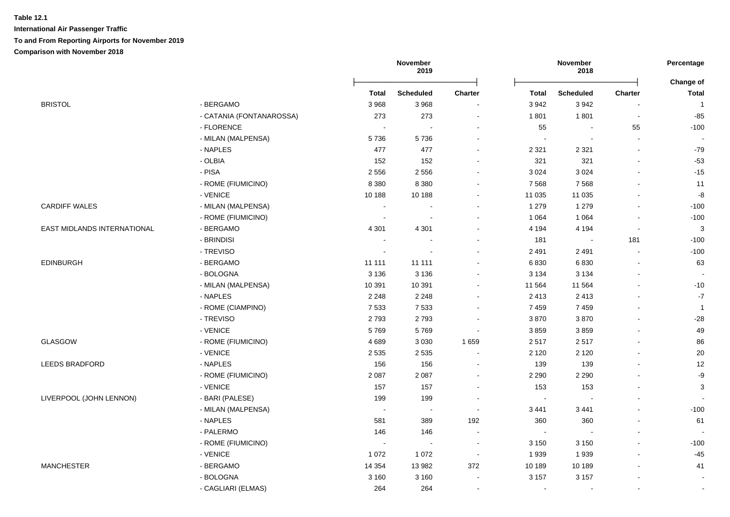|                             |                          | November<br>2019 |                      |                          | November<br>2018         |                  |                |                           |
|-----------------------------|--------------------------|------------------|----------------------|--------------------------|--------------------------|------------------|----------------|---------------------------|
|                             |                          | <b>Total</b>     | <b>Scheduled</b>     | <b>Charter</b>           | <b>Total</b>             | <b>Scheduled</b> | <b>Charter</b> | Change of<br><b>Total</b> |
| <b>BRISTOL</b>              | - BERGAMO                | 3 9 6 8          | 3968                 |                          | 3 9 4 2                  | 3942             |                | $\overline{1}$            |
|                             | - CATANIA (FONTANAROSSA) | 273              | 273                  | $\blacksquare$           | 1801                     | 1801             | $\sim$         | $-85$                     |
|                             | - FLORENCE               |                  | $\ddot{\phantom{a}}$ |                          | 55                       | $\blacksquare$   | 55             | $-100$                    |
|                             | - MILAN (MALPENSA)       | 5736             | 5736                 |                          | $\overline{\phantom{a}}$ | $\sim$           | $\sim$         |                           |
|                             | - NAPLES                 | 477              | 477                  |                          | 2 3 2 1                  | 2 3 2 1          | $\sim$         | $-79$                     |
|                             | - OLBIA                  | 152              | 152                  |                          | 321                      | 321              |                | $-53$                     |
|                             | - PISA                   | 2 5 5 6          | 2 5 5 6              |                          | 3 0 2 4                  | 3 0 2 4          |                | $-15$                     |
|                             | - ROME (FIUMICINO)       | 8 3 8 0          | 8 3 8 0              |                          | 7568                     | 7568             |                | 11                        |
|                             | - VENICE                 | 10 188           | 10 188               |                          | 11 0 35                  | 11 0 35          |                | $\mbox{-}8$               |
| <b>CARDIFF WALES</b>        | - MILAN (MALPENSA)       | $\sim$           |                      |                          | 1 2 7 9                  | 1 2 7 9          |                | $-100$                    |
|                             | - ROME (FIUMICINO)       | $\sim$           |                      |                          | 1 0 6 4                  | 1 0 6 4          |                | $-100$                    |
| EAST MIDLANDS INTERNATIONAL | - BERGAMO                | 4 3 0 1          | 4 3 0 1              |                          | 4 1 9 4                  | 4 1 9 4          | $\sim$         | $\mathbf{3}$              |
|                             | - BRINDISI               | $\sim$           |                      |                          | 181                      | $\sim$           | 181            | $-100$                    |
|                             | - TREVISO                | $\sim$           |                      |                          | 2 4 9 1                  | 2 4 9 1          | $\sim$         | $-100$                    |
| <b>EDINBURGH</b>            | - BERGAMO                | 11 111           | 11 111               |                          | 6830                     | 6830             |                | 63                        |
|                             | - BOLOGNA                | 3 1 3 6          | 3 1 3 6              | $\sim$                   | 3 1 3 4                  | 3 1 3 4          |                |                           |
|                             | - MILAN (MALPENSA)       | 10 391           | 10 391               |                          | 11 564                   | 11 5 64          |                | $-10$                     |
|                             | - NAPLES                 | 2 2 4 8          | 2 2 4 8              |                          | 2 4 1 3                  | 2 4 1 3          |                | $\mathbf{-7}$             |
|                             | - ROME (CIAMPINO)        | 7 5 3 3          | 7 5 3 3              |                          | 7459                     | 7 4 5 9          |                | $\overline{1}$            |
|                             | - TREVISO                | 2793             | 2793                 |                          | 3870                     | 3870             |                | $-28$                     |
|                             | - VENICE                 | 5769             | 5769                 |                          | 3859                     | 3859             |                | 49                        |
| GLASGOW                     | - ROME (FIUMICINO)       | 4689             | 3 0 3 0              | 1659                     | 2517                     | 2517             |                | 86                        |
|                             | - VENICE                 | 2 5 3 5          | 2 5 3 5              |                          | 2 1 2 0                  | 2 1 2 0          |                | 20                        |
| LEEDS BRADFORD              | - NAPLES                 | 156              | 156                  | $\blacksquare$           | 139                      | 139              |                | 12                        |
|                             | - ROME (FIUMICINO)       | 2 0 8 7          | 2 0 8 7              |                          | 2 2 9 0                  | 2 2 9 0          |                | $-9$                      |
|                             | - VENICE                 | 157              | 157                  |                          | 153                      | 153              |                | 3                         |
| LIVERPOOL (JOHN LENNON)     | - BARI (PALESE)          | 199              | 199                  |                          | $\sim$                   |                  |                |                           |
|                             | - MILAN (MALPENSA)       | $\sim$           | $\sim$               | ÷                        | 3 4 4 1                  | 3 4 4 1          |                | $-100$                    |
|                             | - NAPLES                 | 581              | 389                  | 192                      | 360                      | 360              |                | 61                        |
|                             | - PALERMO                | 146              | 146                  | $\blacksquare$           | $\sim$                   | $\blacksquare$   |                |                           |
|                             | - ROME (FIUMICINO)       | $\sim$           | $\blacksquare$       | $\sim$                   | 3 1 5 0                  | 3 1 5 0          |                | $-100$                    |
|                             | - VENICE                 | 1 0 7 2          | 1 0 7 2              | $\bullet$                | 1939                     | 1939             |                | $-45$                     |
| <b>MANCHESTER</b>           | - BERGAMO                | 14 3 54          | 13 982               | 372                      | 10 189                   | 10 189           |                | 41                        |
|                             | - BOLOGNA                | 3 1 6 0          | 3 1 6 0              |                          | 3 1 5 7                  | 3 1 5 7          |                |                           |
|                             | - CAGLIARI (ELMAS)       | 264              | 264                  | $\overline{\phantom{a}}$ | $\blacksquare$           |                  |                |                           |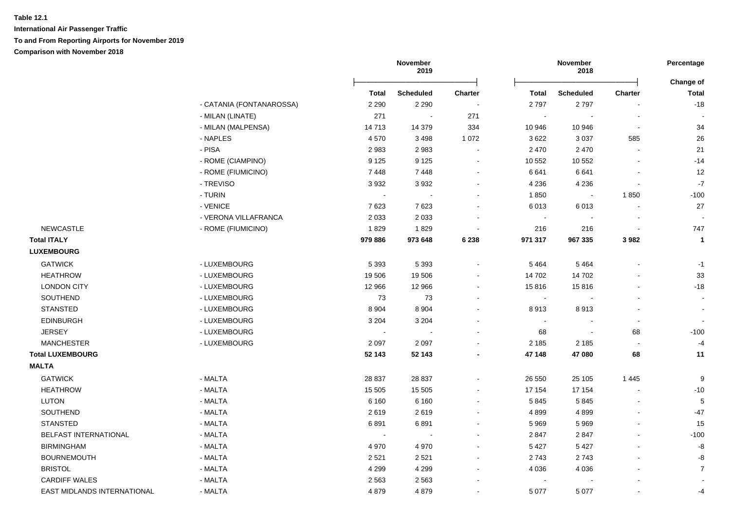|                             |                          | November<br>2019 |                  |                          | November<br>2018 |                  | Percentage     |                           |
|-----------------------------|--------------------------|------------------|------------------|--------------------------|------------------|------------------|----------------|---------------------------|
|                             |                          | Total            | <b>Scheduled</b> | <b>Charter</b>           | Total            | <b>Scheduled</b> | <b>Charter</b> | <b>Change of</b><br>Total |
|                             | - CATANIA (FONTANAROSSA) | 2 2 9 0          | 2 2 9 0          | $\sim$                   | 2797             | 2797             |                | $-18$                     |
|                             | - MILAN (LINATE)         | 271              | $\sim$           | 271                      |                  |                  |                |                           |
|                             | - MILAN (MALPENSA)       | 14713            | 14 379           | 334                      | 10 946           | 10 946           | $\blacksquare$ | 34                        |
|                             | - NAPLES                 | 4570             | 3498             | 1 0 7 2                  | 3622             | 3 0 3 7          | 585            | 26                        |
|                             | - PISA                   | 2983             | 2983             | $\sim$                   | 2 4 7 0          | 2 4 7 0          |                | 21                        |
|                             | - ROME (CIAMPINO)        | 9 1 2 5          | 9 1 2 5          | $\sim$                   | 10 552           | 10 552           |                | $-14$                     |
|                             | - ROME (FIUMICINO)       | 7448             | 7448             | $\sim$                   | 6641             | 6641             |                | 12                        |
|                             | - TREVISO                | 3932             | 3932             |                          | 4 2 3 6          | 4 2 3 6          |                | $-7$                      |
|                             | - TURIN                  |                  |                  |                          | 1850             |                  | 1850           | $-100$                    |
|                             | - VENICE                 | 7623             | 7623             | $\blacksquare$           | 6013             | 6013             |                | 27                        |
|                             | - VERONA VILLAFRANCA     | 2 0 3 3          | 2 0 3 3          |                          | $\sim$           |                  |                |                           |
| <b>NEWCASTLE</b>            | - ROME (FIUMICINO)       | 1829             | 1829             | $\overline{\phantom{a}}$ | 216              | 216              | $\sim$         | 747                       |
| <b>Total ITALY</b>          |                          | 979 886          | 973 648          | 6 2 3 8                  | 971 317          | 967 335          | 3982           | $\mathbf{1}$              |
| <b>LUXEMBOURG</b>           |                          |                  |                  |                          |                  |                  |                |                           |
| <b>GATWICK</b>              | - LUXEMBOURG             | 5 3 9 3          | 5 3 9 3          | $\blacksquare$           | 5464             | 5 4 6 4          |                | $-1$                      |
| <b>HEATHROW</b>             | - LUXEMBOURG             | 19 506           | 19 506           | $\blacksquare$           | 14 702           | 14 702           |                | 33                        |
| <b>LONDON CITY</b>          | - LUXEMBOURG             | 12 966           | 12 966           | $\sim$                   | 15816            | 15816            |                | $-18$                     |
| SOUTHEND                    | - LUXEMBOURG             | 73               | 73               | $\blacksquare$           | $\sim$           |                  |                |                           |
| <b>STANSTED</b>             | - LUXEMBOURG             | 8 9 0 4          | 8 9 0 4          | $\blacksquare$           | 8913             | 8913             |                |                           |
| <b>EDINBURGH</b>            | - LUXEMBOURG             | 3 2 0 4          | 3 2 0 4          |                          | $\sim$           |                  | $\sim$         |                           |
| <b>JERSEY</b>               | - LUXEMBOURG             |                  |                  |                          | 68               |                  | 68             | $-100$                    |
| <b>MANCHESTER</b>           | - LUXEMBOURG             | 2 0 9 7          | 2 0 9 7          |                          | 2 1 8 5          | 2 1 8 5          | $\blacksquare$ | $-4$                      |
| <b>Total LUXEMBOURG</b>     |                          | 52 143           | 52 143           |                          | 47 148           | 47 080           | 68             | 11                        |
| <b>MALTA</b>                |                          |                  |                  |                          |                  |                  |                |                           |
| <b>GATWICK</b>              | - MALTA                  | 28 837           | 28 837           |                          | 26 550           | 25 105           | 1445           | 9                         |
| <b>HEATHROW</b>             | - MALTA                  | 15 505           | 15 505           |                          | 17 154           | 17 154           | ä,             | $-10$                     |
| <b>LUTON</b>                | - MALTA                  | 6 1 6 0          | 6 1 6 0          | $\blacksquare$           | 5845             | 5845             | $\blacksquare$ | 5                         |
| SOUTHEND                    | - MALTA                  | 2619             | 2619             |                          | 4899             | 4899             |                | $-47$                     |
| <b>STANSTED</b>             | - MALTA                  | 6891             | 6891             | $\blacksquare$           | 5 9 6 9          | 5969             |                | 15                        |
| BELFAST INTERNATIONAL       | - MALTA                  | $\sim$           |                  | $\blacksquare$           | 2847             | 2847             |                | $-100$                    |
| <b>BIRMINGHAM</b>           | - MALTA                  | 4 9 7 0          | 4 9 7 0          |                          | 5 4 2 7          | 5 4 2 7          |                | $-8$                      |
| <b>BOURNEMOUTH</b>          | - MALTA                  | 2 5 21           | 2521             |                          | 2743             | 2743             |                | -8                        |
| <b>BRISTOL</b>              | - MALTA                  | 4 2 9 9          | 4 2 9 9          |                          | 4 0 36           | 4 0 3 6          |                | $\overline{7}$            |
| <b>CARDIFF WALES</b>        | - MALTA                  | 2 5 6 3          | 2 5 6 3          |                          |                  |                  |                |                           |
| EAST MIDLANDS INTERNATIONAL | - MALTA                  | 4879             | 4879             |                          | 5 0 7 7          | 5 0 7 7          |                | -4                        |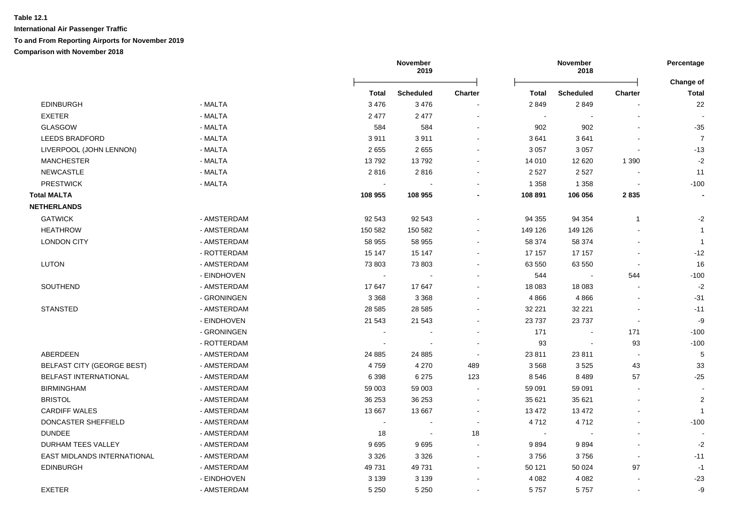|                                   |             | November<br>2019 |                  |                | November<br>2018 |                  |                |                           |
|-----------------------------------|-------------|------------------|------------------|----------------|------------------|------------------|----------------|---------------------------|
|                                   |             | Total            | <b>Scheduled</b> | <b>Charter</b> | <b>Total</b>     | <b>Scheduled</b> | Charter        | Change of<br><b>Total</b> |
| <b>EDINBURGH</b>                  | - MALTA     | 3 4 7 6          | 3476             |                | 2849             | 2849             |                | $22\,$                    |
| <b>EXETER</b>                     | - MALTA     | 2477             | 2 4 7 7          |                | $\sim$           |                  |                |                           |
| <b>GLASGOW</b>                    | - MALTA     | 584              | 584              | $\sim$         | 902              | 902              |                | $-35$                     |
| <b>LEEDS BRADFORD</b>             | - MALTA     | 3911             | 3911             | $\blacksquare$ | 3641             | 3641             |                | $\overline{7}$            |
| LIVERPOOL (JOHN LENNON)           | - MALTA     | 2655             | 2655             | $\blacksquare$ | 3 0 5 7          | 3 0 5 7          |                | $-13$                     |
| <b>MANCHESTER</b>                 | - MALTA     | 13792            | 13792            |                | 14 010           | 12 6 20          | 1 3 9 0        | $-2$                      |
| <b>NEWCASTLE</b>                  | - MALTA     | 2816             | 2816             |                | 2 5 2 7          | 2 5 2 7          |                | 11                        |
| <b>PRESTWICK</b>                  | - MALTA     |                  |                  |                | 1 3 5 8          | 1 3 5 8          |                | $-100$                    |
| <b>Total MALTA</b>                |             | 108 955          | 108 955          |                | 108 891          | 106 056          | 2835           |                           |
| <b>NETHERLANDS</b>                |             |                  |                  |                |                  |                  |                |                           |
| <b>GATWICK</b>                    | - AMSTERDAM | 92 543           | 92 543           | $\blacksquare$ | 94 355           | 94 354           | $\overline{1}$ | $-2$                      |
| <b>HEATHROW</b>                   | - AMSTERDAM | 150 582          | 150 582          |                | 149 126          | 149 126          |                | $\overline{1}$            |
| <b>LONDON CITY</b>                | - AMSTERDAM | 58 955           | 58 955           |                | 58 374           | 58 374           |                | $\overline{1}$            |
|                                   | - ROTTERDAM | 15 147           | 15 147           |                | 17 157           | 17 157           |                | $-12$                     |
| <b>LUTON</b>                      | - AMSTERDAM | 73 803           | 73 803           |                | 63 550           | 63 550           |                | 16                        |
|                                   | - EINDHOVEN | $\sim$           |                  |                | 544              | $\blacksquare$   | 544            | $-100$                    |
| SOUTHEND                          | - AMSTERDAM | 17647            | 17647            |                | 18 083           | 18 083           | $\sim$         | $-2$                      |
|                                   | - GRONINGEN | 3 3 6 8          | 3 3 6 8          |                | 4866             | 4866             |                | $-31$                     |
| <b>STANSTED</b>                   | - AMSTERDAM | 28 5 85          | 28 5 85          | $\blacksquare$ | 32 221           | 32 221           |                | $-11$                     |
|                                   | - EINDHOVEN | 21 543           | 21 543           | $\blacksquare$ | 23 7 37          | 23737            | $\blacksquare$ | -9                        |
|                                   | - GRONINGEN |                  |                  |                | 171              |                  | 171            | $-100$                    |
|                                   | - ROTTERDAM |                  |                  |                | 93               | $\blacksquare$   | 93             | $-100$                    |
| ABERDEEN                          | - AMSTERDAM | 24 8 85          | 24 8 85          | $\blacksquare$ | 23 811           | 23 811           | $\sim$         | $\overline{5}$            |
| <b>BELFAST CITY (GEORGE BEST)</b> | - AMSTERDAM | 4759             | 4 2 7 0          | 489            | 3568             | 3525             | 43             | 33                        |
| <b>BELFAST INTERNATIONAL</b>      | - AMSTERDAM | 6 3 9 8          | 6 2 7 5          | 123            | 8546             | 8489             | 57             | $-25$                     |
| <b>BIRMINGHAM</b>                 | - AMSTERDAM | 59 003           | 59 003           | $\blacksquare$ | 59 091           | 59 091           |                |                           |
| <b>BRISTOL</b>                    | - AMSTERDAM | 36 253           | 36 253           | $\blacksquare$ | 35 621           | 35 621           |                | $\overline{2}$            |
| <b>CARDIFF WALES</b>              | - AMSTERDAM | 13 667           | 13 667           |                | 13 472           | 13 472           |                | $\overline{1}$            |
| DONCASTER SHEFFIELD               | - AMSTERDAM |                  |                  |                | 4712             | 4712             |                | $-100$                    |
| <b>DUNDEE</b>                     | - AMSTERDAM | 18               | $\sim$           | 18             | $\sim$           |                  |                |                           |
| DURHAM TEES VALLEY                | - AMSTERDAM | 9695             | 9695             |                | 9894             | 9894             |                | $-2$                      |
| EAST MIDLANDS INTERNATIONAL       | - AMSTERDAM | 3 3 2 6          | 3 3 2 6          | $\blacksquare$ | 3756             | 3756             | $\sim$         | $-11$                     |
| <b>EDINBURGH</b>                  | - AMSTERDAM | 49 731           | 49 731           | $\blacksquare$ | 50 121           | 50 024           | 97             | $-1$                      |
|                                   | - EINDHOVEN | 3 1 3 9          | 3 1 3 9          | $\blacksquare$ | 4 0 8 2          | 4 0 8 2          |                | $-23$                     |
| <b>EXETER</b>                     | - AMSTERDAM | 5 2 5 0          | 5 2 5 0          | $\blacksquare$ | 5757             | 5757             |                | -9                        |
|                                   |             |                  |                  |                |                  |                  |                |                           |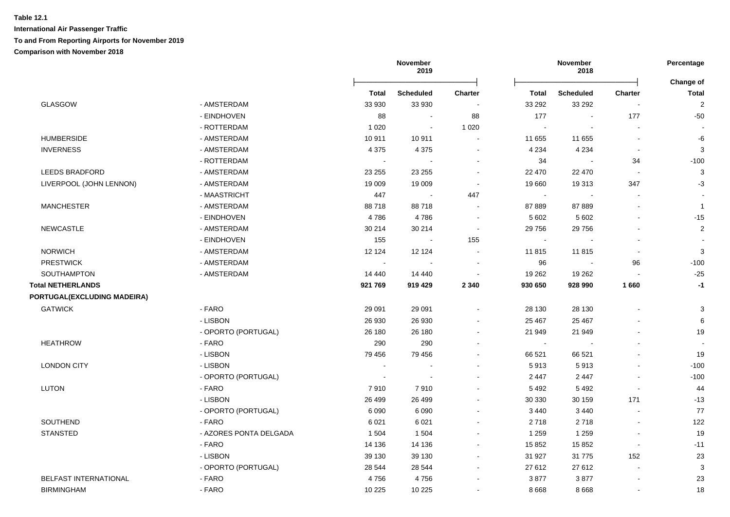|                             |                        |         | November<br>2019 |                          |                             | November<br>2018 |                          |                           |
|-----------------------------|------------------------|---------|------------------|--------------------------|-----------------------------|------------------|--------------------------|---------------------------|
|                             |                        | Total   | <b>Scheduled</b> | <b>Charter</b>           | <b>Total</b>                | <b>Scheduled</b> | <b>Charter</b>           | Change of<br><b>Total</b> |
| <b>GLASGOW</b>              | - AMSTERDAM            | 33 930  | 33 930           |                          | 33 29 2                     | 33 29 2          |                          | $\sqrt{2}$                |
|                             | - EINDHOVEN            | 88      | $\blacksquare$   | 88                       | 177                         | $\blacksquare$   | 177                      | $-50$                     |
|                             | - ROTTERDAM            | 1 0 2 0 | $\sim$           | 1 0 2 0                  | $\mathcal{L}_{\mathbf{r}}$  | $\sim$           |                          |                           |
| <b>HUMBERSIDE</b>           | - AMSTERDAM            | 10 911  | 10 911           |                          | 11 655                      | 11 655           |                          | $-6$                      |
| <b>INVERNESS</b>            | - AMSTERDAM            | 4 3 7 5 | 4 3 7 5          | $\overline{\phantom{a}}$ | 4 2 3 4                     | 4 2 3 4          |                          | $\mathbf{3}$              |
|                             | - ROTTERDAM            |         |                  |                          | 34                          |                  | 34                       | $-100$                    |
| <b>LEEDS BRADFORD</b>       | - AMSTERDAM            | 23 255  | 23 255           |                          | 22 470                      | 22 470           |                          | 3                         |
| LIVERPOOL (JOHN LENNON)     | - AMSTERDAM            | 19 009  | 19 009           |                          | 19 660                      | 19313            | 347                      | $-3$                      |
|                             | - MAASTRICHT           | 447     | $\overline{a}$   | 447                      | $\mathcal{L}_{\mathcal{A}}$ | $\overline{a}$   |                          |                           |
| <b>MANCHESTER</b>           | - AMSTERDAM            | 88718   | 88718            |                          | 87 889                      | 87889            |                          | $\overline{1}$            |
|                             | - EINDHOVEN            | 4786    | 4786             | $\sim$                   | 5 602                       | 5 6 0 2          |                          | $-15$                     |
| <b>NEWCASTLE</b>            | - AMSTERDAM            | 30 214  | 30 214           |                          | 29 756                      | 29 7 56          |                          | $\overline{c}$            |
|                             | - EINDHOVEN            | 155     | $\sim$           | 155                      | $\sim$                      |                  |                          |                           |
| <b>NORWICH</b>              | - AMSTERDAM            | 12 124  | 12 124           | $\sim$                   | 11 815                      | 11815            |                          | 3                         |
| <b>PRESTWICK</b>            | - AMSTERDAM            | $\sim$  |                  |                          | 96                          | $\sim$           | 96                       | $-100$                    |
| SOUTHAMPTON                 | - AMSTERDAM            | 14 440  | 14 440           |                          | 19 26 2                     | 19 26 2          |                          | $-25$                     |
| <b>Total NETHERLANDS</b>    |                        | 921 769 | 919 429          | 2 3 4 0                  | 930 650                     | 928 990          | 1660                     | $-1$                      |
| PORTUGAL(EXCLUDING MADEIRA) |                        |         |                  |                          |                             |                  |                          |                           |
| <b>GATWICK</b>              | - FARO                 | 29 091  | 29 091           |                          | 28 130                      | 28 130           |                          | 3                         |
|                             | - LISBON               | 26 930  | 26 930           |                          | 25 4 67                     | 25 467           |                          | $\,6\,$                   |
|                             | - OPORTO (PORTUGAL)    | 26 180  | 26 180           |                          | 21 949                      | 21 949           |                          | 19                        |
| <b>HEATHROW</b>             | - FARO                 | 290     | 290              |                          | $\sim$                      |                  |                          | $\blacksquare$            |
|                             | - LISBON               | 79 456  | 79 456           |                          | 66 521                      | 66 521           |                          | 19                        |
| <b>LONDON CITY</b>          | - LISBON               |         |                  |                          | 5913                        | 5913             |                          | $-100$                    |
|                             | - OPORTO (PORTUGAL)    |         |                  |                          | 2 4 4 7                     | 2 4 4 7          |                          | $-100$                    |
| LUTON                       | - FARO                 | 7910    | 7910             |                          | 5 4 9 2                     | 5492             |                          | 44                        |
|                             | - LISBON               | 26 499  | 26 4 9 9         |                          | 30 330                      | 30 159           | 171                      | $-13$                     |
|                             | - OPORTO (PORTUGAL)    | 6 0 9 0 | 6090             |                          | 3 4 4 0                     | 3 4 4 0          |                          | 77                        |
| SOUTHEND                    | - FARO                 | 6 0 21  | 6 0 21           |                          | 2718                        | 2718             |                          | 122                       |
| <b>STANSTED</b>             | - AZORES PONTA DELGADA | 1 504   | 1 504            |                          | 1 2 5 9                     | 1 2 5 9          |                          | 19                        |
|                             | - FARO                 | 14 136  | 14 136           |                          | 15 852                      | 15 852           | $\overline{\phantom{a}}$ | $-11$                     |
|                             | - LISBON               | 39 130  | 39 130           | $\blacksquare$           | 31 927                      | 31 775           | 152                      | 23                        |
|                             | - OPORTO (PORTUGAL)    | 28 544  | 28 544           | $\sim$                   | 27 612                      | 27 612           |                          | 3                         |
| BELFAST INTERNATIONAL       | - FARO                 | 4756    | 4756             |                          | 3877                        | 3877             |                          | 23                        |
| <b>BIRMINGHAM</b>           | - FARO                 | 10 2 25 | 10 2 25          |                          | 8 6 6 8                     | 8 6 6 8          |                          | 18                        |
|                             |                        |         |                  |                          |                             |                  |                          |                           |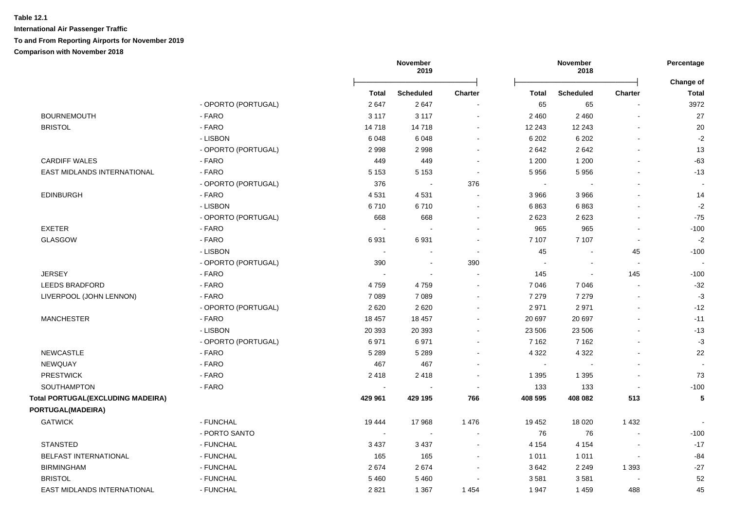|                                          |                     | November<br>2019 |                          |                | November<br>2018 |                          | Percentage               |                           |
|------------------------------------------|---------------------|------------------|--------------------------|----------------|------------------|--------------------------|--------------------------|---------------------------|
|                                          |                     | <b>Total</b>     | <b>Scheduled</b>         | <b>Charter</b> | Total            | <b>Scheduled</b>         | Charter                  | Change of<br><b>Total</b> |
|                                          | - OPORTO (PORTUGAL) | 2647             | 2647                     |                | 65               | 65                       |                          | 3972                      |
| <b>BOURNEMOUTH</b>                       | - FARO              | 3 1 1 7          | 3 1 1 7                  | $\sim$         | 2 4 6 0          | 2 4 6 0                  | $\overline{\phantom{a}}$ | 27                        |
| <b>BRISTOL</b>                           | - FARO              | 14718            | 14718                    | $\sim$         | 12 243           | 12 243                   |                          | 20                        |
|                                          | - LISBON            | 6048             | 6048                     |                | 6 20 2           | 6 2 0 2                  |                          | $-2$                      |
|                                          | - OPORTO (PORTUGAL) | 2998             | 2998                     |                | 2642             | 2642                     |                          | 13                        |
| <b>CARDIFF WALES</b>                     | - FARO              | 449              | 449                      |                | 1 200            | 1 200                    |                          | $-63$                     |
| EAST MIDLANDS INTERNATIONAL              | - FARO              | 5 1 5 3          | 5 1 5 3                  |                | 5956             | 5956                     |                          | $-13$                     |
|                                          | - OPORTO (PORTUGAL) | 376              |                          | 376            |                  |                          |                          |                           |
| <b>EDINBURGH</b>                         | - FARO              | 4531             | 4531                     |                | 3 9 6 6          | 3 9 6 6                  |                          | 14                        |
|                                          | - LISBON            | 6710             | 6710                     |                | 6863             | 6863                     |                          | $-2$                      |
|                                          | - OPORTO (PORTUGAL) | 668              | 668                      |                | 2623             | 2623                     |                          | $-75$                     |
| <b>EXETER</b>                            | - FARO              |                  |                          |                | 965              | 965                      |                          | $-100$                    |
| <b>GLASGOW</b>                           | - FARO              | 6931             | 6931                     |                | 7 107            | 7 107                    | $\overline{a}$           | $-2$                      |
|                                          | - LISBON            | $\sim$           |                          |                | 45               | $\overline{\phantom{a}}$ | 45                       | $-100$                    |
|                                          | - OPORTO (PORTUGAL) | 390              | $\overline{\phantom{a}}$ | 390            | $\sim$           | $\overline{a}$           | $\sim$                   |                           |
| <b>JERSEY</b>                            | - FARO              |                  | $\sim$                   |                | 145              | $\sim$                   | 145                      | $-100$                    |
| <b>LEEDS BRADFORD</b>                    | - FARO              | 4759             | 4759                     |                | 7 0 4 6          | 7 0 4 6                  |                          | $-32$                     |
| LIVERPOOL (JOHN LENNON)                  | - FARO              | 7 0 8 9          | 7 0 8 9                  |                | 7 2 7 9          | 7 2 7 9                  | $\overline{a}$           | $-3$                      |
|                                          | - OPORTO (PORTUGAL) | 2620             | 2620                     |                | 2971             | 2971                     |                          | $-12$                     |
| <b>MANCHESTER</b>                        | - FARO              | 18 457           | 18 457                   |                | 20 697           | 20 697                   |                          | $-11$                     |
|                                          | - LISBON            | 20 393           | 20 39 3                  |                | 23 506           | 23 506                   |                          | $-13$                     |
|                                          | - OPORTO (PORTUGAL) | 6971             | 6971                     |                | 7 1 6 2          | 7 1 6 2                  |                          | $-3$                      |
| <b>NEWCASTLE</b>                         | - FARO              | 5 2 8 9          | 5 2 8 9                  |                | 4 3 2 2          | 4 3 2 2                  |                          | 22                        |
| <b>NEWQUAY</b>                           | - FARO              | 467              | 467                      |                |                  |                          |                          |                           |
| <b>PRESTWICK</b>                         | - FARO              | 2418             | 2418                     |                | 1 3 9 5          | 1 3 9 5                  |                          | 73                        |
| SOUTHAMPTON                              | - FARO              |                  |                          |                | 133              | 133                      | $\overline{\phantom{a}}$ | $-100$                    |
| <b>Total PORTUGAL(EXCLUDING MADEIRA)</b> |                     | 429 961          | 429 195                  | 766            | 408 595          | 408 082                  | 513                      | 5                         |
| PORTUGAL(MADEIRA)                        |                     |                  |                          |                |                  |                          |                          |                           |
| <b>GATWICK</b>                           | - FUNCHAL           | 19 4 44          | 17968                    | 1 4 7 6        | 19 452           | 18 0 20                  | 1 4 3 2                  |                           |
|                                          | - PORTO SANTO       |                  |                          |                | 76               | 76                       |                          | $-100$                    |
| <b>STANSTED</b>                          | - FUNCHAL           | 3 4 3 7          | 3 4 3 7                  |                | 4 1 5 4          | 4 1 5 4                  |                          | $-17$                     |
| <b>BELFAST INTERNATIONAL</b>             | - FUNCHAL           | 165              | 165                      |                | 1 0 1 1          | 1011                     | $\overline{a}$           | $-84$                     |
| <b>BIRMINGHAM</b>                        | - FUNCHAL           | 2674             | 2674                     |                | 3642             | 2 2 4 9                  | 1 3 9 3                  | $-27$                     |
| <b>BRISTOL</b>                           | - FUNCHAL           | 5 4 6 0          | 5460                     |                | 3581             | 3581                     |                          | 52                        |
| EAST MIDLANDS INTERNATIONAL              | - FUNCHAL           | 2821             | 1 3 6 7                  | 1 4 5 4        | 1947             | 1459                     | 488                      | 45                        |
|                                          |                     |                  |                          |                |                  |                          |                          |                           |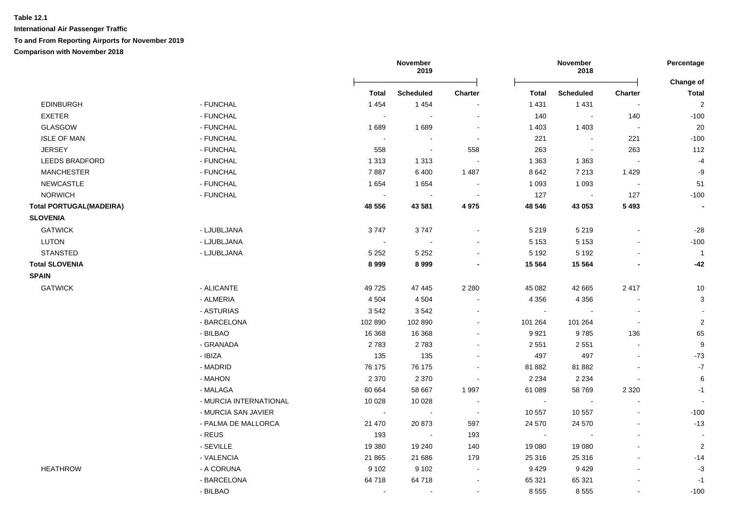|                                |                        |                | November<br>2019         |                          |              | November<br>2018         |                          | Percentage               |
|--------------------------------|------------------------|----------------|--------------------------|--------------------------|--------------|--------------------------|--------------------------|--------------------------|
|                                |                        | <b>Total</b>   | <b>Scheduled</b>         | <b>Charter</b>           | <b>Total</b> | <b>Scheduled</b>         | <b>Charter</b>           | Change of<br>Total       |
| <b>EDINBURGH</b>               | - FUNCHAL              | 1 4 5 4        | 1454                     |                          | 1 4 3 1      | 1431                     | $\overline{\phantom{a}}$ | $\overline{2}$           |
| <b>EXETER</b>                  | - FUNCHAL              | $\sim$         | $\overline{\phantom{a}}$ | ÷                        | 140          | $\sim$                   | 140                      | $-100$                   |
| <b>GLASGOW</b>                 | - FUNCHAL              | 1689           | 1689                     | $\overline{\phantom{a}}$ | 1 4 0 3      | 1 4 0 3                  | $\sim$                   | 20                       |
| <b>ISLE OF MAN</b>             | - FUNCHAL              | $\sim$         |                          | $\blacksquare$           | 221          | $\overline{\phantom{a}}$ | 221                      | $-100$                   |
| <b>JERSEY</b>                  | - FUNCHAL              | 558            | $\sim$                   | 558                      | 263          | $\overline{\phantom{a}}$ | 263                      | 112                      |
| <b>LEEDS BRADFORD</b>          | - FUNCHAL              | 1 3 1 3        | 1 3 1 3                  | $\overline{a}$           | 1 3 6 3      | 1 3 6 3                  | $\overline{\phantom{a}}$ | $-4$                     |
| <b>MANCHESTER</b>              | - FUNCHAL              | 7887           | 6400                     | 1 4 8 7                  | 8 6 4 2      | 7 2 1 3                  | 1429                     | -9                       |
| <b>NEWCASTLE</b>               | - FUNCHAL              | 1654           | 1654                     | $\blacksquare$           | 1 0 9 3      | 1 0 9 3                  | $\overline{\phantom{a}}$ | 51                       |
| <b>NORWICH</b>                 | - FUNCHAL              | $\sim$         | $\sim$                   | $\sim$                   | 127          | $\sim$                   | 127                      | $-100$                   |
| <b>Total PORTUGAL(MADEIRA)</b> |                        | 48 556         | 43 581                   | 4 9 7 5                  | 48 546       | 43 053                   | 5 4 9 3                  | $\blacksquare$           |
| <b>SLOVENIA</b>                |                        |                |                          |                          |              |                          |                          |                          |
| <b>GATWICK</b>                 | - LJUBLJANA            | 3747           | 3747                     | $\overline{\phantom{a}}$ | 5 2 1 9      | 5 2 1 9                  | $\blacksquare$           | $-28$                    |
| <b>LUTON</b>                   | - LJUBLJANA            | $\sim$         | $\sim$                   | $\overline{\phantom{a}}$ | 5 1 5 3      | 5 1 5 3                  | $\blacksquare$           | $-100$                   |
| <b>STANSTED</b>                | - LJUBLJANA            | 5 2 5 2        | 5 2 5 2                  | $\overline{\phantom{a}}$ | 5 1 9 2      | 5 1 9 2                  | $\blacksquare$           | $\overline{1}$           |
| <b>Total SLOVENIA</b>          |                        | 8999           | 8999                     | $\blacksquare$           | 15 5 64      | 15 5 64                  | $\overline{\phantom{a}}$ | $-42$                    |
| <b>SPAIN</b>                   |                        |                |                          |                          |              |                          |                          |                          |
| <b>GATWICK</b>                 | - ALICANTE             | 49725          | 47 445                   | 2 2 8 0                  | 45 082       | 42 665                   | 2417                     | 10                       |
|                                | - ALMERIA              | 4 5 0 4        | 4 5 0 4                  | $\overline{a}$           | 4 3 5 6      | 4 3 5 6                  | $\sim$                   | 3                        |
|                                | - ASTURIAS             | 3542           | 3542                     | $\ddot{\phantom{a}}$     | $\sim$       | $\sim$                   | $\sim$                   |                          |
|                                | - BARCELONA            | 102 890        | 102 890                  | $\blacksquare$           | 101 264      | 101 264                  | $\overline{\phantom{a}}$ | $\overline{2}$           |
|                                | - BILBAO               | 16 3 68        | 16 3 68                  | $\blacksquare$           | 9921         | 9785                     | 136                      | 65                       |
|                                | - GRANADA              | 2783           | 2783                     | $\blacksquare$           | 2 5 5 1      | 2 5 5 1                  | $\sim$                   | 9                        |
|                                | - IBIZA                | 135            | 135                      | $\blacksquare$           | 497          | 497                      | $\blacksquare$           | $-73$                    |
|                                | - MADRID               | 76 175         | 76 175                   | $\overline{\phantom{a}}$ | 81 882       | 81 882                   | L,                       | $\mathbf{-7}$            |
|                                | - MAHON                | 2 3 7 0        | 2 3 7 0                  | $\blacksquare$           | 2 2 3 4      | 2 2 3 4                  | $\sim$                   | 6                        |
|                                | - MALAGA               | 60 664         | 58 667                   | 1997                     | 61 089       | 58769                    | 2 3 2 0                  | $-1$                     |
|                                | - MURCIA INTERNATIONAL | 10 0 28        | 10 0 28                  | $\sim$                   | $\sim$       | $\overline{\phantom{a}}$ | $\blacksquare$           | $\sim$                   |
|                                | - MURCIA SAN JAVIER    | $\sim$         | $\sim$                   | $\sim$                   | 10 557       | 10 557                   | $\overline{a}$           | $-100$                   |
|                                | - PALMA DE MALLORCA    | 21 470         | 20 873                   | 597                      | 24 570       | 24 570                   | $\overline{a}$           | $-13$                    |
|                                | - REUS                 | 193            | $\sim$                   | 193                      | $\sim$       | $\overline{\phantom{a}}$ | $\mathbf{r}$             | $\overline{\phantom{a}}$ |
|                                | - SEVILLE              | 19 380         | 19 240                   | 140                      | 19 080       | 19 080                   | $\overline{\phantom{a}}$ | $\overline{2}$           |
|                                | - VALENCIA             | 21 865         | 21 686                   | 179                      | 25 316       | 25 316                   | $\blacksquare$           | $-14$                    |
| <b>HEATHROW</b>                | - A CORUNA             | 9 1 0 2        | 9 1 0 2                  | $\blacksquare$           | 9 4 2 9      | 9429                     | $\blacksquare$           | $-3$                     |
|                                | - BARCELONA            | 64 718         | 64 718                   | $\blacksquare$           | 65 321       | 65 321                   |                          | $-1$                     |
|                                | - BILBAO               | $\blacksquare$ | $\blacksquare$           | $\blacksquare$           | 8 5 5 5      | 8555                     | $\blacksquare$           | $-100$                   |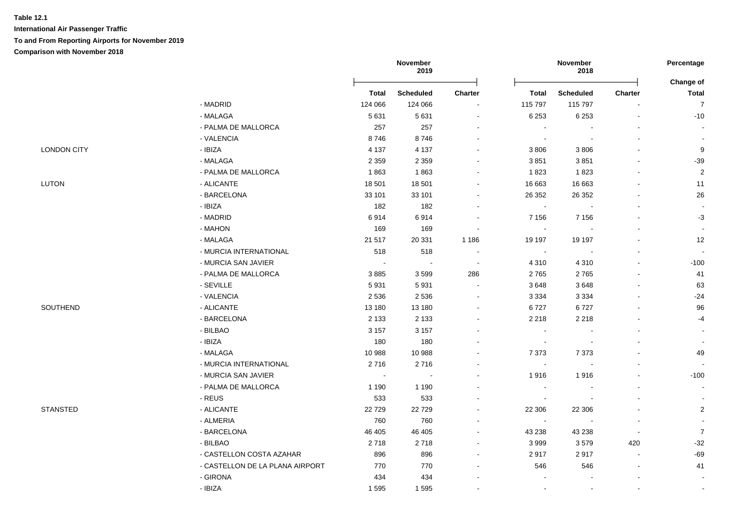**International Air Passenger Traffic To and From Reporting Airports for November 2019 Comparison with November 2018**

|                    |                                 | November<br>2019         |                  |                |              | November<br>2018         |                          | Percentage                |
|--------------------|---------------------------------|--------------------------|------------------|----------------|--------------|--------------------------|--------------------------|---------------------------|
|                    |                                 | <b>Total</b>             | <b>Scheduled</b> | Charter        | <b>Total</b> | <b>Scheduled</b>         | Charter                  | Change of<br><b>Total</b> |
|                    | - MADRID                        | 124 066                  | 124 066          |                | 115 797      | 115 797                  | $\blacksquare$           | $\overline{7}$            |
|                    | - MALAGA                        | 5 6 3 1                  | 5 6 3 1          |                | 6 2 5 3      | 6 2 5 3                  | ä,                       | $-10$                     |
|                    | - PALMA DE MALLORCA             | 257                      | 257              |                |              |                          |                          | $\overline{\phantom{a}}$  |
|                    | - VALENCIA                      | 8746                     | 8746             |                |              |                          |                          | $\overline{\phantom{a}}$  |
| <b>LONDON CITY</b> | - IBIZA                         | 4 1 3 7                  | 4 1 3 7          |                | 3 8 0 6      | 3806                     |                          | 9                         |
|                    | - MALAGA                        | 2 3 5 9                  | 2 3 5 9          |                | 3851         | 3851                     | $\overline{a}$           | $-39$                     |
|                    | - PALMA DE MALLORCA             | 1863                     | 1863             |                | 1823         | 1823                     |                          | $\sqrt{2}$                |
| <b>LUTON</b>       | - ALICANTE                      | 18 501                   | 18 501           |                | 16 663       | 16 663                   |                          | 11                        |
|                    | - BARCELONA                     | 33 101                   | 33 101           |                | 26 35 2      | 26 35 2                  |                          | 26                        |
|                    | - IBIZA                         | 182                      | 182              |                |              |                          |                          | $\sim$                    |
|                    | - MADRID                        | 6914                     | 6914             |                | 7 1 5 6      | 7 1 5 6                  |                          | $-3$                      |
|                    | - MAHON                         | 169                      | 169              |                |              |                          |                          | $\blacksquare$            |
|                    | - MALAGA                        | 21 517                   | 20 331           | 1 1 8 6        | 19 197       | 19 197                   |                          | 12                        |
|                    | - MURCIA INTERNATIONAL          | 518                      | 518              |                | $\sim$       |                          |                          |                           |
|                    | - MURCIA SAN JAVIER             | $\overline{\phantom{a}}$ | $\sim$           | $\sim$         | 4 3 1 0      | 4 3 1 0                  | $\overline{a}$           | $-100$                    |
|                    | - PALMA DE MALLORCA             | 3885                     | 3599             | 286            | 2765         | 2765                     | $\overline{a}$           | 41                        |
|                    | - SEVILLE                       | 5931                     | 5931             |                | 3648         | 3648                     |                          | 63                        |
|                    | - VALENCIA                      | 2 5 3 6                  | 2536             |                | 3 3 3 4      | 3 3 3 4                  |                          | $-24$                     |
| SOUTHEND           | - ALICANTE                      | 13 180                   | 13 180           |                | 6727         | 6727                     |                          | 96                        |
|                    | - BARCELONA                     | 2 1 3 3                  | 2 1 3 3          |                | 2 2 1 8      | 2 2 1 8                  |                          | $-4$                      |
|                    | - BILBAO                        | 3 1 5 7                  | 3 1 5 7          |                |              |                          |                          | $\blacksquare$            |
|                    | - IBIZA                         | 180                      | 180              |                |              |                          |                          | $\blacksquare$            |
|                    | - MALAGA                        | 10 988                   | 10 988           |                | 7 3 7 3      | 7 3 7 3                  | $\blacksquare$           | 49                        |
|                    | - MURCIA INTERNATIONAL          | 2716                     | 2716             |                |              | $\blacksquare$           | $\overline{a}$           |                           |
|                    | - MURCIA SAN JAVIER             | $\sim$                   |                  |                | 1916         | 1916                     | $\overline{a}$           | $-100$                    |
|                    | - PALMA DE MALLORCA             | 1 1 9 0                  | 1 1 9 0          |                |              |                          | $\overline{\phantom{a}}$ | $\sim$                    |
|                    | - REUS                          | 533                      | 533              |                |              | $\overline{\phantom{a}}$ | $\blacksquare$           | $\overline{\phantom{a}}$  |
| STANSTED           | - ALICANTE                      | 22729                    | 22729            |                | 22 30 6      | 22 306                   | $\blacksquare$           | $\sqrt{2}$                |
|                    | - ALMERIA                       | 760                      | 760              |                | $\sim$       | $\sim$                   | $\sim$                   | $\blacksquare$            |
|                    | - BARCELONA                     | 46 40 5                  | 46 405           |                | 43 238       | 43 238                   | $\blacksquare$           | $\overline{7}$            |
|                    | - BILBAO                        | 2718                     | 2718             | $\blacksquare$ | 3999         | 3579                     | 420                      | $-32$                     |
|                    | - CASTELLON COSTA AZAHAR        | 896                      | 896              | $\blacksquare$ | 2917         | 2917                     | $\blacksquare$           | $-69$                     |
|                    | - CASTELLON DE LA PLANA AIRPORT | 770                      | 770              |                | 546          | 546                      | $\blacksquare$           | 41                        |
|                    | - GIRONA                        | 434                      | 434              | $\overline{a}$ |              | $\blacksquare$           | $\blacksquare$           | $\overline{\phantom{a}}$  |

. IBIZA 1995 - 1996 - 1997 - 1998 - 1998 - 1998 - 1998 - 1998 - 1998 - 1998 - 1998 - 1998 - 1998 - 1998 - 1998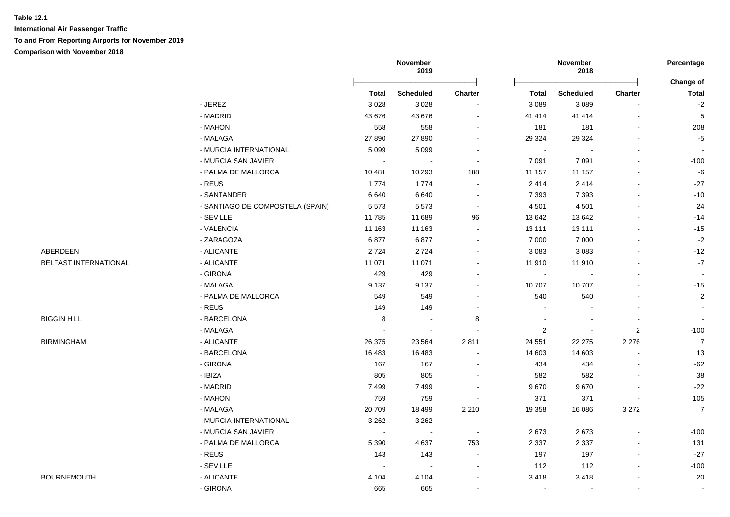**International Air Passenger Traffic To and From Reporting Airports for November 2019**

**Comparison with November 2018**

|                       |                                  | November<br>2019 |                          |                | November<br>2018 |                          | Percentage     |                           |
|-----------------------|----------------------------------|------------------|--------------------------|----------------|------------------|--------------------------|----------------|---------------------------|
|                       |                                  | <b>Total</b>     | <b>Scheduled</b>         | Charter        | <b>Total</b>     | <b>Scheduled</b>         | <b>Charter</b> | Change of<br><b>Total</b> |
|                       | - JEREZ                          | 3 0 28           | 3028                     | $\sim$         | 3 0 8 9          | 3 0 8 9                  |                | $-2$                      |
|                       | - MADRID                         | 43 676           | 43 676                   | $\blacksquare$ | 41 414           | 41 414                   |                | $\,$ 5                    |
|                       | - MAHON                          | 558              | 558                      | $\blacksquare$ | 181              | 181                      |                | 208                       |
|                       | - MALAGA                         | 27 890           | 27 890                   | $\blacksquare$ | 29 3 24          | 29 3 24                  |                | $-5$                      |
|                       | - MURCIA INTERNATIONAL           | 5 0 9 9          | 5 0 9 9                  | $\sim$         | $\sim$           |                          |                |                           |
|                       | - MURCIA SAN JAVIER              | $\sim$           |                          | $\sim$         | 7 0 9 1          | 7 0 9 1                  |                | $-100$                    |
|                       | - PALMA DE MALLORCA              | 10 481           | 10 293                   | 188            | 11 157           | 11 157                   |                | $-6$                      |
|                       | - REUS                           | 1774             | 1774                     | $\sim$         | 2 4 1 4          | 2414                     |                | $-27$                     |
|                       | - SANTANDER                      | 6640             | 6640                     | $\sim$         | 7 3 9 3          | 7 3 9 3                  |                | $-10$                     |
|                       | - SANTIAGO DE COMPOSTELA (SPAIN) | 5573             | 5573                     | $\blacksquare$ | 4 5 0 1          | 4 5 0 1                  |                | 24                        |
|                       | - SEVILLE                        | 11 785           | 11 689                   | 96             | 13 642           | 13 642                   |                | $-14$                     |
|                       | - VALENCIA                       | 11 163           | 11 163                   | $\sim$         | 13 111           | 13 111                   |                | $-15$                     |
|                       | - ZARAGOZA                       | 6877             | 6877                     | $\sim$         | 7 0 0 0          | 7 0 0 0                  |                | $-2$                      |
| ABERDEEN              | - ALICANTE                       | 2724             | 2724                     | $\sim$         | 3 0 8 3          | 3 0 8 3                  |                | $-12$                     |
| BELFAST INTERNATIONAL | - ALICANTE                       | 11 071           | 11 071                   |                | 11 910           | 11 910                   |                | $-7$                      |
|                       | - GIRONA                         | 429              | 429                      |                | $\sim$           |                          |                |                           |
|                       | - MALAGA                         | 9 1 3 7          | 9 1 3 7                  | $\overline{a}$ | 10 707           | 10707                    |                | $-15$                     |
|                       | - PALMA DE MALLORCA              | 549              | 549                      | $\blacksquare$ | 540              | 540                      |                | $\overline{2}$            |
|                       | - REUS                           | 149              | 149                      | $\sim$         |                  |                          |                |                           |
| <b>BIGGIN HILL</b>    | - BARCELONA                      | 8                | $\sim$                   | 8              | $\blacksquare$   |                          |                |                           |
|                       | - MALAGA                         | $\sim$           | $\overline{\phantom{a}}$ | $\sim$         | $\overline{c}$   | $\blacksquare$           | $\overline{c}$ | $-100$                    |
| <b>BIRMINGHAM</b>     | - ALICANTE                       | 26 375           | 23 5 64                  | 2811           | 24 551           | 22 275                   | 2 2 7 6        | $\overline{7}$            |
|                       | - BARCELONA                      | 16 483           | 16 483                   | $\blacksquare$ | 14 603           | 14 603                   | $\blacksquare$ | 13                        |
|                       | - GIRONA                         | 167              | 167                      | $\blacksquare$ | 434              | 434                      |                | $-62$                     |
|                       | - IBIZA                          | 805              | 805                      |                | 582              | 582                      |                | 38                        |
|                       | - MADRID                         | 7499             | 7499                     | $\blacksquare$ | 9670             | 9670                     |                | $-22$                     |
|                       | - MAHON                          | 759              | 759                      | $\sim$         | 371              | 371                      | $\sim$         | 105                       |
|                       | - MALAGA                         | 20709            | 18 4 9 9                 | 2 2 1 0        | 19 358           | 16 086                   | 3 2 7 2        | $\overline{7}$            |
|                       | - MURCIA INTERNATIONAL           | 3 2 6 2          | 3 2 6 2                  | $\sim$         | $\blacksquare$   | $\overline{\phantom{a}}$ | $\sim$         |                           |
|                       | - MURCIA SAN JAVIER              | $\sim$           | $\overline{\phantom{a}}$ | $\sim$         | 2673             | 2673                     |                | $-100$                    |
|                       | - PALMA DE MALLORCA              | 5 3 9 0          | 4637                     | 753            | 2 3 3 7          | 2 3 3 7                  |                | 131                       |
|                       | - REUS                           | 143              | 143                      |                | 197              | 197                      |                | $-27$                     |
|                       | - SEVILLE                        | $\sim$           | $\overline{\phantom{a}}$ |                | 112              | 112                      |                | $-100$                    |
| <b>BOURNEMOUTH</b>    | - ALICANTE                       | 4 1 0 4          | 4 1 0 4                  |                | 3 4 1 8          | 3418                     |                | 20                        |
|                       | - GIRONA                         | 665              | 665                      | $\sim$         | $\sim$           | $\sim$                   | $\sim$         | $\sim$                    |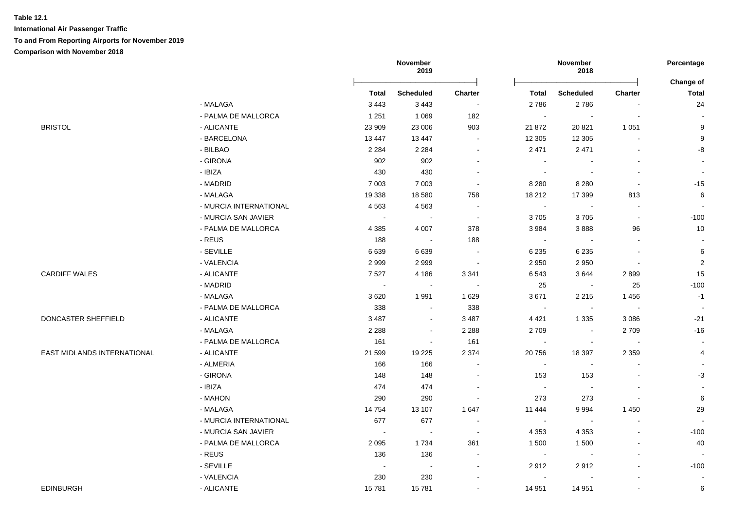# **Table 12.1 International Air Passenger Traffic To and From Reporting Airports for November 2019**

|                             |                        |              | November<br>2019 |                          |              | November<br>2018 |                | Percentage                |
|-----------------------------|------------------------|--------------|------------------|--------------------------|--------------|------------------|----------------|---------------------------|
|                             |                        | <b>Total</b> | <b>Scheduled</b> | <b>Charter</b>           | <b>Total</b> | <b>Scheduled</b> | <b>Charter</b> | Change of<br><b>Total</b> |
|                             | - MALAGA               | 3 4 4 3      | 3 4 4 3          | $\sim$                   | 2786         | 2786             | $\blacksquare$ | 24                        |
|                             | - PALMA DE MALLORCA    | 1 2 5 1      | 1 0 6 9          | 182                      | $\sim$       | $\sim$           | $\sim$         |                           |
| <b>BRISTOL</b>              | - ALICANTE             | 23 909       | 23 006           | 903                      | 21 872       | 20 821           | 1 0 5 1        | $\boldsymbol{9}$          |
|                             | - BARCELONA            | 13 4 4 7     | 13 447           | $\sim$                   | 12 305       | 12 3 05          |                | 9                         |
|                             | - BILBAO               | 2 2 8 4      | 2 2 8 4          | $\blacksquare$           | 2 4 7 1      | 2471             |                | -8                        |
|                             | - GIRONA               | 902          | 902              | $\blacksquare$           | $\sim$       |                  |                |                           |
|                             | - IBIZA                | 430          | 430              | $\sim$                   | $\sim$       |                  |                |                           |
|                             | - MADRID               | 7 0 0 3      | 7 0 0 3          | $\sim$                   | 8 2 8 0      | 8 2 8 0          | $\blacksquare$ | $-15$                     |
|                             | - MALAGA               | 19 338       | 18 580           | 758                      | 18 212       | 17 399           | 813            | 6                         |
|                             | - MURCIA INTERNATIONAL | 4563         | 4563             | $\sim$                   | $\sim$       | $\sim$           | $\mathbf{r}$   |                           |
|                             | - MURCIA SAN JAVIER    | $\sim$       | $\sim$           | $\sim$                   | 3705         | 3705             | $\mathbf{r}$   | $-100$                    |
|                             | - PALMA DE MALLORCA    | 4 3 8 5      | 4 0 0 7          | 378                      | 3 9 8 4      | 3888             | 96             | $10$                      |
|                             | - REUS                 | 188          | $\sim$           | 188                      | $\sim$       | $\sim$           | $\sim$         | $\overline{\phantom{a}}$  |
|                             | - SEVILLE              | 6639         | 6639             | $\sim$                   | 6 2 3 5      | 6 2 3 5          | $\blacksquare$ | 6                         |
|                             | - VALENCIA             | 2999         | 2999             | $\sim$                   | 2 9 5 0      | 2950             | $\sim$         | $\sqrt{2}$                |
| <b>CARDIFF WALES</b>        | - ALICANTE             | 7527         | 4 1 8 6          | 3 3 4 1                  | 6 5 4 3      | 3644             | 2899           | 15                        |
|                             | - MADRID               | $\sim$       | $\sim$           | $\sim$                   | 25           | $\sim$           | 25             | $-100$                    |
|                             | - MALAGA               | 3620         | 1991             | 1 6 2 9                  | 3671         | 2 2 1 5          | 1456           | $-1$                      |
|                             | - PALMA DE MALLORCA    | 338          | $\sim$           | 338                      | $\sim$       | $\sim$           | $\sim$         |                           |
| DONCASTER SHEFFIELD         | - ALICANTE             | 3 4 8 7      | $\sim$           | 3 4 8 7                  | 4 4 2 1      | 1 3 3 5          | 3 0 8 6        | $-21$                     |
|                             | - MALAGA               | 2 2 8 8      | $\sim$           | 2 2 8 8                  | 2709         | $\sim$           | 2709           | $-16$                     |
|                             | - PALMA DE MALLORCA    | 161          | $\sim$           | 161                      | $\sim$       | $\blacksquare$   | $\sim$         | $\blacksquare$            |
| EAST MIDLANDS INTERNATIONAL | - ALICANTE             | 21 599       | 19 225           | 2 3 7 4                  | 20 756       | 18 397           | 2 3 5 9        | 4                         |
|                             | - ALMERIA              | 166          | 166              | $\blacksquare$           | $\sim$       | $\blacksquare$   |                | $\overline{\phantom{a}}$  |
|                             | - GIRONA               | 148          | 148              | $\blacksquare$           | 153          | 153              |                | $-3$                      |
|                             | - IBIZA                | 474          | 474              |                          | $\sim$       | $\sim$           |                |                           |
|                             | - MAHON                | 290          | 290              | $\blacksquare$           | 273          | 273              |                | 6                         |
|                             | - MALAGA               | 14754        | 13 107           | 1 647                    | 11 444       | 9994             | 1 4 5 0        | 29                        |
|                             | - MURCIA INTERNATIONAL | 677          | 677              | $\overline{\phantom{a}}$ | $\sim$       | $\sim$           | $\sim$         | $\overline{\phantom{a}}$  |
|                             | - MURCIA SAN JAVIER    | $\sim$       | $\sim$           | $\sim$                   | 4 3 5 3      | 4 3 5 3          | $\blacksquare$ | $-100$                    |
|                             | - PALMA DE MALLORCA    | 2 0 9 5      | 1734             | 361                      | 1 500        | 1500             | $\blacksquare$ | 40                        |
|                             | - REUS                 | 136          | 136              | $\blacksquare$           | $\sim$       | $\sim$           | $\overline{a}$ |                           |
|                             | - SEVILLE              | $\sim$       | $\sim$           | $\sim$                   | 2912         | 2912             |                | $-100$                    |
|                             | - VALENCIA             | 230          | 230              | $\blacksquare$           | $\sim$       | $\sim$           |                | $\overline{\phantom{a}}$  |
| <b>EDINBURGH</b>            | - ALICANTE             | 15781        | 15781            | $\blacksquare$           | 14 951       | 14 951           | $\blacksquare$ | 6                         |
|                             |                        |              |                  |                          |              |                  |                |                           |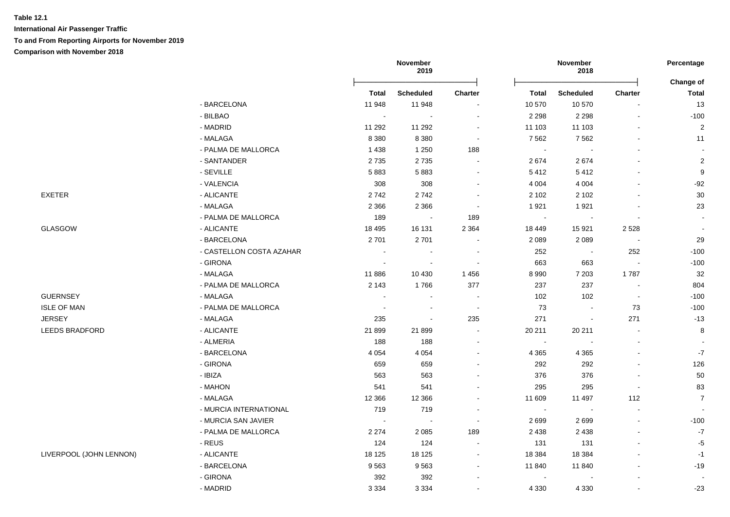**International Air Passenger Traffic**

**To and From Reporting Airports for November 2019**

|                         |                          | November<br>2019            |                  |                          | November<br>2018 |                  |                          |                                  |
|-------------------------|--------------------------|-----------------------------|------------------|--------------------------|------------------|------------------|--------------------------|----------------------------------|
|                         |                          | Total                       | <b>Scheduled</b> | <b>Charter</b>           | Total            | <b>Scheduled</b> | Charter                  | <b>Change of</b><br><b>Total</b> |
|                         | - BARCELONA              | 11 948                      | 11 948           | $\blacksquare$           | 10 570           | 10 570           |                          | 13                               |
|                         | - BILBAO                 | $\sim$                      | $\sim$           | $\blacksquare$           | 2 2 9 8          | 2 2 9 8          |                          | $-100$                           |
|                         | - MADRID                 | 11 292                      | 11 292           | $\overline{\phantom{a}}$ | 11 103           | 11 103           |                          | $\overline{2}$                   |
|                         | - MALAGA                 | 8 3 8 0                     | 8 3 8 0          | $\blacksquare$           | 7 5 6 2          | 7 5 6 2          |                          | 11                               |
|                         | - PALMA DE MALLORCA      | 1438                        | 1 2 5 0          | 188                      | $\blacksquare$   |                  |                          | $\sim$                           |
|                         | - SANTANDER              | 2735                        | 2735             |                          | 2674             | 2674             |                          | $\overline{2}$                   |
|                         | - SEVILLE                | 5883                        | 5883             | $\overline{\phantom{a}}$ | 5412             | 5412             |                          | $\boldsymbol{9}$                 |
|                         | - VALENCIA               | 308                         | 308              | $\blacksquare$           | 4 0 0 4          | 4 0 0 4          |                          | $-92$                            |
| EXETER                  | - ALICANTE               | 2742                        | 2742             | $\overline{\phantom{a}}$ | 2 1 0 2          | 2 1 0 2          |                          | 30                               |
|                         | - MALAGA                 | 2 3 6 6                     | 2 3 6 6          | $\sim$                   | 1921             | 1921             |                          | 23                               |
|                         | - PALMA DE MALLORCA      | 189                         |                  | 189                      | $\sim$           |                  |                          |                                  |
| GLASGOW                 | - ALICANTE               | 18 4 95                     | 16 131           | 2 3 6 4                  | 18 449           | 15 9 21          | 2528                     |                                  |
|                         | - BARCELONA              | 2701                        | 2701             |                          | 2 0 8 9          | 2 0 8 9          | $\overline{\phantom{a}}$ | 29                               |
|                         | - CASTELLON COSTA AZAHAR | $\sim$                      | $\sim$           | $\overline{\phantom{a}}$ | 252              | $\sim$           | 252                      | $-100$                           |
|                         | - GIRONA                 | $\mathcal{L}_{\mathcal{A}}$ | $\sim$           | $\blacksquare$           | 663              | 663              | $\mathbf{r}$             | $-100$                           |
|                         | - MALAGA                 | 11886                       | 10 430           | 1 4 5 6                  | 8 9 9 0          | 7 2 0 3          | 1787                     | 32                               |
|                         | - PALMA DE MALLORCA      | 2 1 4 3                     | 1766             | 377                      | 237              | 237              | $\sim$                   | 804                              |
| <b>GUERNSEY</b>         | - MALAGA                 | $\sim$                      | $\blacksquare$   | $\blacksquare$           | 102              | 102              | $\blacksquare$           | $-100$                           |
| <b>ISLE OF MAN</b>      | - PALMA DE MALLORCA      | $\sim$                      |                  | $\sim$                   | 73               |                  | 73                       | $-100$                           |
| <b>JERSEY</b>           | - MALAGA                 | 235                         | $\sim$           | 235                      | 271              | $\blacksquare$   | 271                      | $-13$                            |
| LEEDS BRADFORD          | - ALICANTE               | 21 899                      | 21 899           | $\overline{\phantom{a}}$ | 20 211           | 20 211           | $\overline{\phantom{a}}$ | $\bf8$                           |
|                         | - ALMERIA                | 188                         | 188              | $\blacksquare$           | $\blacksquare$   |                  |                          |                                  |
|                         | - BARCELONA              | 4 0 5 4                     | 4 0 5 4          |                          | 4 3 6 5          | 4 3 6 5          |                          | $-7$                             |
|                         | - GIRONA                 | 659                         | 659              |                          | 292              | 292              |                          | 126                              |
|                         | $-$ IBIZA                | 563                         | 563              |                          | 376              | 376              |                          | 50                               |
|                         | - MAHON                  | 541                         | 541              |                          | 295              | 295              |                          | 83                               |
|                         | - MALAGA                 | 12 3 66                     | 12 3 66          |                          | 11 609           | 11 497           | 112                      | $\overline{7}$                   |
|                         | - MURCIA INTERNATIONAL   | 719                         | 719              | $\sim$                   | $\sim$           | $\sim$           |                          | $\overline{a}$                   |
|                         | - MURCIA SAN JAVIER      | $\sim$                      | $\sim$           | $\sim$                   | 2699             | 2699             |                          | $-100$                           |
|                         | - PALMA DE MALLORCA      | 2 2 7 4                     | 2 0 8 5          | 189                      | 2 4 3 8          | 2 4 3 8          |                          | $\mathbf{-7}$                    |
|                         | - REUS                   | 124                         | 124              | $\blacksquare$           | 131              | 131              |                          | $-5$                             |
| LIVERPOOL (JOHN LENNON) | - ALICANTE               | 18 125                      | 18 125           | $\overline{\phantom{a}}$ | 18 3 84          | 18 3 84          |                          | $-1$                             |
|                         | - BARCELONA              | 9563                        | 9563             | $\overline{\phantom{a}}$ | 11 840           | 11 840           |                          | $-19$                            |
|                         | - GIRONA                 | 392                         | 392              |                          | $\blacksquare$   |                  |                          |                                  |
|                         | - MADRID                 | 3 3 3 4                     | 3 3 3 4          |                          | 4 3 3 0          | 4 3 3 0          |                          | $-23$                            |
|                         |                          |                             |                  |                          |                  |                  |                          |                                  |

LIVERPOOL (JOHN LENNON)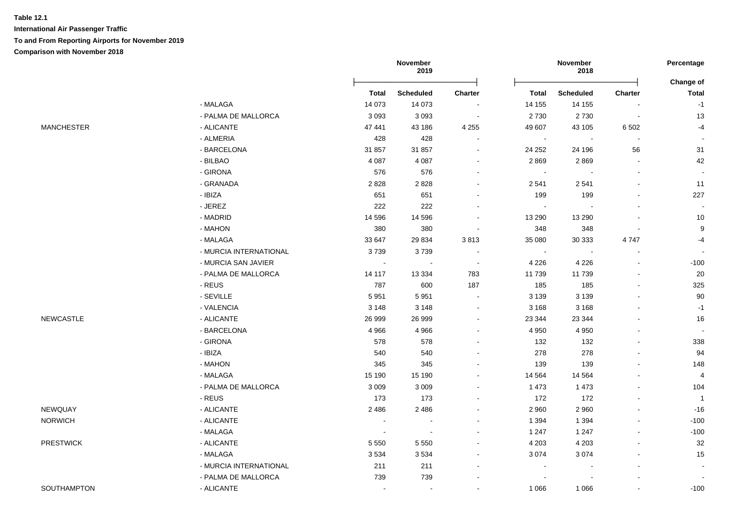|                   |                        |                | November<br>2019 |                          |              | November<br>2018 |                          | Percentage                |
|-------------------|------------------------|----------------|------------------|--------------------------|--------------|------------------|--------------------------|---------------------------|
|                   |                        | <b>Total</b>   | <b>Scheduled</b> | Charter                  | <b>Total</b> | <b>Scheduled</b> | Charter                  | Change of<br><b>Total</b> |
|                   | - MALAGA               | 14 073         | 14 0 73          |                          | 14 155       | 14 155           |                          | $-1$                      |
|                   | - PALMA DE MALLORCA    | 3093           | 3093             | $\sim$                   | 2730         | 2730             | $\sim$                   | 13                        |
| <b>MANCHESTER</b> | - ALICANTE             | 47 441         | 43 186           | 4 2 5 5                  | 49 607       | 43 105           | 6 5 0 2                  | $-4$                      |
|                   | - ALMERIA              | 428            | 428              | $\blacksquare$           | $\sim$       | $\blacksquare$   | $\sim$                   | $\sim$                    |
|                   | - BARCELONA            | 31 857         | 31 857           | $\overline{\phantom{a}}$ | 24 25 2      | 24 196           | 56                       | 31                        |
|                   | - BILBAO               | 4 0 8 7        | 4 0 8 7          | $\blacksquare$           | 2869         | 2869             | $\sim$                   | 42                        |
|                   | - GIRONA               | 576            | 576              | $\blacksquare$           | $\sim$       |                  |                          | $\overline{\phantom{a}}$  |
|                   | - GRANADA              | 2828           | 2828             | $\blacksquare$           | 2 5 4 1      | 2541             |                          | 11                        |
|                   | - IBIZA                | 651            | 651              |                          | 199          | 199              |                          | 227                       |
|                   | - JEREZ                | 222            | 222              |                          | $\sim$       |                  |                          |                           |
|                   | - MADRID               | 14 5 96        | 14 5 96          |                          | 13 290       | 13 290           |                          | 10                        |
|                   | - MAHON                | 380            | 380              |                          | 348          | 348              |                          | $\boldsymbol{9}$          |
|                   | - MALAGA               | 33 647         | 29 8 34          | 3813                     | 35 080       | 30 333           | 4747                     | $-4$                      |
|                   | - MURCIA INTERNATIONAL | 3739           | 3739             | $\overline{\phantom{a}}$ | $\sim$       |                  |                          |                           |
|                   | - MURCIA SAN JAVIER    | $\sim$         |                  | $\sim$                   | 4 2 2 6      | 4 2 2 6          |                          | $-100$                    |
|                   | - PALMA DE MALLORCA    | 14 117         | 13 3 34          | 783                      | 11 739       | 11739            | $\blacksquare$           | 20                        |
|                   | - REUS                 | 787            | 600              | 187                      | 185          | 185              | $\mathbf{r}$             | 325                       |
|                   | - SEVILLE              | 5951           | 5951             | $\sim$                   | 3 1 3 9      | 3 1 3 9          |                          | 90                        |
|                   | - VALENCIA             | 3 1 4 8        | 3 1 4 8          | $\sim$                   | 3 1 6 8      | 3 1 6 8          |                          | $-1$                      |
| NEWCASTLE         | - ALICANTE             | 26 999         | 26 999           | $\blacksquare$           | 23 344       | 23 344           |                          | 16                        |
|                   | - BARCELONA            | 4 9 6 6        | 4 9 6 6          | $\blacksquare$           | 4 9 5 0      | 4 9 5 0          |                          |                           |
|                   | - GIRONA               | 578            | 578              | $\blacksquare$           | 132          | 132              |                          | 338                       |
|                   | - IBIZA                | 540            | 540              |                          | 278          | 278              |                          | 94                        |
|                   | - MAHON                | 345            | 345              |                          | 139          | 139              |                          | 148                       |
|                   | - MALAGA               | 15 190         | 15 190           |                          | 14 5 64      | 14 5 64          |                          | $\overline{4}$            |
|                   | - PALMA DE MALLORCA    | 3 0 0 9        | 3 0 0 9          | $\blacksquare$           | 1 4 7 3      | 1 4 7 3          | $\sim$                   | 104                       |
|                   | - REUS                 | 173            | 173              | $\blacksquare$           | 172          | 172              | $\blacksquare$           | $\overline{1}$            |
| NEWQUAY           | - ALICANTE             | 2486           | 2 4 8 6          | $\blacksquare$           | 2 9 6 0      | 2 9 6 0          | $\overline{\phantom{a}}$ | $-16$                     |
| <b>NORWICH</b>    | - ALICANTE             | $\blacksquare$ |                  | $\blacksquare$           | 1 3 9 4      | 1 3 9 4          |                          | $-100$                    |
|                   | - MALAGA               | $\blacksquare$ |                  |                          | 1 2 4 7      | 1 2 4 7          |                          | $-100$                    |
| <b>PRESTWICK</b>  | - ALICANTE             | 5 5 5 0        | 5 5 5 0          |                          | 4 2 0 3      | 4 2 0 3          |                          | 32                        |
|                   | - MALAGA               | 3534           | 3534             |                          | 3 0 7 4      | 3074             |                          | 15                        |
|                   | - MURCIA INTERNATIONAL | 211            | 211              |                          |              |                  |                          |                           |
|                   | - PALMA DE MALLORCA    | 739            | 739              |                          |              |                  |                          |                           |
| SOUTHAMPTON       | - ALICANTE             |                |                  |                          | 1 0 6 6      | 1 0 6 6          |                          | $-100$                    |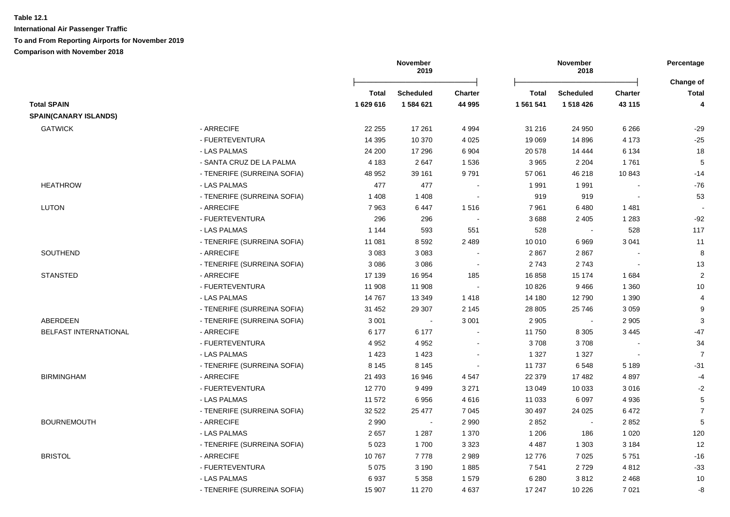| <b>Charter</b><br>43 115 | Change of<br>Total |
|--------------------------|--------------------|
|                          |                    |
|                          | 4                  |
|                          |                    |
| 6 2 6 6                  | $-29$              |
| 4 1 7 3                  | $-25$              |
| 6 1 3 4                  | 18                 |
| 1761                     | $\mathbf 5$        |
| 10 843                   | $-14$              |
|                          | $-76$              |
|                          | 53                 |
| 1481                     |                    |
| 1 2 8 3                  | $-92$              |
| 528                      | 117                |
| 3 0 4 1                  | 11                 |
|                          | 8                  |
|                          | 13                 |
| 1684                     | $\sqrt{2}$         |
| 1 3 6 0                  | $10$               |
| 1 3 9 0                  | 4                  |
| 3 0 5 9                  | 9                  |
| 2 9 0 5                  | 3                  |
| 3 4 4 5                  | $-47$              |
|                          | 34                 |
|                          | $\overline{7}$     |
| 5 1 8 9                  | $-31$              |
| 4897                     | $-4$               |
| 3016                     | $-2$               |
| 4 9 3 6                  | 5                  |
| 6472                     | $\overline{7}$     |
| 2852                     | 5                  |
| 1 0 2 0                  | 120                |
| 3 1 8 4                  | 12                 |
| 5751                     | $-16$              |
|                          | $-33$              |
|                          |                    |
| 2 4 6 8                  | 10                 |
|                          | 4812               |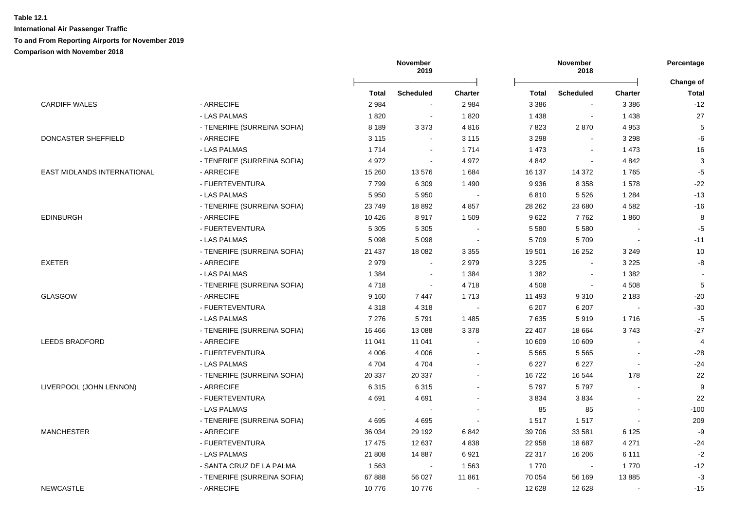|                                    |                             |         | November<br>2019 |                | November<br>2018 |                  | Percentage<br>Change of  |                |
|------------------------------------|-----------------------------|---------|------------------|----------------|------------------|------------------|--------------------------|----------------|
|                                    |                             | Total   | <b>Scheduled</b> | <b>Charter</b> | Total            | <b>Scheduled</b> | <b>Charter</b>           | <b>Total</b>   |
| <b>CARDIFF WALES</b>               | - ARRECIFE                  | 2984    |                  | 2 9 8 4        | 3 3 8 6          |                  | 3 3 8 6                  | $-12$          |
|                                    | - LAS PALMAS                | 1820    | $\sim$           | 1820           | 1 4 3 8          | $\blacksquare$   | 1 4 3 8                  | 27             |
|                                    | - TENERIFE (SURREINA SOFIA) | 8 1 8 9 | 3 3 7 3          | 4816           | 7823             | 2870             | 4 9 5 3                  | 5              |
| DONCASTER SHEFFIELD                | - ARRECIFE                  | 3 1 1 5 | $\sim$           | 3 1 1 5        | 3 2 9 8          | $\blacksquare$   | 3 2 9 8                  | -6             |
|                                    | - LAS PALMAS                | 1 7 1 4 | $\sim$           | 1714           | 1 4 7 3          | $\sim$           | 1 4 7 3                  | 16             |
|                                    | - TENERIFE (SURREINA SOFIA) | 4 9 7 2 | $\sim$           | 4 9 7 2        | 4 8 4 2          | $\sim$           | 4 8 4 2                  | 3              |
| <b>EAST MIDLANDS INTERNATIONAL</b> | - ARRECIFE                  | 15 260  | 13576            | 1684           | 16 137           | 14 372           | 1765                     | $-5$           |
|                                    | - FUERTEVENTURA             | 7799    | 6 3 0 9          | 1 4 9 0        | 9936             | 8 3 5 8          | 1578                     | $-22$          |
|                                    | - LAS PALMAS                | 5 9 5 0 | 5950             |                | 6810             | 5 5 2 6          | 1 2 8 4                  | $-13$          |
|                                    | - TENERIFE (SURREINA SOFIA) | 23749   | 18 8 9 2         | 4 8 5 7        | 28 262           | 23 680           | 4582                     | $-16$          |
| <b>EDINBURGH</b>                   | - ARRECIFE                  | 10 4 26 | 8917             | 1 509          | 9622             | 7762             | 1860                     | 8              |
|                                    | - FUERTEVENTURA             | 5 3 0 5 | 5 3 0 5          |                | 5 5 8 0          | 5 5 8 0          |                          | $-5$           |
|                                    | - LAS PALMAS                | 5 0 9 8 | 5 0 9 8          |                | 5709             | 5709             |                          | $-11$          |
|                                    | - TENERIFE (SURREINA SOFIA) | 21 437  | 18 0 82          | 3 3 5 5        | 19 501           | 16 25 2          | 3 2 4 9                  | 10             |
| <b>EXETER</b>                      | - ARRECIFE                  | 2979    |                  | 2979           | 3 2 2 5          |                  | 3 2 2 5                  | -8             |
|                                    | - LAS PALMAS                | 1 3 8 4 | $\sim$           | 1 3 8 4        | 1 3 8 2          |                  | 1 3 8 2                  |                |
|                                    | - TENERIFE (SURREINA SOFIA) | 4718    | $\sim$           | 4718           | 4 5 0 8          | $\sim$           | 4 5 0 8                  | 5              |
| GLASGOW                            | - ARRECIFE                  | 9 1 6 0 | 7447             | 1713           | 11 493           | 9310             | 2 1 8 3                  | $-20$          |
|                                    | - FUERTEVENTURA             | 4 3 1 8 | 4 3 1 8          |                | 6 207            | 6 207            |                          | $-30$          |
|                                    | - LAS PALMAS                | 7 2 7 6 | 5791             | 1 4 8 5        | 7635             | 5919             | 1716                     | $-5$           |
|                                    | - TENERIFE (SURREINA SOFIA) | 16 4 66 | 13 088           | 3 3 7 8        | 22 407           | 18 6 64          | 3743                     | $-27$          |
| <b>LEEDS BRADFORD</b>              | - ARRECIFE                  | 11 041  | 11 041           |                | 10 609           | 10 609           |                          | $\overline{4}$ |
|                                    | - FUERTEVENTURA             | 4 0 0 6 | 4 0 0 6          |                | 5 5 6 5          | 5 5 6 5          |                          | $-28$          |
|                                    | - LAS PALMAS                | 4704    | 4704             |                | 6 2 2 7          | 6 2 2 7          | $\overline{\phantom{a}}$ | $-24$          |
|                                    | - TENERIFE (SURREINA SOFIA) | 20 337  | 20 337           |                | 16722            | 16 544           | 178                      | 22             |
| LIVERPOOL (JOHN LENNON)            | - ARRECIFE                  | 6315    | 6315             |                | 5797             | 5797             |                          | 9              |
|                                    | - FUERTEVENTURA             | 4691    | 4691             |                | 3834             | 3834             |                          | 22             |
|                                    | - LAS PALMAS                |         |                  |                | 85               | 85               |                          | $-100$         |
|                                    | - TENERIFE (SURREINA SOFIA) | 4695    | 4695             |                | 1517             | 1517             |                          | 209            |
| <b>MANCHESTER</b>                  | - ARRECIFE                  | 36 034  | 29 192           | 6842           | 39 706           | 33 581           | 6 1 2 5                  | -9             |
|                                    | - FUERTEVENTURA             | 17 475  | 12 637           | 4838           | 22 958           | 18 687           | 4 2 7 1                  | $-24$          |
|                                    | - LAS PALMAS                | 21 808  | 14 8 87          | 6921           | 22 317           | 16 206           | 6 1 1 1                  | $-2$           |
|                                    | - SANTA CRUZ DE LA PALMA    | 1 5 6 3 | $\sim$           | 1563           | 1770             |                  | 1770                     | $-12$          |
|                                    | - TENERIFE (SURREINA SOFIA) | 67888   | 56 027           | 11 861         | 70 054           | 56 169           | 13885                    | $-3$           |
| <b>NEWCASTLE</b>                   | - ARRECIFE                  | 10776   | 10776            |                | 12 628           | 12 6 28          |                          | $-15$          |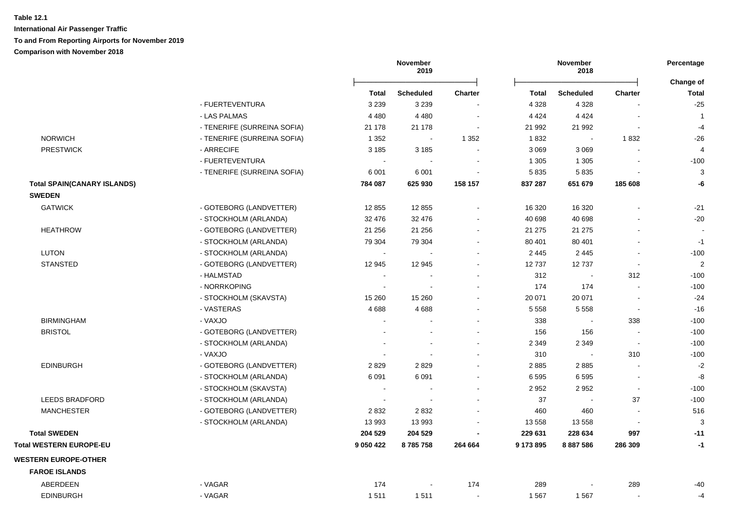|                                    |                             |                          | November<br>2019 |                          |              | November<br>2018 |                          | Percentage                |
|------------------------------------|-----------------------------|--------------------------|------------------|--------------------------|--------------|------------------|--------------------------|---------------------------|
|                                    |                             | <b>Total</b>             | <b>Scheduled</b> | <b>Charter</b>           | <b>Total</b> | <b>Scheduled</b> | <b>Charter</b>           | Change of<br><b>Total</b> |
|                                    | - FUERTEVENTURA             | 3 2 3 9                  | 3 2 3 9          |                          | 4 3 2 8      | 4 3 2 8          |                          | $-25$                     |
|                                    | - LAS PALMAS                | 4 4 8 0                  | 4 4 8 0          | $\overline{\phantom{a}}$ | 4 4 2 4      | 4 4 2 4          |                          | -1                        |
|                                    | - TENERIFE (SURREINA SOFIA) | 21 178                   | 21 178           | $\blacksquare$           | 21 992       | 21 992           |                          | $-4$                      |
| <b>NORWICH</b>                     | - TENERIFE (SURREINA SOFIA) | 1 3 5 2                  | $\blacksquare$   | 1 3 5 2                  | 1832         |                  | 1832                     | $-26$                     |
| <b>PRESTWICK</b>                   | - ARRECIFE                  | 3 1 8 5                  | 3 1 8 5          |                          | 3 0 6 9      | 3 0 6 9          |                          | $\overline{4}$            |
|                                    | - FUERTEVENTURA             |                          |                  |                          | 1 3 0 5      | 1 3 0 5          |                          | $-100$                    |
|                                    | - TENERIFE (SURREINA SOFIA) | 6 0 0 1                  | 6 0 0 1          |                          | 5835         | 5835             |                          | 3                         |
| <b>Total SPAIN(CANARY ISLANDS)</b> |                             | 784 087                  | 625 930          | 158 157                  | 837 287      | 651 679          | 185 608                  | -6                        |
| <b>SWEDEN</b>                      |                             |                          |                  |                          |              |                  |                          |                           |
| <b>GATWICK</b>                     | - GOTEBORG (LANDVETTER)     | 12 8 55                  | 12 855           |                          | 16 320       | 16 3 20          |                          | $-21$                     |
|                                    | - STOCKHOLM (ARLANDA)       | 32 476                   | 32 476           |                          | 40 698       | 40 698           |                          | $-20$                     |
| <b>HEATHROW</b>                    | - GOTEBORG (LANDVETTER)     | 21 25 6                  | 21 256           |                          | 21 275       | 21 275           |                          |                           |
|                                    | - STOCKHOLM (ARLANDA)       | 79 304                   | 79 304           |                          | 80 401       | 80 401           |                          | $-1$                      |
| <b>LUTON</b>                       | - STOCKHOLM (ARLANDA)       | $\sim$                   |                  |                          | 2 4 4 5      | 2 4 4 5          |                          | $-100$                    |
| <b>STANSTED</b>                    | - GOTEBORG (LANDVETTER)     | 12 945                   | 12 945           |                          | 12737        | 12737            | $\sim$                   | $\boldsymbol{2}$          |
|                                    | - HALMSTAD                  | $\sim$                   |                  |                          | 312          |                  | 312                      | $-100$                    |
|                                    | - NORRKOPING                |                          |                  |                          | 174          | 174              |                          | $-100$                    |
|                                    | - STOCKHOLM (SKAVSTA)       | 15 260                   | 15 260           |                          | 20 071       | 20 071           |                          | $-24$                     |
|                                    | - VASTERAS                  | 4688                     | 4688             |                          | 5 5 5 8      | 5 5 5 8          | $\blacksquare$           | $-16$                     |
| <b>BIRMINGHAM</b>                  | - VAXJO                     | $\overline{a}$           |                  |                          | 338          |                  | 338                      | $-100$                    |
| <b>BRISTOL</b>                     | - GOTEBORG (LANDVETTER)     |                          |                  |                          | 156          | 156              |                          | $-100$                    |
|                                    | - STOCKHOLM (ARLANDA)       |                          |                  |                          | 2 3 4 9      | 2 3 4 9          | $\overline{\phantom{a}}$ | $-100$                    |
|                                    | - VAXJO                     |                          |                  |                          | 310          |                  | 310                      | $-100$                    |
| <b>EDINBURGH</b>                   | - GOTEBORG (LANDVETTER)     | 2829                     | 2829             |                          | 2885         | 2885             |                          | $-2$                      |
|                                    | - STOCKHOLM (ARLANDA)       | 6 0 9 1                  | 6 0 9 1          |                          | 6595         | 6595             | $\blacksquare$           | -8                        |
|                                    | - STOCKHOLM (SKAVSTA)       | $\overline{\phantom{a}}$ |                  |                          | 2 9 5 2      | 2952             | $\blacksquare$           | $-100$                    |
| <b>LEEDS BRADFORD</b>              | - STOCKHOLM (ARLANDA)       |                          |                  |                          | 37           |                  | 37                       | $-100$                    |
| <b>MANCHESTER</b>                  | - GOTEBORG (LANDVETTER)     | 2832                     | 2832             |                          | 460          | 460              | $\overline{\phantom{a}}$ | 516                       |
|                                    | - STOCKHOLM (ARLANDA)       | 13 993                   | 13 993           | $\sim$                   | 13 558       | 13 558           | $\sim$                   | 3                         |
| <b>Total SWEDEN</b>                |                             | 204 529                  | 204 529          |                          | 229 631      | 228 634          | 997                      | $-11$                     |
| Total WESTERN EUROPE-EU            |                             | 9 0 5 0 4 2 2            | 8785758          | 264 664                  | 9 173 895    | 8 887 586        | 286 309                  | $-1$                      |
| <b>WESTERN EUROPE-OTHER</b>        |                             |                          |                  |                          |              |                  |                          |                           |
| <b>FAROE ISLANDS</b>               |                             |                          |                  |                          |              |                  |                          |                           |
| <b>ABERDEEN</b>                    | - VAGAR                     | 174                      |                  | 174                      | 289          |                  | 289                      | $-40$                     |
| <b>EDINBURGH</b>                   | - VAGAR                     | 1511                     | 1511             |                          | 1 5 6 7      | 1567             |                          | $-4$                      |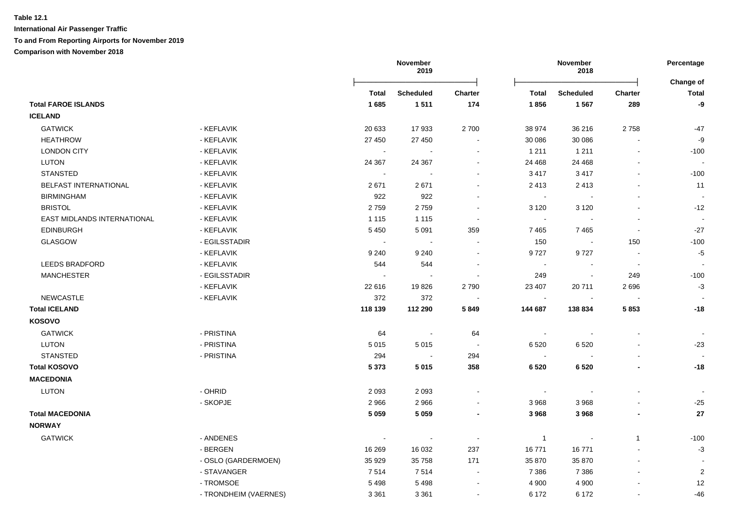**November 2019 November 2018 Percentage** Ōņņņņņņņņņņņņņņņņņņņņņņņņō Ōņņņņņņņņņņņņņņņņņņņņņņņņō **Change of Total Scheduled Charter Total Scheduled Charter Total Total FAROE ISLANDS 1 685 1 511 174 1 856 1 567 289 -9 ICELAND** GATWICK - KEFLAVIK 20 633 17 933 2 700 38 974 36 216 2 758 -47 HEATHROW - KEFLAVIK 27 450 27 450 - 30 086 30 086 - -9 LONDON CITY - KEFLAVIK - - - 1 211 1 211 - -100 - المستشر التي تحت التي تحت التي تحت التي تحت التي تحت التي تحت التي تحت التي تحت التي تحت التي تحت التي تحت ا STANSTED - KEFLAVIK - - - 3 417 3 417 - -100 BELFAST INTERNATIONAL - KEFLAVIK 2 671 2 671 - 2 413 2 413 - 11 BIRMINGHAM - KEFLAVIK 922 922 - - - - - BRISTOL - KEFLAVIK 2 759 2 759 - 3 120 3 120 - -12 EAST MIDI ANDS INTERNATIONAL THE SEFLAVIK THE CONTROL OF THE LATER THAT IS A RESERVED ON THE CONTROL OF THE CONTROL OF THE CONTROL OF THE CONTROL OF THE CONTROL OF THE CONTROL OF THE CONTROL OF THE CONTROL OF THE CONTROL O EDINBURGH - KEFLAVIK 5 450 5 091 359 7 465 7 465 - -27 GLASGOW - EGILSSTADIR - - - 150 - 150 -100 GLASGOW - KEFLAVIK 9 240 9 240 - 9 727 9 727 - -5 LEEDS BRADFORD - KEFLAVIK 544 544 - - - - - MANCHESTER - EGILSSTADIR - - - 249 - 249 -100 MANCHESTER - KEFLAVIK 22 616 19 826 2 790 23 407 20 711 2 696 -3 NEWCASTLE - KEFLAVIK 372 372 - - - - -  **Total ICELAND 118 139 112 290 5 849 144 687 138 834 5 853 -18 KOSOVO** GATWICK - PRISTINA 64 - 64 - - - - LUTON - PRISTINA 5 015 5 015 - 6 520 6 520 - -23 STANSTED - PRISTINA 294 - 294 - - - -  **Total KOSOVO 5 373 5 015 358 6 520 6 520 - -18 MACEDONIA** LUTON - OHRID 2 093 2 093 - - - - - LUTON - SKOPJE 2 966 2 966 - 3 968 3 968 - -25  **Total MACEDONIA 5 059 5 059 - 3 968 3 968 - 27 NORWAY** GATWICK - ANDENES - - - 1 - 1 -100 GATWICK - BERGEN 16 269 16 032 237 16 771 16 771 - -3 GATWICK - OSLO (GARDERMOEN) 35 929 35 758 171 35 870 35 870 - - GATWICK - STAVANGER 7 514 7 514 - 7 386 7 386 - 2 GATWICK - TROMSOE 5 498 5 498 - 4 900 4 900 - 12

- TRONDHEIM (VAERNES) 3 361 3 361 6 172 6 172 - - -46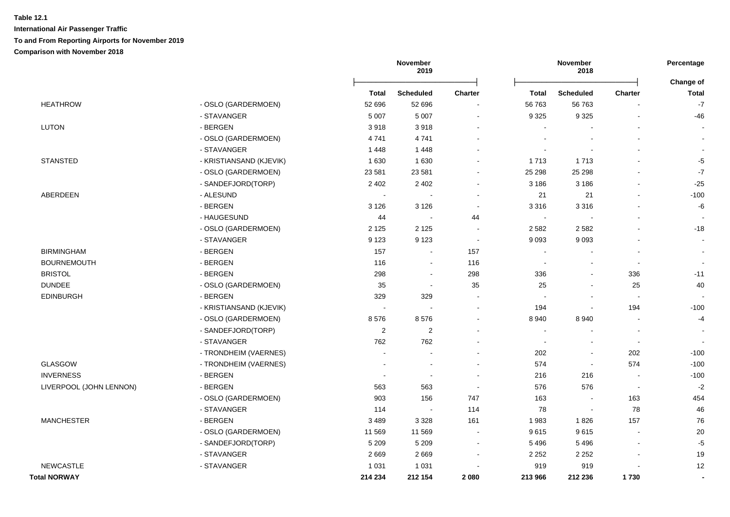|                         |                         |                | November<br>2019         |         |                          | November<br>2018 |                          | Percentage                |
|-------------------------|-------------------------|----------------|--------------------------|---------|--------------------------|------------------|--------------------------|---------------------------|
|                         |                         | <b>Total</b>   | <b>Scheduled</b>         | Charter | <b>Total</b>             | <b>Scheduled</b> | Charter                  | Change of<br><b>Total</b> |
| <b>HEATHROW</b>         | - OSLO (GARDERMOEN)     | 52 696         | 52 696                   |         | 56 763                   | 56763            |                          | $-7$                      |
|                         | - STAVANGER             | 5 0 0 7        | 5 0 0 7                  |         | 9 3 2 5                  | 9 3 2 5          |                          | $-46$                     |
| <b>LUTON</b>            | - BERGEN                | 3918           | 3918                     |         |                          |                  |                          |                           |
|                         | - OSLO (GARDERMOEN)     | 4741           | 4741                     |         |                          |                  |                          |                           |
|                         | - STAVANGER             | 1448           | 1448                     |         |                          |                  |                          |                           |
| <b>STANSTED</b>         | - KRISTIANSAND (KJEVIK) | 1630           | 1630                     |         | 1 7 1 3                  | 1713             |                          | $-5$                      |
|                         | - OSLO (GARDERMOEN)     | 23 581         | 23 5 81                  |         | 25 298                   | 25 298           | $\blacksquare$           | $-7$                      |
|                         | - SANDEFJORD(TORP)      | 2 4 0 2        | 2 4 0 2                  |         | 3 1 8 6                  | 3 1 8 6          |                          | $-25$                     |
| ABERDEEN                | - ALESUND               | $\sim$         | $\blacksquare$           |         | 21                       | 21               | $\blacksquare$           | $-100$                    |
|                         | - BERGEN                | 3 1 2 6        | 3 1 2 6                  | $\sim$  | 3 3 1 6                  | 3316             | $\sim$                   | $-6$                      |
|                         | - HAUGESUND             | 44             | $\overline{\phantom{a}}$ | 44      | $\sim$                   |                  |                          |                           |
|                         | - OSLO (GARDERMOEN)     | 2 1 2 5        | 2 1 2 5                  | $\sim$  | 2 5 8 2                  | 2582             |                          | $-18$                     |
|                         | - STAVANGER             | 9 1 2 3        | 9 1 2 3                  | $\sim$  | 9 0 9 3                  | 9093             |                          | $\overline{\phantom{a}}$  |
| <b>BIRMINGHAM</b>       | - BERGEN                | 157            | $\overline{\phantom{a}}$ | 157     | $\overline{\phantom{a}}$ |                  | $\sim$                   | $\sim$                    |
| <b>BOURNEMOUTH</b>      | - BERGEN                | 116            | $\sim$                   | 116     | $\blacksquare$           |                  | $\overline{\phantom{a}}$ |                           |
| <b>BRISTOL</b>          | - BERGEN                | 298            | $\sim$                   | 298     | 336                      |                  | 336                      | $-11$                     |
| <b>DUNDEE</b>           | - OSLO (GARDERMOEN)     | 35             | $\sim$                   | 35      | 25                       |                  | 25                       | 40                        |
| <b>EDINBURGH</b>        | - BERGEN                | 329            | 329                      |         | $\sim$                   |                  | $\sim$                   |                           |
|                         | - KRISTIANSAND (KJEVIK) |                | $\blacksquare$           |         | 194                      |                  | 194                      | $-100$                    |
|                         | - OSLO (GARDERMOEN)     | 8576           | 8576                     |         | 8940                     | 8940             | $\blacksquare$           | $-4$                      |
|                         | - SANDEFJORD(TORP)      | $\overline{2}$ | 2                        |         | $\sim$                   |                  | $\sim$                   |                           |
|                         | - STAVANGER             | 762            | 762                      |         | $\sim$                   |                  | $\sim$                   |                           |
|                         | - TRONDHEIM (VAERNES)   |                | $\sim$                   |         | 202                      |                  | 202                      | $-100$                    |
| GLASGOW                 | - TRONDHEIM (VAERNES)   |                | $\overline{\phantom{a}}$ |         | 574                      | $\sim$           | 574                      | $-100$                    |
| <b>INVERNESS</b>        | - BERGEN                |                | $\sim$                   |         | 216                      | 216              | $\blacksquare$           | $-100$                    |
| LIVERPOOL (JOHN LENNON) | - BERGEN                | 563            | 563                      |         | 576                      | 576              | $\overline{\phantom{a}}$ | $-2$                      |
|                         | - OSLO (GARDERMOEN)     | 903            | 156                      | 747     | 163                      |                  | 163                      | 454                       |
|                         | - STAVANGER             | 114            | $\sim$                   | 114     | 78                       | $\sim$           | 78                       | 46                        |
| <b>MANCHESTER</b>       | - BERGEN                | 3 4 8 9        | 3 3 2 8                  | 161     | 1983                     | 1826             | 157                      | 76                        |
|                         | - OSLO (GARDERMOEN)     | 11 569         | 11 569                   |         | 9615                     | 9615             | $\blacksquare$           | 20                        |
|                         | - SANDEFJORD(TORP)      | 5 2 0 9        | 5 2 0 9                  |         | 5 4 9 6                  | 5 4 9 6          | $\blacksquare$           | $-5$                      |
|                         | - STAVANGER             | 2669           | 2669                     |         | 2 2 5 2                  | 2 2 5 2          |                          | 19                        |
| <b>NEWCASTLE</b>        | - STAVANGER             | 1 0 3 1        | 1 0 3 1                  |         | 919                      | 919              | $\sim$                   | 12                        |
| <b>Total NORWAY</b>     |                         | 214 234        | 212 154                  | 2 0 8 0 | 213 966                  | 212 236          | 1730                     |                           |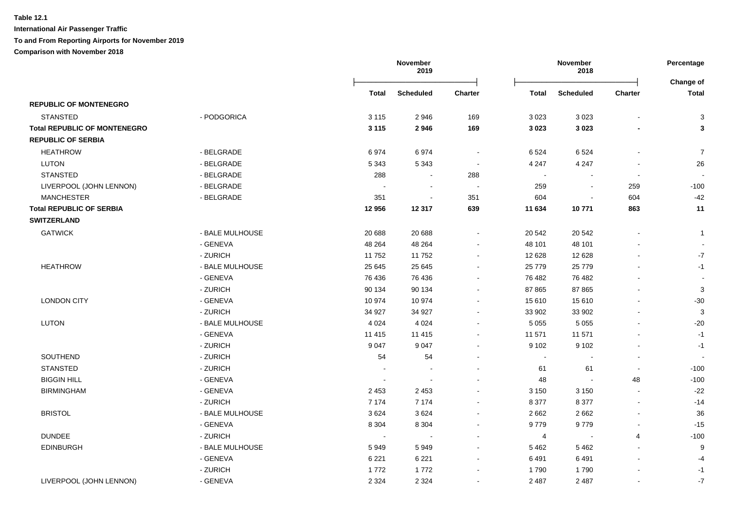|                                     |                 |              | November<br>2019 |                          | November<br>2018         |                  | Percentage     |                           |
|-------------------------------------|-----------------|--------------|------------------|--------------------------|--------------------------|------------------|----------------|---------------------------|
|                                     |                 | <b>Total</b> | <b>Scheduled</b> | <b>Charter</b>           | <b>Total</b>             | <b>Scheduled</b> | <b>Charter</b> | Change of<br><b>Total</b> |
| <b>REPUBLIC OF MONTENEGRO</b>       |                 |              |                  |                          |                          |                  |                |                           |
| <b>STANSTED</b>                     | - PODGORICA     | 3 1 1 5      | 2946             | 169                      | 3 0 2 3                  | 3 0 2 3          |                | 3                         |
| <b>Total REPUBLIC OF MONTENEGRO</b> |                 | 3 1 1 5      | 2946             | 169                      | 3 0 2 3                  | 3 0 2 3          |                | 3                         |
| <b>REPUBLIC OF SERBIA</b>           |                 |              |                  |                          |                          |                  |                |                           |
| <b>HEATHROW</b>                     | - BELGRADE      | 6974         | 6974             | $\overline{\phantom{a}}$ | 6 5 24                   | 6524             |                | $\overline{7}$            |
| <b>LUTON</b>                        | - BELGRADE      | 5 3 4 3      | 5 3 4 3          | $\overline{\phantom{a}}$ | 4 2 4 7                  | 4 2 4 7          |                | 26                        |
| <b>STANSTED</b>                     | - BELGRADE      | 288          | $\blacksquare$   | 288                      | $\sim$                   |                  |                |                           |
| LIVERPOOL (JOHN LENNON)             | - BELGRADE      |              | $\blacksquare$   |                          | 259                      |                  | 259            | $-100$                    |
| <b>MANCHESTER</b>                   | - BELGRADE      | 351          |                  | 351                      | 604                      |                  | 604            | $-42$                     |
| <b>Total REPUBLIC OF SERBIA</b>     |                 | 12 956       | 12 3 17          | 639                      | 11 634                   | 10771            | 863            | 11                        |
| <b>SWITZERLAND</b>                  |                 |              |                  |                          |                          |                  |                |                           |
| <b>GATWICK</b>                      | - BALE MULHOUSE | 20 688       | 20 688           |                          | 20 542                   | 20 542           |                | $\mathbf{1}$              |
|                                     | - GENEVA        | 48 264       | 48 264           |                          | 48 101                   | 48 101           |                | $\sim$                    |
|                                     | - ZURICH        | 11752        | 11752            |                          | 12 628                   | 12 6 28          |                | $-7$                      |
| <b>HEATHROW</b>                     | - BALE MULHOUSE | 25 645       | 25 645           |                          | 25 779                   | 25 7 7 9         |                | $-1$                      |
|                                     | - GENEVA        | 76 436       | 76 436           |                          | 76 482                   | 76 482           |                |                           |
|                                     | - ZURICH        | 90 134       | 90 134           | $\sim$                   | 87 865                   | 87 865           |                | 3                         |
| <b>LONDON CITY</b>                  | - GENEVA        | 10 974       | 10 974           |                          | 15 610                   | 15 610           |                | $-30$                     |
|                                     | - ZURICH        | 34 927       | 34 927           |                          | 33 902                   | 33 902           |                | 3                         |
| <b>LUTON</b>                        | - BALE MULHOUSE | 4 0 24       | 4 0 2 4          |                          | 5 0 5 5                  | 5 0 5 5          |                | $-20$                     |
|                                     | - GENEVA        | 11 4 15      | 11 4 15          |                          | 11 571                   | 11 571           |                | $-1$                      |
|                                     | - ZURICH        | 9 0 4 7      | 9 0 4 7          |                          | 9 1 0 2                  | 9 1 0 2          |                | $-1$                      |
| SOUTHEND                            | - ZURICH        | 54           | 54               |                          | $\overline{\phantom{a}}$ |                  |                |                           |
| <b>STANSTED</b>                     | - ZURICH        |              |                  |                          | 61                       | 61               |                | $-100$                    |
| <b>BIGGIN HILL</b>                  | - GENEVA        | $\sim$       |                  |                          | 48                       | $\sim$           | 48             | $-100$                    |
| <b>BIRMINGHAM</b>                   | - GENEVA        | 2 4 5 3      | 2 4 5 3          |                          | 3 1 5 0                  | 3 1 5 0          | $\sim$         | $-22$                     |
|                                     | - ZURICH        | 7 1 7 4      | 7 1 7 4          |                          | 8 3 7 7                  | 8 3 7 7          | $\sim$         | $-14$                     |
| <b>BRISTOL</b>                      | - BALE MULHOUSE | 3624         | 3624             | $\sim$                   | 2662                     | 2 6 6 2          | $\sim$         | 36                        |
|                                     | - GENEVA        | 8 3 0 4      | 8 3 0 4          | $\sim$                   | 9779                     | 9779             | $\sim$         | $-15$                     |
| <b>DUNDEE</b>                       | - ZURICH        | $\sim$       | $\sim$           |                          | 4                        | $\blacksquare$   | 4              | $-100$                    |
| <b>EDINBURGH</b>                    | - BALE MULHOUSE | 5949         | 5949             |                          | 5462                     | 5 4 6 2          | $\sim$         | 9                         |
|                                     | - GENEVA        | 6 2 2 1      | 6 2 2 1          | $\sim$                   | 6491                     | 6491             |                | $-4$                      |
|                                     | - ZURICH        | 1772         | 1772             |                          | 1790                     | 1790             |                | $-1$                      |
| LIVERPOOL (JOHN LENNON)             | - GENEVA        | 2 3 2 4      | 2 3 2 4          | $\sim$                   | 2 4 8 7                  | 2 4 8 7          |                | $-7$                      |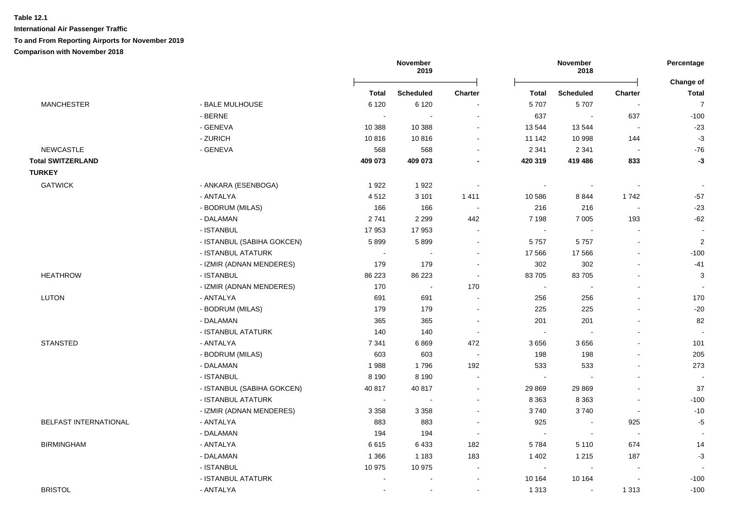# **Table 12.1 International Air Passenger Traffic**

# **To and From Reporting Airports for November 2019**

|                              |                            |              | November<br>2019      |                |              | November<br>2018         |                          | Percentage<br>Change of |
|------------------------------|----------------------------|--------------|-----------------------|----------------|--------------|--------------------------|--------------------------|-------------------------|
|                              |                            | <b>Total</b> | <b>Scheduled</b>      | <b>Charter</b> | <b>Total</b> | <b>Scheduled</b>         | <b>Charter</b>           | <b>Total</b>            |
| <b>MANCHESTER</b>            | - BALE MULHOUSE            | 6 1 2 0      | 6 1 2 0               |                | 5707         | 5707                     | $\sim$                   | $\overline{7}$          |
|                              | - BERNE                    |              | $\sim$                | $\sim$         | 637          | $\sim$                   | 637                      | $-100$                  |
|                              | - GENEVA                   | 10 388       | 10 388                | $\sim$         | 13 544       | 13544                    | ÷,                       | $-23$                   |
|                              | - ZURICH                   | 10816        | 10816                 |                | 11 142       | 10 998                   | 144                      | $-3$                    |
| <b>NEWCASTLE</b>             | - GENEVA                   | 568          | 568                   |                | 2 3 4 1      | 2 3 4 1                  | $\sim$                   | $-76$                   |
| <b>Total SWITZERLAND</b>     |                            | 409 073      | 409 073               |                | 420 319      | 419 486                  | 833                      | $-3$                    |
| <b>TURKEY</b>                |                            |              |                       |                |              |                          |                          |                         |
| <b>GATWICK</b>               | - ANKARA (ESENBOGA)        | 1922         | 1922                  | $\sim$         | $\sim$       | $\sim$                   | $\sim$                   | $\blacksquare$          |
|                              | - ANTALYA                  | 4512         | 3 1 0 1               | 1411           | 10 586       | 8844                     | 1742                     | $-57$                   |
|                              | - BODRUM (MILAS)           | 166          | 166                   |                | 216          | 216                      | $\sim$                   | $-23$                   |
|                              | - DALAMAN                  | 2741         | 2 2 9 9               | 442            | 7 1 9 8      | 7 0 0 5                  | 193                      | $-62$                   |
|                              | - ISTANBUL                 | 17953        | 17953                 |                |              |                          |                          |                         |
|                              | - ISTANBUL (SABIHA GOKCEN) | 5899         | 5899                  |                | 5757         | 5757                     |                          | $\overline{2}$          |
|                              | - ISTANBUL ATATURK         | $\sim$       | $\blacksquare$        | $\sim$         | 17 566       | 17 566                   | L,                       | $-100$                  |
|                              | - IZMIR (ADNAN MENDERES)   | 179          | 179                   |                | 302          | 302                      | $\overline{\phantom{a}}$ | $-41$                   |
| <b>HEATHROW</b>              | - ISTANBUL                 | 86 223       | 86 223                | $\sim$         | 83 705       | 83705                    |                          | 3                       |
|                              | - IZMIR (ADNAN MENDERES)   | 170          | $\blacksquare$        | 170            | $\sim$       | $\overline{\phantom{a}}$ |                          |                         |
| <b>LUTON</b>                 | - ANTALYA                  | 691          | 691                   |                | 256          | 256                      |                          | 170                     |
|                              | - BODRUM (MILAS)           | 179          | 179                   |                | 225          | 225                      | $\overline{\phantom{a}}$ | $-20$                   |
|                              | - DALAMAN                  | 365          | 365                   |                | 201          | 201                      | $\overline{a}$           | 82                      |
|                              | - ISTANBUL ATATURK         | 140          | 140                   | $\sim$         | $\sim$       | $\sim$                   | $\sim$                   |                         |
| <b>STANSTED</b>              | - ANTALYA                  | 7 3 4 1      | 6869                  | 472            | 3656         | 3656                     |                          | 101                     |
|                              | - BODRUM (MILAS)           | 603          | 603                   | $\sim$         | 198          | 198                      |                          | 205                     |
|                              | - DALAMAN                  | 1988         | 1796                  | 192            | 533          | 533                      |                          | 273                     |
|                              | - ISTANBUL                 | 8 1 9 0      | 8 1 9 0               |                | $\sim$       |                          |                          |                         |
|                              | - ISTANBUL (SABIHA GOKCEN) | 40 817       | 40 817                | $\sim$         | 29 8 69      | 29 869                   |                          | 37                      |
|                              | - ISTANBUL ATATURK         | $\sim$       | $\tilde{\phantom{a}}$ | $\blacksquare$ | 8 3 6 3      | 8 3 6 3                  | $\overline{a}$           | $-100$                  |
|                              | - IZMIR (ADNAN MENDERES)   | 3 3 5 8      | 3 3 5 8               |                | 3740         | 3740                     | $\sim$                   | $-10$                   |
| <b>BELFAST INTERNATIONAL</b> | - ANTALYA                  | 883          | 883                   |                | 925          | $\sim$                   | 925                      | $-5$                    |
|                              | - DALAMAN                  | 194          | 194                   |                | $\sim$       | $\sim$                   | ÷.                       |                         |
| <b>BIRMINGHAM</b>            | - ANTALYA                  | 6615         | 6433                  | 182            | 5784         | 5 1 1 0                  | 674                      | 14                      |
|                              | - DALAMAN                  | 1 3 6 6      | 1 1 8 3               | 183            | 1 4 0 2      | 1 2 1 5                  | 187                      | $-3$                    |
|                              | - ISTANBUL                 | 10 975       | 10 975                |                | $\sim$       | $\sim$                   |                          |                         |
|                              | - ISTANBUL ATATURK         |              |                       |                | 10 164       | 10 164                   |                          | $-100$                  |
| <b>BRISTOL</b>               | - ANTALYA                  | $\sim$       | $\sim$                |                | 1 3 1 3      | $\sim$                   | 1 3 1 3                  | $-100$                  |
|                              |                            |              |                       |                |              |                          |                          |                         |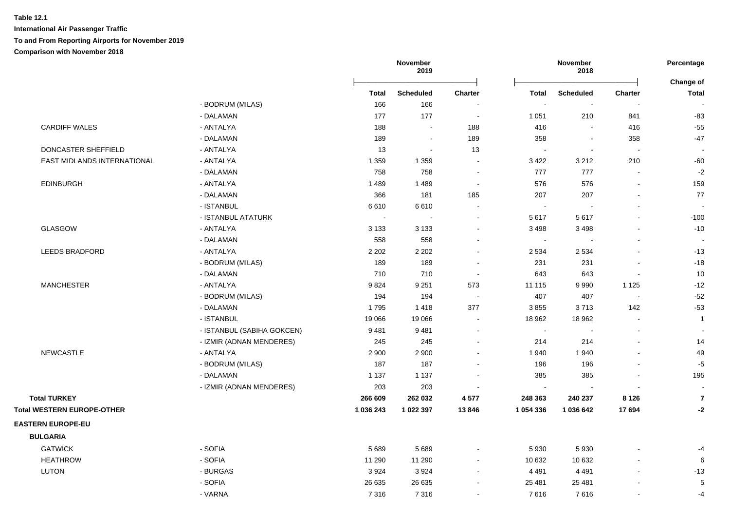|                                   |                            |           | November<br>2019 |                          |                             | November<br>2018         |                          |                           |
|-----------------------------------|----------------------------|-----------|------------------|--------------------------|-----------------------------|--------------------------|--------------------------|---------------------------|
|                                   |                            | Total     | <b>Scheduled</b> | <b>Charter</b>           | <b>Total</b>                | <b>Scheduled</b>         | <b>Charter</b>           | Change of<br><b>Total</b> |
|                                   | - BODRUM (MILAS)           | 166       | 166              |                          | $\mathcal{L}_{\mathcal{A}}$ | $\blacksquare$           |                          |                           |
|                                   | - DALAMAN                  | 177       | 177              | $\sim$                   | 1 0 5 1                     | 210                      | 841                      | $-83$                     |
| <b>CARDIFF WALES</b>              | - ANTALYA                  | 188       | $\sim$           | 188                      | 416                         | $\sim$                   | 416                      | $-55$                     |
|                                   | - DALAMAN                  | 189       | $\sim$           | 189                      | 358                         | $\blacksquare$           | 358                      | $-47$                     |
| DONCASTER SHEFFIELD               | - ANTALYA                  | 13        | $\sim$           | 13                       | $\sim$                      | $\blacksquare$           | $\sim$                   |                           |
| EAST MIDLANDS INTERNATIONAL       | - ANTALYA                  | 1 3 5 9   | 1 3 5 9          | $\sim$                   | 3 4 2 2                     | 3 2 1 2                  | 210                      | $-60$                     |
|                                   | - DALAMAN                  | 758       | 758              | $\overline{\phantom{a}}$ | 777                         | 777                      |                          | $-2$                      |
| <b>EDINBURGH</b>                  | - ANTALYA                  | 1 4 8 9   | 1489             | $\sim$                   | 576                         | 576                      |                          | 159                       |
|                                   | - DALAMAN                  | 366       | 181              | 185                      | 207                         | 207                      |                          | 77                        |
|                                   | - ISTANBUL                 | 6610      | 6610             | $\blacksquare$           | $\mathcal{L}_{\mathbf{r}}$  | $\sim$                   | $\sim$                   |                           |
|                                   | - ISTANBUL ATATURK         | $\sim$    | $\sim$           | $\blacksquare$           | 5617                        | 5617                     | $\overline{a}$           | $-100$                    |
| <b>GLASGOW</b>                    | - ANTALYA                  | 3 1 3 3   | 3 1 3 3          | $\blacksquare$           | 3 4 9 8                     | 3498                     |                          | $-10$                     |
|                                   | - DALAMAN                  | 558       | 558              | $\sim$                   | $\mathcal{L}_{\mathcal{A}}$ | $\sim$                   | $\overline{a}$           |                           |
| <b>LEEDS BRADFORD</b>             | - ANTALYA                  | 2 2 0 2   | 2 2 0 2          | $\sim$                   | 2 5 3 4                     | 2 5 3 4                  | $\overline{\phantom{a}}$ | $-13$                     |
|                                   | - BODRUM (MILAS)           | 189       | 189              | ÷,                       | 231                         | 231                      |                          | $-18$                     |
|                                   | - DALAMAN                  | 710       | 710              | $\sim$                   | 643                         | 643                      | $\sim$                   | 10                        |
| <b>MANCHESTER</b>                 | - ANTALYA                  | 9824      | 9 2 5 1          | 573                      | 11 115                      | 9990                     | 1 1 2 5                  | $-12$                     |
|                                   | - BODRUM (MILAS)           | 194       | 194              | $\blacksquare$           | 407                         | 407                      | $\sim$                   | $-52$                     |
|                                   | - DALAMAN                  | 1795      | 1418             | 377                      | 3855                        | 3713                     | 142                      | $-53$                     |
|                                   | - ISTANBUL                 | 19 066    | 19 066           |                          | 18 962                      | 18 962                   |                          | $\mathbf{1}$              |
|                                   | - ISTANBUL (SABIHA GOKCEN) | 9481      | 9481             | $\blacksquare$           | $\sim$                      | $\overline{\phantom{a}}$ | $\blacksquare$           |                           |
|                                   | - IZMIR (ADNAN MENDERES)   | 245       | 245              | $\sim$                   | 214                         | 214                      | L.                       | 14                        |
| <b>NEWCASTLE</b>                  | - ANTALYA                  | 2 9 0 0   | 2 9 0 0          | $\sim$                   | 1 940                       | 1940                     | $\overline{a}$           | 49                        |
|                                   | - BODRUM (MILAS)           | 187       | 187              | $\blacksquare$           | 196                         | 196                      | $\blacksquare$           | $-5$                      |
|                                   | - DALAMAN                  | 1 1 3 7   | 1 1 3 7          | $\sim$                   | 385                         | 385                      | $\blacksquare$           | 195                       |
|                                   | - IZMIR (ADNAN MENDERES)   | 203       | 203              |                          | $\mathcal{L}_{\mathbf{r}}$  | $\overline{\phantom{a}}$ | $\blacksquare$           | $\blacksquare$            |
| <b>Total TURKEY</b>               |                            | 266 609   | 262 032          | 4577                     | 248 363                     | 240 237                  | 8 1 2 6                  | $\overline{7}$            |
| <b>Total WESTERN EUROPE-OTHER</b> |                            | 1 036 243 | 1 022 397        | 13846                    | 1 054 336                   | 1 036 642                | 17 694                   | $-2$                      |
| <b>EASTERN EUROPE-EU</b>          |                            |           |                  |                          |                             |                          |                          |                           |
| <b>BULGARIA</b>                   |                            |           |                  |                          |                             |                          |                          |                           |
| <b>GATWICK</b>                    | - SOFIA                    | 5 6 8 9   | 5689             | $\sim$                   | 5 9 3 0                     | 5930                     |                          | -4                        |
| <b>HEATHROW</b>                   | - SOFIA                    | 11 290    | 11 290           | $\sim$                   | 10 632                      | 10 632                   |                          | 6                         |
| LUTON                             | - BURGAS                   | 3 9 2 4   | 3924             | $\sim$                   | 4 4 9 1                     | 4 4 9 1                  |                          | $-13$                     |
|                                   | - SOFIA                    | 26 635    | 26 635           | $\sim$                   | 25 481                      | 25 481                   |                          | 5                         |
|                                   | - VARNA                    | 7316      | 7316             | $\sim$                   | 7616                        | 7616                     | $\overline{a}$           | $-4$                      |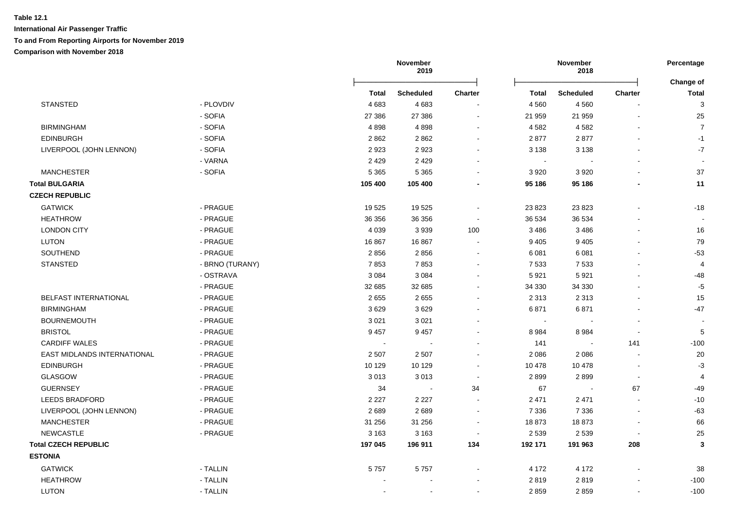|                             |                 |              | November<br>2019 |                          |         | November<br>2018 |                          | Percentage                |
|-----------------------------|-----------------|--------------|------------------|--------------------------|---------|------------------|--------------------------|---------------------------|
|                             |                 | <b>Total</b> | <b>Scheduled</b> | <b>Charter</b>           | Total   | <b>Scheduled</b> | <b>Charter</b>           | Change of<br><b>Total</b> |
| <b>STANSTED</b>             | - PLOVDIV       | 4683         | 4683             |                          | 4 5 6 0 | 4 5 6 0          | $\overline{\phantom{a}}$ | 3                         |
|                             | - SOFIA         | 27 386       | 27 386           | $\blacksquare$           | 21 959  | 21 959           | $\blacksquare$           | 25                        |
| <b>BIRMINGHAM</b>           | - SOFIA         | 4898         | 4898             | $\sim$                   | 4 5 8 2 | 4582             |                          | $\overline{7}$            |
| <b>EDINBURGH</b>            | - SOFIA         | 2862         | 2862             | $\blacksquare$           | 2877    | 2877             |                          | $-1$                      |
| LIVERPOOL (JOHN LENNON)     | - SOFIA         | 2923         | 2923             | $\overline{\phantom{a}}$ | 3 1 3 8 | 3 1 3 8          | $\blacksquare$           | $-7$                      |
|                             | - VARNA         | 2 4 2 9      | 2 4 2 9          |                          | $\sim$  |                  | $\overline{a}$           | $\sim$                    |
| <b>MANCHESTER</b>           | - SOFIA         | 5 3 6 5      | 5 3 6 5          | $\sim$                   | 3 9 2 0 | 3920             | $\sim$                   | 37                        |
| <b>Total BULGARIA</b>       |                 | 105 400      | 105 400          |                          | 95 186  | 95 186           |                          | 11                        |
| <b>CZECH REPUBLIC</b>       |                 |              |                  |                          |         |                  |                          |                           |
| <b>GATWICK</b>              | - PRAGUE        | 19525        | 19525            | $\sim$                   | 23 823  | 23 8 23          |                          | $-18$                     |
| <b>HEATHROW</b>             | - PRAGUE        | 36 356       | 36 356           | $\blacksquare$           | 36 534  | 36 534           |                          |                           |
| <b>LONDON CITY</b>          | - PRAGUE        | 4 0 3 9      | 3939             | 100                      | 3 4 8 6 | 3 4 8 6          | $\blacksquare$           | 16                        |
| <b>LUTON</b>                | - PRAGUE        | 16 867       | 16867            |                          | 9 4 0 5 | 9 4 0 5          | $\blacksquare$           | 79                        |
| SOUTHEND                    | - PRAGUE        | 2856         | 2856             |                          | 6 0 8 1 | 6 0 8 1          |                          | $-53$                     |
| <b>STANSTED</b>             | - BRNO (TURANY) | 7853         | 7853             |                          | 7 5 3 3 | 7 5 3 3          |                          | 4                         |
|                             | - OSTRAVA       | 3 0 8 4      | 3 0 8 4          |                          | 5921    | 5921             | $\blacksquare$           | $-48$                     |
|                             | - PRAGUE        | 32 685       | 32 685           |                          | 34 330  | 34 330           |                          | $-5$                      |
| BELFAST INTERNATIONAL       | - PRAGUE        | 2655         | 2655             |                          | 2 3 1 3 | 2 3 1 3          |                          | 15                        |
| <b>BIRMINGHAM</b>           | - PRAGUE        | 3629         | 3629             |                          | 6871    | 6871             | $\overline{a}$           | $-47$                     |
| <b>BOURNEMOUTH</b>          | - PRAGUE        | 3 0 21       | 3 0 2 1          |                          | $\sim$  |                  | $\blacksquare$           |                           |
| <b>BRISTOL</b>              | - PRAGUE        | 9 4 5 7      | 9 4 5 7          |                          | 8 9 8 4 | 8 9 8 4          | $\overline{\phantom{a}}$ | 5                         |
| <b>CARDIFF WALES</b>        | - PRAGUE        |              |                  |                          | 141     |                  | 141                      | $-100$                    |
| EAST MIDLANDS INTERNATIONAL | - PRAGUE        | 2 5 0 7      | 2 5 0 7          | $\sim$                   | 2 0 8 6 | 2086             | L,                       | 20                        |
| <b>EDINBURGH</b>            | - PRAGUE        | 10 129       | 10 129           |                          | 10 478  | 10 478           | $\overline{\phantom{a}}$ | $-3$                      |
| <b>GLASGOW</b>              | - PRAGUE        | 3013         | 3013             | $\overline{\phantom{a}}$ | 2899    | 2899             | $\blacksquare$           | 4                         |
| <b>GUERNSEY</b>             | - PRAGUE        | 34           | $\blacksquare$   | 34                       | 67      |                  | 67                       | $-49$                     |
| <b>LEEDS BRADFORD</b>       | - PRAGUE        | 2 2 2 7      | 2 2 2 7          |                          | 2 4 7 1 | 2 4 7 1          | L.                       | $-10$                     |
| LIVERPOOL (JOHN LENNON)     | - PRAGUE        | 2689         | 2689             | $\sim$                   | 7 3 3 6 | 7 3 3 6          |                          | $-63$                     |
| <b>MANCHESTER</b>           | - PRAGUE        | 31 256       | 31 256           | $\sim$                   | 18873   | 18873            |                          | 66                        |
| NEWCASTLE                   | - PRAGUE        | 3 1 6 3      | 3 1 6 3          | $\sim$                   | 2 5 3 9 | 2 5 3 9          |                          | 25                        |
| <b>Total CZECH REPUBLIC</b> |                 | 197 045      | 196 911          | 134                      | 192 171 | 191 963          | 208                      | 3                         |
| <b>ESTONIA</b>              |                 |              |                  |                          |         |                  |                          |                           |
| <b>GATWICK</b>              | - TALLIN        | 5757         | 5757             |                          | 4 172   | 4 1 7 2          |                          | 38                        |
| <b>HEATHROW</b>             | - TALLIN        |              |                  |                          | 2819    | 2819             |                          | $-100$                    |
| <b>LUTON</b>                | - TALLIN        |              |                  |                          | 2859    | 2859             | ÷.                       | $-100$                    |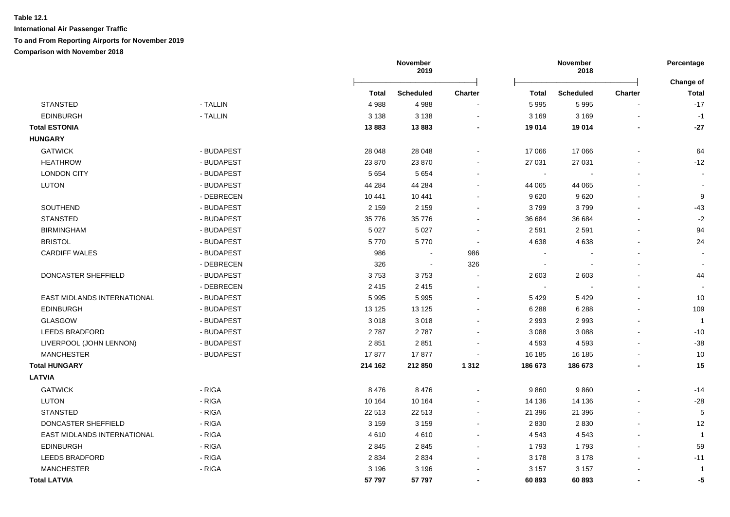|                             |            |          | November<br>2019 |                          |              | November<br>2018 |                |                           |
|-----------------------------|------------|----------|------------------|--------------------------|--------------|------------------|----------------|---------------------------|
|                             |            | Total    | <b>Scheduled</b> | Charter                  | <b>Total</b> | <b>Scheduled</b> | <b>Charter</b> | Change of<br><b>Total</b> |
| <b>STANSTED</b>             | - TALLIN   | 4988     | 4988             |                          | 5 9 9 5      | 5995             |                | $-17$                     |
| <b>EDINBURGH</b>            | - TALLIN   | 3 1 3 8  | 3 1 3 8          |                          | 3 1 6 9      | 3 1 6 9          |                | $-1$                      |
| <b>Total ESTONIA</b>        |            | 13883    | 13883            |                          | 19 014       | 19 014           |                | $-27$                     |
| <b>HUNGARY</b>              |            |          |                  |                          |              |                  |                |                           |
| <b>GATWICK</b>              | - BUDAPEST | 28 048   | 28 048           |                          | 17 066       | 17066            |                | 64                        |
| <b>HEATHROW</b>             | - BUDAPEST | 23 870   | 23 870           |                          | 27 031       | 27 031           |                | $-12$                     |
| <b>LONDON CITY</b>          | - BUDAPEST | 5 6 5 4  | 5 6 5 4          |                          | $\sim$       |                  |                |                           |
| <b>LUTON</b>                | - BUDAPEST | 44 284   | 44 284           |                          | 44 065       | 44 065           |                |                           |
|                             | - DEBRECEN | 10 441   | 10 441           |                          | 9620         | 9620             |                | 9                         |
| SOUTHEND                    | - BUDAPEST | 2 1 5 9  | 2 1 5 9          |                          | 3799         | 3799             |                | $-43$                     |
| <b>STANSTED</b>             | - BUDAPEST | 35 7 7 6 | 35 776           |                          | 36 684       | 36 684           |                | $-2$                      |
| <b>BIRMINGHAM</b>           | - BUDAPEST | 5 0 27   | 5 0 27           |                          | 2 5 9 1      | 2591             |                | 94                        |
| <b>BRISTOL</b>              | - BUDAPEST | 5770     | 5770             |                          | 4 6 38       | 4638             |                | 24                        |
| <b>CARDIFF WALES</b>        | - BUDAPEST | 986      |                  | 986                      |              |                  |                |                           |
|                             | - DEBRECEN | 326      | $\sim$           | 326                      | $\sim$       |                  |                |                           |
| DONCASTER SHEFFIELD         | - BUDAPEST | 3753     | 3753             |                          | 2 603        | 2 6 0 3          |                | 44                        |
|                             | - DEBRECEN | 2 4 1 5  | 2 4 1 5          |                          | $\sim$       |                  | $\blacksquare$ |                           |
| EAST MIDLANDS INTERNATIONAL | - BUDAPEST | 5 9 9 5  | 5 9 9 5          |                          | 5 4 2 9      | 5429             |                | $10$                      |
| <b>EDINBURGH</b>            | - BUDAPEST | 13 1 25  | 13 1 25          |                          | 6 2 8 8      | 6 2 8 8          | $\overline{a}$ | 109                       |
| GLASGOW                     | - BUDAPEST | 3018     | 3018             |                          | 2 9 9 3      | 2993             |                | $\overline{1}$            |
| <b>LEEDS BRADFORD</b>       | - BUDAPEST | 2787     | 2787             |                          | 3 0 8 8      | 3 0 8 8          | $\overline{a}$ | $-10$                     |
| LIVERPOOL (JOHN LENNON)     | - BUDAPEST | 2851     | 2851             | $\overline{\phantom{a}}$ | 4 5 9 3      | 4 5 9 3          | $\blacksquare$ | $-38$                     |
| <b>MANCHESTER</b>           | - BUDAPEST | 17877    | 17877            |                          | 16 185       | 16 185           |                | $10$                      |
| <b>Total HUNGARY</b>        |            | 214 162  | 212 850          | 1 3 1 2                  | 186 673      | 186 673          |                | 15                        |
| <b>LATVIA</b>               |            |          |                  |                          |              |                  |                |                           |
| <b>GATWICK</b>              | - RIGA     | 8476     | 8 4 7 6          |                          | 9860         | 9860             |                | $-14$                     |
| LUTON                       | - RIGA     | 10 164   | 10 164           |                          | 14 136       | 14 136           |                | $-28$                     |
| <b>STANSTED</b>             | - RIGA     | 22 513   | 22 513           | $\sim$                   | 21 39 6      | 21 39 6          |                | 5                         |
| DONCASTER SHEFFIELD         | - RIGA     | 3 1 5 9  | 3 1 5 9          |                          | 2 8 3 0      | 2830             |                | 12                        |
| EAST MIDLANDS INTERNATIONAL | - RIGA     | 4610     | 4610             |                          | 4 5 4 3      | 4543             |                | $\overline{1}$            |
| <b>EDINBURGH</b>            | - RIGA     | 2845     | 2845             |                          | 1793         | 1793             |                | 59                        |
| <b>LEEDS BRADFORD</b>       | - RIGA     | 2 8 3 4  | 2 8 3 4          |                          | 3 1 7 8      | 3 1 7 8          |                | $-11$                     |
| <b>MANCHESTER</b>           | - RIGA     | 3 1 9 6  | 3 1 9 6          |                          | 3 1 5 7      | 3 1 5 7          |                | $\overline{\phantom{a}}$  |
| <b>Total LATVIA</b>         |            | 57 797   | 57 797           |                          | 60893        | 60893            |                | -5                        |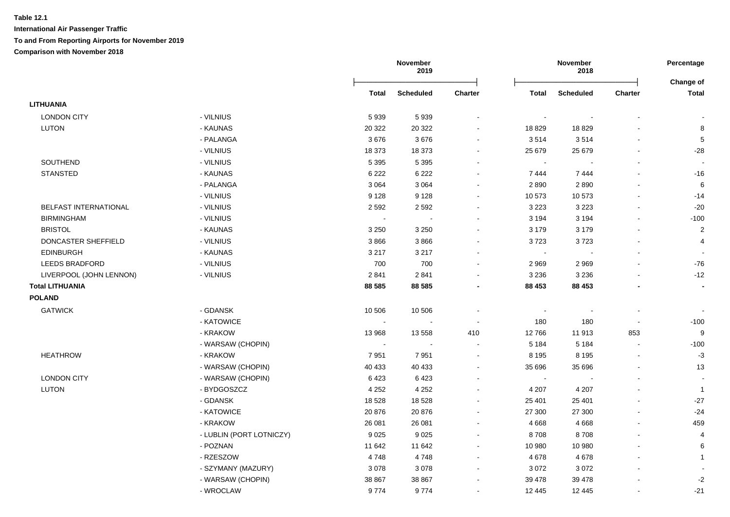|                              |                          |                | November<br>2019 |                          |         | November<br>2018 |                |                           |
|------------------------------|--------------------------|----------------|------------------|--------------------------|---------|------------------|----------------|---------------------------|
|                              |                          | <b>Total</b>   | <b>Scheduled</b> | <b>Charter</b>           | Total   | <b>Scheduled</b> | Charter        | Change of<br><b>Total</b> |
| <b>LITHUANIA</b>             |                          |                |                  |                          |         |                  |                |                           |
| <b>LONDON CITY</b>           | - VILNIUS                | 5939           | 5939             |                          |         |                  |                |                           |
| <b>LUTON</b>                 | - KAUNAS                 | 20 322         | 20 322           | $\blacksquare$           | 18829   | 18829            |                | 8                         |
|                              | - PALANGA                | 3676           | 3676             | $\overline{\phantom{a}}$ | 3514    | 3514             |                | $\,$ 5 $\,$               |
|                              | - VILNIUS                | 18 373         | 18 373           | $\blacksquare$           | 25 679  | 25 679           |                | -28                       |
| SOUTHEND                     | - VILNIUS                | 5 3 9 5        | 5 3 9 5          | $\blacksquare$           | $\sim$  |                  |                | $\overline{\phantom{a}}$  |
| <b>STANSTED</b>              | - KAUNAS                 | 6 2 2 2        | 6 2 2 2          | $\overline{\phantom{a}}$ | 7444    | 7444             |                | $-16$                     |
|                              | - PALANGA                | 3 0 6 4        | 3 0 6 4          | $\blacksquare$           | 2890    | 2890             |                | 6                         |
|                              | - VILNIUS                | 9 1 2 8        | 9 1 2 8          | $\blacksquare$           | 10 573  | 10573            |                | $-14$                     |
| <b>BELFAST INTERNATIONAL</b> | - VILNIUS                | 2 5 9 2        | 2592             |                          | 3 2 2 3 | 3 2 2 3          |                | $-20$                     |
| <b>BIRMINGHAM</b>            | - VILNIUS                | $\blacksquare$ |                  | $\blacksquare$           | 3 1 9 4 | 3 1 9 4          |                | $-100$                    |
| <b>BRISTOL</b>               | - KAUNAS                 | 3 2 5 0        | 3 2 5 0          | $\blacksquare$           | 3 1 7 9 | 3 1 7 9          |                | $\overline{2}$            |
| DONCASTER SHEFFIELD          | - VILNIUS                | 3866           | 3866             | ÷                        | 3723    | 3723             |                | $\overline{4}$            |
| <b>EDINBURGH</b>             | - KAUNAS                 | 3 2 1 7        | 3 2 1 7          | $\blacksquare$           | $\sim$  |                  |                |                           |
| <b>LEEDS BRADFORD</b>        | - VILNIUS                | 700            | 700              | $\blacksquare$           | 2 9 6 9 | 2969             |                | $-76$                     |
| LIVERPOOL (JOHN LENNON)      | - VILNIUS                | 2841           | 2841             | $\blacksquare$           | 3 2 3 6 | 3 2 3 6          |                | $-12$                     |
| <b>Total LITHUANIA</b>       |                          | 88 585         | 88 585           | $\blacksquare$           | 88 453  | 88 453           |                | $\blacksquare$            |
| <b>POLAND</b>                |                          |                |                  |                          |         |                  |                |                           |
| <b>GATWICK</b>               | - GDANSK                 | 10 506         | 10 506           | $\overline{\phantom{a}}$ |         | $\blacksquare$   |                |                           |
|                              | - KATOWICE               | $\sim$         | $\blacksquare$   | $\blacksquare$           | 180     | 180              | $\blacksquare$ | $-100$                    |
|                              | - KRAKOW                 | 13 968         | 13 5 58          | 410                      | 12766   | 11 913           | 853            | 9                         |
|                              | - WARSAW (CHOPIN)        | $\sim$         |                  | $\sim$                   | 5 1 8 4 | 5 1 8 4          | $\blacksquare$ | $-100$                    |
| <b>HEATHROW</b>              | - KRAKOW                 | 7951           | 7951             | $\sim$                   | 8 1 9 5 | 8 1 9 5          | $\sim$         | $-3$                      |
|                              | - WARSAW (CHOPIN)        | 40 433         | 40 433           | $\blacksquare$           | 35 696  | 35 696           |                | 13                        |
| <b>LONDON CITY</b>           | - WARSAW (CHOPIN)        | 6423           | 6423             | $\blacksquare$           | $\sim$  |                  |                |                           |
| <b>LUTON</b>                 | - BYDGOSZCZ              | 4 2 5 2        | 4 2 5 2          | $\blacksquare$           | 4 207   | 4 2 0 7          |                | $\mathbf{1}$              |
|                              | - GDANSK                 | 18 5 28        | 18 5 28          | $\blacksquare$           | 25 401  | 25 4 01          |                | $-27$                     |
|                              | - KATOWICE               | 20 876         | 20 876           | $\blacksquare$           | 27 300  | 27 300           |                | $-24$                     |
|                              | - KRAKOW                 | 26 081         | 26 081           | $\blacksquare$           | 4668    | 4668             |                | 459                       |
|                              | - LUBLIN (PORT LOTNICZY) | 9025           | 9025             | $\sim$                   | 8708    | 8708             |                | 4                         |
|                              | - POZNAN                 | 11 642         | 11 642           | $\sim$                   | 10 980  | 10 980           |                | 6                         |
|                              | - RZESZOW                | 4748           | 4748             | $\blacksquare$           | 4678    | 4678             |                | $\mathbf{1}$              |
|                              | - SZYMANY (MAZURY)       | 3078           | 3078             | $\blacksquare$           | 3 0 7 2 | 3072             |                |                           |
|                              | - WARSAW (CHOPIN)        | 38 867         | 38 867           | $\blacksquare$           | 39 478  | 39 4 78          |                | $-2$                      |
|                              |                          |                |                  |                          |         |                  |                |                           |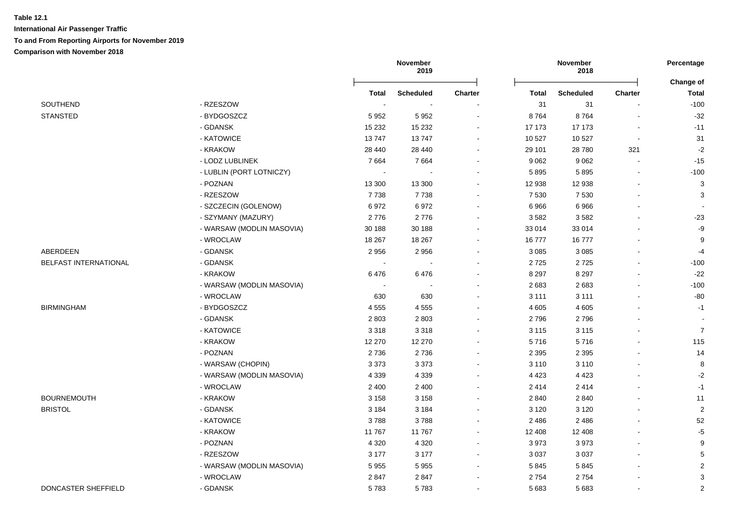|                       |                           |                          | November<br>2019         |                |              | November<br>2018 |                          |                           |
|-----------------------|---------------------------|--------------------------|--------------------------|----------------|--------------|------------------|--------------------------|---------------------------|
|                       |                           | <b>Total</b>             | <b>Scheduled</b>         | <b>Charter</b> | <b>Total</b> | <b>Scheduled</b> | Charter                  | Change of<br><b>Total</b> |
| SOUTHEND              | - RZESZOW                 | $\overline{\phantom{a}}$ |                          |                | 31           | 31               |                          | $-100$                    |
| <b>STANSTED</b>       | - BYDGOSZCZ               | 5952                     | 5952                     | $\blacksquare$ | 8764         | 8764             |                          | $-32$                     |
|                       | - GDANSK                  | 15 2 32                  | 15 2 32                  | $\blacksquare$ | 17 173       | 17 173           | $\overline{\phantom{a}}$ | $-11$                     |
|                       | - KATOWICE                | 13747                    | 13747                    |                | 10 527       | 10 527           | $\blacksquare$           | 31                        |
|                       | - KRAKOW                  | 28 440                   | 28 440                   |                | 29 101       | 28 780           | 321                      | $-2$                      |
|                       | - LODZ LUBLINEK           | 7664                     | 7664                     |                | 9 0 6 2      | 9 0 6 2          |                          | $-15$                     |
|                       | - LUBLIN (PORT LOTNICZY)  | $\sim$                   |                          |                | 5895         | 5895             |                          | $-100$                    |
|                       | - POZNAN                  | 13 300                   | 13 300                   |                | 12 938       | 12 938           |                          | $\mathbf{3}$              |
|                       | - RZESZOW                 | 7738                     | 7738                     | $\blacksquare$ | 7 5 3 0      | 7 5 3 0          |                          | 3                         |
|                       | - SZCZECIN (GOLENOW)      | 6972                     | 6972                     | $\sim$         | 6966         | 6966             |                          |                           |
|                       | - SZYMANY (MAZURY)        | 2776                     | 2776                     | $\blacksquare$ | 3582         | 3582             |                          | $-23$                     |
|                       | - WARSAW (MODLIN MASOVIA) | 30 188                   | 30 188                   | $\blacksquare$ | 33 014       | 33 014           |                          | -9                        |
|                       | - WROCLAW                 | 18 267                   | 18 267                   |                | 16777        | 16777            |                          | $\boldsymbol{9}$          |
| ABERDEEN              | - GDANSK                  | 2956                     | 2956                     |                | 3 0 8 5      | 3 0 8 5          |                          | $-4$                      |
| BELFAST INTERNATIONAL | - GDANSK                  | $\overline{\phantom{a}}$ |                          |                | 2725         | 2725             |                          | $-100$                    |
|                       | - KRAKOW                  | 6476                     | 6476                     |                | 8 2 9 7      | 8 2 9 7          |                          | $-22$                     |
|                       | - WARSAW (MODLIN MASOVIA) | $\sim$                   | $\overline{\phantom{a}}$ | $\blacksquare$ | 2683         | 2683             |                          | $-100$                    |
|                       | - WROCLAW                 | 630                      | 630                      | $\blacksquare$ | 3 1 1 1      | 3 1 1 1          |                          | $-80$                     |
| <b>BIRMINGHAM</b>     | - BYDGOSZCZ               | 4555                     | 4 5 5 5                  | $\sim$         | 4 6 0 5      | 4 6 0 5          |                          | $-1$                      |
|                       | - GDANSK                  | 2803                     | 2803                     |                | 2796         | 2796             |                          |                           |
|                       | - KATOWICE                | 3 3 1 8                  | 3318                     |                | 3 1 1 5      | 3 1 1 5          |                          | $\overline{7}$            |
|                       | - KRAKOW                  | 12 270                   | 12 270                   |                | 5716         | 5716             |                          | 115                       |
|                       | - POZNAN                  | 2736                     | 2736                     |                | 2 3 9 5      | 2 3 9 5          |                          | 14                        |
|                       | - WARSAW (CHOPIN)         | 3 3 7 3                  | 3 3 7 3                  | $\blacksquare$ | 3 1 1 0      | 3 1 1 0          |                          | 8                         |
|                       | - WARSAW (MODLIN MASOVIA) | 4 3 3 9                  | 4 3 3 9                  | $\sim$         | 4 4 2 3      | 4 4 2 3          |                          | $-2$                      |
|                       | - WROCLAW                 | 2 4 0 0                  | 2 4 0 0                  | $\blacksquare$ | 2414         | 2414             |                          | $-1$                      |
| <b>BOURNEMOUTH</b>    | - KRAKOW                  | 3 1 5 8                  | 3 1 5 8                  | $\blacksquare$ | 2 8 4 0      | 2 8 4 0          |                          | 11                        |
| <b>BRISTOL</b>        | - GDANSK                  | 3 1 8 4                  | 3 1 8 4                  | $\blacksquare$ | 3 1 2 0      | 3 1 2 0          |                          | $\overline{2}$            |
|                       | - KATOWICE                | 3788                     | 3788                     | $\sim$         | 2486         | 2 4 8 6          |                          | $52\,$                    |
|                       | - KRAKOW                  | 11767                    | 11767                    |                | 12 408       | 12 408           |                          | $-5$                      |
|                       | - POZNAN                  | 4 3 2 0                  | 4 3 2 0                  |                | 3973         | 3973             |                          | 9                         |
|                       | - RZESZOW                 | 3 1 7 7                  | 3 1 7 7                  | $\sim$         | 3 0 3 7      | 3 0 3 7          |                          | $\mathbf 5$               |
|                       | - WARSAW (MODLIN MASOVIA) | 5955                     | 5955                     | $\blacksquare$ | 5845         | 5845             |                          | $\overline{2}$            |
|                       | - WROCLAW                 | 2847                     | 2847                     |                | 2 7 5 4      | 2754             |                          | 3                         |
| DONCASTER SHEFFIELD   | - GDANSK                  | 5783                     | 5783                     | $\blacksquare$ | 5 6 8 3      | 5683             |                          | $\sqrt{2}$                |
|                       |                           |                          |                          |                |              |                  |                          |                           |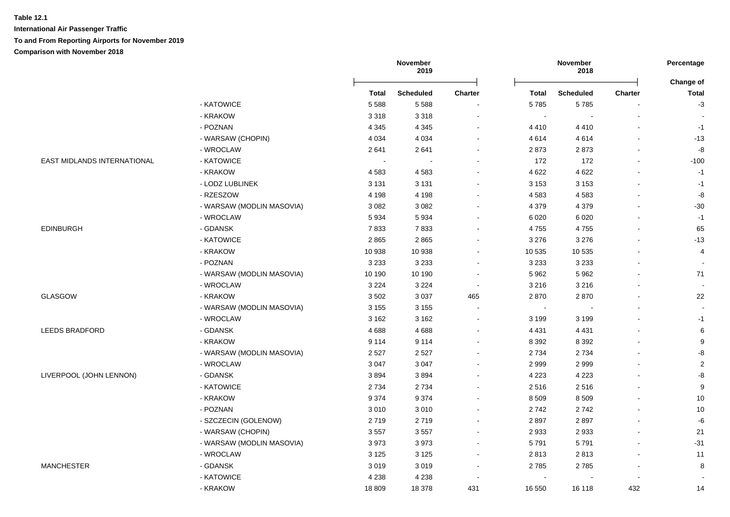**International Air Passenger Traffic To and From Reporting Airports for November 2019**

|                             |                           | November<br>2019 |                          | November<br>2018 |                |                  | Percentage     |                           |
|-----------------------------|---------------------------|------------------|--------------------------|------------------|----------------|------------------|----------------|---------------------------|
|                             |                           | <b>Total</b>     | Scheduled                | Charter          | Total          | <b>Scheduled</b> | <b>Charter</b> | Change of<br><b>Total</b> |
|                             | - KATOWICE                | 5588             | 5588                     |                  | 5785           | 5785             |                | $-3$                      |
|                             | - KRAKOW                  | 3318             | 3 3 1 8                  |                  | $\sim$         | $\sim$           | $\blacksquare$ |                           |
|                             | - POZNAN                  | 4 3 4 5          | 4 3 4 5                  |                  | 4 4 1 0        | 4410             |                | $-1$                      |
|                             | - WARSAW (CHOPIN)         | 4 0 34           | 4 0 3 4                  |                  | 4614           | 4614             | $\blacksquare$ | $-13$                     |
|                             | - WROCLAW                 | 2641             | 2641                     |                  | 2873           | 2873             | ä,             | -8                        |
| EAST MIDLANDS INTERNATIONAL | - KATOWICE                |                  | $\overline{\phantom{a}}$ |                  | 172            | 172              | $\blacksquare$ | $-100$                    |
|                             | - KRAKOW                  | 4583             | 4583                     |                  | 4 6 22         | 4 6 22           | $\overline{a}$ | $-1$                      |
|                             | - LODZ LUBLINEK           | 3 1 3 1          | 3 1 3 1                  |                  | 3 1 5 3        | 3 1 5 3          | $\overline{a}$ | $-1$                      |
|                             | - RZESZOW                 | 4 1 9 8          | 4 1 9 8                  |                  | 4583           | 4583             | $\blacksquare$ | -8                        |
|                             | - WARSAW (MODLIN MASOVIA) | 3 0 8 2          | 3 0 8 2                  |                  | 4 3 7 9        | 4 3 7 9          |                | $-30$                     |
|                             | - WROCLAW                 | 5934             | 5934                     |                  | 6 0 20         | 6 0 20           |                | $-1$                      |
| <b>EDINBURGH</b>            | - GDANSK                  | 7833             | 7833                     |                  | 4755           | 4755             | $\blacksquare$ | 65                        |
|                             | - KATOWICE                | 2865             | 2865                     |                  | 3 2 7 6        | 3 2 7 6          | $\blacksquare$ | $-13$                     |
|                             | - KRAKOW                  | 10 938           | 10 938                   |                  | 10 535         | 10 535           | $\blacksquare$ | $\overline{4}$            |
|                             | - POZNAN                  | 3 2 3 3          | 3 2 3 3                  |                  | 3 2 3 3        | 3 2 3 3          |                |                           |
|                             | - WARSAW (MODLIN MASOVIA) | 10 190           | 10 190                   |                  | 5 9 6 2        | 5962             | $\blacksquare$ | 71                        |
|                             | - WROCLAW                 | 3 2 2 4          | 3 2 2 4                  | $\sim$           | 3 2 1 6        | 3 2 1 6          |                | $\sim$                    |
| <b>GLASGOW</b>              | - KRAKOW                  | 3502             | 3 0 3 7                  | 465              | 2870           | 2870             |                | 22                        |
|                             | - WARSAW (MODLIN MASOVIA) | 3 1 5 5          | 3 1 5 5                  | $\sim$           | $\blacksquare$ |                  | $\blacksquare$ |                           |
|                             | - WROCLAW                 | 3 1 6 2          | 3 1 6 2                  |                  | 3 1 9 9        | 3 1 9 9          |                | $-1$                      |
| <b>LEEDS BRADFORD</b>       | - GDANSK                  | 4688             | 4688                     |                  | 4 4 3 1        | 4 4 3 1          |                | 6                         |
|                             | - KRAKOW                  | 9 1 1 4          | 9 1 1 4                  |                  | 8 3 9 2        | 8 3 9 2          |                | 9                         |
|                             | - WARSAW (MODLIN MASOVIA) | 2 5 2 7          | 2527                     |                  | 2 7 3 4        | 2734             |                | -8                        |
|                             | - WROCLAW                 | 3 0 4 7          | 3 0 4 7                  |                  | 2 9 9 9        | 2999             | $\blacksquare$ | $\overline{2}$            |
| LIVERPOOL (JOHN LENNON)     | - GDANSK                  | 3894             | 3894                     |                  | 4 2 2 3        | 4 2 2 3          | $\blacksquare$ | -8                        |
|                             | - KATOWICE                | 2 7 3 4          | 2734                     |                  | 2516           | 2516             | $\blacksquare$ | 9                         |
|                             | - KRAKOW                  | 9 3 7 4          | 9 3 7 4                  | $\sim$           | 8 5 0 9        | 8 5 0 9          | $\blacksquare$ | 10                        |
|                             | - POZNAN                  | 3010             | 3010                     | $\sim$           | 2742           | 2742             | $\blacksquare$ | 10                        |
|                             | - SZCZECIN (GOLENOW)      | 2719             | 2719                     |                  | 2897           | 2897             |                | $\textnormal{-}6$         |
|                             | - WARSAW (CHOPIN)         | 3557             | 3557                     |                  | 2 9 3 3        | 2933             | $\overline{a}$ | 21                        |
|                             | - WARSAW (MODLIN MASOVIA) | 3973             | 3973                     | $\sim$           | 5791           | 5791             | $\blacksquare$ | $-31$                     |
|                             | - WROCLAW                 | 3 1 2 5          | 3 1 2 5                  |                  | 2813           | 2813             | $\blacksquare$ | 11                        |
| <b>MANCHESTER</b>           | - GDANSK                  | 3019             | 3019                     |                  | 2785           | 2785             | $\blacksquare$ | 8                         |
|                             | - KATOWICE                | 4 2 3 8          | 4 2 3 8                  |                  | $\sim$         |                  |                |                           |
|                             | - KRAKOW                  | 18 809           | 18 378                   | 431              | 16 550         | 16 118           | 432            | 14                        |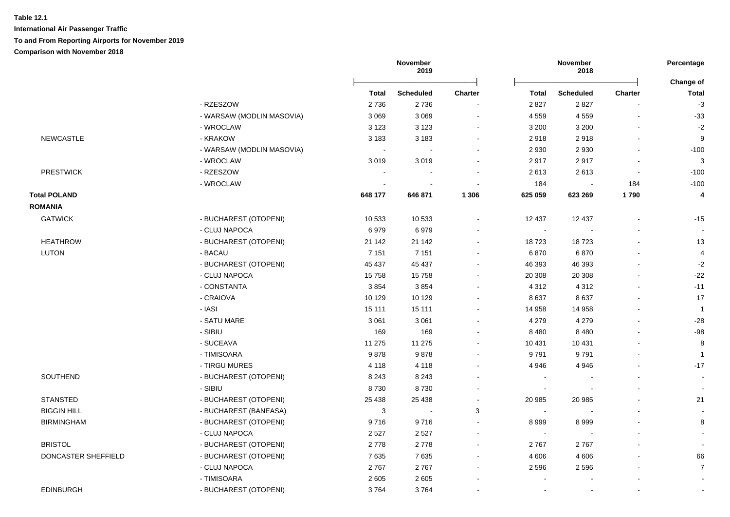|                     |                           |                | November<br>2019 |                | November<br>2018 |                  |                | Percentage                |
|---------------------|---------------------------|----------------|------------------|----------------|------------------|------------------|----------------|---------------------------|
|                     |                           | <b>Total</b>   | <b>Scheduled</b> | <b>Charter</b> | Total            | <b>Scheduled</b> | <b>Charter</b> | Change of<br><b>Total</b> |
|                     | - RZESZOW                 | 2736           | 2736             |                | 2 8 2 7          | 2827             |                | $-3$                      |
|                     | - WARSAW (MODLIN MASOVIA) | 3 0 6 9        | 3 0 6 9          |                | 4 5 5 9          | 4559             | $\blacksquare$ | $-33$                     |
|                     | - WROCLAW                 | 3 1 2 3        | 3 1 2 3          |                | 3 2 0 0          | 3 2 0 0          |                | $-2$                      |
| <b>NEWCASTLE</b>    | - KRAKOW                  | 3 1 8 3        | 3 1 8 3          |                | 2918             | 2918             |                | $\boldsymbol{9}$          |
|                     | - WARSAW (MODLIN MASOVIA) |                |                  |                | 2 9 3 0          | 2 9 3 0          |                | $-100$                    |
|                     | - WROCLAW                 | 3019           | 3019             |                | 2917             | 2917             |                | 3                         |
| <b>PRESTWICK</b>    | - RZESZOW                 | $\blacksquare$ |                  |                | 2613             | 2613             | $\blacksquare$ | $-100$                    |
|                     | - WROCLAW                 |                |                  |                | 184              | $\sim$           | 184            | $-100$                    |
| <b>Total POLAND</b> |                           | 648 177        | 646 871          | 1 3 0 6        | 625 059          | 623 269          | 1790           | 4                         |
| <b>ROMANIA</b>      |                           |                |                  |                |                  |                  |                |                           |
| <b>GATWICK</b>      | - BUCHAREST (OTOPENI)     | 10 533         | 10 533           |                | 12 4 3 7         | 12 437           | ä,             | $-15$                     |
|                     | - CLUJ NAPOCA             | 6979           | 6979             |                | $\sim$           |                  |                |                           |
| <b>HEATHROW</b>     | - BUCHAREST (OTOPENI)     | 21 142         | 21 142           |                | 18723            | 18723            |                | 13                        |
| LUTON               | - BACAU                   | 7 1 5 1        | 7 1 5 1          |                | 6870             | 6870             |                | 4                         |
|                     | - BUCHAREST (OTOPENI)     | 45 437         | 45 437           |                | 46 393           | 46 393           |                | $-2$                      |
|                     | - CLUJ NAPOCA             | 15758          | 15758            |                | 20 30 8          | 20 30 8          |                | $-22$                     |
|                     | - CONSTANTA               | 3854           | 3854             |                | 4 3 1 2          | 4 3 1 2          |                | $-11$                     |
|                     | - CRAIOVA                 | 10 129         | 10 129           |                | 8637             | 8637             |                | 17                        |
|                     | - IASI                    | 15 111         | 15 111           |                | 14 958           | 14 958           |                | $\mathbf{1}$              |
|                     | - SATU MARE               | 3 0 6 1        | 3 0 6 1          |                | 4 2 7 9          | 4 2 7 9          |                | $-28$                     |
|                     | - SIBIU                   | 169            | 169              |                | 8 4 8 0          | 8 4 8 0          |                | $-98$                     |
|                     | - SUCEAVA                 | 11 275         | 11 275           |                | 10 431           | 10 431           |                | 8                         |
|                     | - TIMISOARA               | 9878           | 9878             |                | 9791             | 9791             | $\blacksquare$ | $\overline{1}$            |
|                     | - TIRGU MURES             | 4 1 1 8        | 4 1 1 8          |                | 4 9 4 6          | 4 9 4 6          |                | $-17$                     |
| SOUTHEND            | - BUCHAREST (OTOPENI)     | 8 2 4 3        | 8 2 4 3          |                | $\sim$           |                  |                | $\blacksquare$            |
|                     | - SIBIU                   | 8730           | 8730             |                | $\sim$           |                  |                |                           |
| <b>STANSTED</b>     | - BUCHAREST (OTOPENI)     | 25 4 38        | 25 4 38          |                | 20 985           | 20 985           |                | 21                        |
| <b>BIGGIN HILL</b>  | - BUCHAREST (BANEASA)     | 3              |                  | 3              | $\sim$           |                  |                |                           |
| <b>BIRMINGHAM</b>   | - BUCHAREST (OTOPENI)     | 9716           | 9716             |                | 8 9 9 9          | 8999             |                | 8                         |
|                     | - CLUJ NAPOCA             | 2 5 2 7        | 2 5 2 7          |                | $\sim$           |                  |                |                           |
| <b>BRISTOL</b>      | - BUCHAREST (OTOPENI)     | 2778           | 2778             |                | 2767             | 2767             |                |                           |
| DONCASTER SHEFFIELD | - BUCHAREST (OTOPENI)     | 7635           | 7635             |                | 4 60 6           | 4 6 0 6          |                | 66                        |
|                     | - CLUJ NAPOCA             | 2767           | 2767             |                | 2 5 9 6          | 2596             |                | $\overline{7}$            |
|                     | - TIMISOARA               | 2 6 0 5        | 2 6 0 5          |                |                  |                  |                |                           |
| <b>EDINBURGH</b>    | - BUCHAREST (OTOPENI)     | 3764           | 3764             |                |                  | $\sim$           | $\blacksquare$ |                           |
|                     |                           |                |                  |                |                  |                  |                |                           |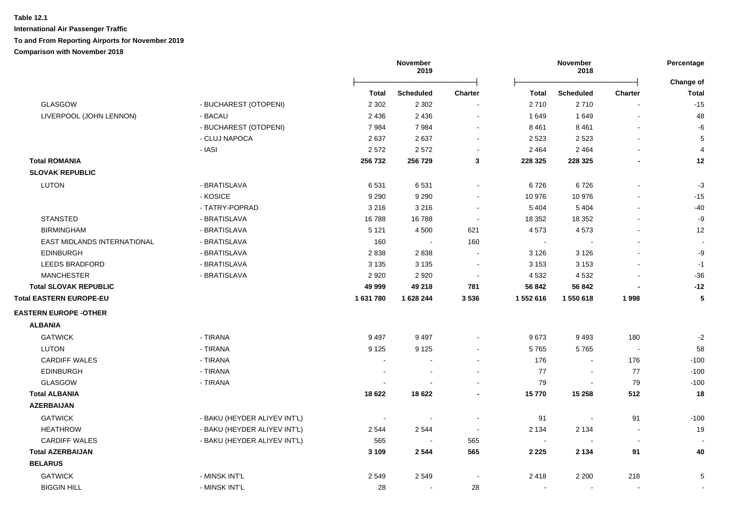|                                |                              | November<br>2019 |                  | November<br>2018         |                          |                          | Percentage<br>Change of |              |
|--------------------------------|------------------------------|------------------|------------------|--------------------------|--------------------------|--------------------------|-------------------------|--------------|
|                                |                              | Total            | <b>Scheduled</b> | <b>Charter</b>           | Total                    | Scheduled                | <b>Charter</b>          | <b>Total</b> |
| <b>GLASGOW</b>                 | - BUCHAREST (OTOPENI)        | 2 3 0 2          | 2 3 0 2          |                          | 2710                     | 2710                     | $\overline{a}$          | $-15$        |
| LIVERPOOL (JOHN LENNON)        | - BACAU                      | 2 4 3 6          | 2 4 3 6          | $\sim$                   | 1 649                    | 1649                     | $\mathbf{r}$            | 48           |
|                                | - BUCHAREST (OTOPENI)        | 7984             | 7984             | $\sim$                   | 8 4 6 1                  | 8 4 6 1                  |                         | -6           |
|                                | - CLUJ NAPOCA                | 2637             | 2637             | $\sim$                   | 2 5 2 3                  | 2 5 2 3                  |                         | 5            |
|                                | - IASI                       | 2572             | 2572             | $\overline{\phantom{a}}$ | 2 4 6 4                  | 2 4 6 4                  |                         | 4            |
| <b>Total ROMANIA</b>           |                              | 256 732          | 256 729          | 3                        | 228 325                  | 228 325                  |                         | 12           |
| <b>SLOVAK REPUBLIC</b>         |                              |                  |                  |                          |                          |                          |                         |              |
| <b>LUTON</b>                   | - BRATISLAVA                 | 6531             | 6531             |                          | 6726                     | 6726                     |                         | $-3$         |
|                                | - KOSICE                     | 9 2 9 0          | 9 2 9 0          | $\sim$                   | 10 976                   | 10 976                   |                         | $-15$        |
|                                | - TATRY-POPRAD               | 3 2 1 6          | 3 2 1 6          | $\overline{\phantom{a}}$ | 5 4 0 4                  | 5 4 0 4                  | $\blacksquare$          | $-40$        |
| <b>STANSTED</b>                | - BRATISLAVA                 | 16788            | 16788            | $\overline{\phantom{a}}$ | 18 352                   | 18 3 52                  |                         | $-9$         |
| <b>BIRMINGHAM</b>              | - BRATISLAVA                 | 5 1 2 1          | 4 5 0 0          | 621                      | 4573                     | 4573                     | $\blacksquare$          | 12           |
| EAST MIDLANDS INTERNATIONAL    | - BRATISLAVA                 | 160              |                  | 160                      | $\sim$                   |                          |                         |              |
| <b>EDINBURGH</b>               | - BRATISLAVA                 | 2838             | 2838             |                          | 3 1 2 6                  | 3 1 2 6                  |                         | -9           |
| <b>LEEDS BRADFORD</b>          | - BRATISLAVA                 | 3 1 3 5          | 3 1 3 5          | $\blacksquare$           | 3 1 5 3                  | 3 1 5 3                  |                         | $-1$         |
| <b>MANCHESTER</b>              | - BRATISLAVA                 | 2920             | 2920             |                          | 4 5 3 2                  | 4 5 3 2                  |                         | $-36$        |
| <b>Total SLOVAK REPUBLIC</b>   |                              | 49 999           | 49 218           | 781                      | 56 842                   | 56 842                   |                         | $-12$        |
| <b>Total EASTERN EUROPE-EU</b> |                              | 1631780          | 1628244          | 3536                     | 1 552 616                | 1 550 618                | 1998                    | 5            |
| <b>EASTERN EUROPE - OTHER</b>  |                              |                  |                  |                          |                          |                          |                         |              |
| <b>ALBANIA</b>                 |                              |                  |                  |                          |                          |                          |                         |              |
| <b>GATWICK</b>                 | - TIRANA                     | 9 4 9 7          | 9497             |                          | 9673                     | 9493                     | 180                     | $-2$         |
| <b>LUTON</b>                   | - TIRANA                     | 9 1 2 5          | 9 1 2 5          |                          | 5765                     | 5765                     | $\sim$                  | 58           |
| <b>CARDIFF WALES</b>           | - TIRANA                     | $\overline{a}$   |                  | $\sim$                   | 176                      | $\sim$                   | 176                     | $-100$       |
| <b>EDINBURGH</b>               | - TIRANA                     | $\overline{a}$   |                  |                          | 77                       | $\sim$                   | 77                      | $-100$       |
| GLASGOW                        | - TIRANA                     |                  |                  |                          | 79                       | $\blacksquare$           | 79                      | $-100$       |
| <b>Total ALBANIA</b>           |                              | 18 6 22          | 18 6 22          |                          | 15770                    | 15 258                   | 512                     | 18           |
| <b>AZERBAIJAN</b>              |                              |                  |                  |                          |                          |                          |                         |              |
| <b>GATWICK</b>                 | - BAKU (HEYDER ALIYEV INT'L) |                  |                  |                          | 91                       | $\overline{\phantom{a}}$ | 91                      | $-100$       |
| <b>HEATHROW</b>                | - BAKU (HEYDER ALIYEV INT'L) | 2 5 4 4          | 2544             | $\sim$                   | 2 1 3 4                  | 2 1 3 4                  | $\blacksquare$          | 19           |
| <b>CARDIFF WALES</b>           | - BAKU (HEYDER ALIYEV INT'L) | 565              | $\sim$           | 565                      | $\overline{\phantom{a}}$ |                          |                         |              |
| <b>Total AZERBAIJAN</b>        |                              | 3 1 0 9          | 2544             | 565                      | 2 2 2 5                  | 2 1 3 4                  | 91                      | 40           |
| <b>BELARUS</b>                 |                              |                  |                  |                          |                          |                          |                         |              |
| <b>GATWICK</b>                 | - MINSK INT'L                | 2549             | 2549             |                          | 2418                     | 2 2 0 0                  | 218                     | 5            |
| <b>BIGGIN HILL</b>             | - MINSK INT'L                | 28               | $\blacksquare$   | 28                       | $\sim$                   |                          | $\blacksquare$          |              |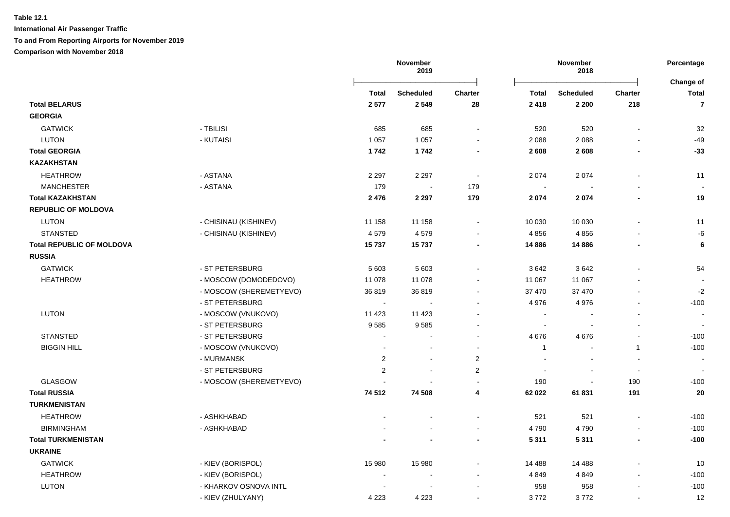**International Air Passenger Traffic**

**To and From Reporting Airports for November 2019**

|                                  |                         |                | November<br>2019         |                | November<br>2018         |                          |                          | Percentage                |
|----------------------------------|-------------------------|----------------|--------------------------|----------------|--------------------------|--------------------------|--------------------------|---------------------------|
|                                  |                         | <b>Total</b>   | <b>Scheduled</b>         | Charter        | <b>Total</b>             | <b>Scheduled</b>         | Charter                  | Change of<br><b>Total</b> |
| <b>Total BELARUS</b>             |                         | 2577           | 2 5 4 9                  | 28             | 2 4 1 8                  | 2 2 0 0                  | 218                      | $\overline{7}$            |
| <b>GEORGIA</b>                   |                         |                |                          |                |                          |                          |                          |                           |
| <b>GATWICK</b>                   | - TBILISI               | 685            | 685                      | $\blacksquare$ | 520                      | 520                      |                          | 32                        |
| <b>LUTON</b>                     | - KUTAISI               | 1 0 5 7        | 1 0 5 7                  | $\blacksquare$ | 2 0 8 8                  | 2088                     |                          | -49                       |
| <b>Total GEORGIA</b>             |                         | 1742           | 1742                     | $\blacksquare$ | 2 6 0 8                  | 2608                     | $\blacksquare$           | $-33$                     |
| <b>KAZAKHSTAN</b>                |                         |                |                          |                |                          |                          |                          |                           |
| <b>HEATHROW</b>                  | - ASTANA                | 2 2 9 7        | 2 2 9 7                  | $\blacksquare$ | 2 0 7 4                  | 2 0 7 4                  | $\sim$                   | 11                        |
| <b>MANCHESTER</b>                | - ASTANA                | 179            | $\overline{\phantom{a}}$ | 179            | $\sim$                   |                          |                          |                           |
| <b>Total KAZAKHSTAN</b>          |                         | 2476           | 2 2 9 7                  | 179            | 2 0 7 4                  | 2074                     |                          | 19                        |
| <b>REPUBLIC OF MOLDOVA</b>       |                         |                |                          |                |                          |                          |                          |                           |
| <b>LUTON</b>                     | - CHISINAU (KISHINEV)   | 11 158         | 11 158                   | $\blacksquare$ | 10 030                   | 10 030                   | $\sim$                   | 11                        |
| <b>STANSTED</b>                  | - CHISINAU (KISHINEV)   | 4579           | 4579                     |                | 4856                     | 4 8 5 6                  |                          | -6                        |
| <b>Total REPUBLIC OF MOLDOVA</b> |                         | 15737          | 15737                    |                | 14 8 86                  | 14 8 86                  |                          | 6                         |
| <b>RUSSIA</b>                    |                         |                |                          |                |                          |                          |                          |                           |
| <b>GATWICK</b>                   | - ST PETERSBURG         | 5 603          | 5 603                    |                | 3642                     | 3642                     |                          | 54                        |
| <b>HEATHROW</b>                  | - MOSCOW (DOMODEDOVO)   | 11 078         | 11 078                   |                | 11 067                   | 11 067                   |                          |                           |
|                                  | - MOSCOW (SHEREMETYEVO) | 36819          | 36819                    |                | 37 470                   | 37 470                   |                          | $-2$                      |
|                                  | - ST PETERSBURG         | $\blacksquare$ | $\blacksquare$           |                | 4 9 7 6                  | 4976                     |                          | $-100$                    |
| <b>LUTON</b>                     | - MOSCOW (VNUKOVO)      | 11 4 23        | 11 4 23                  |                | $\overline{\phantom{a}}$ |                          |                          | $\overline{\phantom{a}}$  |
|                                  | - ST PETERSBURG         | 9585           | 9585                     |                | $\overline{\phantom{a}}$ |                          |                          |                           |
| <b>STANSTED</b>                  | - ST PETERSBURG         |                |                          |                | 4676                     | 4676                     |                          | $-100$                    |
| <b>BIGGIN HILL</b>               | - MOSCOW (VNUKOVO)      |                | $\blacksquare$           | $\sim$         | $\mathbf{1}$             | $\overline{\phantom{a}}$ | $\mathbf{1}$             | $-100$                    |
|                                  | - MURMANSK              | $\sqrt{2}$     | $\blacksquare$           | $\sqrt{2}$     |                          |                          |                          | $\overline{\phantom{a}}$  |
|                                  | - ST PETERSBURG         | 2              | $\blacksquare$           | 2              | $\blacksquare$           |                          | $\overline{\phantom{a}}$ |                           |
| <b>GLASGOW</b>                   | - MOSCOW (SHEREMETYEVO) |                |                          | $\blacksquare$ | 190                      |                          | 190                      | $-100$                    |
| <b>Total RUSSIA</b>              |                         | 74 512         | 74 508                   | 4              | 62 022                   | 61831                    | 191                      | 20                        |
| <b>TURKMENISTAN</b>              |                         |                |                          |                |                          |                          |                          |                           |
| <b>HEATHROW</b>                  | - ASHKHABAD             |                |                          |                | 521                      | 521                      |                          | $-100$                    |
| <b>BIRMINGHAM</b>                | - ASHKHABAD             |                |                          | $\overline{a}$ | 4790                     | 4790                     |                          | $-100$                    |
| <b>Total TURKMENISTAN</b>        |                         |                |                          | $\blacksquare$ | 5 3 1 1                  | 5 3 1 1                  | $\blacksquare$           | $-100$                    |
| <b>UKRAINE</b>                   |                         |                |                          |                |                          |                          |                          |                           |
| <b>GATWICK</b>                   | - KIEV (BORISPOL)       | 15 980         | 15 980                   |                | 14 4 88                  | 14 4 88                  |                          | 10                        |
| <b>HEATHROW</b>                  | - KIEV (BORISPOL)       | $\blacksquare$ | $\blacksquare$           |                | 4849                     | 4 8 4 9                  | $\sim$                   | $-100$                    |
| <b>LUTON</b>                     | - KHARKOV OSNOVA INTL   |                |                          |                | 958                      | 958                      |                          | $-100$                    |
|                                  | - KIEV (ZHULYANY)       | 4 2 2 3        | 4 2 2 3                  | $\blacksquare$ | 3772                     | 3772                     |                          | 12                        |
|                                  |                         |                |                          |                |                          |                          |                          |                           |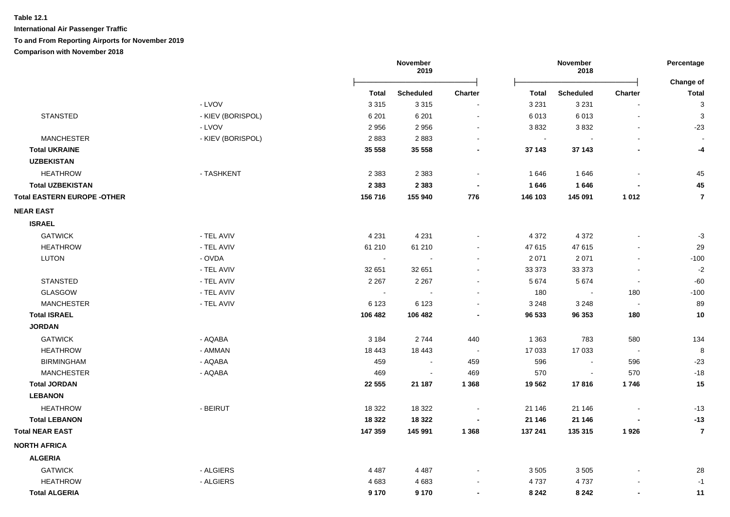|                                     |                   | November<br>2019         |                          |                          | November<br>2018            |                  |                          | Percentage<br>Change of   |
|-------------------------------------|-------------------|--------------------------|--------------------------|--------------------------|-----------------------------|------------------|--------------------------|---------------------------|
|                                     |                   | Total                    | <b>Scheduled</b>         | <b>Charter</b>           | <b>Total</b>                | <b>Scheduled</b> | <b>Charter</b>           | <b>Total</b>              |
|                                     | - LVOV            | 3 3 1 5                  | 3 3 1 5                  |                          | 3 2 3 1                     | 3 2 3 1          | $\overline{\phantom{a}}$ | $\ensuremath{\mathsf{3}}$ |
| <b>STANSTED</b>                     | - KIEV (BORISPOL) | 6 2 0 1                  | 6 2 0 1                  | $\blacksquare$           | 6 0 1 3                     | 6013             | $\blacksquare$           | $\ensuremath{\mathsf{3}}$ |
|                                     | - LVOV            | 2956                     | 2956                     | $\sim$                   | 3832                        | 3832             | $\blacksquare$           | $-23$                     |
| <b>MANCHESTER</b>                   | - KIEV (BORISPOL) | 2883                     | 2883                     |                          | $\mathcal{L}_{\mathcal{A}}$ |                  |                          |                           |
| <b>Total UKRAINE</b>                |                   | 35 558                   | 35 558                   |                          | 37 143                      | 37 143           | $\overline{\phantom{a}}$ | -4                        |
| <b>UZBEKISTAN</b>                   |                   |                          |                          |                          |                             |                  |                          |                           |
| <b>HEATHROW</b>                     | - TASHKENT        | 2 3 8 3                  | 2 3 8 3                  | $\sim$                   | 1 646                       | 1646             |                          | 45                        |
| <b>Total UZBEKISTAN</b>             |                   | 2 3 8 3                  | 2 3 8 3                  |                          | 1646                        | 1646             |                          | 45                        |
| <b>Total EASTERN EUROPE - OTHER</b> |                   | 156 716                  | 155 940                  | 776                      | 146 103                     | 145 091          | 1 0 1 2                  | $\overline{7}$            |
| <b>NEAR EAST</b>                    |                   |                          |                          |                          |                             |                  |                          |                           |
| <b>ISRAEL</b>                       |                   |                          |                          |                          |                             |                  |                          |                           |
| <b>GATWICK</b>                      | - TEL AVIV        | 4 2 3 1                  | 4 2 3 1                  |                          | 4 3 7 2                     | 4 3 7 2          |                          | $-3$                      |
| <b>HEATHROW</b>                     | - TEL AVIV        | 61 210                   | 61 210                   |                          | 47 615                      | 47 615           | $\blacksquare$           | 29                        |
| <b>LUTON</b>                        | - OVDA            | $\sim$                   |                          |                          | 2 0 7 1                     | 2 0 7 1          | $\blacksquare$           | $-100$                    |
|                                     | - TEL AVIV        | 32 651                   | 32 651                   |                          | 33 373                      | 33 37 3          | $\blacksquare$           | $-2$                      |
| <b>STANSTED</b>                     | - TEL AVIV        | 2 2 6 7                  | 2 2 6 7                  | $\sim$                   | 5 6 7 4                     | 5674             | $\blacksquare$           | $-60$                     |
| GLASGOW                             | - TEL AVIV        | $\overline{\phantom{a}}$ |                          | $\overline{\phantom{a}}$ | 180                         |                  | 180                      | $-100$                    |
| <b>MANCHESTER</b>                   | - TEL AVIV        | 6 1 2 3                  | 6 1 2 3                  |                          | 3 2 4 8                     | 3 2 4 8          | $\overline{\phantom{a}}$ | 89                        |
| <b>Total ISRAEL</b>                 |                   | 106 482                  | 106 482                  |                          | 96 533                      | 96 353           | 180                      | 10                        |
| <b>JORDAN</b>                       |                   |                          |                          |                          |                             |                  |                          |                           |
| <b>GATWICK</b>                      | - AQABA           | 3 1 8 4                  | 2744                     | 440                      | 1 3 6 3                     | 783              | 580                      | 134                       |
| <b>HEATHROW</b>                     | - AMMAN           | 18 4 43                  | 18 4 43                  | $\sim$ $-$               | 17 033                      | 17 033           | $\sim$                   | $\bf 8$                   |
| <b>BIRMINGHAM</b>                   | - AQABA           | 459                      |                          | 459                      | 596                         |                  | 596                      | $-23$                     |
| <b>MANCHESTER</b>                   | - AQABA           | 469                      | $\overline{\phantom{a}}$ | 469                      | 570                         |                  | 570                      | $-18$                     |
| <b>Total JORDAN</b>                 |                   | 22 555                   | 21 187                   | 1 3 6 8                  | 19 5 62                     | 17816            | 1746                     | 15                        |
| <b>LEBANON</b>                      |                   |                          |                          |                          |                             |                  |                          |                           |
| <b>HEATHROW</b>                     | - BEIRUT          | 18 3 22                  | 18 3 22                  |                          | 21 146                      | 21 146           |                          | $-13$                     |
| <b>Total LEBANON</b>                |                   | 18 3 22                  | 18 3 22                  |                          | 21 146                      | 21 146           |                          | $-13$                     |
| <b>Total NEAR EAST</b>              |                   | 147 359                  | 145 991                  | 1 3 6 8                  | 137 241                     | 135 315          | 1926                     | $\overline{7}$            |
| <b>NORTH AFRICA</b>                 |                   |                          |                          |                          |                             |                  |                          |                           |
| <b>ALGERIA</b>                      |                   |                          |                          |                          |                             |                  |                          |                           |
| <b>GATWICK</b>                      | - ALGIERS         | 4 4 8 7                  | 4 4 8 7                  |                          | 3 5 0 5                     | 3505             |                          | 28                        |
| <b>HEATHROW</b>                     | - ALGIERS         | 4683                     | 4683                     |                          | 4737                        | 4737             |                          | $-1$                      |
| <b>Total ALGERIA</b>                |                   | 9 1 7 0                  | 9 1 7 0                  |                          | 8 2 4 2                     | 8 2 4 2          | $\blacksquare$           | 11                        |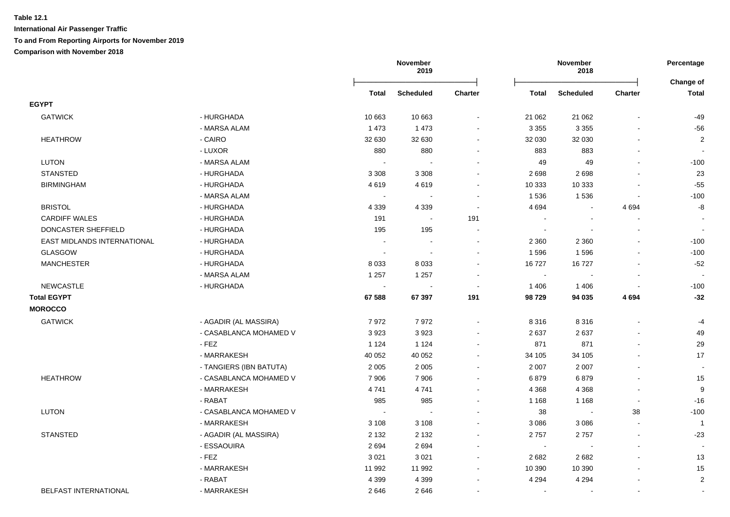|                             |                         | November<br>2019 |                          |                | November<br>2018 |                  |                | Percentage<br>Change of |
|-----------------------------|-------------------------|------------------|--------------------------|----------------|------------------|------------------|----------------|-------------------------|
|                             |                         | <b>Total</b>     | <b>Scheduled</b>         | <b>Charter</b> | <b>Total</b>     | <b>Scheduled</b> | Charter        | <b>Total</b>            |
| <b>EGYPT</b>                |                         |                  |                          |                |                  |                  |                |                         |
| <b>GATWICK</b>              | - HURGHADA              | 10 663           | 10 663                   |                | 21 062           | 21 062           |                | $-49$                   |
|                             | - MARSA ALAM            | 1473             | 1 4 7 3                  |                | 3 3 5 5          | 3 3 5 5          |                | $-56$                   |
| <b>HEATHROW</b>             | - CAIRO                 | 32 630           | 32 630                   | $\blacksquare$ | 32 030           | 32 030           |                | $\overline{\mathbf{c}}$ |
|                             | - LUXOR                 | 880              | 880                      | $\blacksquare$ | 883              | 883              |                |                         |
| <b>LUTON</b>                | - MARSA ALAM            |                  | $\overline{\phantom{a}}$ | $\blacksquare$ | 49               | 49               |                | $-100$                  |
| <b>STANSTED</b>             | - HURGHADA              | 3 3 0 8          | 3 3 0 8                  | $\blacksquare$ | 2698             | 2698             |                | 23                      |
| <b>BIRMINGHAM</b>           | - HURGHADA              | 4619             | 4619                     | $\blacksquare$ | 10 333           | 10 333           |                | $-55$                   |
|                             | - MARSA ALAM            |                  | $\sim$                   | $\sim$         | 1536             | 1536             |                | $-100$                  |
| <b>BRISTOL</b>              | - HURGHADA              | 4 3 3 9          | 4 3 3 9                  | $\sim$         | 4 6 9 4          | $\blacksquare$   | 4694           | -8                      |
| <b>CARDIFF WALES</b>        | - HURGHADA              | 191              | $\sim$                   | 191            | $\sim$           |                  |                | $\sim$                  |
| DONCASTER SHEFFIELD         | - HURGHADA              | 195              | 195                      |                | $\sim$           |                  |                | $\sim$                  |
| EAST MIDLANDS INTERNATIONAL | - HURGHADA              |                  | $\sim$                   | $\sim$         | 2 3 6 0          | 2 3 6 0          |                | $-100$                  |
| <b>GLASGOW</b>              | - HURGHADA              |                  |                          |                | 1596             | 1596             |                | $-100$                  |
| <b>MANCHESTER</b>           | - HURGHADA              | 8 0 3 3          | 8 0 3 3                  |                | 16727            | 16727            |                | $-52$                   |
|                             | - MARSA ALAM            | 1 2 5 7          | 1 2 5 7                  |                | $\sim$           |                  |                |                         |
| <b>NEWCASTLE</b>            | - HURGHADA              |                  |                          | ÷              | 1 4 0 6          | 1406             | $\sim$         | $-100$                  |
| <b>Total EGYPT</b>          |                         | 67 588           | 67 397                   | 191            | 98729            | 94 035           | 4694           | $-32$                   |
| <b>MOROCCO</b>              |                         |                  |                          |                |                  |                  |                |                         |
| <b>GATWICK</b>              | - AGADIR (AL MASSIRA)   | 7972             | 7972                     | $\blacksquare$ | 8 3 1 6          | 8 3 1 6          |                | $-4$                    |
|                             | - CASABLANCA MOHAMED V  | 3923             | 3923                     |                | 2 6 3 7          | 2637             |                | 49                      |
|                             | - FEZ                   | 1 1 2 4          | 1 1 2 4                  |                | 871              | 871              |                | 29                      |
|                             | - MARRAKESH             | 40 052           | 40 052                   | $\blacksquare$ | 34 105           | 34 105           |                | 17                      |
|                             | - TANGIERS (IBN BATUTA) | 2 0 0 5          | 2 0 0 5                  | $\blacksquare$ | 2 0 0 7          | 2 0 0 7          |                | $\blacksquare$          |
| <b>HEATHROW</b>             | - CASABLANCA MOHAMED V  | 7 9 0 6          | 7906                     | $\blacksquare$ | 6879             | 6879             |                | 15                      |
|                             | - MARRAKESH             | 4741             | 4741                     | $\blacksquare$ | 4 3 6 8          | 4 3 6 8          |                | $\boldsymbol{9}$        |
|                             | - RABAT                 | 985              | 985                      | $\mathbf{r}$   | 1 1 6 8          | 1 1 6 8          | $\blacksquare$ | $-16$                   |
| <b>LUTON</b>                | - CASABLANCA MOHAMED V  |                  | $\sim$                   | $\blacksquare$ | 38               | $\sim$           | 38             | $-100$                  |
|                             | - MARRAKESH             | 3 1 0 8          | 3 1 0 8                  | $\blacksquare$ | 3 0 8 6          | 3086             | $\sim$         | $\overline{1}$          |
| STANSTED                    | - AGADIR (AL MASSIRA)   | 2 1 3 2          | 2 1 3 2                  | $\blacksquare$ | 2757             | 2757             | $\blacksquare$ | $-23$                   |
|                             | - ESSAOUIRA             | 2694             | 2694                     |                | $\sim$           |                  |                |                         |
|                             | - FEZ                   | 3 0 21           | 3 0 2 1                  |                | 2682             | 2682             |                | 13                      |
|                             | - MARRAKESH             | 11 992           | 11 992                   |                | 10 390           | 10 390           |                | 15                      |
|                             | - RABAT                 | 4 3 9 9          | 4 3 9 9                  |                | 4 2 9 4          | 4 2 9 4          |                | $\overline{2}$          |
| BELFAST INTERNATIONAL       | - MARRAKESH             | 2646             | 2646                     | ÷              | $\sim$           | $\sim$           | $\sim$         |                         |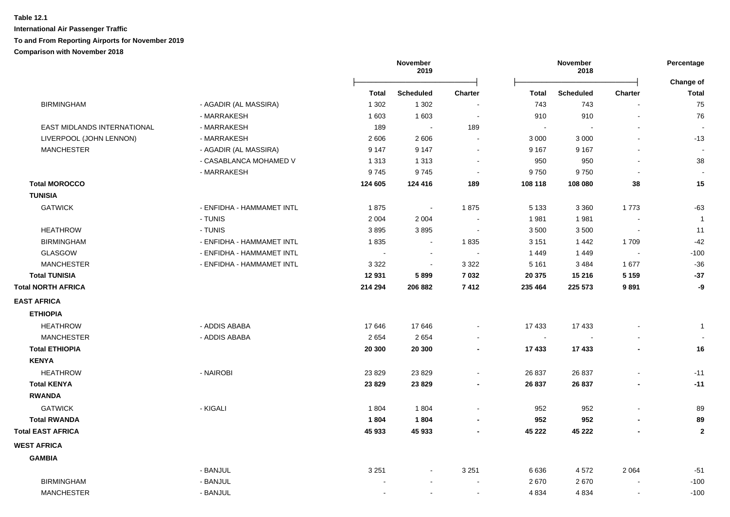| <b>Scheduled</b><br><b>Charter</b><br><b>Scheduled</b><br><b>Charter</b><br>Total<br>Total<br>1 3 0 2<br><b>BIRMINGHAM</b><br>- AGADIR (AL MASSIRA)<br>1 3 0 2<br>743<br>743<br>$\sim$<br>- MARRAKESH<br>1 603<br>1 603<br>910<br>910<br>$\blacksquare$<br>$\blacksquare$<br>EAST MIDLANDS INTERNATIONAL<br>- MARRAKESH<br>189<br>189<br>$\sim$<br>$\sim$<br>LIVERPOOL (JOHN LENNON)<br>- MARRAKESH<br>2 6 0 6<br>2606<br>3 0 0 0<br>3 0 0 0<br>$\sim$<br>$\blacksquare$<br><b>MANCHESTER</b><br>- AGADIR (AL MASSIRA)<br>9 1 4 7<br>9 1 4 7<br>9 1 6 7<br>9 1 6 7<br>$\sim$<br>- CASABLANCA MOHAMED V<br>1 3 1 3<br>1 3 1 3<br>950<br>950<br>$\blacksquare$<br>- MARRAKESH<br>9745<br>9745<br>9750<br>9750<br><b>Total MOROCCO</b><br>124 605<br>124 416<br>189<br>108 118<br>108 080<br>38<br><b>TUNISIA</b><br><b>GATWICK</b><br>- ENFIDHA - HAMMAMET INTL<br>1875<br>1875<br>1773<br>5 1 3 3<br>3 3 6 0<br>$\blacksquare$<br>- TUNIS<br>2 0 0 4<br>2 0 0 4<br>1981<br>1981<br>$\sim$<br>- TUNIS<br><b>HEATHROW</b><br>3895<br>3895<br>3 500<br>3500<br>$\sim$<br>$\sim$<br><b>BIRMINGHAM</b><br>- ENFIDHA - HAMMAMET INTL<br>1835<br>1835<br>3 1 5 1<br>1709<br>1442<br>$\sim$<br><b>GLASGOW</b><br>- ENFIDHA - HAMMAMET INTL<br>1449<br>1449<br>$\sim$<br>$\sim$<br>$\overline{\phantom{a}}$<br>$\sim$<br>- ENFIDHA - HAMMAMET INTL<br>3 3 2 2<br>3 3 2 2<br>1677<br><b>MANCHESTER</b><br>5 1 6 1<br>3 4 8 4<br>$\blacksquare$<br><b>Total TUNISIA</b><br>12931<br>5899<br>7 0 3 2<br>20 375<br>15 216<br>5 1 5 9<br><b>Total NORTH AFRICA</b><br>7412<br>235 464<br>214 294<br>206 882<br>225 573<br>9891<br><b>EAST AFRICA</b><br><b>ETHIOPIA</b><br><b>HEATHROW</b><br>- ADDIS ABABA<br>17646<br>17646<br>17 433<br>17 433<br>$\blacksquare$<br>2654<br>2654<br><b>MANCHESTER</b><br>- ADDIS ABABA<br>$\sim$<br><b>Total ETHIOPIA</b><br>20 300<br>20 300<br>17 433<br>17 433<br>$\blacksquare$<br><b>KENYA</b><br><b>HEATHROW</b><br>- NAIROBI<br>23 8 29<br>23 8 29<br>26 837<br>26 837<br>$\blacksquare$<br>$\blacksquare$<br><b>Total KENYA</b><br>23 8 29<br>23 8 29<br>26 837<br>26 837<br><b>RWANDA</b><br><b>GATWICK</b><br>- KIGALI<br>1 804<br>1804<br>952<br>952<br>$\blacksquare$<br>1804<br>1804<br><b>Total RWANDA</b><br>952<br>952<br><b>Total EAST AFRICA</b><br>45 933<br>45 222<br>45 222<br>45 933 |                    |  | November<br>2019 |  | November<br>2018 |  |  | Percentage<br>Change of |
|--------------------------------------------------------------------------------------------------------------------------------------------------------------------------------------------------------------------------------------------------------------------------------------------------------------------------------------------------------------------------------------------------------------------------------------------------------------------------------------------------------------------------------------------------------------------------------------------------------------------------------------------------------------------------------------------------------------------------------------------------------------------------------------------------------------------------------------------------------------------------------------------------------------------------------------------------------------------------------------------------------------------------------------------------------------------------------------------------------------------------------------------------------------------------------------------------------------------------------------------------------------------------------------------------------------------------------------------------------------------------------------------------------------------------------------------------------------------------------------------------------------------------------------------------------------------------------------------------------------------------------------------------------------------------------------------------------------------------------------------------------------------------------------------------------------------------------------------------------------------------------------------------------------------------------------------------------------------------------------------------------------------------------------------------------------------------------------------------------------------------------------------------------------------------------------------------------------------------------------------------------------------------------------------------------------------------------|--------------------|--|------------------|--|------------------|--|--|-------------------------|
|                                                                                                                                                                                                                                                                                                                                                                                                                                                                                                                                                                                                                                                                                                                                                                                                                                                                                                                                                                                                                                                                                                                                                                                                                                                                                                                                                                                                                                                                                                                                                                                                                                                                                                                                                                                                                                                                                                                                                                                                                                                                                                                                                                                                                                                                                                                                |                    |  |                  |  |                  |  |  | <b>Total</b>            |
|                                                                                                                                                                                                                                                                                                                                                                                                                                                                                                                                                                                                                                                                                                                                                                                                                                                                                                                                                                                                                                                                                                                                                                                                                                                                                                                                                                                                                                                                                                                                                                                                                                                                                                                                                                                                                                                                                                                                                                                                                                                                                                                                                                                                                                                                                                                                |                    |  |                  |  |                  |  |  | 75                      |
|                                                                                                                                                                                                                                                                                                                                                                                                                                                                                                                                                                                                                                                                                                                                                                                                                                                                                                                                                                                                                                                                                                                                                                                                                                                                                                                                                                                                                                                                                                                                                                                                                                                                                                                                                                                                                                                                                                                                                                                                                                                                                                                                                                                                                                                                                                                                |                    |  |                  |  |                  |  |  | 76                      |
|                                                                                                                                                                                                                                                                                                                                                                                                                                                                                                                                                                                                                                                                                                                                                                                                                                                                                                                                                                                                                                                                                                                                                                                                                                                                                                                                                                                                                                                                                                                                                                                                                                                                                                                                                                                                                                                                                                                                                                                                                                                                                                                                                                                                                                                                                                                                |                    |  |                  |  |                  |  |  |                         |
|                                                                                                                                                                                                                                                                                                                                                                                                                                                                                                                                                                                                                                                                                                                                                                                                                                                                                                                                                                                                                                                                                                                                                                                                                                                                                                                                                                                                                                                                                                                                                                                                                                                                                                                                                                                                                                                                                                                                                                                                                                                                                                                                                                                                                                                                                                                                |                    |  |                  |  |                  |  |  | $-13$                   |
|                                                                                                                                                                                                                                                                                                                                                                                                                                                                                                                                                                                                                                                                                                                                                                                                                                                                                                                                                                                                                                                                                                                                                                                                                                                                                                                                                                                                                                                                                                                                                                                                                                                                                                                                                                                                                                                                                                                                                                                                                                                                                                                                                                                                                                                                                                                                |                    |  |                  |  |                  |  |  |                         |
|                                                                                                                                                                                                                                                                                                                                                                                                                                                                                                                                                                                                                                                                                                                                                                                                                                                                                                                                                                                                                                                                                                                                                                                                                                                                                                                                                                                                                                                                                                                                                                                                                                                                                                                                                                                                                                                                                                                                                                                                                                                                                                                                                                                                                                                                                                                                |                    |  |                  |  |                  |  |  | 38                      |
|                                                                                                                                                                                                                                                                                                                                                                                                                                                                                                                                                                                                                                                                                                                                                                                                                                                                                                                                                                                                                                                                                                                                                                                                                                                                                                                                                                                                                                                                                                                                                                                                                                                                                                                                                                                                                                                                                                                                                                                                                                                                                                                                                                                                                                                                                                                                |                    |  |                  |  |                  |  |  |                         |
|                                                                                                                                                                                                                                                                                                                                                                                                                                                                                                                                                                                                                                                                                                                                                                                                                                                                                                                                                                                                                                                                                                                                                                                                                                                                                                                                                                                                                                                                                                                                                                                                                                                                                                                                                                                                                                                                                                                                                                                                                                                                                                                                                                                                                                                                                                                                |                    |  |                  |  |                  |  |  | 15                      |
|                                                                                                                                                                                                                                                                                                                                                                                                                                                                                                                                                                                                                                                                                                                                                                                                                                                                                                                                                                                                                                                                                                                                                                                                                                                                                                                                                                                                                                                                                                                                                                                                                                                                                                                                                                                                                                                                                                                                                                                                                                                                                                                                                                                                                                                                                                                                |                    |  |                  |  |                  |  |  |                         |
|                                                                                                                                                                                                                                                                                                                                                                                                                                                                                                                                                                                                                                                                                                                                                                                                                                                                                                                                                                                                                                                                                                                                                                                                                                                                                                                                                                                                                                                                                                                                                                                                                                                                                                                                                                                                                                                                                                                                                                                                                                                                                                                                                                                                                                                                                                                                |                    |  |                  |  |                  |  |  | $-63$                   |
|                                                                                                                                                                                                                                                                                                                                                                                                                                                                                                                                                                                                                                                                                                                                                                                                                                                                                                                                                                                                                                                                                                                                                                                                                                                                                                                                                                                                                                                                                                                                                                                                                                                                                                                                                                                                                                                                                                                                                                                                                                                                                                                                                                                                                                                                                                                                |                    |  |                  |  |                  |  |  | $\overline{1}$          |
|                                                                                                                                                                                                                                                                                                                                                                                                                                                                                                                                                                                                                                                                                                                                                                                                                                                                                                                                                                                                                                                                                                                                                                                                                                                                                                                                                                                                                                                                                                                                                                                                                                                                                                                                                                                                                                                                                                                                                                                                                                                                                                                                                                                                                                                                                                                                |                    |  |                  |  |                  |  |  | 11                      |
|                                                                                                                                                                                                                                                                                                                                                                                                                                                                                                                                                                                                                                                                                                                                                                                                                                                                                                                                                                                                                                                                                                                                                                                                                                                                                                                                                                                                                                                                                                                                                                                                                                                                                                                                                                                                                                                                                                                                                                                                                                                                                                                                                                                                                                                                                                                                |                    |  |                  |  |                  |  |  | $-42$                   |
|                                                                                                                                                                                                                                                                                                                                                                                                                                                                                                                                                                                                                                                                                                                                                                                                                                                                                                                                                                                                                                                                                                                                                                                                                                                                                                                                                                                                                                                                                                                                                                                                                                                                                                                                                                                                                                                                                                                                                                                                                                                                                                                                                                                                                                                                                                                                |                    |  |                  |  |                  |  |  | $-100$                  |
|                                                                                                                                                                                                                                                                                                                                                                                                                                                                                                                                                                                                                                                                                                                                                                                                                                                                                                                                                                                                                                                                                                                                                                                                                                                                                                                                                                                                                                                                                                                                                                                                                                                                                                                                                                                                                                                                                                                                                                                                                                                                                                                                                                                                                                                                                                                                |                    |  |                  |  |                  |  |  | $-36$                   |
|                                                                                                                                                                                                                                                                                                                                                                                                                                                                                                                                                                                                                                                                                                                                                                                                                                                                                                                                                                                                                                                                                                                                                                                                                                                                                                                                                                                                                                                                                                                                                                                                                                                                                                                                                                                                                                                                                                                                                                                                                                                                                                                                                                                                                                                                                                                                |                    |  |                  |  |                  |  |  | $-37$                   |
|                                                                                                                                                                                                                                                                                                                                                                                                                                                                                                                                                                                                                                                                                                                                                                                                                                                                                                                                                                                                                                                                                                                                                                                                                                                                                                                                                                                                                                                                                                                                                                                                                                                                                                                                                                                                                                                                                                                                                                                                                                                                                                                                                                                                                                                                                                                                |                    |  |                  |  |                  |  |  | -9                      |
|                                                                                                                                                                                                                                                                                                                                                                                                                                                                                                                                                                                                                                                                                                                                                                                                                                                                                                                                                                                                                                                                                                                                                                                                                                                                                                                                                                                                                                                                                                                                                                                                                                                                                                                                                                                                                                                                                                                                                                                                                                                                                                                                                                                                                                                                                                                                |                    |  |                  |  |                  |  |  |                         |
|                                                                                                                                                                                                                                                                                                                                                                                                                                                                                                                                                                                                                                                                                                                                                                                                                                                                                                                                                                                                                                                                                                                                                                                                                                                                                                                                                                                                                                                                                                                                                                                                                                                                                                                                                                                                                                                                                                                                                                                                                                                                                                                                                                                                                                                                                                                                |                    |  |                  |  |                  |  |  |                         |
|                                                                                                                                                                                                                                                                                                                                                                                                                                                                                                                                                                                                                                                                                                                                                                                                                                                                                                                                                                                                                                                                                                                                                                                                                                                                                                                                                                                                                                                                                                                                                                                                                                                                                                                                                                                                                                                                                                                                                                                                                                                                                                                                                                                                                                                                                                                                |                    |  |                  |  |                  |  |  | $\mathbf{1}$            |
|                                                                                                                                                                                                                                                                                                                                                                                                                                                                                                                                                                                                                                                                                                                                                                                                                                                                                                                                                                                                                                                                                                                                                                                                                                                                                                                                                                                                                                                                                                                                                                                                                                                                                                                                                                                                                                                                                                                                                                                                                                                                                                                                                                                                                                                                                                                                |                    |  |                  |  |                  |  |  |                         |
|                                                                                                                                                                                                                                                                                                                                                                                                                                                                                                                                                                                                                                                                                                                                                                                                                                                                                                                                                                                                                                                                                                                                                                                                                                                                                                                                                                                                                                                                                                                                                                                                                                                                                                                                                                                                                                                                                                                                                                                                                                                                                                                                                                                                                                                                                                                                |                    |  |                  |  |                  |  |  | 16                      |
|                                                                                                                                                                                                                                                                                                                                                                                                                                                                                                                                                                                                                                                                                                                                                                                                                                                                                                                                                                                                                                                                                                                                                                                                                                                                                                                                                                                                                                                                                                                                                                                                                                                                                                                                                                                                                                                                                                                                                                                                                                                                                                                                                                                                                                                                                                                                |                    |  |                  |  |                  |  |  |                         |
|                                                                                                                                                                                                                                                                                                                                                                                                                                                                                                                                                                                                                                                                                                                                                                                                                                                                                                                                                                                                                                                                                                                                                                                                                                                                                                                                                                                                                                                                                                                                                                                                                                                                                                                                                                                                                                                                                                                                                                                                                                                                                                                                                                                                                                                                                                                                |                    |  |                  |  |                  |  |  | $-11$                   |
|                                                                                                                                                                                                                                                                                                                                                                                                                                                                                                                                                                                                                                                                                                                                                                                                                                                                                                                                                                                                                                                                                                                                                                                                                                                                                                                                                                                                                                                                                                                                                                                                                                                                                                                                                                                                                                                                                                                                                                                                                                                                                                                                                                                                                                                                                                                                |                    |  |                  |  |                  |  |  | $-11$                   |
|                                                                                                                                                                                                                                                                                                                                                                                                                                                                                                                                                                                                                                                                                                                                                                                                                                                                                                                                                                                                                                                                                                                                                                                                                                                                                                                                                                                                                                                                                                                                                                                                                                                                                                                                                                                                                                                                                                                                                                                                                                                                                                                                                                                                                                                                                                                                |                    |  |                  |  |                  |  |  |                         |
|                                                                                                                                                                                                                                                                                                                                                                                                                                                                                                                                                                                                                                                                                                                                                                                                                                                                                                                                                                                                                                                                                                                                                                                                                                                                                                                                                                                                                                                                                                                                                                                                                                                                                                                                                                                                                                                                                                                                                                                                                                                                                                                                                                                                                                                                                                                                |                    |  |                  |  |                  |  |  | 89                      |
|                                                                                                                                                                                                                                                                                                                                                                                                                                                                                                                                                                                                                                                                                                                                                                                                                                                                                                                                                                                                                                                                                                                                                                                                                                                                                                                                                                                                                                                                                                                                                                                                                                                                                                                                                                                                                                                                                                                                                                                                                                                                                                                                                                                                                                                                                                                                |                    |  |                  |  |                  |  |  | 89                      |
|                                                                                                                                                                                                                                                                                                                                                                                                                                                                                                                                                                                                                                                                                                                                                                                                                                                                                                                                                                                                                                                                                                                                                                                                                                                                                                                                                                                                                                                                                                                                                                                                                                                                                                                                                                                                                                                                                                                                                                                                                                                                                                                                                                                                                                                                                                                                |                    |  |                  |  |                  |  |  | $\mathbf{2}$            |
|                                                                                                                                                                                                                                                                                                                                                                                                                                                                                                                                                                                                                                                                                                                                                                                                                                                                                                                                                                                                                                                                                                                                                                                                                                                                                                                                                                                                                                                                                                                                                                                                                                                                                                                                                                                                                                                                                                                                                                                                                                                                                                                                                                                                                                                                                                                                | <b>WEST AFRICA</b> |  |                  |  |                  |  |  |                         |
| <b>GAMBIA</b>                                                                                                                                                                                                                                                                                                                                                                                                                                                                                                                                                                                                                                                                                                                                                                                                                                                                                                                                                                                                                                                                                                                                                                                                                                                                                                                                                                                                                                                                                                                                                                                                                                                                                                                                                                                                                                                                                                                                                                                                                                                                                                                                                                                                                                                                                                                  |                    |  |                  |  |                  |  |  |                         |
| - BANJUL<br>3 2 5 1<br>3 2 5 1<br>6636<br>4572<br>2 0 6 4                                                                                                                                                                                                                                                                                                                                                                                                                                                                                                                                                                                                                                                                                                                                                                                                                                                                                                                                                                                                                                                                                                                                                                                                                                                                                                                                                                                                                                                                                                                                                                                                                                                                                                                                                                                                                                                                                                                                                                                                                                                                                                                                                                                                                                                                      |                    |  |                  |  |                  |  |  | $-51$                   |
| <b>BIRMINGHAM</b><br>- BANJUL<br>2670<br>2670<br>$\sim$<br>$\sim$<br>$\blacksquare$                                                                                                                                                                                                                                                                                                                                                                                                                                                                                                                                                                                                                                                                                                                                                                                                                                                                                                                                                                                                                                                                                                                                                                                                                                                                                                                                                                                                                                                                                                                                                                                                                                                                                                                                                                                                                                                                                                                                                                                                                                                                                                                                                                                                                                            |                    |  |                  |  |                  |  |  | $-100$                  |
| <b>MANCHESTER</b><br>- BANJUL<br>4 8 3 4<br>4 8 3 4<br>$\sim$<br>$\sim$<br>$\blacksquare$                                                                                                                                                                                                                                                                                                                                                                                                                                                                                                                                                                                                                                                                                                                                                                                                                                                                                                                                                                                                                                                                                                                                                                                                                                                                                                                                                                                                                                                                                                                                                                                                                                                                                                                                                                                                                                                                                                                                                                                                                                                                                                                                                                                                                                      |                    |  |                  |  |                  |  |  | $-100$                  |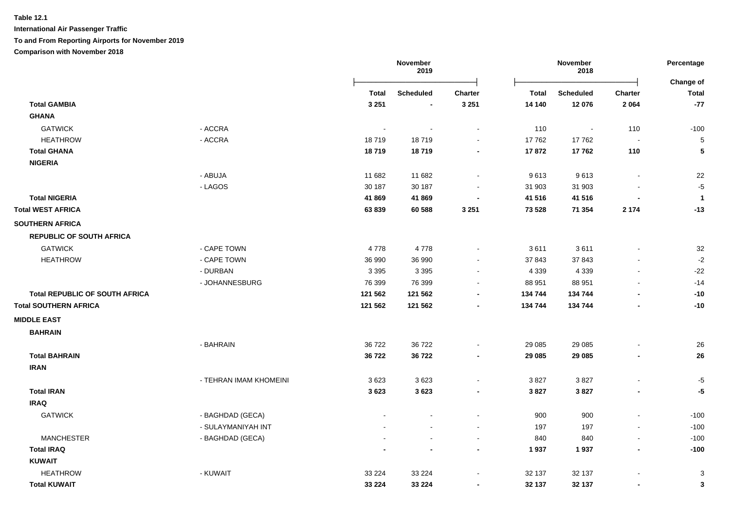**International Air Passenger Traffic**

**To and From Reporting Airports for November 2019**

|                                       |                        | November<br>2019 |                          | November<br>2018 |              |                  | Percentage<br>Change of  |              |
|---------------------------------------|------------------------|------------------|--------------------------|------------------|--------------|------------------|--------------------------|--------------|
|                                       |                        | <b>Total</b>     | <b>Scheduled</b>         | <b>Charter</b>   | <b>Total</b> | <b>Scheduled</b> | Charter                  | <b>Total</b> |
| <b>Total GAMBIA</b>                   |                        | 3 2 5 1          | $\blacksquare$           | 3 2 5 1          | 14 140       | 12 076           | 2 0 6 4                  | $-77$        |
| <b>GHANA</b>                          |                        |                  |                          |                  |              |                  |                          |              |
| <b>GATWICK</b>                        | - ACCRA                |                  |                          |                  | 110          | $\blacksquare$   | 110                      | $-100$       |
| <b>HEATHROW</b>                       | - ACCRA                | 18719            | 18719                    |                  | 17762        | 17762            | $\overline{\phantom{a}}$ | 5            |
| <b>Total GHANA</b>                    |                        | 18719            | 18719                    | $\blacksquare$   | 17872        | 17762            | 110                      | 5            |
| <b>NIGERIA</b>                        |                        |                  |                          |                  |              |                  |                          |              |
|                                       | - ABUJA                | 11 682           | 11 682                   |                  | 9613         | 9613             |                          | 22           |
|                                       | - LAGOS                | 30 187           | 30 187                   |                  | 31 903       | 31 903           |                          | $-5$         |
| <b>Total NIGERIA</b>                  |                        | 41869            | 41869                    |                  | 41 516       | 41 516           |                          | $\mathbf{1}$ |
| <b>Total WEST AFRICA</b>              |                        | 63839            | 60 588                   | 3 2 5 1          | 73 528       | 71 354           | 2 1 7 4                  | $-13$        |
| <b>SOUTHERN AFRICA</b>                |                        |                  |                          |                  |              |                  |                          |              |
| <b>REPUBLIC OF SOUTH AFRICA</b>       |                        |                  |                          |                  |              |                  |                          |              |
| <b>GATWICK</b>                        | - CAPE TOWN            | 4778             | 4778                     |                  | 3611         | 3611             |                          | 32           |
| <b>HEATHROW</b>                       | - CAPE TOWN            | 36 990           | 36 990                   |                  | 37 843       | 37 843           |                          | $-2$         |
|                                       | - DURBAN               | 3 3 9 5          | 3 3 9 5                  |                  | 4 3 3 9      | 4 3 3 9          |                          | $-22$        |
|                                       | - JOHANNESBURG         | 76 399           | 76 399                   |                  | 88 951       | 88 951           |                          | $-14$        |
| <b>Total REPUBLIC OF SOUTH AFRICA</b> |                        | 121 562          | 121 562                  |                  | 134 744      | 134 744          |                          | $-10$        |
| <b>Total SOUTHERN AFRICA</b>          |                        | 121 562          | 121 562                  | $\blacksquare$   | 134 744      | 134 744          |                          | $-10$        |
| <b>MIDDLE EAST</b>                    |                        |                  |                          |                  |              |                  |                          |              |
| <b>BAHRAIN</b>                        |                        |                  |                          |                  |              |                  |                          |              |
|                                       | - BAHRAIN              | 36 722           | 36722                    |                  | 29 085       | 29 085           |                          | $26\,$       |
| <b>Total BAHRAIN</b>                  |                        | 36722            | 36722                    |                  | 29 085       | 29 085           |                          | 26           |
| <b>IRAN</b>                           |                        |                  |                          |                  |              |                  |                          |              |
|                                       | - TEHRAN IMAM KHOMEINI | 3623             | 3623                     |                  | 3827         | 3827             |                          | -5           |
| <b>Total IRAN</b>                     |                        | 3623             | 3623                     |                  | 3827         | 3827             |                          | $-5$         |
| <b>IRAQ</b>                           |                        |                  |                          |                  |              |                  |                          |              |
| <b>GATWICK</b>                        | - BAGHDAD (GECA)       |                  |                          |                  | 900          | 900              |                          | $-100$       |
|                                       | - SULAYMANIYAH INT     |                  |                          | $\blacksquare$   | 197          | 197              |                          | $-100$       |
| <b>MANCHESTER</b>                     | - BAGHDAD (GECA)       |                  | $\overline{\phantom{a}}$ | $\blacksquare$   | 840          | 840              |                          | $-100$       |
| <b>Total IRAQ</b>                     |                        |                  | $\blacksquare$           | $\blacksquare$   | 1937         | 1937             |                          | $-100$       |
| <b>KUWAIT</b>                         |                        |                  |                          |                  |              |                  |                          |              |
| <b>HEATHROW</b>                       | - KUWAIT               | 33 2 24          | 33 2 24                  |                  | 32 137       | 32 137           |                          | 3            |
| <b>Total KUWAIT</b>                   |                        | 33 2 24          | 33 2 24                  | $\blacksquare$   | 32 137       | 32 137           |                          | $\mathbf{3}$ |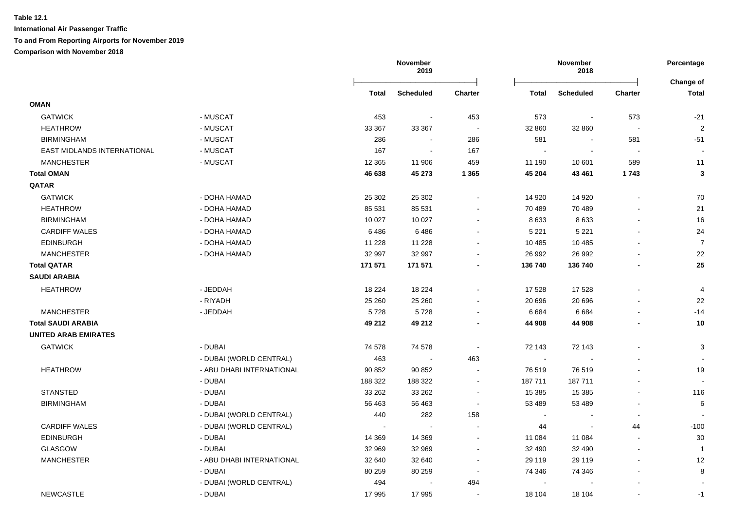|                             |                           |         | November<br>November<br>2019<br>2018 |                          |              | Percentage<br>Change of |                          |                |
|-----------------------------|---------------------------|---------|--------------------------------------|--------------------------|--------------|-------------------------|--------------------------|----------------|
|                             |                           | Total   | <b>Scheduled</b>                     | <b>Charter</b>           | <b>Total</b> | <b>Scheduled</b>        | <b>Charter</b>           | <b>Total</b>   |
| <b>OMAN</b>                 |                           |         |                                      |                          |              |                         |                          |                |
| <b>GATWICK</b>              | - MUSCAT                  | 453     | $\overline{\phantom{a}}$             | 453                      | 573          | $\blacksquare$          | 573                      | $-21$          |
| <b>HEATHROW</b>             | - MUSCAT                  | 33 367  | 33 367                               | $\sim$                   | 32 860       | 32 860                  | $\sim$                   | $\overline{2}$ |
| <b>BIRMINGHAM</b>           | - MUSCAT                  | 286     | $\sim$                               | 286                      | 581          |                         | 581                      | $-51$          |
| EAST MIDLANDS INTERNATIONAL | - MUSCAT                  | 167     | $\sim$                               | 167                      | $\sim$       |                         | $\overline{\phantom{a}}$ |                |
| <b>MANCHESTER</b>           | - MUSCAT                  | 12 3 65 | 11 906                               | 459                      | 11 190       | 10 601                  | 589                      | 11             |
| <b>Total OMAN</b>           |                           | 46 638  | 45 273                               | 1 3 6 5                  | 45 204       | 43 461                  | 1743                     | $\mathbf{3}$   |
| QATAR                       |                           |         |                                      |                          |              |                         |                          |                |
| <b>GATWICK</b>              | - DOHA HAMAD              | 25 302  | 25 302                               | $\blacksquare$           | 14 9 20      | 14 9 20                 |                          | 70             |
| <b>HEATHROW</b>             | - DOHA HAMAD              | 85 531  | 85 531                               |                          | 70 489       | 70 489                  |                          | 21             |
| <b>BIRMINGHAM</b>           | - DOHA HAMAD              | 10 0 27 | 10 0 27                              |                          | 8633         | 8633                    |                          | 16             |
| <b>CARDIFF WALES</b>        | - DOHA HAMAD              | 6486    | 6486                                 |                          | 5 2 2 1      | 5 2 2 1                 |                          | 24             |
| <b>EDINBURGH</b>            | - DOHA HAMAD              | 11 2 28 | 11 2 28                              |                          | 10 4 85      | 10 4 85                 |                          | $\overline{7}$ |
| <b>MANCHESTER</b>           | - DOHA HAMAD              | 32 997  | 32 997                               |                          | 26 992       | 26 992                  |                          | 22             |
| <b>Total QATAR</b>          |                           | 171 571 | 171 571                              |                          | 136 740      | 136 740                 |                          | 25             |
| <b>SAUDI ARABIA</b>         |                           |         |                                      |                          |              |                         |                          |                |
| <b>HEATHROW</b>             | - JEDDAH                  | 18 2 24 | 18 2 24                              |                          | 17 528       | 17528                   |                          | $\overline{4}$ |
|                             | - RIYADH                  | 25 260  | 25 260                               |                          | 20 696       | 20 696                  |                          | 22             |
| <b>MANCHESTER</b>           | - JEDDAH                  | 5728    | 5728                                 |                          | 6 6 8 4      | 6684                    |                          | $-14$          |
| <b>Total SAUDI ARABIA</b>   |                           | 49 212  | 49 212                               |                          | 44 908       | 44 908                  |                          | 10             |
| <b>UNITED ARAB EMIRATES</b> |                           |         |                                      |                          |              |                         |                          |                |
| <b>GATWICK</b>              | - DUBAI                   | 74 578  | 74 578                               |                          | 72 143       | 72 143                  |                          | 3              |
|                             | - DUBAI (WORLD CENTRAL)   | 463     | $\mathcal{L}_{\mathcal{A}}$          | 463                      | $\sim$       |                         |                          |                |
| <b>HEATHROW</b>             | - ABU DHABI INTERNATIONAL | 90 852  | 90 852                               | $\sim$                   | 76 519       | 76 519                  |                          | 19             |
|                             | - DUBAI                   | 188 322 | 188 322                              | $\blacksquare$           | 187 711      | 187 711                 |                          |                |
| <b>STANSTED</b>             | - DUBAI                   | 33 262  | 33 26 2                              | $\sim$                   | 15 3 85      | 15 3 8 5                |                          | 116            |
| <b>BIRMINGHAM</b>           | - DUBAI                   | 56 463  | 56 463                               | $\sim$                   | 53 489       | 53 489                  |                          | $\,6$          |
|                             | - DUBAI (WORLD CENTRAL)   | 440     | 282                                  | 158                      | $\sim$       |                         | $\overline{\phantom{a}}$ |                |
| <b>CARDIFF WALES</b>        | - DUBAI (WORLD CENTRAL)   |         | $\sim$                               |                          | 44           |                         | 44                       | $-100$         |
| <b>EDINBURGH</b>            | - DUBAI                   | 14 3 69 | 14 3 69                              |                          | 11 084       | 11 084                  |                          | 30             |
| <b>GLASGOW</b>              | - DUBAI                   | 32 969  | 32 969                               |                          | 32 490       | 32 490                  |                          | $\overline{1}$ |
| <b>MANCHESTER</b>           | - ABU DHABI INTERNATIONAL | 32 640  | 32 640                               | $\blacksquare$           | 29 119       | 29 119                  |                          | 12             |
|                             | - DUBAI                   | 80 259  | 80 259                               | $\blacksquare$           | 74 346       | 74 346                  |                          | 8              |
|                             | - DUBAI (WORLD CENTRAL)   | 494     |                                      | 494                      | $\sim$       |                         |                          |                |
| <b>NEWCASTLE</b>            | - DUBAI                   | 17 995  | 17 995                               | $\overline{\phantom{a}}$ | 18 104       | 18 104                  |                          | $-1$           |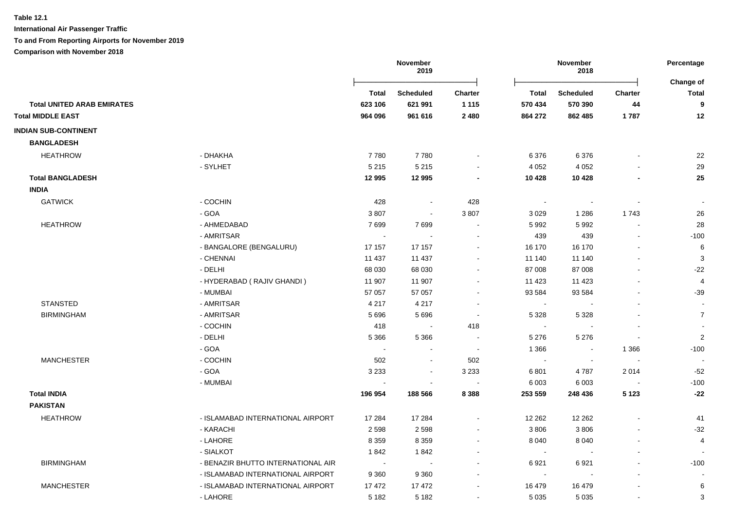**International Air Passenger Traffic**

# **To and From Reporting Airports for November 2019**

|                                   |                                    | November<br>2019 |                             |                          | November<br>2018         |                  |                |                           |
|-----------------------------------|------------------------------------|------------------|-----------------------------|--------------------------|--------------------------|------------------|----------------|---------------------------|
|                                   |                                    | Total            | <b>Scheduled</b>            | <b>Charter</b>           | <b>Total</b>             | <b>Scheduled</b> | <b>Charter</b> | Change of<br><b>Total</b> |
| <b>Total UNITED ARAB EMIRATES</b> |                                    | 623 106          | 621 991                     | 1 1 1 5                  | 570 434                  | 570 390          | 44             | 9                         |
| <b>Total MIDDLE EAST</b>          |                                    | 964 096          | 961 616                     | 2 4 8 0                  | 864 272                  | 862 485          | 1787           | 12                        |
| <b>INDIAN SUB-CONTINENT</b>       |                                    |                  |                             |                          |                          |                  |                |                           |
| <b>BANGLADESH</b>                 |                                    |                  |                             |                          |                          |                  |                |                           |
| <b>HEATHROW</b>                   | - DHAKHA                           | 7780             | 7780                        |                          | 6 3 7 6                  | 6 3 7 6          |                | 22                        |
|                                   | - SYLHET                           | 5 2 1 5          | 5 2 1 5                     | $\blacksquare$           | 4 0 5 2                  | 4 0 5 2          |                | 29                        |
| <b>Total BANGLADESH</b>           |                                    | 12 995           | 12 995                      | $\blacksquare$           | 10 4 28                  | 10 4 28          |                | 25                        |
| <b>INDIA</b>                      |                                    |                  |                             |                          |                          |                  |                |                           |
| <b>GATWICK</b>                    | - COCHIN                           | 428              | $\sim$                      | 428                      | $\sim$                   | $\blacksquare$   |                | $\overline{\phantom{a}}$  |
|                                   | - GOA                              | 3807             | $\mathcal{L}_{\mathcal{A}}$ | 3807                     | 3 0 2 9                  | 1 2 8 6          | 1743           | 26                        |
| <b>HEATHROW</b>                   | - AHMEDABAD                        | 7699             | 7699                        | $\blacksquare$           | 5 9 9 2                  | 5992             |                | 28                        |
|                                   | - AMRITSAR                         |                  |                             |                          | 439                      | 439              |                | $-100$                    |
|                                   | - BANGALORE (BENGALURU)            | 17 157           | 17 157                      | $\blacksquare$           | 16 170                   | 16 170           |                | 6                         |
|                                   | - CHENNAI                          | 11 437           | 11 437                      |                          | 11 140                   | 11 140           |                | 3                         |
|                                   | - DELHI                            | 68 030           | 68 030                      |                          | 87 008                   | 87 008           |                | $-22$                     |
|                                   | - HYDERABAD (RAJIV GHANDI)         | 11 907           | 11 907                      |                          | 11 423                   | 11 4 23          |                | $\overline{4}$            |
|                                   | - MUMBAI                           | 57 057           | 57 057                      |                          | 93 584                   | 93 584           |                | $-39$                     |
| <b>STANSTED</b>                   | - AMRITSAR                         | 4 2 1 7          | 4 2 1 7                     | $\sim$                   | $\sim$                   |                  |                |                           |
| <b>BIRMINGHAM</b>                 | - AMRITSAR                         | 5696             | 5696                        | $\sim$                   | 5 3 2 8                  | 5 3 2 8          |                | $\overline{7}$            |
|                                   | - COCHIN                           | 418              | $\sim$                      | 418                      | $\sim$                   |                  |                | $\blacksquare$            |
|                                   | - DELHI                            | 5 3 6 6          | 5 3 6 6                     |                          | 5 2 7 6                  | 5 2 7 6          | $\blacksquare$ | $\overline{c}$            |
|                                   | - GOA                              |                  |                             |                          | 1 3 6 6                  | $\sim$           | 1 3 6 6        | $-100$                    |
| <b>MANCHESTER</b>                 | - COCHIN                           | 502              | $\sim$                      | 502                      | $\overline{\phantom{a}}$ |                  |                |                           |
|                                   | - GOA                              | 3 2 3 3          | $\sim$                      | 3 2 3 3                  | 6801                     | 4787             | 2014           | $-52$                     |
|                                   | - MUMBAI                           |                  |                             | $\overline{\phantom{a}}$ | 6 0 0 3                  | 6 0 0 3          |                | $-100$                    |
| <b>Total INDIA</b>                |                                    | 196 954          | 188 566                     | 8 3 8 8                  | 253 559                  | 248 436          | 5 1 2 3        | $-22$                     |
| <b>PAKISTAN</b>                   |                                    |                  |                             |                          |                          |                  |                |                           |
| <b>HEATHROW</b>                   | - ISLAMABAD INTERNATIONAL AIRPORT  | 17 284           | 17 284                      |                          | 12 262                   | 12 2 62          |                | 41                        |
|                                   | - KARACHI                          | 2598             | 2598                        | $\blacksquare$           | 3806                     | 3806             |                | $-32$                     |
|                                   | - LAHORE                           | 8 3 5 9          | 8 3 5 9                     | $\blacksquare$           | 8 0 4 0                  | 8 0 4 0          |                | 4                         |
|                                   | - SIALKOT                          | 1842             | 1842                        |                          | $\sim$                   |                  |                |                           |
| <b>BIRMINGHAM</b>                 | - BENAZIR BHUTTO INTERNATIONAL AIR |                  |                             |                          | 6921                     | 6921             |                | $-100$                    |
|                                   | - ISLAMABAD INTERNATIONAL AIRPORT  | 9 3 6 0          | 9 3 6 0                     |                          | $\sim$                   |                  |                |                           |
| <b>MANCHESTER</b>                 | - ISLAMABAD INTERNATIONAL AIRPORT  | 17472            | 17472                       |                          | 16 479                   | 16 479           |                | 6                         |
|                                   | - LAHORE                           | 5 1 8 2          | 5 1 8 2                     |                          | 5 0 3 5                  | 5 0 3 5          |                | 3                         |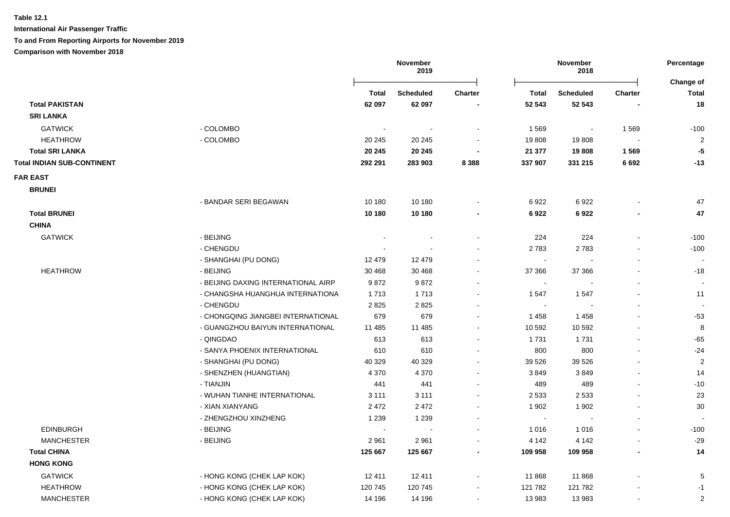**International Air Passenger Traffic**

**To and From Reporting Airports for November 2019**

|                                   |                                     |                | November<br>2019 |                | November<br>2018 |                          | Percentage<br>Change of |                |
|-----------------------------------|-------------------------------------|----------------|------------------|----------------|------------------|--------------------------|-------------------------|----------------|
|                                   |                                     | Total          | <b>Scheduled</b> | <b>Charter</b> | Total            | <b>Scheduled</b>         | <b>Charter</b>          | Total          |
| <b>Total PAKISTAN</b>             |                                     | 62 097         | 62 097           |                | 52 543           | 52 543                   |                         | 18             |
| <b>SRI LANKA</b>                  |                                     |                |                  |                |                  |                          |                         |                |
| <b>GATWICK</b>                    | - COLOMBO                           | $\blacksquare$ |                  |                | 1569             | $\overline{\phantom{a}}$ | 1569                    | $-100$         |
| <b>HEATHROW</b>                   | - COLOMBO                           | 20 245         | 20 245           |                | 19808            | 19808                    | $\sim$                  | $\overline{2}$ |
| <b>Total SRI LANKA</b>            |                                     | 20 245         | 20 245           |                | 21 377           | 19808                    | 1569                    | $-5$           |
| <b>Total INDIAN SUB-CONTINENT</b> |                                     | 292 291        | 283 903          | 8 3 8 8        | 337 907          | 331 215                  | 6692                    | $-13$          |
| <b>FAR EAST</b>                   |                                     |                |                  |                |                  |                          |                         |                |
| <b>BRUNEI</b>                     |                                     |                |                  |                |                  |                          |                         |                |
|                                   | - BANDAR SERI BEGAWAN               | 10 180         | 10 180           |                | 6922             | 6922                     |                         | 47             |
| <b>Total BRUNEI</b>               |                                     | 10 180         | 10 180           | $\blacksquare$ | 6922             | 6922                     | $\blacksquare$          | 47             |
| <b>CHINA</b>                      |                                     |                |                  |                |                  |                          |                         |                |
| <b>GATWICK</b>                    | - BEIJING                           |                |                  |                | 224              | 224                      |                         | $-100$         |
|                                   | - CHENGDU                           |                |                  | $\blacksquare$ | 2783             | 2783                     |                         | $-100$         |
|                                   | - SHANGHAI (PU DONG)                | 12 479         | 12 479           |                | $\sim$           |                          | $\blacksquare$          |                |
| <b>HEATHROW</b>                   | - BEIJING                           | 30 4 68        | 30 4 68          |                | 37 366           | 37 366                   |                         | $-18$          |
|                                   | - BEIJING DAXING INTERNATIONAL AIRP | 9872           | 9872             |                | $\sim$           |                          |                         |                |
|                                   | - CHANGSHA HUANGHUA INTERNATIONA    | 1713           | 1713             |                | 1547             | 1547                     |                         | 11             |
|                                   | - CHENGDU                           | 2825           | 2825             |                | $\sim$           |                          | $\overline{a}$          |                |
|                                   | - CHONGQING JIANGBEI INTERNATIONAL  | 679            | 679              |                | 1 4 5 8          | 1 4 5 8                  | $\blacksquare$          | $-53$          |
|                                   | - GUANGZHOU BAIYUN INTERNATIONAL    | 11 485         | 11 485           |                | 10 592           | 10 592                   |                         | 8              |
|                                   | - QINGDAO                           | 613            | 613              | $\blacksquare$ | 1731             | 1731                     | $\blacksquare$          | $-65$          |
|                                   | - SANYA PHOENIX INTERNATIONAL       | 610            | 610              |                | 800              | 800                      | $\blacksquare$          | $-24$          |
|                                   | - SHANGHAI (PU DONG)                | 40 329         | 40 329           |                | 39 5 26          | 39 5 26                  |                         | $\overline{2}$ |
|                                   | - SHENZHEN (HUANGTIAN)              | 4 3 7 0        | 4 3 7 0          | $\blacksquare$ | 3849             | 3849                     |                         | 14             |
|                                   | - TIANJIN                           | 441            | 441              |                | 489              | 489                      |                         | $-10$          |
|                                   | - WUHAN TIANHE INTERNATIONAL        | 3 1 1 1        | 3 1 1 1          | ÷              | 2 5 3 3          | 2 5 3 3                  | $\sim$                  | 23             |
|                                   | - XIAN XIANYANG                     | 2 4 7 2        | 2 4 7 2          | $\overline{a}$ | 1 902            | 1 902                    | $\blacksquare$          | $30\,$         |
|                                   | - ZHENGZHOU XINZHENG                | 1 2 3 9        | 1 2 3 9          | $\blacksquare$ | $\sim$           | $\blacksquare$           | $\blacksquare$          |                |
| <b>EDINBURGH</b>                  | - BEIJING                           | $\overline{a}$ | $\blacksquare$   | $\blacksquare$ | 1 0 1 6          | 1 0 1 6                  | $\blacksquare$          | $-100$         |
| <b>MANCHESTER</b>                 | - BEIJING                           | 2961           | 2961             |                | 4 1 4 2          | 4 1 4 2                  | $\blacksquare$          | $-29$          |
| <b>Total CHINA</b>                |                                     | 125 667        | 125 667          | ۰              | 109 958          | 109 958                  | $\blacksquare$          | 14             |
| <b>HONG KONG</b>                  |                                     |                |                  |                |                  |                          |                         |                |
| <b>GATWICK</b>                    | - HONG KONG (CHEK LAP KOK)          | 12 411         | 12 411           | $\blacksquare$ | 11 868           | 11 868                   |                         | 5              |
| <b>HEATHROW</b>                   | - HONG KONG (CHEK LAP KOK)          | 120 745        | 120 745          |                | 121 782          | 121 782                  |                         | $-1$           |
| <b>MANCHESTER</b>                 | - HONG KONG (CHEK LAP KOK)          | 14 196         | 14 196           |                | 13 983           | 13 983                   |                         | $\overline{c}$ |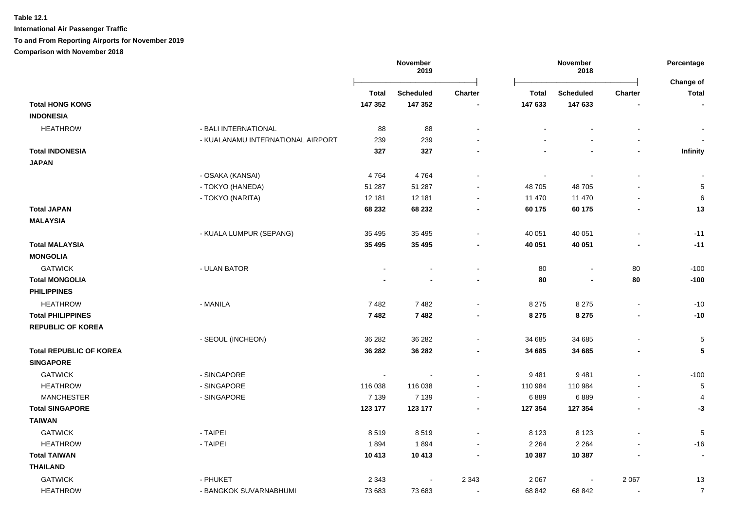**International Air Passenger Traffic**

**To and From Reporting Airports for November 2019**

|                                |                                   | November<br>November<br>2019<br>2018 |                  |                | Percentage     |                  |                |                           |
|--------------------------------|-----------------------------------|--------------------------------------|------------------|----------------|----------------|------------------|----------------|---------------------------|
|                                |                                   | <b>Total</b>                         | <b>Scheduled</b> | <b>Charter</b> | <b>Total</b>   | <b>Scheduled</b> | <b>Charter</b> | Change of<br><b>Total</b> |
| <b>Total HONG KONG</b>         |                                   | 147 352                              | 147 352          |                | 147 633        | 147 633          |                | $\blacksquare$            |
| <b>INDONESIA</b>               |                                   |                                      |                  |                |                |                  |                |                           |
| <b>HEATHROW</b>                | - BALI INTERNATIONAL              | 88                                   | 88               |                |                |                  |                |                           |
|                                | - KUALANAMU INTERNATIONAL AIRPORT | 239                                  | 239              |                |                |                  |                |                           |
| <b>Total INDONESIA</b>         |                                   | 327                                  | 327              |                |                |                  | $\blacksquare$ | Infinity                  |
| <b>JAPAN</b>                   |                                   |                                      |                  |                |                |                  |                |                           |
|                                | - OSAKA (KANSAI)                  | 4764                                 | 4764             |                | $\blacksquare$ |                  |                |                           |
|                                | - TOKYO (HANEDA)                  | 51 287                               | 51 287           |                | 48 705         | 48705            |                | $\sqrt{5}$                |
|                                | - TOKYO (NARITA)                  | 12 181                               | 12 181           |                | 11 470         | 11 470           |                | 6                         |
| <b>Total JAPAN</b>             |                                   | 68 232                               | 68 232           |                | 60 175         | 60 175           | $\blacksquare$ | 13                        |
| <b>MALAYSIA</b>                |                                   |                                      |                  |                |                |                  |                |                           |
|                                | - KUALA LUMPUR (SEPANG)           | 35 4 95                              | 35 4 95          |                | 40 051         | 40 051           |                | $-11$                     |
| <b>Total MALAYSIA</b>          |                                   | 35 4 95                              | 35 4 95          |                | 40 051         | 40 051           |                | $-11$                     |
| <b>MONGOLIA</b>                |                                   |                                      |                  |                |                |                  |                |                           |
| <b>GATWICK</b>                 | - ULAN BATOR                      |                                      |                  |                | 80             | $\blacksquare$   | 80             | $-100$                    |
| <b>Total MONGOLIA</b>          |                                   |                                      |                  |                | 80             | $\blacksquare$   | 80             | $-100$                    |
| <b>PHILIPPINES</b>             |                                   |                                      |                  |                |                |                  |                |                           |
| <b>HEATHROW</b>                | - MANILA                          | 7482                                 | 7482             |                | 8 2 7 5        | 8 2 7 5          | $\blacksquare$ | $-10$                     |
| <b>Total PHILIPPINES</b>       |                                   | 7482                                 | 7482             | $\blacksquare$ | 8 2 7 5        | 8 2 7 5          | $\blacksquare$ | $-10$                     |
| <b>REPUBLIC OF KOREA</b>       |                                   |                                      |                  |                |                |                  |                |                           |
|                                | - SEOUL (INCHEON)                 | 36 282                               | 36 282           |                | 34 685         | 34 685           |                | $\sqrt{5}$                |
| <b>Total REPUBLIC OF KOREA</b> |                                   | 36 28 2                              | 36 28 2          | $\blacksquare$ | 34 685         | 34 685           | $\blacksquare$ | ${\bf 5}$                 |
| <b>SINGAPORE</b>               |                                   |                                      |                  |                |                |                  |                |                           |
| <b>GATWICK</b>                 | - SINGAPORE                       | $\sim$                               |                  |                | 9 4 8 1        | 9481             |                | $-100$                    |
| <b>HEATHROW</b>                | - SINGAPORE                       | 116 038                              | 116 038          | $\sim$         | 110 984        | 110 984          |                | $\sqrt{5}$                |
| <b>MANCHESTER</b>              | - SINGAPORE                       | 7 1 3 9                              | 7 1 3 9          | $\blacksquare$ | 6889           | 6889             | $\blacksquare$ | $\overline{4}$            |
| <b>Total SINGAPORE</b>         |                                   | 123 177                              | 123 177          | $\blacksquare$ | 127 354        | 127 354          |                | $-3$                      |
| <b>TAIWAN</b>                  |                                   |                                      |                  |                |                |                  |                |                           |
| <b>GATWICK</b>                 | - TAIPEI                          | 8519                                 | 8519             |                | 8 1 2 3        | 8 1 2 3          |                | $\,$ 5 $\,$               |
| <b>HEATHROW</b>                | - TAIPEI                          | 1894                                 | 1894             |                | 2 2 6 4        | 2 2 6 4          |                | $-16$                     |
| <b>Total TAIWAN</b>            |                                   | 10 413                               | 10 413           |                | 10 387         | 10 387           |                | $\blacksquare$            |
| <b>THAILAND</b>                |                                   |                                      |                  |                |                |                  |                |                           |
| <b>GATWICK</b>                 | - PHUKET                          | 2 3 4 3                              |                  | 2 3 4 3        | 2 0 6 7        |                  | 2 0 6 7        | 13                        |
| <b>HEATHROW</b>                | - BANGKOK SUVARNABHUMI            | 73 683                               | 73 683           | $\blacksquare$ | 68 842         | 68 842           |                | $\overline{7}$            |
|                                |                                   |                                      |                  |                |                |                  |                |                           |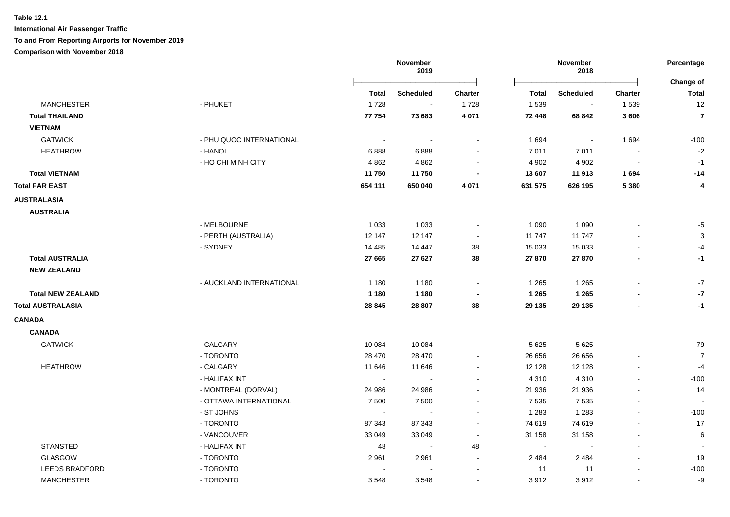# **Table 12.1 International Air Passenger Traffic**

#### **To and From Reporting Airports for November 2019**

|                          |                          | November<br>2019 |                  | November<br>2018         |         |                          | Percentage<br>Change of  |                |
|--------------------------|--------------------------|------------------|------------------|--------------------------|---------|--------------------------|--------------------------|----------------|
|                          |                          | Total            | <b>Scheduled</b> | <b>Charter</b>           | Total   | <b>Scheduled</b>         | <b>Charter</b>           | <b>Total</b>   |
| <b>MANCHESTER</b>        | - PHUKET                 | 1728             | $\sim$           | 1728                     | 1 5 3 9 | $\sim$                   | 1539                     | 12             |
| <b>Total THAILAND</b>    |                          | 77 754           | 73 683           | 4 0 7 1                  | 72 448  | 68 842                   | 3606                     | $\overline{7}$ |
| <b>VIETNAM</b>           |                          |                  |                  |                          |         |                          |                          |                |
| <b>GATWICK</b>           | - PHU QUOC INTERNATIONAL |                  |                  |                          | 1 6 9 4 | $\overline{\phantom{a}}$ | 1694                     | $-100$         |
| <b>HEATHROW</b>          | - HANOI                  | 6888             | 6888             |                          | 7 0 1 1 | 7011                     |                          | $-2$           |
|                          | - HO CHI MINH CITY       | 4 8 6 2          | 4 8 6 2          | $\overline{\phantom{a}}$ | 4 9 0 2 | 4 9 0 2                  | $\blacksquare$           | $-1$           |
| <b>Total VIETNAM</b>     |                          | 11750            | 11750            |                          | 13 607  | 11 913                   | 1694                     | $-14$          |
| <b>Total FAR EAST</b>    |                          | 654 111          | 650 040          | 4 0 7 1                  | 631 575 | 626 195                  | 5 3 8 0                  | 4              |
| <b>AUSTRALASIA</b>       |                          |                  |                  |                          |         |                          |                          |                |
| <b>AUSTRALIA</b>         |                          |                  |                  |                          |         |                          |                          |                |
|                          | - MELBOURNE              | 1 0 3 3          | 1 0 3 3          | $\overline{\phantom{a}}$ | 1 0 9 0 | 1 0 9 0                  |                          | $-5$           |
|                          | - PERTH (AUSTRALIA)      | 12 147           | 12 147           | $\sim$                   | 11 747  | 11 747                   |                          | $\sqrt{3}$     |
|                          | - SYDNEY                 | 14 4 8 5         | 14 447           | 38                       | 15 0 33 | 15 033                   |                          | $-4$           |
| <b>Total AUSTRALIA</b>   |                          | 27 665           | 27 6 27          | 38                       | 27 870  | 27 870                   | $\blacksquare$           | $-1$           |
| <b>NEW ZEALAND</b>       |                          |                  |                  |                          |         |                          |                          |                |
|                          | - AUCKLAND INTERNATIONAL | 1 1 8 0          | 1 1 8 0          | $\overline{\phantom{a}}$ | 1 2 6 5 | 1 2 6 5                  |                          | $-7$           |
| <b>Total NEW ZEALAND</b> |                          | 1 1 8 0          | 1 1 8 0          |                          | 1 2 6 5 | 1 2 6 5                  |                          | $-7$           |
| <b>Total AUSTRALASIA</b> |                          | 28 8 45          | 28 807           | 38                       | 29 135  | 29 135                   | $\blacksquare$           | $-1$           |
| <b>CANADA</b>            |                          |                  |                  |                          |         |                          |                          |                |
| <b>CANADA</b>            |                          |                  |                  |                          |         |                          |                          |                |
| <b>GATWICK</b>           | - CALGARY                | 10 0 84          | 10 084           | $\blacksquare$           | 5 6 2 5 | 5 6 2 5                  |                          | 79             |
|                          | - TORONTO                | 28 470           | 28 470           | $\blacksquare$           | 26 656  | 26 656                   |                          | $\overline{7}$ |
| <b>HEATHROW</b>          | - CALGARY                | 11 646           | 11 646           | $\blacksquare$           | 12 1 28 | 12 1 28                  |                          | $-4$           |
|                          | - HALIFAX INT            | $\sim$           | $\sim$           | $\sim$                   | 4 3 1 0 | 4 3 1 0                  | $\blacksquare$           | $-100$         |
|                          | - MONTREAL (DORVAL)      | 24 986           | 24 986           | $\blacksquare$           | 21 936  | 21 936                   | L,                       | 14             |
|                          | - OTTAWA INTERNATIONAL   | 7 500            | 7 500            | $\blacksquare$           | 7 5 3 5 | 7 5 3 5                  | $\blacksquare$           |                |
|                          | - ST JOHNS               | $\sim$           | $\sim$           | $\blacksquare$           | 1 2 8 3 | 1 2 8 3                  | $\blacksquare$           | $-100$         |
|                          | - TORONTO                | 87 343           | 87 343           | $\sim$                   | 74 619  | 74 619                   | $\overline{\phantom{a}}$ | 17             |
|                          | - VANCOUVER              | 33 049           | 33 049           | $\sim$                   | 31 158  | 31 158                   | $\ddot{\phantom{a}}$     | 6              |
| <b>STANSTED</b>          | - HALIFAX INT            | 48               | $\sim$           | 48                       | $\sim$  | $\overline{\phantom{a}}$ |                          |                |
| <b>GLASGOW</b>           | - TORONTO                | 2 9 6 1          | 2961             | $\sim$                   | 2 4 8 4 | 2 4 8 4                  |                          | 19             |
| <b>LEEDS BRADFORD</b>    | - TORONTO                |                  |                  | $\overline{\phantom{a}}$ | 11      | 11                       | $\blacksquare$           | $-100$         |
| <b>MANCHESTER</b>        | - TORONTO                | 3548             | 3548             | $\blacksquare$           | 3912    | 3912                     | $\blacksquare$           | $-9$           |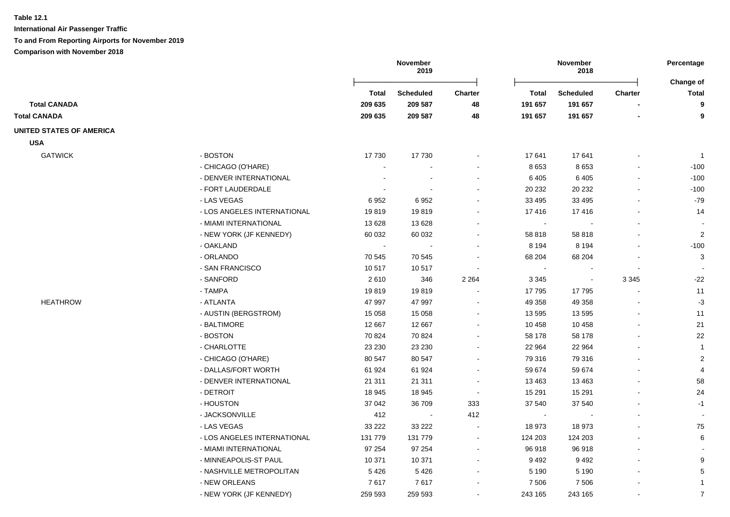|                                 |                             |              | November<br>2019 |                          | November<br>2018 |                  |                | Percentage<br>Change of |
|---------------------------------|-----------------------------|--------------|------------------|--------------------------|------------------|------------------|----------------|-------------------------|
|                                 |                             | <b>Total</b> | <b>Scheduled</b> | <b>Charter</b>           | Total            | <b>Scheduled</b> | <b>Charter</b> | <b>Total</b>            |
| <b>Total CANADA</b>             |                             | 209 635      | 209 587          | 48                       | 191 657          | 191 657          |                | 9                       |
| <b>Total CANADA</b>             |                             | 209 635      | 209 587          | 48                       | 191 657          | 191 657          |                | 9                       |
| <b>UNITED STATES OF AMERICA</b> |                             |              |                  |                          |                  |                  |                |                         |
| <b>USA</b>                      |                             |              |                  |                          |                  |                  |                |                         |
| <b>GATWICK</b>                  | - BOSTON                    | 17 730       | 17 730           |                          | 17 641           | 17641            |                | $\overline{1}$          |
|                                 | - CHICAGO (O'HARE)          |              |                  |                          | 8653             | 8653             |                | $-100$                  |
|                                 | - DENVER INTERNATIONAL      |              | $\blacksquare$   | $\blacksquare$           | 6405             | 6 4 0 5          | $\blacksquare$ | $-100$                  |
|                                 | - FORT LAUDERDALE           |              |                  |                          | 20 232           | 20 232           |                | $-100$                  |
|                                 | - LAS VEGAS                 | 6952         | 6952             |                          | 33 4 95          | 33 4 95          |                | $-79$                   |
|                                 | - LOS ANGELES INTERNATIONAL | 19819        | 19819            |                          | 17416            | 17416            |                | 14                      |
|                                 | - MIAMI INTERNATIONAL       | 13 6 28      | 13 6 28          |                          | $\sim$           |                  |                |                         |
|                                 | - NEW YORK (JF KENNEDY)     | 60 032       | 60 032           |                          | 58 818           | 58 818           |                | $\overline{2}$          |
|                                 | - OAKLAND                   |              |                  |                          | 8 1 9 4          | 8 1 9 4          |                | $-100$                  |
|                                 | - ORLANDO                   | 70 545       | 70 545           | $\overline{a}$           | 68 204           | 68 204           |                | 3                       |
|                                 | - SAN FRANCISCO             | 10517        | 10517            |                          | $\sim$           |                  |                |                         |
|                                 | - SANFORD                   | 2610         | 346              | 2 2 6 4                  | 3 3 4 5          | $\blacksquare$   | 3 3 4 5        | $-22$                   |
|                                 | - TAMPA                     | 19819        | 19819            | $\overline{a}$           | 17795            | 17795            |                | 11                      |
| <b>HEATHROW</b>                 | - ATLANTA                   | 47 997       | 47 997           |                          | 49 358           | 49 358           |                | $-3$                    |
|                                 | - AUSTIN (BERGSTROM)        | 15 0 58      | 15 0 58          |                          | 13 595           | 13595            |                | 11                      |
|                                 | - BALTIMORE                 | 12 667       | 12 667           |                          | 10 458           | 10 458           |                | 21                      |
|                                 | - BOSTON                    | 70 824       | 70 824           |                          | 58 178           | 58 178           |                | 22                      |
|                                 | - CHARLOTTE                 | 23 230       | 23 230           |                          | 22 964           | 22 964           |                | $\mathbf{1}$            |
|                                 | - CHICAGO (O'HARE)          | 80 547       | 80 547           |                          | 79 316           | 79 316           |                | $\overline{2}$          |
|                                 | - DALLAS/FORT WORTH         | 61 924       | 61 924           |                          | 59 674           | 59 674           |                | $\overline{4}$          |
|                                 | - DENVER INTERNATIONAL      | 21 311       | 21 311           | $\blacksquare$           | 13 4 63          | 13 4 63          |                | 58                      |
|                                 | - DETROIT                   | 18 945       | 18 945           | $\sim$                   | 15 291           | 15 291           |                | 24                      |
|                                 | - HOUSTON                   | 37 042       | 36 709           | 333                      | 37 540           | 37 540           |                | $-1$                    |
|                                 | - JACKSONVILLE              | 412          | $\blacksquare$   | 412                      | $\sim$           |                  |                |                         |
|                                 | - LAS VEGAS                 | 33 2 22      | 33 2 22          | $\blacksquare$           | 18 973           | 18 973           |                | 75                      |
|                                 | - LOS ANGELES INTERNATIONAL | 131 779      | 131 779          | $\overline{\phantom{a}}$ | 124 203          | 124 203          |                | 6                       |
|                                 | - MIAMI INTERNATIONAL       | 97 254       | 97 254           | $\overline{a}$           | 96 918           | 96 918           |                |                         |
|                                 | - MINNEAPOLIS-ST PAUL       | 10 371       | 10 371           |                          | 9492             | 9492             |                | 9                       |
|                                 | - NASHVILLE METROPOLITAN    | 5426         | 5426             |                          | 5 1 9 0          | 5 1 9 0          |                | 5                       |
|                                 | - NEW ORLEANS               | 7617         | 7617             |                          | 7 5 0 6          | 7 5 0 6          |                | $\overline{1}$          |
|                                 | - NEW YORK (JF KENNEDY)     | 259 593      | 259 593          |                          | 243 165          | 243 165          |                | $\overline{7}$          |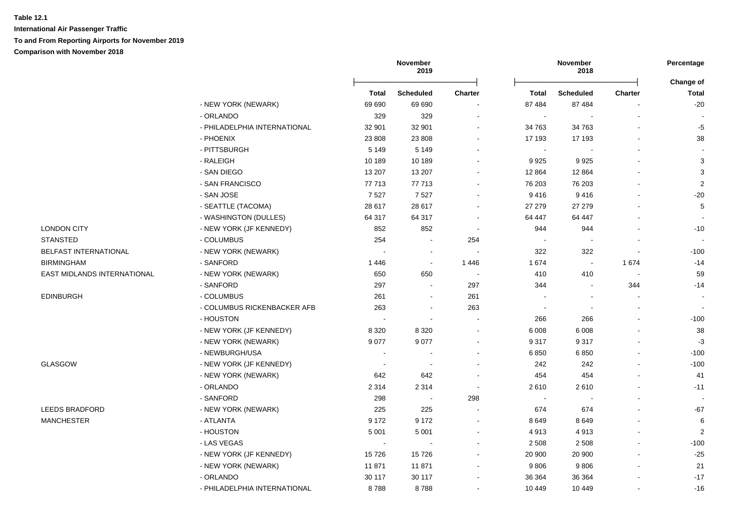**International Air Passenger Traffic To and From Reporting Airports for November 2019 Comparison with November 2018**

|                             |                              | November<br>2019         |                          |                          | November<br>2018 |                |                |                           |
|-----------------------------|------------------------------|--------------------------|--------------------------|--------------------------|------------------|----------------|----------------|---------------------------|
|                             |                              | Total                    | <b>Scheduled</b>         | <b>Charter</b>           | Total            | Scheduled      | <b>Charter</b> | Change of<br><b>Total</b> |
|                             | - NEW YORK (NEWARK)          | 69 690                   | 69 690                   |                          | 87 484           | 87 484         |                | $-20$                     |
|                             | - ORLANDO                    | 329                      | 329                      |                          |                  |                |                |                           |
|                             | - PHILADELPHIA INTERNATIONAL | 32 901                   | 32 901                   |                          | 34 763           | 34 763         |                | $-5$                      |
|                             | - PHOENIX                    | 23 808                   | 23 808                   |                          | 17 193           | 17 193         |                | 38                        |
|                             | - PITTSBURGH                 | 5 1 4 9                  | 5 1 4 9                  |                          | $\overline{a}$   |                |                |                           |
|                             | - RALEIGH                    | 10 189                   | 10 189                   |                          | 9925             | 9925           |                | $\mathbf{3}$              |
|                             | - SAN DIEGO                  | 13 207                   | 13 207                   |                          | 12 8 64          | 12 8 64        |                | 3                         |
|                             | - SAN FRANCISCO              | 77 713                   | 77 713                   |                          | 76 203           | 76 203         |                | $\sqrt{2}$                |
|                             | - SAN JOSE                   | 7527                     | 7527                     |                          | 9416             | 9416           |                | $-20$                     |
|                             | - SEATTLE (TACOMA)           | 28 617                   | 28 617                   |                          | 27 279           | 27 27 9        |                | 5                         |
|                             | - WASHINGTON (DULLES)        | 64 317                   | 64 317                   |                          | 64 447           | 64 447         |                |                           |
| <b>LONDON CITY</b>          | - NEW YORK (JF KENNEDY)      | 852                      | 852                      | $\sim$                   | 944              | 944            |                | $-10$                     |
| <b>STANSTED</b>             | - COLUMBUS                   | 254                      | $\sim$                   | 254                      | $\sim$           |                |                |                           |
| BELFAST INTERNATIONAL       | - NEW YORK (NEWARK)          | $\sim$                   | $\sim$                   |                          | 322              | 322            | $\blacksquare$ | $-100$                    |
| <b>BIRMINGHAM</b>           | - SANFORD                    | 1446                     | $\sim$                   | 1 4 4 6                  | 1674             | $\sim$         | 1674           | $-14$                     |
| EAST MIDLANDS INTERNATIONAL | - NEW YORK (NEWARK)          | 650                      | 650                      | $\overline{\phantom{a}}$ | 410              | 410            | $\sim$         | 59                        |
|                             | - SANFORD                    | 297                      | $\blacksquare$           | 297                      | 344              | $\blacksquare$ | 344            | $-14$                     |
| <b>EDINBURGH</b>            | - COLUMBUS                   | 261                      | $\blacksquare$           | 261                      |                  |                |                |                           |
|                             | - COLUMBUS RICKENBACKER AFB  | 263                      | $\sim$                   | 263                      |                  |                | $\sim$         | $\overline{a}$            |
|                             | - HOUSTON                    |                          | $\overline{\phantom{a}}$ |                          | 266              | 266            |                | $-100$                    |
|                             | - NEW YORK (JF KENNEDY)      | 8 3 2 0                  | 8 3 2 0                  |                          | 6 0 0 8          | 6 0 0 8        |                | 38                        |
|                             | - NEW YORK (NEWARK)          | 9 0 7 7                  | 9077                     |                          | 9 3 1 7          | 9317           |                | $-3$                      |
|                             | - NEWBURGH/USA               | $\sim$                   |                          |                          | 6850             | 6850           |                | $-100$                    |
| GLASGOW                     | - NEW YORK (JF KENNEDY)      | $\overline{\phantom{a}}$ | $\overline{\phantom{a}}$ |                          | 242              | 242            |                | $-100$                    |
|                             | - NEW YORK (NEWARK)          | 642                      | 642                      |                          | 454              | 454            |                | 41                        |
|                             | - ORLANDO                    | 2 3 1 4                  | 2 3 1 4                  |                          | 2610             | 2610           |                | $-11$                     |
|                             | - SANFORD                    | 298                      | $\sim$                   | 298                      | $\sim$           |                |                | $\overline{\phantom{a}}$  |
| <b>LEEDS BRADFORD</b>       | - NEW YORK (NEWARK)          | 225                      | 225                      |                          | 674              | 674            |                | $-67$                     |
| <b>MANCHESTER</b>           | - ATLANTA                    | 9 1 7 2                  | 9 1 7 2                  | $\sim$                   | 8649             | 8649           |                | 6                         |
|                             | - HOUSTON                    | 5 0 0 1                  | 5 0 0 1                  |                          | 4913             | 4913           |                | $\overline{2}$            |
|                             | - LAS VEGAS                  | $\blacksquare$           | $\sim$                   |                          | 2 5 0 8          | 2 5 0 8        |                | $-100$                    |
|                             | - NEW YORK (JF KENNEDY)      | 15726                    | 15726                    |                          | 20 900           | 20 900         |                | $-25$                     |
|                             | - NEW YORK (NEWARK)          | 11871                    | 11871                    |                          | 9806             | 9806           |                | 21                        |
|                             | - ORLANDO                    | 30 117                   | 30 117                   |                          | 36 364           | 36 364         |                | $-17$                     |
|                             | - PHILADELPHIA INTERNATIONAL | 8788                     | 8788                     |                          | 10 449           | 10 449         |                | $-16$                     |
|                             |                              |                          |                          |                          |                  |                |                |                           |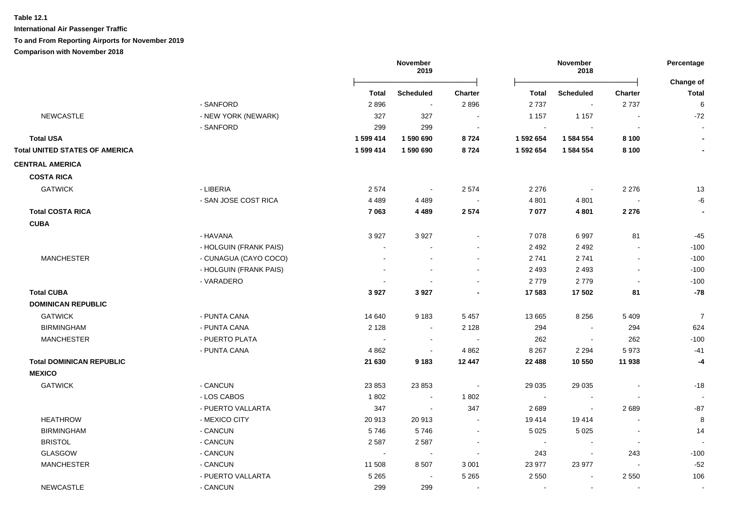**International Air Passenger Traffic**

#### **To and From Reporting Airports for November 2019**

|                                       |                        |                | November<br>2019            |         |              | November<br>2018         |                          |                           |
|---------------------------------------|------------------------|----------------|-----------------------------|---------|--------------|--------------------------|--------------------------|---------------------------|
|                                       |                        | Total          | <b>Scheduled</b>            | Charter | <b>Total</b> | <b>Scheduled</b>         | <b>Charter</b>           | Change of<br><b>Total</b> |
|                                       | - SANFORD              | 2896           | $\blacksquare$              | 2896    | 2737         | $\blacksquare$           | 2737                     | 6                         |
| <b>NEWCASTLE</b>                      | - NEW YORK (NEWARK)    | 327            | 327                         |         | 1 1 5 7      | 1 1 5 7                  |                          | $-72$                     |
|                                       | - SANFORD              | 299            | 299                         |         |              |                          |                          |                           |
| <b>Total USA</b>                      |                        | 1 599 414      | 1 590 690                   | 8724    | 1 592 654    | 1 584 554                | 8 1 0 0                  | $\blacksquare$            |
| <b>Total UNITED STATES OF AMERICA</b> |                        | 1 599 414      | 1 590 690                   | 8724    | 1 592 654    | 1 584 554                | 8 1 0 0                  | $\blacksquare$            |
| <b>CENTRAL AMERICA</b>                |                        |                |                             |         |              |                          |                          |                           |
| <b>COSTA RICA</b>                     |                        |                |                             |         |              |                          |                          |                           |
| <b>GATWICK</b>                        | - LIBERIA              | 2574           | $\blacksquare$              | 2 5 7 4 | 2 2 7 6      | $\blacksquare$           | 2 2 7 6                  | 13                        |
|                                       | - SAN JOSE COST RICA   | 4 4 8 9        | 4 4 8 9                     |         | 4 8 0 1      | 4 8 0 1                  |                          | -6                        |
| <b>Total COSTA RICA</b>               |                        | 7 0 63         | 4 4 8 9                     | 2 5 7 4 | 7077         | 4 8 0 1                  | 2 2 7 6                  |                           |
| <b>CUBA</b>                           |                        |                |                             |         |              |                          |                          |                           |
|                                       | - HAVANA               | 3 9 27         | 3 9 2 7                     |         | 7078         | 6997                     | 81                       | $-45$                     |
|                                       | - HOLGUIN (FRANK PAIS) |                |                             |         | 2 4 9 2      | 2 4 9 2                  |                          | $-100$                    |
| <b>MANCHESTER</b>                     | - CUNAGUA (CAYO COCO)  |                |                             |         | 2741         | 2741                     |                          | $-100$                    |
|                                       | - HOLGUIN (FRANK PAIS) |                |                             |         | 2 4 9 3      | 2 4 9 3                  | $\overline{\phantom{a}}$ | $-100$                    |
|                                       | - VARADERO             |                |                             |         | 2779         | 2779                     |                          | $-100$                    |
| <b>Total CUBA</b>                     |                        | 3927           | 3927                        |         | 17 583       | 17 502                   | 81                       | $-78$                     |
| <b>DOMINICAN REPUBLIC</b>             |                        |                |                             |         |              |                          |                          |                           |
| <b>GATWICK</b>                        | - PUNTA CANA           | 14 640         | 9 1 8 3                     | 5 4 5 7 | 13 665       | 8 2 5 6                  | 5 4 0 9                  | $\overline{7}$            |
| <b>BIRMINGHAM</b>                     | - PUNTA CANA           | 2 1 2 8        | $\sim$                      | 2 1 2 8 | 294          | $\sim$                   | 294                      | 624                       |
| <b>MANCHESTER</b>                     | - PUERTO PLATA         | $\overline{a}$ | $\overline{\phantom{a}}$    | $\sim$  | 262          | $\overline{\phantom{a}}$ | 262                      | $-100$                    |
|                                       | - PUNTA CANA           | 4 8 6 2        | $\sim$                      | 4 8 6 2 | 8 2 6 7      | 2 2 9 4                  | 5973                     | $-41$                     |
| <b>Total DOMINICAN REPUBLIC</b>       |                        | 21 630         | 9 1 8 3                     | 12 447  | 22 488       | 10 550                   | 11 938                   | $-4$                      |
| <b>MEXICO</b>                         |                        |                |                             |         |              |                          |                          |                           |
| <b>GATWICK</b>                        | - CANCUN               | 23 853         | 23 853                      |         | 29 0 35      | 29 0 35                  |                          | $-18$                     |
|                                       | - LOS CABOS            | 1802           | $\sim$                      | 1802    | $\sim$       | $\overline{\phantom{a}}$ |                          |                           |
|                                       | - PUERTO VALLARTA      | 347            | $\mathcal{L}_{\mathcal{A}}$ | 347     | 2689         | $\blacksquare$           | 2689                     | $-87$                     |
| <b>HEATHROW</b>                       | - MEXICO CITY          | 20913          | 20913                       |         | 19 414       | 19414                    | L,                       | 8                         |
| <b>BIRMINGHAM</b>                     | - CANCUN               | 5746           | 5746                        | $\sim$  | 5 0 2 5      | 5 0 2 5                  | $\overline{\phantom{a}}$ | 14                        |
| <b>BRISTOL</b>                        | - CANCUN               | 2587           | 2587                        |         | $\sim$       | $\overline{a}$           | $\blacksquare$           |                           |
| GLASGOW                               | - CANCUN               | $\sim$         | $\blacksquare$              |         | 243          | $\blacksquare$           | 243                      | $-100$                    |
| <b>MANCHESTER</b>                     | - CANCUN               | 11 508         | 8 5 0 7                     | 3 0 0 1 | 23 977       | 23 977                   |                          | $-52$                     |
|                                       | - PUERTO VALLARTA      | 5 2 6 5        | $\blacksquare$              | 5 2 6 5 | 2 5 5 0      | $\blacksquare$           | 2 5 5 0                  | 106                       |
| <b>NEWCASTLE</b>                      | - CANCUN               | 299            | 299                         |         |              | $\sim$                   |                          |                           |
|                                       |                        |                |                             |         |              |                          |                          |                           |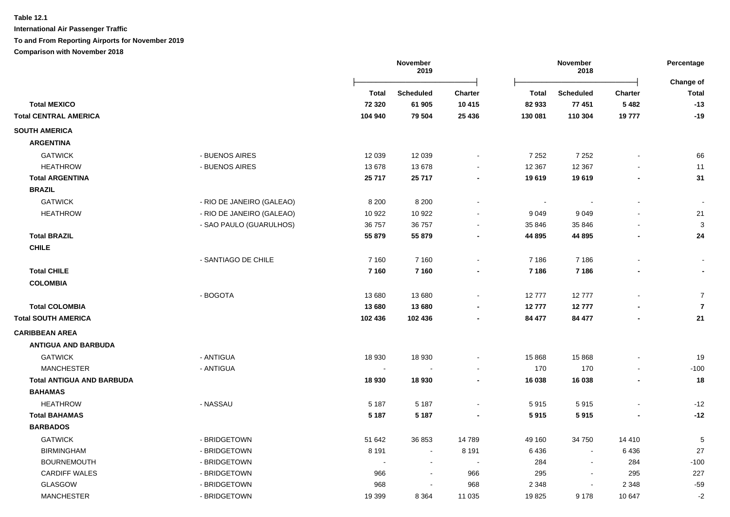|                                  |                           |              | November<br>2019 |                | November<br>2018 |                  |                | Percentage                |
|----------------------------------|---------------------------|--------------|------------------|----------------|------------------|------------------|----------------|---------------------------|
|                                  |                           | <b>Total</b> | <b>Scheduled</b> | Charter        | <b>Total</b>     | <b>Scheduled</b> | Charter        | Change of<br><b>Total</b> |
| <b>Total MEXICO</b>              |                           | 72 3 20      | 61 905           | 10 4 15        | 82 933           | 77 451           | 5482           | $-13$                     |
| <b>Total CENTRAL AMERICA</b>     |                           | 104 940      | 79 504           | 25 4 36        | 130 081          | 110 304          | 19777          | $-19$                     |
| <b>SOUTH AMERICA</b>             |                           |              |                  |                |                  |                  |                |                           |
| <b>ARGENTINA</b>                 |                           |              |                  |                |                  |                  |                |                           |
| <b>GATWICK</b>                   | - BUENOS AIRES            | 12 039       | 12 039           |                | 7 2 5 2          | 7 2 5 2          |                | 66                        |
| <b>HEATHROW</b>                  | - BUENOS AIRES            | 13678        | 13678            |                | 12 3 67          | 12 3 67          |                | 11                        |
| <b>Total ARGENTINA</b>           |                           | 25 717       | 25 717           |                | 19619            | 19619            |                | 31                        |
| <b>BRAZIL</b>                    |                           |              |                  |                |                  |                  |                |                           |
| <b>GATWICK</b>                   | - RIO DE JANEIRO (GALEAO) | 8 2 0 0      | 8 2 0 0          |                |                  |                  |                |                           |
| <b>HEATHROW</b>                  | - RIO DE JANEIRO (GALEAO) | 10 922       | 10 922           |                | 9 0 4 9          | 9 0 4 9          |                | 21                        |
|                                  | - SAO PAULO (GUARULHOS)   | 36 757       | 36 757           |                | 35 846           | 35 846           |                | 3                         |
| <b>Total BRAZIL</b>              |                           | 55 879       | 55 879           | $\blacksquare$ | 44 895           | 44 895           | $\blacksquare$ | 24                        |
| <b>CHILE</b>                     |                           |              |                  |                |                  |                  |                |                           |
|                                  | - SANTIAGO DE CHILE       | 7 1 6 0      | 7 1 6 0          |                | 7 1 8 6          | 7 1 8 6          |                |                           |
| <b>Total CHILE</b>               |                           | 7 1 6 0      | 7 1 6 0          | $\blacksquare$ | 7 186            | 7 1 8 6          | $\blacksquare$ |                           |
| <b>COLOMBIA</b>                  |                           |              |                  |                |                  |                  |                |                           |
|                                  | - BOGOTA                  | 13 680       | 13 680           |                | 12777            | 12777            |                | $\overline{7}$            |
| <b>Total COLOMBIA</b>            |                           | 13 680       | 13 680           |                | 12777            | 12777            |                | $\overline{7}$            |
| <b>Total SOUTH AMERICA</b>       |                           | 102 436      | 102 436          | $\blacksquare$ | 84 477           | 84 477           | $\blacksquare$ | 21                        |
| <b>CARIBBEAN AREA</b>            |                           |              |                  |                |                  |                  |                |                           |
| <b>ANTIGUA AND BARBUDA</b>       |                           |              |                  |                |                  |                  |                |                           |
| <b>GATWICK</b>                   | - ANTIGUA                 | 18 9 30      | 18 9 30          |                | 15 868           | 15 868           |                | 19                        |
| <b>MANCHESTER</b>                | - ANTIGUA                 |              |                  |                | 170              | 170              |                | $-100$                    |
| <b>Total ANTIGUA AND BARBUDA</b> |                           | 18 930       | 18 930           |                | 16 038           | 16 038           |                | 18                        |
| <b>BAHAMAS</b>                   |                           |              |                  |                |                  |                  |                |                           |
| <b>HEATHROW</b>                  | - NASSAU                  | 5 1 8 7      | 5 1 8 7          |                | 5915             | 5915             |                | $-12$                     |
| <b>Total BAHAMAS</b>             |                           | 5 1 8 7      | 5 1 8 7          |                | 5915             | 5915             |                | $-12$                     |
| <b>BARBADOS</b>                  |                           |              |                  |                |                  |                  |                |                           |
| <b>GATWICK</b>                   | - BRIDGETOWN              | 51 642       | 36 853           | 14789          | 49 160           | 34 750           | 14 4 10        | 5                         |
| <b>BIRMINGHAM</b>                | - BRIDGETOWN              | 8 1 9 1      |                  | 8 1 9 1        | 6436             |                  | 6436           | 27                        |
| <b>BOURNEMOUTH</b>               | - BRIDGETOWN              |              |                  |                | 284              |                  | 284            | $-100$                    |
| <b>CARDIFF WALES</b>             | - BRIDGETOWN              | 966          |                  | 966            | 295              | $\sim$           | 295            | 227                       |
| <b>GLASGOW</b>                   | - BRIDGETOWN              | 968          |                  | 968            | 2 3 4 8          |                  | 2 3 4 8        | $-59$                     |
| <b>MANCHESTER</b>                | - BRIDGETOWN              | 19 399       | 8 3 6 4          | 11 0 35        | 19825            | 9 1 7 8          | 10 647         | $-2$                      |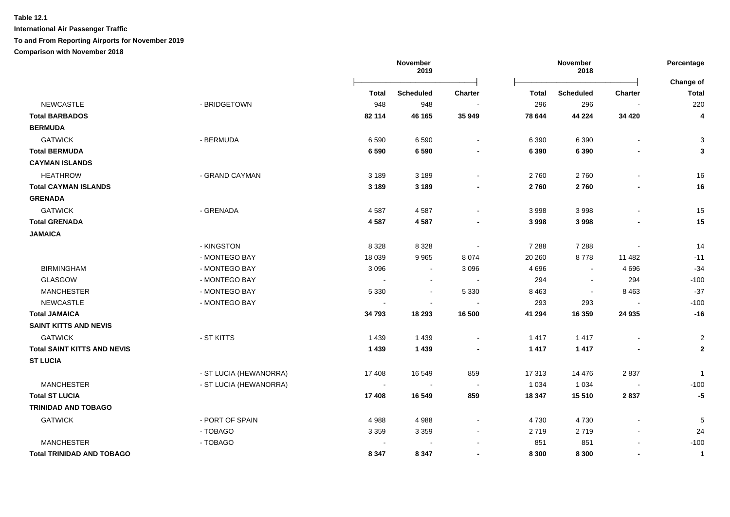# **Table 12.1 International Air Passenger Traffic**

#### **To and From Reporting Airports for November 2019**

|                                    |                        |                | November<br>2019         |                          | November<br>2018 |                          | Percentage               |                         |
|------------------------------------|------------------------|----------------|--------------------------|--------------------------|------------------|--------------------------|--------------------------|-------------------------|
|                                    |                        | Total          | <b>Scheduled</b>         | <b>Charter</b>           | <b>Total</b>     | <b>Scheduled</b>         | <b>Charter</b>           | Change of<br>Total      |
| <b>NEWCASTLE</b>                   | - BRIDGETOWN           | 948            | 948                      | $\blacksquare$           | 296              | 296                      | $\overline{\phantom{a}}$ | 220                     |
| <b>Total BARBADOS</b>              |                        | 82 114         | 46 165                   | 35 949                   | 78 644           | 44 224                   | 34 4 20                  | 4                       |
| <b>BERMUDA</b>                     |                        |                |                          |                          |                  |                          |                          |                         |
| <b>GATWICK</b>                     | - BERMUDA              | 6 5 9 0        | 6590                     | $\blacksquare$           | 6 3 9 0          | 6 3 9 0                  | $\overline{\phantom{a}}$ | 3                       |
| <b>Total BERMUDA</b>               |                        | 6590           | 6590                     |                          | 6 3 9 0          | 6 3 9 0                  |                          | 3                       |
| <b>CAYMAN ISLANDS</b>              |                        |                |                          |                          |                  |                          |                          |                         |
| <b>HEATHROW</b>                    | - GRAND CAYMAN         | 3 1 8 9        | 3 1 8 9                  |                          | 2760             | 2760                     | $\blacksquare$           | 16                      |
| <b>Total CAYMAN ISLANDS</b>        |                        | 3 1 8 9        | 3 1 8 9                  |                          | 2760             | 2760                     | $\overline{\phantom{a}}$ | 16                      |
| <b>GRENADA</b>                     |                        |                |                          |                          |                  |                          |                          |                         |
| <b>GATWICK</b>                     | - GRENADA              | 4587           | 4587                     |                          | 3 9 9 8          | 3998                     | $\blacksquare$           | 15                      |
| <b>Total GRENADA</b>               |                        | 4587           | 4587                     |                          | 3 9 9 8          | 3998                     |                          | 15                      |
| <b>JAMAICA</b>                     |                        |                |                          |                          |                  |                          |                          |                         |
|                                    | - KINGSTON             | 8 3 2 8        | 8 3 2 8                  |                          | 7 2 8 8          | 7 2 8 8                  |                          | 14                      |
|                                    | - MONTEGO BAY          | 18 0 39        | 9965                     | 8 0 7 4                  | 20 260           | 8778                     | 11 482                   | $-11$                   |
| <b>BIRMINGHAM</b>                  | - MONTEGO BAY          | 3 0 9 6        | $\blacksquare$           | 3 0 9 6                  | 4 6 9 6          | $\sim$                   | 4 6 9 6                  | $-34$                   |
| GLASGOW                            | - MONTEGO BAY          | $\sim$         | $\blacksquare$           |                          | 294              | $\overline{\phantom{a}}$ | 294                      | $-100$                  |
| <b>MANCHESTER</b>                  | - MONTEGO BAY          | 5 3 3 0        | $\overline{\phantom{a}}$ | 5 3 3 0                  | 8 4 6 3          | $\overline{\phantom{a}}$ | 8 4 6 3                  | $-37$                   |
| <b>NEWCASTLE</b>                   | - MONTEGO BAY          | $\blacksquare$ | $\overline{a}$           |                          | 293              | 293                      |                          | $-100$                  |
| <b>Total JAMAICA</b>               |                        | 34 793         | 18 293                   | 16 500                   | 41 294           | 16 359                   | 24 935                   | $-16$                   |
| <b>SAINT KITTS AND NEVIS</b>       |                        |                |                          |                          |                  |                          |                          |                         |
| <b>GATWICK</b>                     | - ST KITTS             | 1 4 3 9        | 1439                     | $\blacksquare$           | 1417             | 1 4 1 7                  | $\overline{\phantom{a}}$ | $\overline{c}$          |
| <b>Total SAINT KITTS AND NEVIS</b> |                        | 1 4 3 9        | 1439                     |                          | 1417             | 1 4 1 7                  |                          | $\mathbf{2}$            |
| <b>ST LUCIA</b>                    |                        |                |                          |                          |                  |                          |                          |                         |
|                                    | - ST LUCIA (HEWANORRA) | 17408          | 16 549                   | 859                      | 17 313           | 14 4 76                  | 2837                     | $\overline{\mathbf{1}}$ |
| <b>MANCHESTER</b>                  | - ST LUCIA (HEWANORRA) |                |                          |                          | 1 0 3 4          | 1 0 3 4                  |                          | $-100$                  |
| <b>Total ST LUCIA</b>              |                        | 17 408         | 16 549                   | 859                      | 18 347           | 15 510                   | 2837                     | $-5$                    |
| <b>TRINIDAD AND TOBAGO</b>         |                        |                |                          |                          |                  |                          |                          |                         |
| <b>GATWICK</b>                     | - PORT OF SPAIN        | 4988           | 4988                     |                          | 4 7 3 0          | 4730                     |                          | 5                       |
|                                    | - TOBAGO               | 3 3 5 9        | 3 3 5 9                  | $\overline{\phantom{a}}$ | 2719             | 2719                     | $\blacksquare$           | 24                      |
| <b>MANCHESTER</b>                  | - TOBAGO               |                |                          |                          | 851              | 851                      | $\overline{a}$           | $-100$                  |
| <b>Total TRINIDAD AND TOBAGO</b>   |                        | 8 3 4 7        | 8 3 4 7                  |                          | 8 3 0 0          | 8 3 0 0                  | $\overline{a}$           | $\overline{1}$          |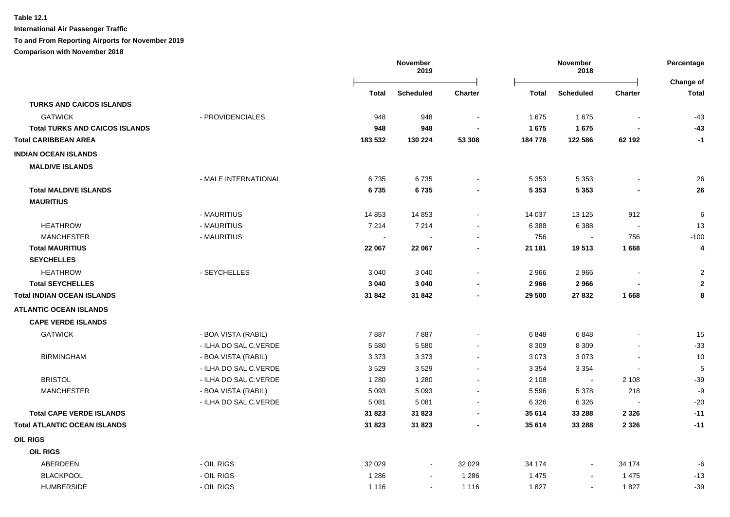**International Air Passenger Traffic To and From Reporting Airports for November 2019**

# **Comparison with November 2018**

**November 2019 November 2018 Percentage** Ōņņņņņņņņņņņņņņņņņņņņņņņņō Ōņņņņņņņņņņņņņņņņņņņņņņņņō **Change of Total Scheduled Charter Total Scheduled Charter Total TURKS AND CAICOS ISLANDS** GATWICK - PROVIDENCIALES 948 948 - 1 675 1 675 - -43  **Total TURKS AND CAICOS ISLANDS 948 948 - 1 675 1 675 - -43 Total CARIBBEAN AREA 183 532 130 224 53 308 184 778 122 586 62 192 -1 INDIAN OCEAN ISLANDS MALDIVE ISLANDS** GATWICK - MALE INTERNATIONAL 6 735 6 735 - 5 353 5 353 - 26  **Total MALDIVE ISLANDS 6 735 6 735 - 5 353 5 353 - 26 MAURITIUS** GATWICK - MAURITIUS 14 853 14 853 - 14 037 13 125 912 6 HEATHROW - MAURITIUS 7 214 7 214 - 6 388 6 388 - 13 MANCHESTER - MAURITIUS 756 - 756 -100  **Total MAURITIUS 22 067 22 067 - 21 181 19 513 1 668 4 SEYCHELLES** 2 المساحة 1966 - HEATHROW من المساحة التي تقويم المساحة التي تقويم التي تقويم التي تقويم التي تقويم التي تقويم التي تقويم التي تقويم التي تقويم التي تقويم التي تقويم التي تقويم التي تقويم التي تقويم التي تقويم التي تقويم  **Total SEYCHELLES 3 040 3 040 - 2 966 2 966 - 2 Total INDIAN OCEAN ISLANDS 31 842 31 842 - 29 500 27 832 1 668 8 ATLANTIC OCEAN ISLANDS CAPE VERDE ISLANDS** 15 ن بي المسلم المسلم المسلم التي تحدث المسلم المسلم المسلم المسلم المسلم المسلم المسلم التي تحدث المسلم التي ي ال GATWICK - ILHA DO SAL C.VERDE 5 580 5 580 - 8 309 8 309 - -33 BIRMINGHAM - BOA VISTA (RABIL) 3 373 3 373 - 3 073 3 073 - 10 BIRMINGHAM - ILHA DO SAL C.VERDE 3 529 3 529 - 3 354 3 354 - 5 BRISTOL - ILHA DO SAL C.VERDE 1 280 1 280 - 2 108 - 2 108 -39 MANCHESTER - BOA VISTA (RABIL) 5 093 5 093 - 5 596 5 378 218 -9 MANCHESTER - ILHA DO SAL C.VERDE 5 081 5 081 - 6 326 6 326 - -20  **Total CAPE VERDE ISLANDS 31 823 31 823 - 35 614 33 288 2 326 -11 Total ATLANTIC OCEAN ISLANDS 31 823 31 823 - 35 614 33 288 2 326 -11 OIL RIGS OIL RIGS** ABERDEEN - OIL RIGS 32 029 - 32 029 34 174 - 34 174 -6 1286 - DIL RIGS - OIL RIGS - 1286 - 1286 - 1286 1475 - 1475 - 1475 - 1475 - 1475 - 1475 - 1475 - 147 HUMBERSIDE - OIL RIGS 1 116 - 1 116 1 827 - 1 827 -39